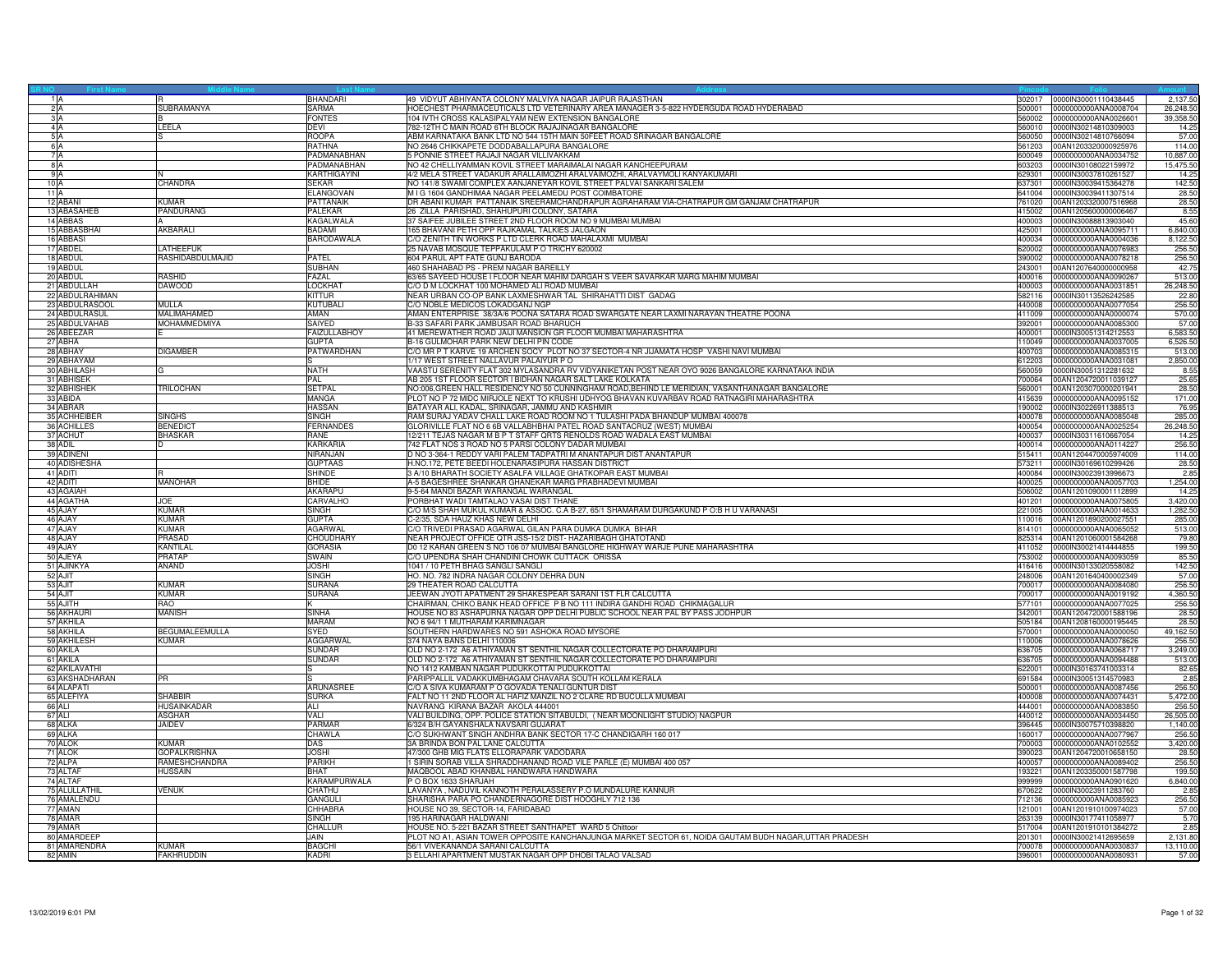| 2A       |                                | SUBRAMANYA                     | <b>BHANDARI</b><br><b>SARMA</b>    | 49 VIDYUT ABHIYANTA COLONY MALVIYA NAGAR JAIPUR RAJASTHAN<br>HOECHEST PHARMACEUTICALS LTD VETERINARY AREA MANAGER 3-5-822 HYDERGUDA ROAD HYDERABAD              | 302017<br>500001 | 0000IN30001110438445<br>0000000000ANA0008704 | 2,137.50<br>26,248.50 |
|----------|--------------------------------|--------------------------------|------------------------------------|-----------------------------------------------------------------------------------------------------------------------------------------------------------------|------------------|----------------------------------------------|-----------------------|
| 3A       |                                |                                | <b>FONTES</b>                      | 104 IVTH CROSS KALASIPALYAM NEW EXTENSION BANGALORE                                                                                                             | 560002           | 0000000000ANA0026601                         | 39,358.50             |
| 4A       |                                | LEELA                          | <b>DFVI</b>                        | 782-12TH C MAIN ROAD 6TH BLOCK RAJAJINAGAR BANGALORE                                                                                                            | 560010           | 0000IN30214810309003                         | 14.25                 |
| 5A       |                                |                                | <b>ROOPA</b>                       | ABM KARNATAKA BANK LTD NO 544 15TH MAIN 50FEET ROAD SRINAGAR BANGALORE                                                                                          | 560050           | 0000IN30214810766094                         | 57.00                 |
| 6 A      |                                |                                | RATHNA                             | NO 2646 CHIKKAPETE DODDABALLAPURA BANGALORE                                                                                                                     | 561203           | 00AN1203320000925976                         | 114.00                |
|          | 7A                             |                                | PADMANABHAN                        | 5 PONNIE STREET RAJAJI NAGAR VILLIVAKKAM                                                                                                                        | 600049           | 0000000000ANA0034752                         | 10,887.00             |
| 8A<br>9A |                                |                                | PADMANABHAN<br>KARTHIGAYINI        | NO 42 CHELLIYAMMAN KOVIL STREET MARAIMALAI NAGAR KANCHEEPURAM<br>4/2 MELA STREET VADAKUR ARALLAIMOZHI ARALVAIMOZHI, ARALVAYMOLI KANYAKUMARI                     | 603203<br>629301 | 0000IN30108022159972<br>0000lN30037810261527 | 15,475.50<br>14.25    |
| 10A      |                                | CHANDRA                        | <b>SEKAR</b>                       | NO 141/8 SWAMI COMPLEX AANJANEYAR KOVIL STREET PALVAI SANKARI SALEM                                                                                             | 637301           | 0000IN30039415364278                         | 142.50                |
| 11A      |                                |                                | <b>ELANGOVAN</b>                   | M I G 1604 GANDHIMAA NAGAR PEELAMEDU POST COIMBATORE                                                                                                            | 641004           | 0000lN30039411307514                         | 28.50                 |
|          | 12 ABAN                        | <b>KUMAR</b>                   | PATTANAIK                          | DR ABANI KUMAR PATTANAIK SREERAMCHANDRAPUR AGRAHARAM VIA-CHATRAPUR GM GANJAM CHATRAPUR                                                                          | 761020           | 00AN1203320007516968                         | 28.50                 |
|          | 13 ABASAHEB                    | PANDURANG                      | <b>PALEKAR</b>                     | 26 ZILLA PARISHAD, SHAHUPURI COLONY, SATARA                                                                                                                     | 415002           | 00AN1205600000006467                         | 8.55                  |
|          | 14 ABBAS                       | AKBARALI                       | KAGALWALA<br>BADAMI                | 37 SAIFEE JUBILEE STREET 2ND FLOOR ROOM NO 9 MUMBAI MUMBAI                                                                                                      | 400003<br>425001 | 0000IN30088813903040                         | 45.60                 |
|          | 15 ABBASBHAI<br>16 ABBASI      |                                | <b>BARODAWALA</b>                  | 165 BHAVANI PETH OPP RAJKAMAL TALKIES JALGAON<br>C/O ZENITH TIN WORKS P LTD CLERK ROAD MAHALAXMI MUMBAI                                                         | 400034           | 0000000000ANA0095711<br>0000000000ANA0004036 | 6,840.00<br>8,122.50  |
|          | 17 ABDEL                       | LATHEEFUK                      |                                    | 25 NAVAB MOSQUE TEPPAKULAM P O TRICHY 620002                                                                                                                    | 620002           | 0000000000ANA0076983                         | 256.50                |
|          | 18 ABDUL                       | RASHIDABDULMAJID               | PATEL                              | 604 PARUL APT FATE GUNJ BARODA                                                                                                                                  | 390002           | 0000000000ANA0078218                         | 256.50                |
|          | 19 ABDUI                       |                                | <b>SUBHAN</b>                      | 460 SHAHABAD PS - PREM NAGAR BAREILLY                                                                                                                           | 243001           | 00AN1207640000000958                         | 42.75                 |
|          | 20 ABDUL                       | RASHID                         | <b>FAZAL</b>                       | 63/65 SAYEED HOUSE I FLOOR NEAR MAHIM DARGAH S VEER SAVARKAR MARG MAHIM MUMBAI                                                                                  | 400016           | 0000000000ANA0090267                         | 513.00                |
|          | 21 ABDULLAH<br>22 ABDULRAHIMAN | <b>DAWOOD</b>                  | LOCKHAT<br><b>KITTUR</b>           | C/O D M LOCKHAT 100 MOHAMED ALI ROAD MUMBAI<br>NEAR URBAN CO-OP BANK LAXMESHWAR TAL SHIRAHATTI DIST GADAG                                                       | 400003<br>582116 | 0000000000ANA0031851<br>0000IN30113526242585 | 26,248.50<br>22.80    |
|          | 23 ABDULRASOOL                 | MULLA                          | KUTUBALI                           | C/O NOBLE MEDICOS LOKADGANJ NGP                                                                                                                                 | 440008           | 0000000000ANA0077054                         | 256.50                |
|          | 24 ABDULRASUL                  | MALIMAHAMED                    | AMAN                               | AMAN ENTERPRISE 38/3A/6 POONA SATARA ROAD SWARGATE NEAR LAXMI NARAYAN THEATRE POONA                                                                             | 411009           | 0000000000ANA0000074                         | 570.00                |
|          | 25 ABDULVAHAB                  | MOHAMMEDMIYA                   | SAIYED                             | B-33 SAFARI PARK JAMBUSAR ROAD BHARUCH                                                                                                                          | 392001           | 0000000000ANA0085300                         | 57.00                 |
|          | 26 ABEEZAR                     |                                | <b>FAIZULLABHOY</b>                | 41 MEREWATHER ROAD JAIJI MANSION GR FLOOR MUMBAI MAHARASHTRA                                                                                                    | 400001           | 0000IN30051314212553                         | 6,583.50              |
|          | 27 ABHA                        |                                | <b>GUPTA</b>                       | B-16 GULMOHAR PARK NEW DELHI PIN CODE                                                                                                                           | 110049           | 0000000000ANA0037005                         | 6.526.50              |
|          | 28 ABHAY<br>29 ABHAYAM         | <b>DIGAMBER</b>                | PATWARDHAN                         | C/O MR P T KARVE 19 ARCHEN SOCY PLOT NO 37 SECTOR-4 NR JIJAMATA HOSP VASHI NAVI MUMBAI<br>1/17 WEST STREET NALLAVUR PALAIYUR PO                                 | 400703<br>612203 | 0000000000ANA0085315<br>0000000000ANA0031081 | 513.00<br>2,850.00    |
|          | 30 ABHILASH                    |                                | <b>NATH</b>                        | VAASTU SERENITY FLAT 302 MYLASANDRA RV VIDYANIKETAN POST NEAR OYO 9026 BANGALORE KARNATAKA INDIA                                                                | 560059           | 0000IN30051312281632                         | 8.55                  |
|          | 31 ABHISEK                     |                                | PAL                                | AB 205 1ST FLOOR SECTOR I BIDHAN NAGAR SALT LAKE KOLKATA                                                                                                        | 700064           | 00AN1204720011039127                         | 25.65                 |
|          | 32 ABHISHEK                    | <b>TRILOCHAN</b>               | SETPAL                             | NO:006, GREEN HALL RESIDENCY NO 50 CUNNINGHAM ROAD, BEHIND LE MERIDIAN, VASANTHANAGAR BANGALORE                                                                 | 560001           | 00AN1203070000201941                         | 28.50                 |
|          | 33 ABIDA                       |                                | <b>MANGA</b>                       | PLOT NO P 72 MIDC MIRJOLE NEXT TO KRUSHI UDHYOG BHAVAN KUVARBAV ROAD RATNAGIRI MAHARASHTRA                                                                      | 415639           | 0000000000ANA0095152                         | 171.00                |
|          | 34 ABRAR<br>35 ACHHEIBER       | SINGHS                         | <b>HASSAN</b>                      | BATAYAR ALI, KADAL, SRINAGAR, JAMMU AND KASHMIR<br>RAM SURAJ YADAV CHALL LAKE ROAD ROOM NO 1 TULASHI PADA BHANDUP MUMBAI 400078                                 | 190002           | 0000IN30226911388513                         | 76.95                 |
|          | 36 ACHILLES                    | <b>BENEDIC</b>                 | <b>SINGH</b><br><b>FERNANDES</b>   | GLORIVILLE FLAT NO 6 6B VALLABHBHAI PATEL ROAD SANTACRUZ (WEST) MUMBAI                                                                                          | 400078<br>400054 | 0000000000ANA0085048<br>0000000000ANA0025254 | 285.00<br>26,248.50   |
|          | 37 ACHUT                       | <b>BHASKAR</b>                 | RANE                               | 12/211 TEJAS NAGAR M B P T STAFF QRTS RENOLDS ROAD WADALA EAST MUMBAI                                                                                           | 400037           | 0000lN30311610667054                         | 14.25                 |
|          | 38 ADIL                        |                                | <b>KARKARIA</b>                    | 742 FLAT NOS 3 ROAD NO 5 PARSI COLONY DADAR MUMBAI                                                                                                              | 400014           | 0000000000ANA0114227                         | 256.50                |
|          | 39 ADINEN                      |                                | NIRANJAN                           | D NO 3-364-1 REDDY VARI PALEM TADPATRI M ANANTAPUR DIST ANANTAPUR                                                                                               | 515411           | 00AN1204470005974009                         | 114.00                |
|          | 40 ADISHESHA<br>41 ADITI       |                                | <b>GUPTAAS</b>                     | H.NO.172, PETE BEEDI HOLENARASIPURA HASSAN DISTRICT<br>3 A/10 BHARATH SOCIETY ASALFA VILLAGE GHATKOPAR EAST MUMBAI                                              | 573211           | 0000lN30169610299426                         | 28.50                 |
|          | 42 ADITI                       | <b>MANOHAR</b>                 | <b>SHINDE</b><br><b>BHIDE</b>      | A-5 BAGESHREE SHANKAR GHANEKAR MARG PRABHADEVI MUMBAI                                                                                                           | 400084<br>400025 | 0000IN30023913996673<br>0000000000ANA0057703 | 2.85<br>1,254.00      |
|          | 43 AGAIAH                      |                                | AKARAPU                            | 9-5-64 MANDI BAZAR WARANGAL WARANGAL                                                                                                                            | 506002           | 00AN1201090001112899                         | 14.25                 |
|          | 44 AGATHA                      | JOF                            | <b>CARVALHC</b>                    | PORBHAT WADI TAMTALAO VASAI DIST THANE                                                                                                                          | 401201           | 0000000000ANA0075805                         | 3,420.00              |
|          | 45 AJAY                        | KUMAR                          | SINGH                              | C/O M/S SHAH MUKUL KUMAR & ASSOC. C.A B-27, 65/1 SHAMARAM DURGAKUND P O:B H U VARANASI                                                                          | 221005           | 0000000000ANA0014633                         | 1,282.50              |
|          | 46 AJAY                        | <b>KUMAR</b>                   | <b>GUPTA</b>                       | C-2/35. SDA HAUZ KHAS NEW DELHI                                                                                                                                 | 110016           | 00AN1201890200027551                         | 285.00                |
|          | 47 AJAY<br>48 AJAY             | <b>KUMAR</b><br>PRASAD         | <b>AGARWAI</b><br><b>CHOUDHARY</b> | C/O TRIVEDI PRASAD AGARWAL GILAN PARA DUMKA DUMKA BIHAR<br>NEAR PROJECT OFFICE QTR JSS-15/2 DIST- HAZARIBAGH GHATOTAND                                          | 814101<br>825314 | 0000000000ANA0065052<br>00AN1201060001584268 | 513.00<br>79.80       |
|          | 49 AJAY                        | KANTILAL                       | <b>GORASIA</b>                     | D0 12 KARAN GREEN S NO 106 07 MUMBAI BANGLORE HIGHWAY WARJE PUNE MAHARASHTRA                                                                                    | 411052           | 0000IN30021414444855                         | 199.50                |
|          | 50 AJEYA                       | <b>PRATAP</b>                  | SWAIN                              | C/O UPENDRA SHAH CHANDINI CHOWK CUTTACK ORISSA                                                                                                                  | 753002           | 0000000000ANA0093059                         | 85.50                 |
|          | 51 AJINKYA                     | <b>ANAND</b>                   | <b>JOSHI</b>                       | 1041 / 10 PETH BHAG SANGLI SANGLI                                                                                                                               | 416416           | 0000lN30133020558082                         | 142.50                |
|          | 52 AJIT                        |                                | SINGH                              | HO. NO. 782 INDRA NAGAR COLONY DEHRA DUN                                                                                                                        | 248006           | 00AN1201640400002349                         | 57.00                 |
|          | 53 AJIT                        | <b>KUMAR</b>                   | <b>SURANA</b>                      | 29 THEATER ROAD CALCUTTA                                                                                                                                        | 700017           | 0000000000ANA0084080                         | 256.50                |
|          | 54 AJIT<br>55 AJITH            | Kumar<br>RAO.                  | <b>SURANA</b>                      | JEEWAN JYOTI APATMENT 29 SHAKESPEAR SARANI 1ST FLR CALCUTTA<br>CHAIRMAN, CHIKO BANK HEAD OFFICE P B NO 111 INDIRA GANDHI ROAD CHIKMAGALUR                       | 700017<br>577101 | 0000000000ANA0019192<br>0000000000ANA0077025 | 4,360.50<br>256.50    |
|          | 56 AKHAUR                      | <b>MANISH</b>                  | <b>SINHA</b>                       | HOUSE NO 83 ASHAPURNA NAGAR OPP DELHI PUBLIC SCHOOL NEAR PAL BY PASS JODHPUR                                                                                    | 342001           | 00AN1204720001588196                         | 28.50                 |
|          | 57 AKHILA                      |                                | <b>MARAM</b>                       | NO 6 94/1 1 MUTHARAM KARIMNAGAR                                                                                                                                 | 505184           | 00AN1208160000195445                         | 28.50                 |
|          | 58 AKHILA                      | <b>BEGUMALEEMULLA</b>          | <b>SYED</b>                        | SOUTHERN HARDWARES NO 591 ASHOKA ROAD MYSORE                                                                                                                    | 570001           | 0000000000ANA0000050                         | 49,162.50             |
|          | 59 AKHILESH                    | <b>KUMAR</b>                   | <b>AGGARWAL</b>                    | 374 NAYA BANS DELHI 110006                                                                                                                                      | 110006           | 0000000000ANA0078626                         | 256.50                |
|          | 60 AKILA<br>61 AKILA           |                                | <b>SUNDAR</b><br><b>SUNDAR</b>     | OLD NO 2-172 A6 ATHIYAMAN ST SENTHIL NAGAR COLLECTORATE PO DHARAMPURI<br>OLD NO 2-172 A6 ATHIYAMAN ST SENTHIL NAGAR COLLECTORATE PO DHARAMPURI                  | 636705<br>636705 | 0000000000ANA0068717<br>0000000000ANA0094488 | 3.249.00<br>513.00    |
|          | 62 AKILAVATHI                  |                                |                                    | NO 1412 KAMBAN NAGAR PUDUKKOTTAI PUDUKKOTTAI                                                                                                                    | 622001           | 0000lN30163741003314                         | 82.65                 |
|          | 63 AKSHADHARAN                 | PR                             |                                    | PARIPPALLIL VADAKKUMBHAGAM CHAVARA SOUTH KOLLAM KERALA                                                                                                          | 691584           | 0000IN30051314570983                         | 2.85                  |
|          | 64 ALAPATI                     |                                | ARUNASREE                          | C/O A SIVA KUMARAM P O GOVADA TENALI GUNTUR DIST                                                                                                                | 500001           | 0000000000ANA0087456                         | 256.50                |
|          | 65 ALEFIYA                     | <b>SHABBIR</b>                 | <b>SURKA</b>                       | FALT NO 11 2ND FLOOR AL HAFIZ MANZIL NO 2 CLARE RD BUCULLA MUMBAI                                                                                               | 400008           | 0000000000ANA0074431                         | 5,472.00              |
|          | 66 ALI                         | <b>HUSAINKADAR</b>             | ALI<br>VALI                        | NAVRANG KIRANA BAZAR AKOLA 444001                                                                                                                               | 444001           | 0000000000ANA0083850                         | 256.50                |
|          | 67 ALI<br>68 ALKA              | <b>ASGHAR</b><br><b>JAIDEV</b> | PARMAR                             | VALI BUILDING, OPP. POLICE STATION SITABULDI, ( NEAR MOONLIGHT STUDIO) NAGPUR<br>6/324 B/H GAYANSHALA NAVSARI GUJARAT                                           | 440012<br>396445 | 0000000000ANA0034450<br>0000IN30075710398820 | 26,505.00<br>1,140.00 |
|          | 69 ALKA                        |                                | CHAWLA                             | C/O SUKHWANT SINGH ANDHRA BANK SECTOR 17-C CHANDIGARH 160 017                                                                                                   | 160017           | 0000000000ANA0077967                         | 256.50                |
|          | 70 ALOK                        | <b>KUMAR</b>                   | <b>DAS</b>                         | 3A BRINDA BON PAL LANE CALCUTTA                                                                                                                                 | 700003           | 0000000000ANA0102552                         | 3,420.00              |
|          | 71 ALOK                        | <b>GOPALKRISHNA</b>            | <b>JOSHI</b>                       | 47/300 GHB MIG FLATS ELLORAPARK VADODARA                                                                                                                        | 390023           | 00AN1204720010658150                         | 28.50                 |
|          | 72 ALPA                        | RAMESHCHANDRA                  | PARIKH                             | I SIRIN SORAB VILLA SHRADDHANAND ROAD VILE PARLE (E) MUMBAI 400 057                                                                                             | 400057<br>193221 | 0000000000ANA0089402                         | 256.50                |
|          | 73 ALTAR<br>74 ALTAF           | <b>HUSSAIN</b>                 | <b>BHAT</b><br>KARAMPURWALA        | MAQBOOL ABAD KHANBAL HANDWARA HANDWARA<br>POBOX 1633 SHARJAH                                                                                                    | 999999           | 00AN1203350001587798<br>0000000000ANA0901620 | 199.50<br>6,840.00    |
|          | 75 ALULLATHIL                  | <b>VENUK</b>                   | <b>CHATHU</b>                      | LAVANYA, NADUVIL KANNOTH PERALASSERY P.O MUNDALURE KANNUR                                                                                                       | 670622           | 0000IN30023911283760                         | 2.85                  |
|          | 76 AMALENDU                    |                                | GANGUL                             | SHARISHA PARA PO CHANDERNAGORE DIST HOOGHLY 712 136                                                                                                             | 712136           | 0000000000ANA0085923                         | 256.50                |
|          | 77 AMAN                        |                                | <b>CHHABRA</b>                     | HOUSE NO 39, SECTOR-14, FARIDABAD                                                                                                                               | 121001           | 00AN1201910100974023                         | 57.00                 |
|          | 78 AMAR                        |                                | SINGH                              | 195 HARINAGAR HALDWANI                                                                                                                                          | 263139           | 0000IN30177411058977                         | 5.70                  |
|          | 79 AMAR<br>80 AMARDEEF         |                                | <b>CHALLUF</b><br><b>JAIN</b>      | HOUSE NO. 5-221 BAZAR STREET SANTHAPET WARD 5 Chittoor<br>PLOT NO A1, ASIAN TOWER OPPOSITE KANCHANJUNGA MARKET SECTOR 61, NOIDA GAUTAM BUDH NAGAR,UTTAR PRADESH | 517004<br>201301 | 00AN1201910101384272<br>0000IN30021412695659 | 2.85<br>2.131.80      |
|          | 81 AMARENDRA                   | KUMAR                          | <b>BAGCH</b>                       | 56/1 VIVEKANANDA SARANI CALCUTTA                                                                                                                                | 700078           | 0000000000ANA0030837                         | 13,110.00             |
|          | 82 AMIN                        | <b>FAKHRUDDIN</b>              | KADRI                              | 3 ELLAHI APARTMENT MUSTAK NAGAR OPP DHOBI TALAO VALSAD                                                                                                          |                  | 396001 0000000000ANA0080931                  | 57.00                 |
|          |                                |                                |                                    |                                                                                                                                                                 |                  |                                              |                       |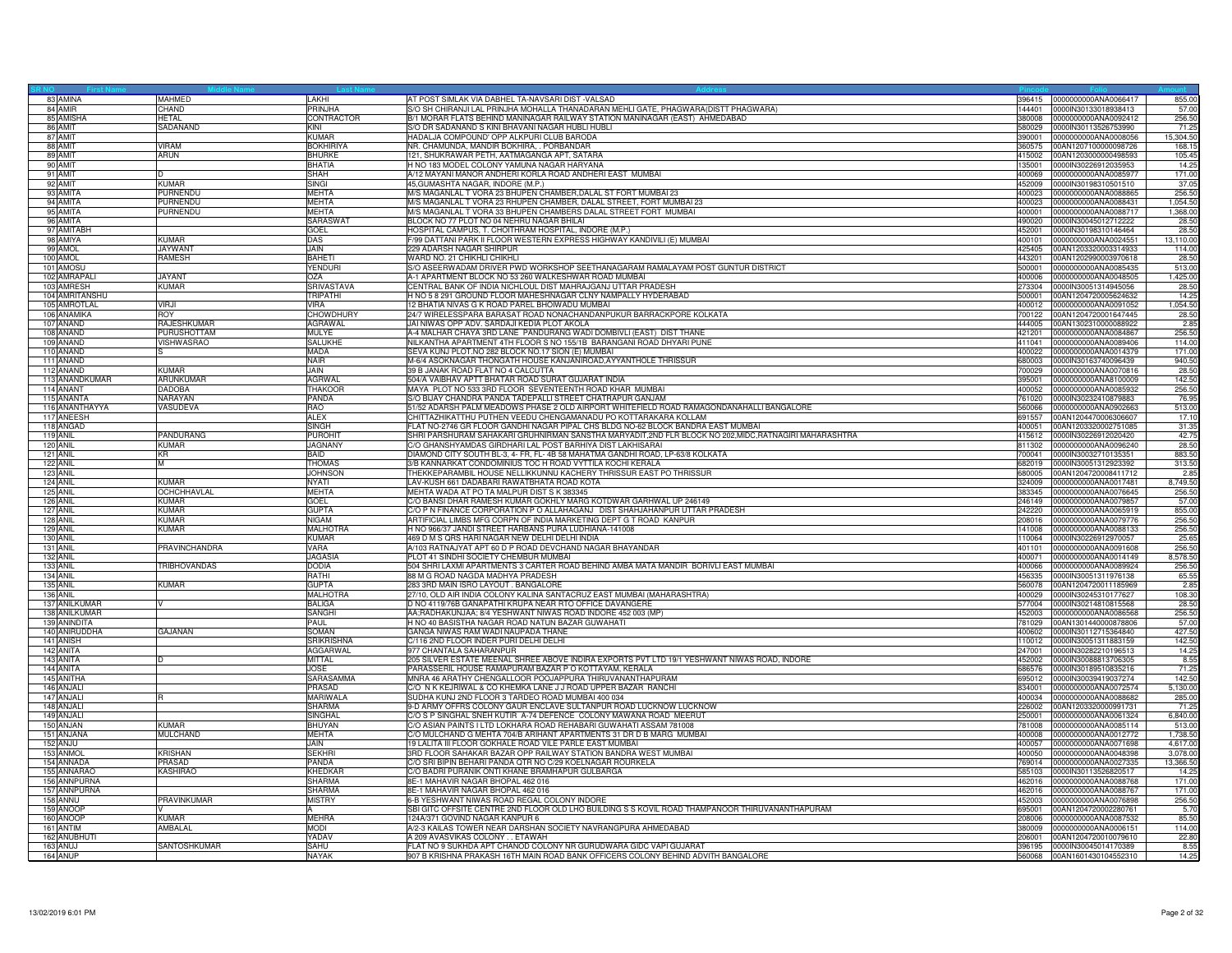|                         |                                 | Last N             |                                                                                                     |        |                                                     |                 |
|-------------------------|---------------------------------|--------------------|-----------------------------------------------------------------------------------------------------|--------|-----------------------------------------------------|-----------------|
| 83 AMINA                | <b>MAHMED</b>                   | LAKHI              | AT POST SIMLAK VIA DABHEL TA-NAVSARI DIST -VALSAD                                                   |        | 396415 0000000000ANA0066417                         | 855.00          |
| 84 AMIR                 | CHAND                           | PRINJHA            | S/O SH CHIRANJI LAL PRINJHA MOHALLA THANADARAN MEHLI GATE, PHAGWARA(DISTT PHAGWARA)                 | 144401 | 0000IN30133018938413                                | 57.00           |
| 85 AMISHA               | <b>HETAL</b>                    | <b>CONTRACTOR</b>  | B/1 MORAR FLATS BEHIND MANINAGAR RAILWAY STATION MANINAGAR (EAST) AHMEDABAD                         | 380008 | 0000000000ANA0092412                                | 256.50          |
| 86 AMIT                 | SADANAND                        | KINI               | S/O DR SADANAND S KINI BHAVANI NAGAR HUBLI HUBLI                                                    |        | 580029 0000IN30113526753990                         | 71.25           |
| 87 AMIT                 |                                 | <b>KUMAR</b>       | HADALJA COMPOUND' OPP ALKPURI CLUB BARODA                                                           |        | 390001 0000000000ANA0008056                         | 15,304.50       |
| 88 AMIT                 | <b>VIRAM</b>                    | <b>BOKHIRIYA</b>   | NR. CHAMUNDA. MANDIR BOKHIRA. . PORBANDAR                                                           |        | 360575 00AN1207100000098726                         | 168.15          |
| 89 AMIT                 | ARUN                            | <b>BHURKE</b>      | 121, SHUKRAWAR PETH, AATMAGANGA APT, SATARA                                                         | 415002 | 00AN1203000000498593                                | 105.45          |
| 90 AMIT                 |                                 | <b>BHATIA</b>      | H NO 183 MODEL COLONY YAMUNA NAGAR HARYANA                                                          | 135001 | 0000IN30226912035953                                | 14.25           |
| 91 AMIT                 | D                               | SHAH               | A/12 MAYANI MANOR ANDHERI KORLA ROAD ANDHERI EAST MUMBAI                                            | 400069 | 0000000000ANA0085977                                | 171.00          |
| 92 AMIT                 | <b>KUMAR</b>                    | SINGI              | 45,GUMASHTA NAGAR, INDORE (M.P.)                                                                    |        |                                                     | 37.05           |
| 93 AMITA                | PURNENDU                        | <b>MEHTA</b>       | M/S MAGANLAL T VORA 23 BHUPEN CHAMBER DALAL ST FORT MUMBAI 23                                       | 400023 | 0000000000ANA0088865                                | 256.50          |
| 94 AMITA                | PURNENDU                        | <b>MEHTA</b>       | M/S MAGANLAL T VORA 23 RHUPEN CHAMBER, DALAL STREET, FORT MUMBAI 23                                 | 400023 | 0000000000ANA0088431                                | 1,054.50        |
| 95 AMITA                | <b>PURNENDU</b>                 | <b>MEHTA</b>       | M/S MAGANLAL T VORA 33 BHUPEN CHAMBERS DALAL STREET FORT MUMBAI                                     | 400001 | 0000000000ANA0088717                                | 1,368.00        |
| 96 AMITA                |                                 | SARASWAT           | BLOCK NO 77 PLOT NO 04 NEHRU NAGAR BHILAI                                                           | 490020 | 0000IN30045012712222                                | 28.50           |
| 97 AMITABH              |                                 | <b>GOEL</b>        | HOSPITAL CAMPUS, T. CHOITHRAM HOSPITAL, INDORE (M.P.)                                               |        | 452001 0000IN30198310146464                         | 28.50           |
| 98 AMIYA                | KUMAR                           | DAS                | 99 DATTANI PARK II FLOOR WESTERN EXPRESS HIGHWAY KANDIVILI (E) MUMBAI                               | 400101 | 0000000000ANA0024551                                | 13,110.00       |
| 99 AMOL                 | <b>JAYWAN1</b>                  | <b>JAIN</b>        | 229 ADARSH NAGAR SHIRPUR                                                                            | 425405 | 00AN1203320003314933                                | 114.00          |
| 100 AMOL                | <b>RAMESH</b>                   | <b>BAHETI</b>      | WARD NO. 21 CHIKHLI CHIKHLI                                                                         | 443201 | 00AN1202990003970618                                | 28.50           |
| 101 AMOSU               |                                 | <b>YENDURI</b>     | S/O ASEERWADAM DRIVER PWD WORKSHOP SEETHANAGARAM RAMALAYAM POST GUNTUR DISTRICT                     | 500001 | 0000000000ANA0085435                                | 513.00          |
| 102 AMRAPALI            | <b>JAYANT</b>                   | OZA                | A-1 APARTMENT BLOCK NO 53 260 WALKESHWAR ROAD MUMBAI                                                | 400006 | 0000000000ANA0048505                                | 1,425.00        |
| 103 AMRESH              | <b>KUMAR</b>                    | SRIVASTAVA         | CENTRAL BANK OF INDIA NICHLOUL DIST MAHRAJGANJ UTTAR PRADESH                                        | 273304 | 0000IN30051314945056                                | 28.50           |
| 104 AMRITANSHU          |                                 | TRIPATHI           | H NO 5 8 291 GROUND FLOOR MAHESHNAGAR CLNY NAMPALLY HYDERABAD                                       |        | 500001 00AN1204720005624632                         | 14.25           |
| 105 AMROTLAL            | VIRJI                           | <b>VIRA</b>        | 12 BHATIA NIVAS G K ROAD PAREL BHOIWADU MUMBAI                                                      | 400012 | 0000000000ANA0091052                                | 1,054.50        |
| 106 ANAMIKA             | <b>ROY</b>                      | <b>CHOWDHURY</b>   | 24/7 WIRELESSPARA BARASAT ROAD NONACHANDANPUKUR BARRACKPORE KOLKATA                                 |        | 700122 00AN1204720001647445                         | 28.50           |
| 107 ANAND               | <b>RAJESHKUMAR</b>              | AGRAWAL            | JAI NIWAS OPP ADV. SARDAJI KEDIA PLOT AKOLA                                                         | 444005 | 00AN1302310000088922                                | 2.85            |
| 108 ANAND               | <b>PURUSHOTTAM</b>              | MULYE              | -4 MALHAR CHAYA 3RD LANE PANDURANG WADI DOMBIVLI (EAST) DIST THANE                                  | 421201 | 0000000000ANA0084867                                | 256.50          |
| 109 ANAND               | VISHWASRAO                      | <b>SALUKHE</b>     | VILKANTHA APARTMENT 4TH FLOOR S NO 155/1B BARANGANI ROAD DHYARI PUNE                                | 411041 | 0000000000ANA0089406                                | 114.00          |
| 110 ANAND               |                                 | <b>MADA</b>        | SEVA KUNJ PLOT.NO 282 BLOCK NO.17 SION (E) MUMBAI                                                   | 400022 | 0000000000ANA0014379                                | 171.00          |
| 111 ANAND               |                                 | <b>NAIR</b>        | M-6/4 ASOKNAGAR THONGATH HOUSE KANJANIROAD,AYYANTHOLE THRISSUR                                      |        | 680003 0000IN30163740096439                         | 940.50          |
| 112 ANAND               | <b>KUMAR</b>                    | <b>JAIN</b>        | 39 B JANAK ROAD FLAT NO 4 CALCUTTA                                                                  | 700029 | 0000000000ANA0070816                                |                 |
| 113 ANANDKUMAR          | ARUNKUMAF                       | <b>AGRWAL</b>      | 504/A VAIBHAV APTT BHATAR ROAD SURAT GUJARAT INDIA                                                  | 395001 | 0000000000ANA8100009                                | 28.50<br>142.5  |
|                         |                                 |                    | MAYA PLOT NO 533 3RD FLOOR SEVENTEENTH ROAD KHAR MUMBAI                                             |        |                                                     |                 |
| 114 ANANT<br>115 ANANTA | <b>DADOBA</b><br><b>NARAYAN</b> | THAKOOR<br>PANDA   |                                                                                                     | 400052 | 0000000000ANA0085932<br>761020 0000IN30232410879883 | 256.50<br>76.95 |
|                         |                                 |                    | S/O BIJAY CHANDRA PANDA TADEPALLI STREET CHATRAPUR GANJAM                                           |        |                                                     |                 |
| 116 ANANTHAYYA          | VASUDEVA                        | RAO<br><b>ALEX</b> | 51/52 ADARSH PALM MEADOWS PHASE 2 OLD AIRPORT WHITEFIELD ROAD RAMAGONDANAHALLI BANGALORE            | 691557 | 560066 0000000000ANA0902663                         | 513.00          |
| 117 ANEESH              |                                 |                    | CHITTAZHIKATTHU PUTHEN VEEDU CHENGAMANADU PO KOTTARAKARA KOLLAM                                     |        | 00AN1204470006306607                                | 17.10           |
| 118 ANGAD               |                                 | SINGH              | LAT NO-2746 GR FLOOR GANDHI NAGAR PIPAL CHS BLDG NO-62 BLOCK BANDRA EAST MUMBAI                     | 400051 | 00AN1203320002751085                                | 31.35           |
| <b>119 ANIL</b>         | PANDURANG                       | PUROHIT            | SHRI PARSHURAM SAHAKARI GRUHNIRMAN SANSTHA MARYADIT,2ND FLR BLOCK NO 202,MIDC,RATNAGIRI MAHARASHTRA | 415612 | 0000IN30226912020420                                | 42.75           |
| <b>120 ANIL</b>         | <b>KUMAR</b>                    | <b>JAGNANY</b>     | C/O GHANSHYAMDAS GIRDHARI LAL POST BARHIYA DIST LAKHISARAI                                          | 811302 | 0000000000ANA0096240                                | 28.50           |
| 121 ANIL                | KR                              | <b>BAID</b>        | DIAMOND CITY SOUTH BL-3, 4- FR, FL- 4B 58 MAHATMA GANDHI ROAD, LP-63/8 KOLKATA                      | 700041 | 0000IN30032710135351                                | 883.50          |
| <b>122 ANIL</b>         | M                               | <b>THOMAS</b>      | 3/B KANNARKAT CONDOMINIUS TOC H ROAD VYTTILA KOCHI KERALA                                           | 682019 | 0000IN30051312923392                                | 313.50          |
| 123 ANIL                |                                 | <b>JOHNSON</b>     | THEKKEPARAMBIL HOUSE NELLIKKUNNU KACHERY THRISSUR EAST PO THRISSUR                                  | 680005 | 00AN1204720008411712                                | 2.85            |
| <b>124 ANIL</b>         | <b>KUMAR</b>                    | <b>NYATI</b>       | LAV-KUSH 661 DADABARI RAWATBHATA ROAD KOTA                                                          | 324009 | 0000000000ANA0017481                                | 8,749.50        |
| 125 ANIL                | OCHCHHAVLAL                     | <b>MEHTA</b>       | MEHTA WADA AT PO TA MALPUR DIST S K 383345                                                          | 383345 | 0000000000ANA0076645                                | 256.50          |
| <b>126 ANIL</b>         | <b>KUMAR</b>                    | <b>GOEL</b>        | C/O BANSI DHAR RAMESH KUMAR GOKHLY MARG KOTDWAR GARHWAL UP 246149                                   |        | 246149 0000000000ANA0079857                         | 57.00           |
| 127 ANIL                | <b>KUMAR</b>                    | <b>GUPTA</b>       | C/O P N FINANCE CORPORATION P O ALLAHAGANJ DIST SHAHJAHANPUR UTTAR PRADESH                          | 242220 | 0000000000ANA0065919                                | 855.00          |
| <b>128 ANIL</b>         | <b>KUMAR</b>                    | <b>NIGAM</b>       | ARTIFICIAL LIMBS MFG CORPN OF INDIA MARKETING DEPT G T ROAD KANPUR                                  | 208016 | 0000000000ANA0079776                                | 256.50          |
| 129 ANIL                | <b>KUMAR</b>                    | <b>MALHOTRA</b>    | H NO 966/37 JANDI STREET HARBANS PURA LUDHIANA-141008                                               | 141008 | 0000000000ANA0088133                                | 256.50          |
| 130 ANIL                |                                 | KUMAR              | 469 D M S QRS HARI NAGAR NEW DELHI DELHI INDIA                                                      |        | 110064 0000IN30226912970057                         | 25.6            |
| 131 ANIL                | <b>PRAVINCHANDRA</b>            | VARA               | A/103 RATNAJYAT APT 60 D P ROAD DEVCHAND NAGAR BHAYANDAR                                            |        | 401101 0000000000ANA0091608                         | 256.50          |
| <b>132 ANIL</b>         |                                 | <b>JAGASIA</b>     | PLOT 41 SINDHI SOCIETY CHEMBUR MUMBAI                                                               | 400071 | 0000000000ANA0014149                                | 8.578.50        |
| <b>133 ANIL</b>         | TRIBHOVANDAS                    | <b>DODIA</b>       | 504 SHRI LAXMI APARTMENTS 3 CARTER ROAD BEHIND AMBA MATA MANDIR BORIVLI EAST MUMBAI                 | 400066 | 0000000000ANA0089924                                | 256.50          |
| 134 ANIL                |                                 | RATHI              | 88 M G ROAD NAGDA MADHYA PRADESH                                                                    |        | 456335 0000IN30051311976138                         | 65.55           |
| 135 ANIL                | <b>KUMAR</b>                    | <b>GUPTA</b>       | 283 3RD MAIN ISRO LAYOUT . BANGALORE                                                                |        | 560078 00AN1204720011185969                         | 2.85            |
| <b>136 ANIL</b>         |                                 | <b>MALHOTRA</b>    | 27/10, OLD AIR INDIA COLONY KALINA SANTACRUZ EAST MUMBAI (MAHARASHTRA)                              |        | 400029 0000IN30245310177627                         | 108.30          |
| 137 ANILKUMAR           |                                 | <b>BALIGA</b>      | O NO 4119/76B GANAPATHI KRUPA NEAR RTO OFFICE DAVANGERE                                             |        | 577004 0000IN30214810815568                         | 28.50           |
| 138 ANILKUMAR           |                                 | SANGHI             | AA;RADHAKUNJAA; 8/4 YESHWANT NIWAS ROAD INDORE 452 003 (MP)                                         | 452003 | 0000000000ANA0086568                                | 256.50          |
| 139 ANINDITA            |                                 | PAUL               | H NO 40 BASISTHA NAGAR ROAD NATUN BAZAR GUWAHATI                                                    |        | 781029 00AN1301440000878806                         | 57.00           |
| 140 ANIRUDDHA           | GAJANAN                         | SOMAN              | GANGA NIWAS RAM WADI NAUPADA THANE                                                                  | 400602 | 0000lN30112715364840                                | 427.50          |
| 141 ANISH               |                                 | <b>SRIKRISHNA</b>  | C/116 2ND FLOOR INDER PURI DELHI DELHI                                                              |        | 110012 0000IN30051311883159                         | 142.50          |
| 142 ANITA               |                                 | AGGARWAL           | 977 CHANTALA SAHARANPUR                                                                             | 247001 | 0000IN30282210196513                                | 14.25           |
| 143 ANITA               | D                               | <b>MITTAL</b>      | 205 SILVER ESTATE MEENAL SHREE ABOVE INDIRA EXPORTS PVT LTD 19/1 YESHWANT NIWAS ROAD, INDORE        |        | 452002 0000IN30088813706305                         | 8.55            |
| 144 ANITA               |                                 | JOSE               | PARASSERIL HOUSE RAMAPURAM BAZAR P O KOTTAYAM, KERALA                                               |        | 686576 0000IN30189510835216                         | 71.25           |
| 145 ANITHA              |                                 | SARASAMMA          | MNRA 46 ARATHY CHENGALLOOR POOJAPPURA THIRUVANANTHAPURAM                                            |        | 695012 0000IN30039419037274                         | 142.50          |
| 146 ANJALI              |                                 | PRASAD             | C/O N K KEJRIWAL & CO KHEMKA LANE J J ROAD UPPER BAZAR RANCHI                                       | 834001 | 0000000000ANA0072574                                | 5,130.00        |
| 147 ANJALI              |                                 | MARIWALA           | SUDHA KUNJ 2ND FLOOR 3 TARDEO ROAD MUMBAI 400 034                                                   | 400034 | 0000000000ANA0088682                                | 285.00          |
| 148 ANJALI              |                                 | <b>SHARMA</b>      | 9-D ARMY OFFRS COLONY GAUR ENCLAVE SULTANPUR ROAD LUCKNOW LUCKNOW                                   | 226002 | 00AN1203320000991731                                | 71.25           |
| 149 ANJALI              |                                 | <b>SINGHAL</b>     | C/O S P SINGHAL SNEH KUTIR A-74 DEFENCE COLONY MAWANA ROAD MEERUT                                   | 250001 | 0000000000ANA0061324                                | 6.840.00        |
| 150 ANJAN               | <b>KUMAR</b>                    | <b>BHUYAN</b>      | C/O ASIAN PAINTS I LTD LOKHARA ROAD REHABARI GUWAHATI ASSAM 781008                                  | 781008 | 0000000000ANA0085114                                | 513.00          |
| 151 ANJANA              | <b>MULCHAND</b>                 | <b>MEHTA</b>       | C/O MULCHAND G MEHTA 704/B ARIHANT APARTMENTS 31 DR D B MARG MUMBAI                                 | 400008 | 0000000000ANA0012772                                | 1,738.50        |
| 152 ANJU                |                                 | JAIN               | 9 LALITA III FLOOR GOKHALE ROAD VILE PARLE EAST MUMBAI                                              | 400057 | 0000000000ANA0071698                                | 4,617.00        |
| 153 ANMOL               | <b>KRISHAN</b>                  | <b>SEKHRI</b>      | 3RD FLOOR SAHAKAR BAZAR OPP RAILWAY STATION BANDRA WEST MUMBAI                                      | 400050 | 0000000000ANA0048398                                | 3,078.00        |
| 154 ANNADA              | PRASAD                          | PANDA              | C/O SRI BIPIN BEHARI PANDA QTR NO C/29 KOELNAGAR ROURKELA                                           |        | 769014 0000000000ANA0027335                         | 13.366.50       |
| 155 ANNARAO             | <b>KASHIRAO</b>                 | <b>KHEDKAR</b>     | C/O BADRI PURANIK ONTI KHANE BRAMHAPUR GULBARGA                                                     | 585103 | 0000IN30113526820517                                | 14.25           |
| 156 ANNPURNA            |                                 | <b>SHARMA</b>      | 8E-1 MAHAVIR NAGAR BHOPAL 462 016                                                                   | 462016 | 0000000000ANA0088768                                | 171.00          |
| 157 ANNPURNA            |                                 | <b>SHARMA</b>      | E-1 MAHAVIR NAGAR BHOPAL 462 016                                                                    | 462016 | 0000000000ANA0088767                                | 171.0           |
| 158 ANNU                | PRAVINKUMAR                     | <b>MISTRY</b>      | 6-B YESHWANT NIWAS ROAD REGAL COLONY INDORE                                                         | 452003 | 0000000000ANA0076898                                | 256.50          |
| 159 ANOOF               |                                 | A                  | SBI GITC OFFSITE CENTRE 2ND FLOOR OLD LHO BUILDING S S KOVIL ROAD THAMPANOOR THIRUVANANTHAPURAM     | 695001 | 00AN1204720002280761                                | 5.70            |
| 160 ANOOP               | KUMAR                           | <b>MEHRA</b>       | 124A/371 GOVIND NAGAR KANPUR 6                                                                      | 208006 | 0000000000ANA0087532                                | 85.50           |
| 161 ANTIM               | AMBALAL                         | <b>MODI</b>        | A/2-3 KAILAS TOWER NEAR DARSHAN SOCIETY NAVRANGPURA AHMEDABAD                                       | 380009 | 0000000000ANA0006151                                | 114.00          |
|                         |                                 | YADAV              |                                                                                                     | 206001 |                                                     |                 |
| 162 ANUBHUTI            | SANTOSHKUMAR                    |                    | 4 209 AVASVIKAS COLONY ETAWAH<br>FLAT NO 9 SUKHDA APT CHANOD COLONY NR GURUDWARA GIDC VAPI GUJARAT  |        | 00AN1204720010079610                                | 22.80           |
| 163 ANUJ                |                                 | SAHU               | 907 B KRISHNA PRAKASH 16TH MAIN ROAD BANK OFFICERS COLONY BEHIND ADVITH BANGALORE                   |        | 396195 0000IN30045014170389                         | 8.55            |
| 164 ANUP                |                                 | <b>NAYAK</b>       |                                                                                                     |        | 560068 00AN1601430104552310                         | 14.25           |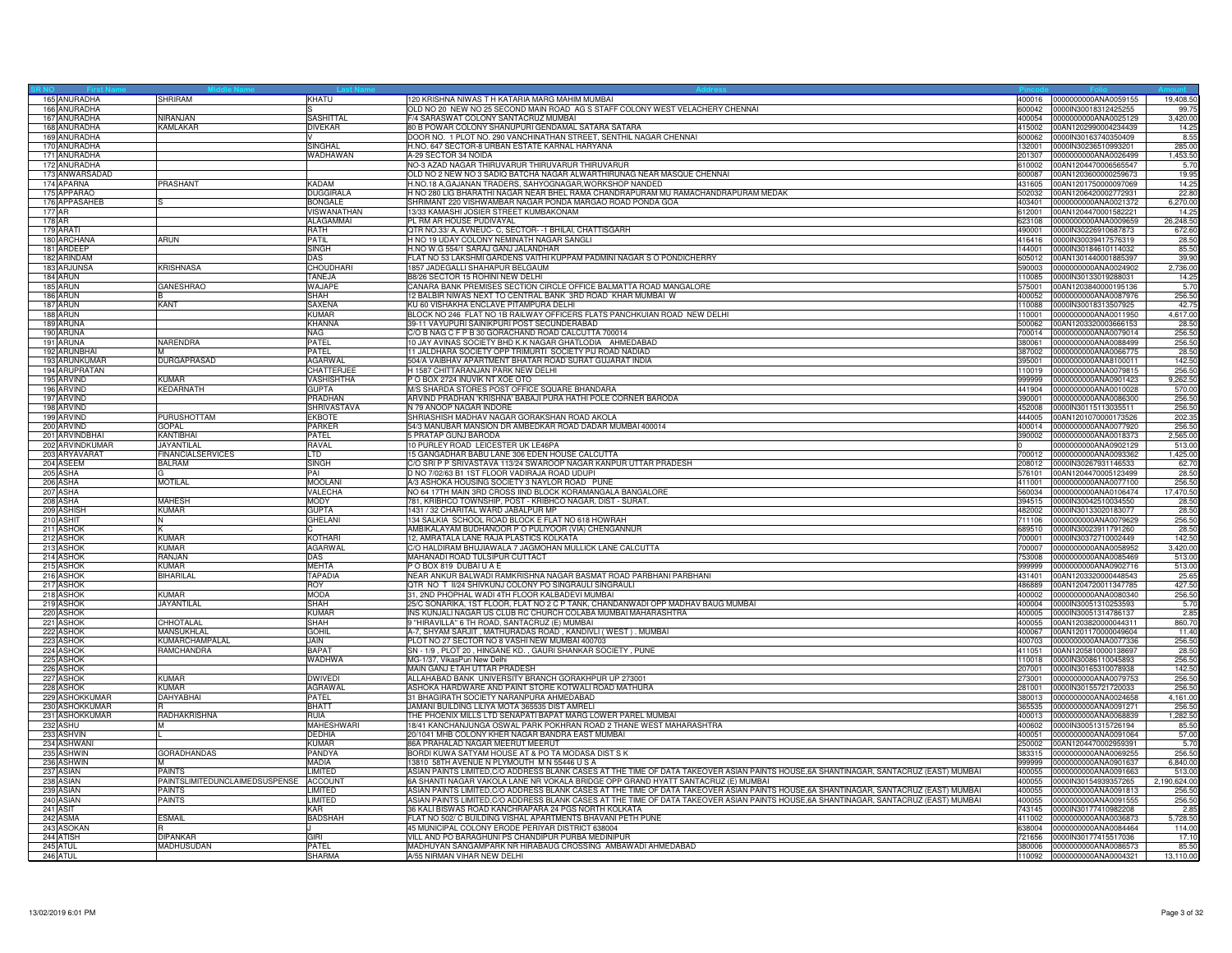|          | 165 ANURADHA                   | <b>SHRIRAM</b>                 | KHATU                             | 120 KRISHNA NIWAS T H KATARIA MARG MAHIM MUMBAI                                                                                                                                                                                                                                |                  | 400016 0000000000ANA0059155                  | 19,408.50          |
|----------|--------------------------------|--------------------------------|-----------------------------------|--------------------------------------------------------------------------------------------------------------------------------------------------------------------------------------------------------------------------------------------------------------------------------|------------------|----------------------------------------------|--------------------|
|          | 166 ANURADHA                   |                                |                                   | OLD NO 20 NEW NO 25 SECOND MAIN ROAD AG S STAFF COLONY WEST VELACHERY CHENNAI                                                                                                                                                                                                  | 600042           | 0000IN30018312425255                         | 99.7               |
|          | 167 ANURADHA                   | NIRAN.IAN                      | <b>SASHITTAL</b>                  | F/4 SARASWAT COLONY SANTACRUZ MUMBAI                                                                                                                                                                                                                                           | 400054           | 0000000000ANA0025129                         | 3,420.00           |
|          | 168 ANURADHA                   | KAMLAKAR                       | <b>DIVEKAR</b>                    | 80 B POWAR COLONY SHANUPURI GENDAMAL SATARA SATARA                                                                                                                                                                                                                             | 415002           | 00AN1202990004234439                         | 14.25              |
|          | 169 ANURADHA                   |                                |                                   | DOOR NO. 1 PLOT NO. 290 VANCHINATHAN STREET, SENTHIL NAGAR CHENNAI                                                                                                                                                                                                             | 600062           | 0000IN30163740350409                         | 8.55               |
|          | 170 ANURADHA                   |                                | <b>SINGHAL</b>                    | H.NO. 647 SECTOR-8 URBAN ESTATE KARNAL HARYANA                                                                                                                                                                                                                                 | 132001           | 0000IN30236510993201                         | 285.00             |
|          | 171 ANURADHA                   |                                | WADHAWAN                          | A-29 SECTOR 34 NOIDA                                                                                                                                                                                                                                                           | 201307           | 0000000000ANA0026499                         | 1,453.50           |
|          | 172 ANURADHA                   |                                |                                   | NO-3 AZAD NAGAR THIRUVARUR THIRUVARUR THIRUVARUR                                                                                                                                                                                                                               | 610002           | 00AN1204470006565547                         | 5.70               |
|          | 173 ANWARSADAD                 |                                |                                   | OLD NO 2 NEW NO 3 SADIQ BATCHA NAGAR ALWARTHIRUNAG NEAR MASQUE CHENNAI                                                                                                                                                                                                         | 600087           | 00AN1203600000259673                         | 19.95              |
|          | 174 APARNA                     | PRASHANT                       | <b>KADAM</b>                      | H.NO.18 A, GAJANAN TRADERS, SAHYOGNAGAR, WORKSHOP NANDED                                                                                                                                                                                                                       | 431605           | 00AN1201750000097069                         | 14.25              |
|          | 175 APPARAO                    |                                | <b>DUGGIRALA</b>                  | H NO 280 LIG BHARATHI NAGAR NEAR BHEL RAMA CHANDRAPURAM MU RAMACHANDRAPURAM MEDAK                                                                                                                                                                                              | 502032           | 00AN1206420002772931                         | 22.80              |
|          | 176 APPASAHEB                  |                                | <b>BONGALE</b>                    | SHRIMANT 220 VISHWAMBAR NAGAR PONDA MARGAO ROAD PONDA GOA                                                                                                                                                                                                                      | 403401           | 0000000000ANA0021372                         | 6,270.00           |
| 177 AR   |                                |                                | VISWANATHAN                       | 13/33 KAMASHI JOSIER STREET KUMBAKONAM                                                                                                                                                                                                                                         | 612001           | 00AN1204470001582221                         | 14.25              |
| 178 AR   |                                |                                | <b>ALAGAMMAI</b>                  | PL RM AR HOUSE PUDIVAYAL                                                                                                                                                                                                                                                       | 623108           | 0000000000ANA0009659                         | 26,248.50          |
|          | 179 ARATI                      |                                | RATH                              | QTR NO.33/ A, AVNEUC- C, SECTOR- -1 BHILAI, CHATTISGARH                                                                                                                                                                                                                        | 490001           | 0000IN30226910687873                         | 672.60             |
|          | 180 ARCHANA                    | ARUN                           | PATIL                             | H NO 19 UDAY COLONY NEMINATH NAGAR SANGLI                                                                                                                                                                                                                                      | 416416           | 0000IN30039417576319                         | 28.50              |
|          | 181 ARDEEP                     |                                | <b>SINGH</b>                      | H.NO W.G 554/1 SARAJ GANJ JALANDHAR                                                                                                                                                                                                                                            | 144001           | 0000IN30184610114032                         | 85.50              |
|          | 182 ARINDAM                    |                                | DAS                               | FLAT NO 53 LAKSHMI GARDENS VAITHI KUPPAM PADMINI NAGAR S O PONDICHERRY                                                                                                                                                                                                         | 605012           | 00AN1301440001885397                         | 39.90              |
|          | 183 ARJUNSA                    | <b>KRISHNASA</b>               | <b>CHOUDHARI</b>                  | 1857 JADEGALLI SHAHAPUR BELGAUM                                                                                                                                                                                                                                                | 590003           | 0000000000ANA0024902                         | 2,736.00           |
|          | 184 ARUN                       |                                | TANEJA                            | B8/26 SECTOR 15 ROHINI NEW DELHI                                                                                                                                                                                                                                               | 110085           | 0000IN30133019288031                         | 14.25              |
|          | 185 ARUN                       | <b>GANESHRAO</b>               | WAJAPE                            | CANARA BANK PREMISES SECTION CIRCLE OFFICE BALMATTA ROAD MANGALORE                                                                                                                                                                                                             | 575001           | 00AN1203840000195136                         | 5.70               |
|          | 186 ARUN                       |                                | SHAH                              | 12 BALBIR NIWAS NEXT TO CENTRAL BANK 3RD ROAD KHAR MUMBAI W                                                                                                                                                                                                                    | 400052           | 0000000000ANA0087976                         | 256.50             |
|          | 187 ARUN                       | <b>KANT</b>                    | <b>SAXENA</b>                     | KU 60 VISHAKHA ENCLAVE PITAMPURA DELHI                                                                                                                                                                                                                                         | 110088           | 0000IN30018313507925                         | 42.75              |
|          | 188 ARUN                       |                                | <b>KUMAR</b>                      | BLOCK NO 246 FLAT NO 1B RAILWAY OFFICERS FLATS PANCHKUIAN ROAD NEW DELHI                                                                                                                                                                                                       | 110001           | 0000000000ANA0011950                         | 4,617.00           |
|          | 189 ARUNA                      |                                | <b>KHANNA</b>                     | 39-11 VAYUPURI SAINIKPURI POST SECUNDERABAD                                                                                                                                                                                                                                    | 500062           | 00AN1203320003666153                         | 28.50              |
|          | 190 ARUNA                      |                                | NAG                               | C/O B NAG C F P B 30 GORACHAND ROAD CALCUTTA 700014                                                                                                                                                                                                                            | 700014           | 0000000000ANA0079014                         | 256.50             |
|          | 191 ARUNA<br>192 ARUNBHAI      | NARENDRA                       | PATEL                             | 10 JAY AVINAS SOCIETY BHD K.K NAGAR GHATLODIA AHMEDABAD                                                                                                                                                                                                                        | 380061           | 0000000000ANA0088499                         | 256.50             |
|          |                                |                                | PATEL                             | 11 JALDHARA SOCIETY OPP TRIMURTI SOCIETY PIJ ROAD NADIAD                                                                                                                                                                                                                       | 387002           | 0000000000ANA0066775                         | 28.50              |
|          | 193 ARUNKUMAR<br>194 ARUPRATAN | <b>DURGAPRASAD</b>             | <b>AGARWAI</b><br>CHATTERJEE      | 504/A VAIBHAV APARTMENT BHATAR ROAD SURAT GUJARAT INDIA<br>H 1587 CHITTARANJAN PARK NEW DELHI                                                                                                                                                                                  | 395001<br>110019 | 0000000000ANA8100011<br>0000000000ANA0079815 | 142.50<br>256.50   |
|          |                                |                                |                                   |                                                                                                                                                                                                                                                                                |                  |                                              |                    |
|          | 195 ARVIND<br>196 ARVIND       | KUMAR<br>KEDARNATH             | <b>VASHISHTHA</b><br><b>GUPTA</b> | P O BOX 2724 INUVIK NT XOE OTO<br>M/S SHARDA STORES POST OFFICE SQUARE BHANDARA                                                                                                                                                                                                | 999999<br>441904 | 0000000000ANA0901423<br>0000000000ANA0010028 | 9,262.50<br>570.00 |
|          | 197 ARVIND                     |                                | PRADHAN                           | ARVIND PRADHAN 'KRISHNA' BABAJI PURA HATHI POLE CORNER BARODA                                                                                                                                                                                                                  | 390001           | 0000000000ANA0086300                         | 256.50             |
|          | 198 ARVIND                     |                                | SHRIVASTAVA                       | N 79 ANOOP NAGAR INDORE                                                                                                                                                                                                                                                        | 452008           | 0000IN30115113035511                         | 256.50             |
|          | 199 ARVIND                     | <b>PURUSHOTTAM</b>             | <b>EKBOTE</b>                     | SHRIASHISH MADHAV NAGAR GORAKSHAN ROAD AKOLA                                                                                                                                                                                                                                   | 444005           | 00AN1201070000173526                         | 202.35             |
|          | 200 ARVIND                     | GOPAL                          | PARKER                            | 54/3 MANUBAR MANSION DR AMBEDKAR ROAD DADAR MUMBAI 400014                                                                                                                                                                                                                      | 400014           | 0000000000ANA0077920                         | 256.50             |
|          | 201 ARVINDBHAI                 | <b>KANTIBHA</b>                | PATEL                             | 5 PRATAP GUNJ BARODA                                                                                                                                                                                                                                                           | 390002           | 0000000000ANA0018373                         | 2,565.00           |
|          | 202 ARVINDKUMAR                | JAYANTILAL                     | RAVAL                             | 10 PURLEY ROAD LEICESTER UK LE46PA                                                                                                                                                                                                                                             |                  | 0000000000ANA0902129                         | 513.00             |
|          | 203 ARYAVARAT                  | <b>FINANCIALSERVICES</b>       | LTD                               | 15 GANGADHAR BABU LANE 306 EDEN HOUSE CALCUTTA                                                                                                                                                                                                                                 | 700012           | 0000000000ANA0093362                         | 1,425.00           |
|          | 204 ASEEM                      | <b>BALRAM</b>                  | SINGH                             | C/O SRI P P SRIVASTAVA 113/24 SWAROOP NAGAR KANPUR UTTAR PRADESH                                                                                                                                                                                                               | 208012           | 0000IN30267931146533                         | 62.70              |
|          | 205 ASHA                       |                                | PAI                               | D NO 7/02/63 B1 1ST FLOOR VADIRAJA ROAD UDUPI                                                                                                                                                                                                                                  | 576101           | 00AN1204470005123499                         | 28.50              |
|          | 206 ASHA                       | <b>MOTILAL</b>                 | <b>MOOLANI</b>                    | A/3 ASHOKA HOUSING SOCIETY 3 NAYLOR ROAD PUNE                                                                                                                                                                                                                                  | 411001           | 0000000000ANA0077100                         | 256.50             |
|          | 207 ASHA                       |                                | VALECHA                           | NO 64 17TH MAIN 3RD CROSS IIND BLOCK KORAMANGALA BANGALORE                                                                                                                                                                                                                     | 560034           | 0000000000ANA0106474                         | 17,470.50          |
|          | 208 ASHA                       | <b>MAHESH</b>                  | <b>MODY</b>                       | 781, KRIBHCO TOWNSHIP, POST - KRIBHCO NAGAR, DIST - SURAT.                                                                                                                                                                                                                     | 394515           | 0000IN30042510034550                         | 28.50              |
|          | 209 ASHISH                     | <b>KUMAR</b>                   | <b>GUPTA</b>                      | 1431 / 32 CHARITAL WARD JABALPUR MP                                                                                                                                                                                                                                            | 482002           | 0000lN30133020183077                         | 28.50              |
|          | 210 ASHIT                      |                                | <b>GHELANI</b>                    | 134 SALKIA SCHOOL ROAD BLOCK E FLAT NO 618 HOWRAH                                                                                                                                                                                                                              | 711106           | 0000000000ANA0079629                         | 256.50             |
|          | 211 ASHOK                      | ΙK                             |                                   | AMBIKALAYAM BUDHANOOR P O PULIYOOR (VIA) CHENGANNUR                                                                                                                                                                                                                            | 689510           | 0000IN30023911791260                         | 28.50              |
|          | 212 ASHOK                      | <b>KUMAR</b>                   | <b>KOTHARI</b>                    | 12, AMRATALA LANE RAJA PLASTICS KOLKATA                                                                                                                                                                                                                                        | 700001           | 0000IN30372710002449                         | 142.50             |
|          | 213 ASHOK                      | <b>KUMAR</b>                   | <b>AGARWAL</b>                    | C/O HALDIRAM BHUJIAWALA 7 JAGMOHAN MULLICK LANE CALCUTTA                                                                                                                                                                                                                       | 700007           | 0000000000ANA0058952                         | 3,420.00           |
|          | 214 ASHOK                      | MALAR                          | DAS                               | MAHANADI ROAD TULSIPUR CUTTACT                                                                                                                                                                                                                                                 | 753008           | 0000000000ANA0085469                         | 513.00             |
|          | 215 ASHOK                      | <b>KUMAR</b>                   | <b>MEHTA</b>                      | POBOX 819 DUBAIU A E                                                                                                                                                                                                                                                           | 999999           | 0000000000ANA0902716                         | 513.00             |
|          | 216 ASHOK                      | <b>BIHARILAL</b>               | <b>TAPADIA</b>                    | NEAR ANKUR BALWADI RAMKRISHNA NAGAR BASMAT ROAD PARBHANI PARBHANI                                                                                                                                                                                                              | 431401           | 00AN1203320000448543                         | 25.65              |
|          | 217 ASHOK                      |                                | ROY                               | QTR NO T II/24 SHIVKUNJ COLONY PO SINGRAULI SINGRAULI                                                                                                                                                                                                                          | 486889           | 00AN1204720011347785                         | 427.50             |
|          | 218 ASHOK                      | KUMAR                          | <b>MODA</b>                       | 31, 2ND PHOPHAL WADI 4TH FLOOR KALBADEVI MUMBAI                                                                                                                                                                                                                                | 400002           | 0000000000ANA0080340                         | 256.50             |
|          | 219 ASHOK                      | JAYANTILAL                     | SHAH                              | 25/C SONARIKA, 1ST FLOOR, FLAT NO 2 C P TANK, CHANDANWADI OPP MADHAV BAUG MUMBAI                                                                                                                                                                                               | 400004           | 0000IN30051310253593                         | 5.70               |
|          | 220 ASHOK                      |                                | <b>KUMAF</b>                      | INS KUNJALI NAGAR US CLUB RC CHURCH COLABA MUMBAI MAHARASHTRA                                                                                                                                                                                                                  | 400005           | 0000IN30051314786137                         | 2.85               |
|          | 221 ASHOK                      | CHHOTALAL                      | <b>SHAH</b>                       | 9 "HIRAVILLA" 6 TH ROAD, SANTACRUZ (E) MUMBAI                                                                                                                                                                                                                                  | 400055           | 00AN1203820000044311                         | 860.70             |
|          | 222 ASHOK                      | MANSUKHLAL                     | <b>GOHIL</b>                      | A-7, SHYAM SARJIT, MATHURADAS ROAD, KANDIVLI (WEST). MUMBAI                                                                                                                                                                                                                    | 400067           | 00AN1201170000049604                         | 11.40              |
|          | 223 ASHOK                      | KUMARCHAMPALAL                 | JAIN.                             | PLOT NO 27 SECTOR NO 8 VASHI NEW MUMBAI 400703                                                                                                                                                                                                                                 | 400703           | 0000000000ANA0077336                         | 256.50             |
|          | 224 ASHOK                      | RAMCHANDRA                     | <b>BAPAT</b>                      | SN - 1/9, PLOT 20, HINGANE KD., GAURI SHANKAR SOCIETY, PUNE                                                                                                                                                                                                                    | 411051           | 00AN1205810000138697                         | 28.50              |
|          | 225 ASHOK                      |                                | WADHWA                            | MG-1/37, VikasPuri New Delhi                                                                                                                                                                                                                                                   | 110018           | 0000IN30086110045893                         | 256.50             |
|          | 226 ASHOK                      |                                |                                   | MAIN GANJ ETAH UTTAR PRADESH                                                                                                                                                                                                                                                   | 207001           | 0000IN30165310078938                         | 142.50             |
|          | 227 ASHOK                      | KUMAR                          | <b>DWIVEDI</b>                    | ALLAHABAD BANK UNIVERSITY BRANCH GORAKHPUR UP 273001                                                                                                                                                                                                                           | 273001           | 0000000000ANA0079753                         | 256.50             |
|          | 228 ASHOK                      | <b>KUMAR</b>                   | <b>AGRAWAL</b>                    | ASHOKA HARDWARE AND PAINT STORE KOTWALI ROAD MATHURA                                                                                                                                                                                                                           | 281001           | 0000lN30155721720033                         | 256.50             |
|          | 229 ASHOKKUMAR                 | DAHYABHAI                      | PATEL                             | 31 BHAGIRATH SOCIETY NARANPURA AHMEDABAD                                                                                                                                                                                                                                       | 380013           | 0000000000ANA0024658                         | 4,161.00           |
|          | 230 ASHOKKUMAR                 |                                | <b>BHATT</b>                      | JAMANI BUILDING LILIYA MOTA 365535 DIST AMRELI                                                                                                                                                                                                                                 | 365535           | 0000000000ANA0091271                         | 256.50             |
|          | 231 ASHOKKUMAR                 | RADHAKRISHNA                   | <b>RUIA</b>                       | THE PHOENIX MILLS LTD SENAPATI BAPAT MARG LOWER PAREL MUMBAI                                                                                                                                                                                                                   | 400013           | 0000000000ANA0068839                         | 1,282.50           |
|          | 232 ASHU                       | M                              | <b>MAHESHWARI</b>                 | 18/41 KANCHANJUNGA OSWAL PARK POKHRAN ROAD 2 THANE WEST MAHARASHTRA                                                                                                                                                                                                            | 400602           | 0000IN30051315726194                         | 85.50              |
|          | 233 ASHVIN                     |                                | <b>DEDHIA</b>                     | 20/1041 MHB COLONY KHER NAGAR BANDRA EAST MUMBAI                                                                                                                                                                                                                               | 400051           | 0000000000ANA0091064                         | 57.00              |
|          | 234 ASHWANI                    |                                | <b>KUMAR</b>                      | 86A PRAHALAD NAGAR MEERUT MEERUT                                                                                                                                                                                                                                               | 250002           | 00AN1204470002959391                         | 5.70               |
|          | 235 ASHWIN                     | <b>GORADHANDAS</b>             | PANDYA                            | BORDI KUWA SATYAM HOUSE AT & PO TA MODASA DIST S K                                                                                                                                                                                                                             | 383315           | 0000000000ANA0069255                         | 256.50             |
|          | 236 ASHWIN                     | <b>PAINTS</b>                  | <b>MADIA</b>                      | 13810 58TH AVENUE N PLYMOUTH M N 55446 U S A                                                                                                                                                                                                                                   | 999999           | 000000000ANA0901637                          | 6,840.00           |
|          | 237 ASIAN<br>238 ASIAN         |                                | LIMITED<br><b>ACCOUNT</b>         | ASIAN PAINTS LIMITED,C/O ADDRESS BLANK CASES AT THE TIME OF DATA TAKEOVER ASIAN PAINTS HOUSE,6A SHANTINAGAR, SANTACRUZ (EAST) MUMBAI                                                                                                                                           | 400055<br>400055 | 0000000000ANA0091663<br>0000IN30154939357265 | 513.00             |
|          |                                | PAINTSLIMITEDUNCLAIMEDSUSPENSE |                                   | 6A SHANTI NAGAR VAKOLA LANE NR VOKALA BRIDGE OPP GRAND HYATT SANTACRUZ (E) MUMBAI                                                                                                                                                                                              |                  |                                              | 2,190,624.00       |
|          | 239 ASIAN<br>240 ASIAN         | <b>PAINTS</b>                  | LIMITED<br>LIMITED                | ASIAN PAINTS LIMITED,C/O ADDRESS BLANK CASES AT THE TIME OF DATA TAKEOVER ASIAN PAINTS HOUSE,6A SHANTINAGAR, SANTACRUZ (EAST) MUMBAI<br>ASIAN PAINTS LIMITED, C/O ADDRESS BLANK CASES AT THE TIME OF DATA TAKEOVER ASIAN PAINTS HOUSE, 6A SHANTINAGAR, SANTACRUZ (EAST) MUMBAI | 400055<br>400055 | 0000000000ANA0091813<br>0000000000ANA0091555 | 256.50             |
|          | 241 ASIT                       | <b>PAINTS</b>                  | KAR                               | 36 KALI BISWAS ROAD KANCHRAPARA 24 PGS NORTH KOLKATA                                                                                                                                                                                                                           | 743145           | 0000IN30177410982208                         | 256.50<br>2.85     |
|          |                                | <b>ESMAIL</b>                  |                                   | FLAT NO 502/ C BUILDING VISHAL APARTMENTS BHAVANI PETH PUNE                                                                                                                                                                                                                    | 411002           |                                              | 5,728.50           |
|          | 242 ASMA<br>243 ASOKAN         |                                | <b>BADSHAH</b>                    | 45 MUNICIPAL COLONY ERODE PERIYAR DISTRICT 638004                                                                                                                                                                                                                              | 638004           | 0000000000ANA0036873<br>0000000000ANA0084464 | 114.00             |
|          | 244 ATISH                      | <b>DIPANKAR</b>                | <b>GIRI</b>                       | VILL AND PO BARAGHUNI PS CHANDIPUR PURBA MEDINIPUR                                                                                                                                                                                                                             | 721656           | 0000IN30177415517036                         | 17.10              |
|          | 245 ATUL                       | MADHUSUDAN                     | PATEL                             | MADHUYAN SANGAMPARK NR HIRABAUG CROSSING AMBAWADI AHMEDABAD                                                                                                                                                                                                                    |                  | 380006 0000000000ANA0086573                  | 85.50              |
| 246 ATUL |                                |                                | <b>SHARMA</b>                     | A/55 NIRMAN VIHAR NEW DELHI                                                                                                                                                                                                                                                    |                  | 110092 0000000000ANA0004321                  | 13,110.00          |
|          |                                |                                |                                   |                                                                                                                                                                                                                                                                                |                  |                                              |                    |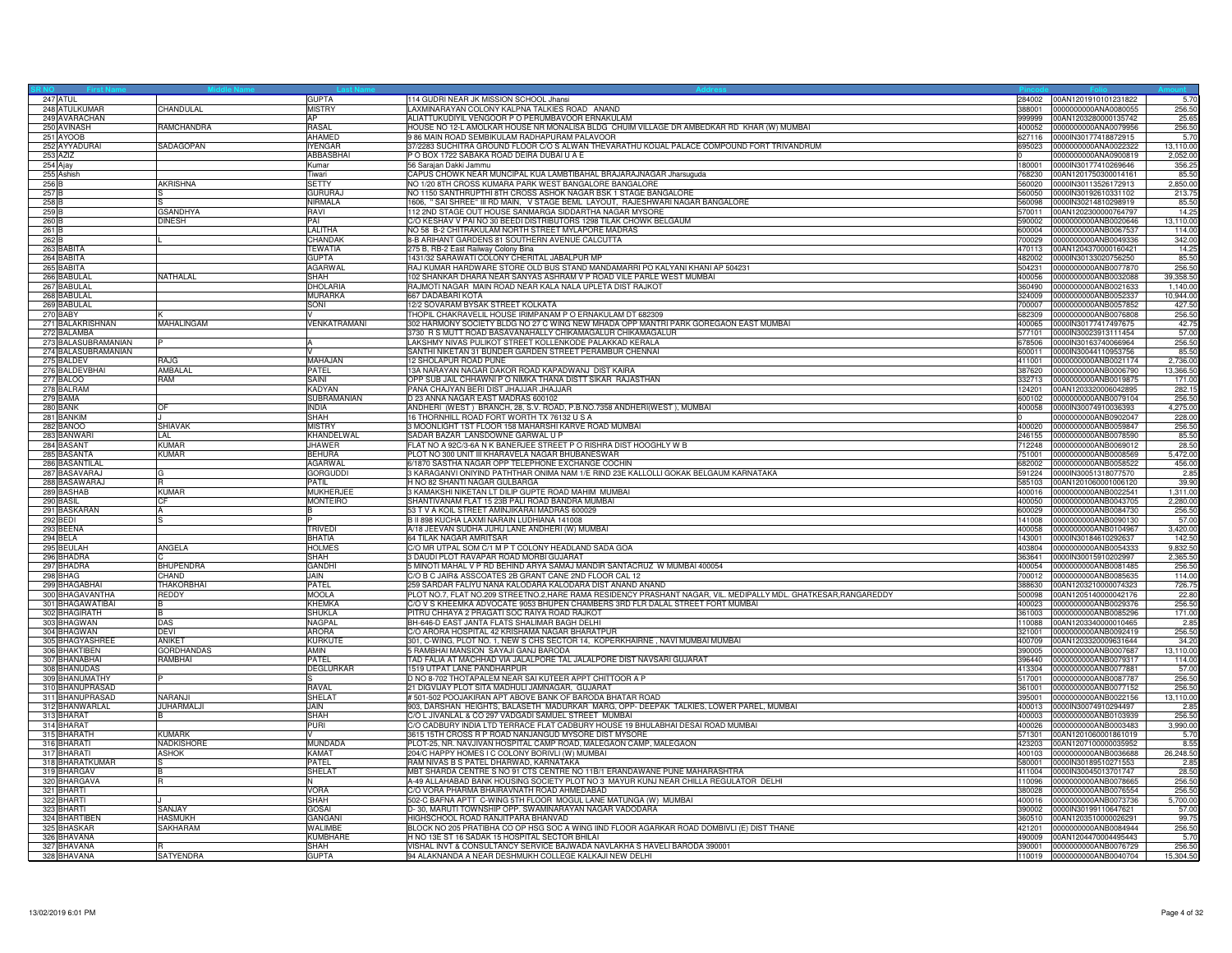| 247 ATUL            |                   | <b>GUPTA</b>        | 114 GUDRI NEAR JK MISSION SCHOOL Jhansi                                                                          | 284002 | 00AN1201910101231822 | 5.70      |
|---------------------|-------------------|---------------------|------------------------------------------------------------------------------------------------------------------|--------|----------------------|-----------|
| 248 ATULKUMAR       | CHANDULAL         | <b>MISTRY</b>       | LAXMINARAYAN COLONY KALPNA TALKIES ROAD ANAND                                                                    | 388001 | 0000000000ANA0080055 | 256.50    |
| 249 AVARACHAN       |                   | AP                  | ALIATTUKUDIYIL VENGOOR P O PERUMBAVOOR ERNAKULAM                                                                 | 999999 | 00AN1203280000135742 | 25.65     |
| 250 AVINASH         | RAMCHANDRA        | RASAL               | HOUSE NO 12-L AMOLKAR HOUSE NR MONALISA BLDG CHUIM VILLAGE DR AMBEDKAR RD KHAR (W) MUMBAI                        | 400052 | 0000000000ANA0079956 | 256.50    |
|                     |                   | <b>AHAMED</b>       |                                                                                                                  |        |                      |           |
| 251 AYOOB           |                   |                     | 9 86 MAIN ROAD SEMBIKULAM RADHAPURAM PALAVOOR                                                                    | 627116 | 0000IN30177418872915 | 5.70      |
| 252 AYYADURAI       | SADAGOPAN         | <b>IYENGAR</b>      | 7/2283 SUCHITRA GROUND FLOOR C/O S ALWAN THEVARATHU KOIJAL PALACE COMPOUND FORT TRIVANDRUM                       | 395023 | 0000000000ANA0022322 | 13,110.00 |
| 253 AZIZ            |                   | ABBASBHAI           | O BOX 1722 SABAKA ROAD DEIRA DUBAI U A E                                                                         |        | 0000000000ANA0900819 | 2,052.00  |
| 254 Ajay            |                   | Kumar               | 56 Sarajan Dakki Jammu                                                                                           | 180001 | 0000IN30177410269646 | 356.25    |
| 255 Ashish          |                   | Tiwari              | CAPUS CHOWK NEAR MUNCIPAL KUA LAMBTIBAHAL BRAJARAJNAGAR Jharsuguda                                               | 768230 | 00AN1201750300014161 | 85.50     |
| 256 B               | <b>AKRISHNA</b>   | <b>SETTY</b>        | NO 1/20 8TH CROSS KUMARA PARK WEST BANGALORE BANGALORE                                                           | 560020 | 0000IN30113526172913 | 2,850.00  |
| 257 B               |                   | <b>GURURAJ</b>      | VO 1150 SANTHRUPTHI 8TH CROSS ASHOK NAGAR BSK 1 STAGE BANGALORE                                                  | 560050 | 0000IN30192610331102 | 213.7     |
| 258 <sub>B</sub>    |                   | NIRMALA             | 1606, " SAI SHREE" III RD MAIN, V STAGE BEML LAYOUT, RAJESHWARI NAGAR BANGALORE                                  | 560098 | 0000IN30214810298919 |           |
|                     |                   |                     |                                                                                                                  |        |                      | 85.50     |
| 259 <sub>B</sub>    | <b>GSANDHYA</b>   | RAVI                | 12 2ND STAGE OUT HOUSE SANMARGA SIDDARTHA NAGAR MYSORE                                                           | 570011 | 00AN1202300000764797 | 14.25     |
| 260 B               | <b>DINESH</b>     | PAI                 | C/O KESHAV V PAI NO 30 BEEDI DISTRIBUTORS 1298 TILAK CHOWK BELGAUM                                               | 590002 | 0000000000ANB0020646 | 13,110.00 |
| 261 <sub>B</sub>    |                   | <b>LALITHA</b>      | NO 58 B-2 CHITRAKULAM NORTH STREET MYLAPORE MADRAS                                                               | 600004 | 0000000000ANB0067537 | 114.00    |
| 262 E               |                   | CHANDAK             | 3-B ARIHANT GARDENS 81 SOUTHERN AVENUE CALCUTTA                                                                  | 700029 | 0000000000ANB0049336 | 342.00    |
| 263 BABITA          |                   | <b>TEWATIA</b>      | 275 B, RB-2 East Railway Colony Bina                                                                             | 470113 | 00AN1204370000160421 | 14.25     |
| 264 BABITA          |                   | <b>GUPTA</b>        | 1431/32 SARAWATI COLONY CHERITAL JABALPUR MP                                                                     | 482002 | 0000IN30133020756250 | 85.50     |
| 265 BABITA          |                   | <b>AGARWAL</b>      | RAJ KUMAR HARDWARE STORE OLD BUS STAND MANDAMARRI PO KALYANI KHANI AP 504231                                     | 504231 | 0000000000ANB0077870 | 256.50    |
|                     |                   |                     |                                                                                                                  |        |                      |           |
| 266 BABULA          | NATHALAL          | SHAH                | 102 SHANKAR DHARA NEAR SANYAS ASHRAM V P ROAD VILE PARLE WEST MUMBAI                                             | 400056 | 0000000000ANB0032088 | 39,358.50 |
| 267 BABULAL         |                   | <b>DHOLARIA</b>     | RAJMOTI NAGAR MAIN ROAD NEAR KALA NALA UPLETA DIST RAJKOT                                                        | 360490 | 0000000000ANB0021633 | 1,140.00  |
| 268 BABULAL         |                   | <b>MURARKA</b>      | 667 DADABARI KOTA                                                                                                | 324009 | 0000000000ANB0052337 | 10,944.00 |
| 269 BABULAL         |                   | SONI                | 12/2 SOVARAM BYSAK STREET KOLKATA                                                                                | 700007 | 0000000000ANB0057852 | 427.50    |
| 270 BABY            |                   |                     | THOPIL CHAKRAVELIL HOUSE IRIMPANAM P O ERNAKULAM DT 682309                                                       | 682309 | 0000000000ANB0076808 | 256.50    |
| 271 BALAKRISHNAN    | <b>MAHALINGAM</b> | <b>VENKATRAMANI</b> | 302 HARMONY SOCIETY BLDG NO 27 C WING NEW MHADA OPP MANTRI PARK GOREGAON EAST MUMBAL                             | 400065 | 0000IN30177417497675 | 42.75     |
| 272 BALAMBA         |                   |                     | 3730 R S MUTT ROAD BASAVANAHALLY CHIKAMAGALUR CHIKAMAGALUR                                                       | 577101 | 0000IN30023913111454 | 57.00     |
|                     |                   |                     |                                                                                                                  |        |                      |           |
| 273 BALASUBRAMANIAN |                   | $\mathbf{A}$        | LAKSHMY NIVAS PULIKOT STREET KOLLENKODE PALAKKAD KERALA                                                          | 678506 | 0000IN30163740066964 | 256.50    |
| 274 BALASUBRAMANIAN |                   | $\vee$              | SANTHI NIKETAN 31 BUNDER GARDEN STREET PERAMBUR CHENNAI                                                          | 600011 | 0000IN30044110953756 | 85.50     |
| 275 BALDEV          | RAJG              | MAHAJAN             | 12 SHOLAPUR ROAD PUNE                                                                                            | 411001 | 0000000000ANB0021174 | 2,736.00  |
| 276 BALDEVBHAI      | <b>AMBALA</b>     | PATEL               | 3A NARAYAN NAGAR DAKOR ROAD KAPADWANJ DIST KAIRA                                                                 | 387620 | 0000000000ANB0006790 | 13,366.50 |
| 277 BALOO           | RAM               | SAINI               | OPP SUB JAIL CHHAWNI P O NIMKA THANA DISTT SIKAR RAJASTHAN                                                       | 332713 | 0000000000ANB0019875 | 171.00    |
| 278 BALRAM          |                   | <b>KADYAN</b>       | PANA CHAJYAN BERI DIST JHAJJAR JHAJJAR                                                                           | 124201 | 00AN1203320006042895 | 282.15    |
| 279 BAMA            |                   | SUBRAMANIAN         | D 23 ANNA NAGAR EAST MADRAS 600102                                                                               | 600102 | 0000000000ANB0079104 | 256.50    |
|                     |                   |                     |                                                                                                                  |        |                      |           |
| 280 BANK            | OF                | <b>INDIA</b>        | ANDHERI (WEST) BRANCH, 28, S.V. ROAD, P.B.NO.7358 ANDHERI(WEST), MUMBAI                                          | 400058 | 0000IN30074910036393 | 4,275.00  |
| 281 BANKIM          |                   | <b>SHAH</b>         | 6 THORNHILL ROAD FORT WORTH TX 76132 U S A                                                                       |        | 0000000000ANB0902047 | 228.00    |
| 282 BANOO           | <b>SHIAVAK</b>    | <b>MISTRY</b>       | 3 MOONLIGHT 1ST FLOOR 158 MAHARSHI KARVE ROAD MUMBAI                                                             | 400020 | 0000000000ANB0059847 | 256.50    |
| 283 BANWAR          | I AI              | <b>KHANDELWAL</b>   | SADAR BAZAR LANSDOWNE GARWAL U P                                                                                 | 246155 | 0000000000ANB0078590 | 85.50     |
| 284 BASANT          | <b>KUMAR</b>      | <b>JHAWER</b>       | FLAT NO A 92C/3-6A N K BANERJEE STREET P O RISHRA DIST HOOGHLY W B                                               | 712248 | 0000000000ANB0069012 | 28.50     |
| 285 BASANTA         | <b>KUMAR</b>      | <b>BEHURA</b>       | PLOT NO 300 UNIT III KHARAVELA NAGAR BHUBANESWAR                                                                 | 751001 | 0000000000ANB0008569 | 5,472.00  |
| 286 BASANTILAL      |                   | AGARWAL             | 3/1870 SASTHA NAGAR OPP TELEPHONE EXCHANGE COCHIN                                                                | 682002 | 0000000000ANB0058522 | 456.00    |
|                     |                   |                     |                                                                                                                  |        |                      |           |
| 287 BASAVARAJ       |                   | <b>GORGUDDI</b>     | 3 KARAGANVI ONIYIND PATHTHAR ONIMA NAM 1/E RIND 23E KALLOLLI GOKAK BELGAUM KARNATAKA                             | 591224 | 0000IN30051318077570 | 2.85      |
| 288 BASAWARA        | R                 | <b>PATIL</b>        | H NO 82 SHANTI NAGAR GULBARGA                                                                                    | 585103 | 00AN1201060001006120 | 39.90     |
| 289 BASHAB          | <b>KUMAR</b>      | <b>MUKHERJEE</b>    | KAMAKSHI NIKETAN LT DILIP GUPTE ROAD MAHIM MUMBAI                                                                | 400016 | 0000000000ANB0022541 | 1,311.00  |
| 290 BASIL           | CF                | <b>MONTEIRO</b>     | SHANTIVANAM FLAT 15 23B PALI ROAD BANDRA MUMBAI                                                                  | 400050 | 0000000000ANB0043705 | 2,280.00  |
| 291 BASKARAN        |                   |                     | 3 T V A KOIL STREET AMINJIKARAI MADRAS 600029                                                                    | 600029 | 0000000000ANB0084730 | 256.50    |
| 292 BEDI            |                   |                     | 3   898 KUCHA LAXMI NARAIN LUDHIANA 141008                                                                       | 141008 | 0000000000ANB0090130 | 57.00     |
| 293 BEENA           |                   | <b>TRIVED</b>       | A/18 JEEVAN SUDHA JUHU LANE ANDHERI (W) MUMBAI                                                                   | 400058 | 0000000000ANB0104967 | 3.420.00  |
|                     |                   |                     |                                                                                                                  |        |                      |           |
| 294 BELA            |                   | <b>BHATIA</b>       | 64 TILAK NAGAR AMRITSAR                                                                                          | 143001 | 0000IN30184610292637 | 142.50    |
| 295 BEULAH          | ANGELA            | <b>HOLMES</b>       | C/O MR UTPAL SOM C/1 M P T COLONY HEADLAND SADA GOA                                                              | 403804 | 0000000000ANB0054333 | 9,832.50  |
| 296 BHADRA          |                   | SHAH                | DAUDI PLOT RAVAPAR ROAD MORBI GUJARAT                                                                            | 363641 | 0000IN30015910202997 | 2,365.50  |
| 297 BHADRA          | <b>BHUPENDRA</b>  | <b>GANDHI</b>       | 5 MINOTI MAHAL V P RD BEHIND ARYA SAMAJ MANDIR SANTACRUZ W MUMBAI 400054                                         | 400054 | 0000000000ANB0081485 | 256.50    |
| 298 BHAG            | CHAND             | <b>JAIN</b>         | C/O B C JAIR& ASSCOATES 2B GRANT CANE 2ND FLOOR CAL 12                                                           | 700012 | 0000000000ANB0085635 | 114.00    |
| 299 BHAGABHAI       | THAKORBHAI        | PATEL               | 259 SARDAR FALIYU NANA KALODARA KALODARA DIST ANAND ANAND                                                        | 388630 | 00AN1203210000074323 | 726.75    |
| 300 BHAGAVANTHA     | REDDY             | <b>MOOLA</b>        | PLOT NO.7, FLAT NO.209 STREETNO.2, HARE RAMA RESIDENCY PRASHANT NAGAR, VIL. MEDIPALLY MDL. GHATKESAR, RANGAREDDY | 500098 | 00AN1205140000042176 | 22.80     |
| 301 BHAGAWATIBAI    |                   | <b>KHEMKA</b>       | O V S KHEEMKA ADVOCATE 9053 BHUPEN CHAMBERS 3RD FLR DALAL STREET FORT MUMBAI                                     | 400023 | 0000000000ANB0029376 | 256.50    |
|                     |                   |                     |                                                                                                                  |        |                      |           |
| 302 BHAGIRATH       |                   | <b>SHUKLA</b>       | PITRU CHHAYA 2 PRAGATI SOC RAIYA ROAD RAJKOT                                                                     | 361003 | 0000000000ANB0085296 | 171.00    |
| 303 BHAGWAN         | DAS               | <b>NAGPAL</b>       | BH-646-D EAST JANTA FLATS SHALIMAR BAGH DELHI                                                                    | 110088 | 00AN1203340000010465 | 2.85      |
| 304 BHAGWAN         | <b>DEVI</b>       | <b>ARORA</b>        | C/O ARORA HOSPITAL 42 KRISHAMA NAGAR BHARATPUR                                                                   | 321001 | 0000000000ANB0092419 | 256.50    |
| 305 BHAGYASHREI     | <b>ANIKET</b>     | <b>KURKUTE</b>      | 301, C-WING, PLOT NO. 1, NEW S CHS SECTOR 14, KOPERKHAIRNE, NAVI MUMBAI MUMBAI                                   | 400709 | 00AN1203320009631644 | 34.20     |
| 306 BHAKTIBEN       | <b>GORDHANDAS</b> | AMIN                | <b>RAMBHAI MANSION SAYAJI GANJ BARODA</b>                                                                        | 390005 | 0000000000ANB0007687 | 13,110.00 |
| 307 BHANABHAI       | RAMBHAI           | PATEL               | TAD FALIA AT MACHHAD VIA JALALPORE TAL JALALPORE DIST NAVSARI GUJARAT                                            | 396440 | 0000000000ANB0079317 | 114.00    |
| 308 BHANUDAS        |                   | <b>DEGLURKAR</b>    | 1519 UTPAT LANE PANDHARPUR                                                                                       | 413304 | 0000000000ANB0077881 | 57.00     |
|                     |                   |                     |                                                                                                                  |        |                      |           |
| 309 BHANUMATHY      |                   | s                   | O NO 8-702 THOTAPALEM NEAR SAI KUTEER APPT CHITTOOR A P                                                          | 517001 | 0000000000ANB0087787 | 256.50    |
| 310 BHANUPRASAD     |                   | RAVAL               | 21 DIGVIJAY PLOT SITA MADHULI JAMNAGAR. GUJARAT                                                                  | 361001 | 0000000000ANB0077152 | 256.50    |
| 311 BHANUPRASAD     | NARANJI           | SHELA <sub>1</sub>  | 501-502 POOJAKIRAN APT ABOVE BANK OF BARODA BHATAR ROAD                                                          | 395001 | 0000000000ANB0022156 | 13,110.00 |
| 312 BHANWARLAL      | ILIHARMAL.II      | <b>JAIN</b>         | 903, DARSHAN HEIGHTS, BALASETH MADURKAR MARG, OPP- DEEPAK TALKIES, LOWER PAREL, MUMBAI                           | 400013 | 0000IN30074910294497 | 2.85      |
| 313 BHARAT          |                   | <b>SHAH</b>         | C/O L JIVANLAL & CO 297 VADGADI SAMUEL STREET MUMBAI                                                             | 400003 | 0000000000ANB0103939 | 256.50    |
| 314 BHARAT          |                   | PURI                | C/O CADBURY INDIA LTD TERRACE FLAT CADBURY HOUSE 19 BHULABHAI DESAI ROAD MUMBAI                                  | 400026 | 0000000000ANB0003483 | 3,990.00  |
| 315 BHARATH         | <b>KUMARK</b>     |                     | 3615 15TH CROSS R P ROAD NANJANGUD MYSORE DIST MYSORE                                                            | 571301 | 00AN1201060001861019 | 5.70      |
|                     |                   |                     |                                                                                                                  |        |                      |           |
| 316 BHARATI         | NADKISHORE        | MUNDADA             | PLOT-25, NR. NAVJIVAN HOSPITAL CAMP ROAD, MALEGAON CAMP, MALEGAON                                                | 423203 | 00AN1207100000035952 | 8.55      |
| 317 BHARATI         | <b>ASHOK</b>      | <b>KAMAT</b>        | 204/C HAPPY HOMES I C COLONY BORIVLI (W) MUMBAI                                                                  | 400103 | 0000000000ANB0036688 | 26,248.50 |
| 318 BHARATKUMAR     |                   | PATEL               | RAM NIVAS B S PATEL DHARWAD, KARNATAKA                                                                           | 580001 | 0000IN30189510271553 | 2.85      |
| 319 BHARGAV         | B                 | <b>SHELAT</b>       | MBT SHARDA CENTRE S NO 91 CTS CENTRE NO 11B/1 ERANDAWANE PUNE MAHARASHTRA                                        | 411004 | 0000lN30045013701747 | 28.50     |
| 320 BHARGAVA        | R                 | IN.                 | 4-49 ALLAHABAD BANK HOUSING SOCIETY PLOT NO 3 MAYUR KUNJ NEAR CHILLA REGULATOR DELHI                             | 110096 | 0000000000ANB0078665 | 256.50    |
| 321 BHARTI          |                   | <b>VORA</b>         | C/O VORA PHARMA BHAIRAVNATH ROAD AHMEDABAD                                                                       | 380028 | 0000000000ANB0076554 | 256.50    |
| 322 BHARTI          |                   | <b>SHAH</b>         | 502-C BAFNA APTT C-WING 5TH FLOOR MOGUL LANE MATUNGA (W) MUMBAI                                                  | 400016 | 0000000000ANB0073736 | 5,700.00  |
|                     | SANJAY            | <b>GOSAI</b>        |                                                                                                                  | 390002 | 0000IN30199110647621 |           |
| 323 BHARTI          |                   |                     | D-30, MARUTI TOWNSHIP OPP. SWAMINARAYAN NAGAR VADODARA                                                           |        |                      | 57.00     |
| 324 BHARTIBEN       | <b>HASMUKH</b>    | GANGANI             | HIGHSCHOOL ROAD RANJITPARA BHANVAD                                                                               | 360510 | 00AN1203510000026291 | 99.75     |
| 325 BHASKAR         | SAKHARAM          | WALIMBE             | BLOCK NO 205 PRATIBHA CO OP HSG SOC A WING IIND FLOOR AGARKAR ROAD DOMBIVLI (E) DIST THANE                       | 421201 | 0000000000ANB0084944 | 256.50    |
| 326 BHAVANA         |                   | KUMBHARI            | H NO 13E ST 16 SADAK 15 HOSPITAL SECTOR BHILAI                                                                   | 490009 | 00AN1204470004495443 | 5.70      |
| 327 BHAVANA         |                   | <b>SHAH</b>         | VISHAL INVT & CONSULTANCY SERVICE BAJWADA NAVLAKHA S HAVELI BARODA 390001                                        | 390001 | 0000000000ANB0076729 | 256.50    |
| 328 BHAVANA         | <b>SATYENDRA</b>  | <b>GUPTA</b>        | 94 ALAKNANDA A NEAR DESHMUKH COLLEGE KALKAJI NEW DELHI                                                           | 110019 | 0000000000ANB0040704 | 15,304.50 |
|                     |                   |                     |                                                                                                                  |        |                      |           |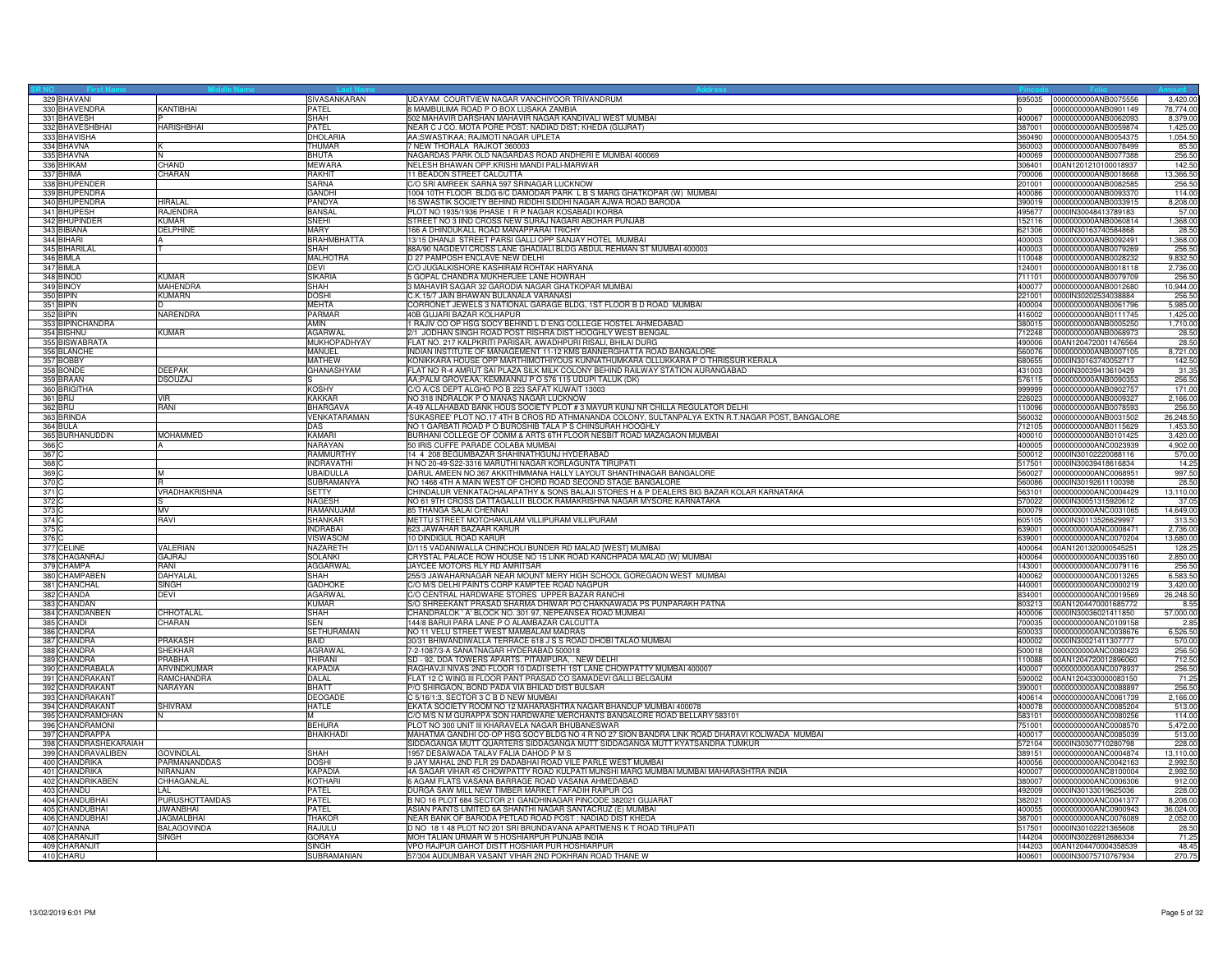| 329 BHAVANI                         |                   | SIVASANKARAN       | UDAYAM COURTVIEW NAGAR VANCHIYOOR TRIVANDRUM                                                                                 | 695035           | 0000000000ANB0075556                         | 3,420.00           |
|-------------------------------------|-------------------|--------------------|------------------------------------------------------------------------------------------------------------------------------|------------------|----------------------------------------------|--------------------|
| 330 BHAVENDRA                       | <b>KANTIBHAI</b>  | PATEL              | 8 MAMBULIMA ROAD P O BOX LUSAKA ZAMBIA                                                                                       |                  | 0000000000ANB0901149                         | 78,774.00          |
| 331 BHAVESH                         |                   | <b>SHAH</b>        | 502 MAHAVIR DARSHAN MAHAVIR NAGAR KANDIVALI WEST MUMBAI                                                                      | 400067           | 0000000000ANB0062093                         | 8.379.00           |
| 332 BHAVESHBHAI                     | <b>HARISHBHAI</b> | PATEL              | NEAR C J CO. MOTA PORE POST: NADIAD DIST: KHEDA (GUJRAT)                                                                     | 387001           | 0000000000ANB0059874                         | 1.425.00           |
| 333 BHAVISHA                        |                   | DHOLARIA           | AA;SWASTIKAA; RAJMOTI NAGAR UPLETA                                                                                           | 360490           | 0000000000ANB0054375                         | 1,054.50           |
| 334 BHAVNA                          |                   | <b>THUMAR</b>      | NEW THORALA RAJKOT 360003                                                                                                    | 860003           | 0000000000ANB0078499                         | 85.50              |
| 335 BHAVNA                          | İΝ                | <b>BHUTA</b>       | NAGARDAS PARK OLD NAGARDAS ROAD ANDHERI E MUMBAI 400069                                                                      | 400069           | 0000000000ANB0077388                         | 256.50             |
| 336 BHIKAM                          | CHAND             | <b>MEWARA</b>      | NELESH BHAWAN OPP.KRISHI MANDI PALI-MARWAR                                                                                   | 306401           | 00AN1201210100018937                         | 142.50             |
| 337 BHIMA                           | CHARAN            | <b>RAKHIT</b>      | 11 BEADON STREET CALCUTTA                                                                                                    | 700006           | 0000000000ANB0018668                         | 13,366.50          |
| 338 BHUPENDER                       |                   | <b>SARNA</b>       | C/O SRI AMREEK SARNA 597 SRINAGAR LUCKNOW                                                                                    | 201001           | 0000000000ANB0082585                         | 256.50             |
| 339 BHUPENDRA                       |                   | GANDHI             | 1004 10TH FLOOR BLDG 6/C DAMODAR PARK L B S MARG GHATKOPAR (W) MUMBAI                                                        | 400086           | 0000000000ANB0093370                         | 114.00             |
| 340 BHUPENDRA                       | <b>HIRALAL</b>    | PANDYA             | 16 SWASTIK SOCIETY BEHIND RIDDHI SIDDHI NAGAR AJWA ROAD BARODA                                                               | 390019           | 0000000000ANB0033915                         | 8,208.00           |
| 341 BHUPESH                         | RAJENDRA          | <b>BANSAL</b>      | PLOT NO 1935/1936 PHASE 1 R P NAGAR KOSABADI KORBA                                                                           | 495677           | 0000IN30048413789183                         | 57.00              |
| 342 BHUPINDER                       | <b>KUMAR</b>      | <b>SNEHI</b>       | STREET NO 3 IIND CROSS NEW SURAJ NAGARI ABOHAR PUNJAB                                                                        | 152116           | 0000000000ANB0060814                         | 1,368.00           |
| 343 BIBIANA                         | <b>DELPHINE</b>   | <b>MARY</b>        | 166 A DHINDUKALL ROAD MANAPPARAI TRICHY                                                                                      | 621306           | 0000IN30163740584868                         | 28.50              |
| 344 BIHARI                          |                   | <b>BRAHMBHATTA</b> | 13/15 DHANJI STREET PARSI GALLI OPP SANJAY HOTEL MUMBAI                                                                      | 400003           | 0000000000ANB0092491                         | 1,368.00           |
| 345 BIHARILAI                       |                   | SHAH               | 88A/90 NAGDEVI CROSS LANE GHADIALI BLDG ABDUL REHMAN ST MUMBAI 400003                                                        | 400003           | 0000000000ANB0079269                         | 256.50             |
| 346 BIMLA                           |                   | <b>MALHOTRA</b>    | D 27 PAMPOSH ENCLAVE NEW DELHI                                                                                               | 10048            | 0000000000ANB0028232                         | 9,832.50           |
| 347 BIMLA                           |                   | <b>DEVI</b>        | C/O JUGALKISHORE KASHIRAM ROHTAK HARYANA                                                                                     | 124001           | 0000000000ANB0018118                         | 2,736.00           |
| 348 BINOD                           | <b>KUMAR</b>      | <b>SIKARIA</b>     | 5 GOPAL CHANDRA MUKHERJEE LANE HOWRAH                                                                                        | 711101           | 0000000000ANB0079709                         | 256.50             |
| 349 BINOY                           | MAHENDRA          | SHAH               | 3 MAHAVIR SAGAR 32 GARODIA NAGAR GHATKOPAR MUMBAI                                                                            | 400077           | 0000000000ANB0012680                         | 10,944.00          |
| 350 BIPIN                           | <b>KUMARN</b>     | <b>DOSHI</b>       | C.K.15/7 JAIN BHAWAN BULANALA VARANASI                                                                                       | 221001           |                                              |                    |
|                                     |                   |                    |                                                                                                                              |                  | 0000IN30202534038884                         | 256.50             |
| 351 BIPIN                           |                   | <b>MEHTA</b>       | CORRONET JEWELS 3 NATIONAL GARAGE BLDG, 1ST FLOOR B D ROAD MUMBAI                                                            | 400004           | 0000000000ANB0061796                         | 5,985.00           |
| 352 BIPIN                           | NARENDRA          | <b>PARMAR</b>      | 40B GUJARI BAZAR KOLHAPUR                                                                                                    | 416002           | 0000000000ANB0111745                         | 1,425.00           |
| 353 BIPINCHANDRA                    |                   | AMIN               | 1 RAJIV CO OP HSG SOCY BEHIND L D ENG COLLEGE HOSTEL AHMEDABAD                                                               | 380015           | 0000000000ANB0005250                         | 1,710.00           |
| 354 BISHNU                          | <b>KUMAR</b>      | AGARWAL            | 2/1 JODHAN SINGH ROAD POST RISHRA DIST HOOGHLY WEST BENGAL                                                                   | 12248            | 0000000000ANB0068973                         | 28.50              |
| 355 BISWABRATA                      |                   | MUKHOPADHYAY       | FLAT NO. 217 KALPKRITI PARISAR, AWADHPURI RISALI, BHILAI DURG                                                                | 490006           | 00AN1204720011476564                         | 28.50              |
| 356 BLANCHE                         |                   | MANUEL             | INDIAN INSTITUTE OF MANAGEMENT 11-12 KMS BANNERGHATTA ROAD BANGALORE                                                         | 560076           | 0000000000ANB0007105                         | 8,721.00           |
| 357 BOBBY                           |                   | <b>MATHEW</b>      | KONIKKARA HOUSE OPP MARTHIMOTHIYOUS KUNNATHUMKARA OLLUKKARA P O THRISSUR KERALA                                              | 680655           | 0000IN30163740052717                         | 142.50             |
| 358 BONDE                           | <b>DEEPAK</b>     | GHANASHYAM         | FLAT NO R-4 AMRUT SAI PLAZA SILK MILK COLONY BEHIND RAILWAY STATION AURANGABAD                                               | 431003           | 0000IN30039413610429                         | 31.35              |
| 359 BRAAN                           | <b>DSOUZAJ</b>    |                    | AA;PALM GROVEAA; KEMMANNU P O 576 115 UDUPI TALUK (DK)                                                                       | 576115           | 0000000000ANB0090353                         | 256.50             |
| 360 BRIGITHA                        |                   | <b>KOSHY</b>       | C/O A/CS DEPT ALGHO PO B 223 SAFAT KUWAIT 13003                                                                              | 999999           | 0000000000ANB0902757                         | 171.00             |
| 361 BRIJ                            | <b>VIR</b>        | <b>KAKKAR</b>      | NO 318 INDRALOK P O MANAS NAGAR LUCKNOW                                                                                      | 226023           | 0000000000ANB0009327                         | 2,166.00           |
| 362 BRIJ                            | RANI              | <b>BHARGAVA</b>    | A-49 ALLAHABAD BANK HOUS SOCIETY PLOT #3 MAYUR KUNJ NR CHILLA REGULATOR DELHI                                                | 110096           | 0000000000ANB0078593                         | 256.50             |
| 363 BRINDA                          |                   | VENKATARAMAN       | 'SUKASREE' PLOT NO.17 4TH B CROS RD ATHMANANDA COLONY, SULTANPALYA EXTN R.T.NAGAR POST, BANGALORE                            | 560032           | 0000000000ANB0031502                         | 26,248.50          |
| 364 BULA                            |                   | <b>DAS</b>         | NO 1 GARBATI ROAD P O BUROSHIB TALA P S CHINSURAH HOOGHLY                                                                    | 712105           | 0000000000ANB0115629                         | 1,453.50           |
| 365 BURHANUDDIN                     | <b>MOHAMMED</b>   | <b>KAMARI</b>      | BURHANI COLLEGE OF COMM & ARTS 6TH FLOOR NESBIT ROAD MAZAGAON MUMBAI                                                         | 400010           | 0000000000ANB0101425                         | 3,420.00           |
| 366 C                               | IA                | <b>NARAYAN</b>     | 50 IRIS CUFFE PARADE COLABA MUMBAI                                                                                           | 400005           | 0000000000ANC0023939                         | 4,902.00           |
| 367 C                               |                   | <b>RAMMURTHY</b>   | 14 4 208 BEGUMBAZAR SHAHINATHGUNJ HYDERABAD                                                                                  | 500012           | 0000IN30102220088116                         | 570.00             |
| 368 C                               |                   | <b>INDRAVATHI</b>  | H NO 20-49-S22-3316 MARUTHI NAGAR KORLAGUNTA TIRUPATI                                                                        | 517501           | 0000lN30039418616834                         | 14.25              |
| 369 C                               | M                 | <b>UBAIDULLA</b>   | DARUL AMEEN NO 367 AKKITHIMMANA HALLY LAYOUT SHANTHINAGAR BANGALORE                                                          | 560027           | 0000000000ANC0068951                         | 997.50             |
| 370 C                               |                   | <b>SUBRAMANYA</b>  | NO 1468 4TH A MAIN WEST OF CHORD ROAD SECOND STAGE BANGALORE                                                                 | 560086           | 0000IN30192611100398                         | 28.50              |
| 371 C                               | VRADHAKRISHNA     | <b>SETTY</b>       | CHINDALUR VENKATACHALAPATHY & SONS BALAJI STORES H & P DEALERS BIG BAZAR KOLAR KARNATAKA                                     | 563101           | 0000000000ANC0004429                         | 13,110.00          |
| 372 C                               |                   | <b>NAGESH</b>      | NO 61 9TH CROSS DATTAGALLI1 BLOCK RAMAKRISHNA NAGAR MYSORE KARNATAKA                                                         | 570022           | 0000IN30051315920612                         | 37.05              |
| 373 C                               | MV                | RAMANUJAM          | 85 THANGA SALAI CHENNAI                                                                                                      | 600079           | 0000000000ANC0031065                         | 14,649.00          |
| 374 C                               | RAVI              | <b>SHANKAR</b>     | METTU STREET MOTCHAKULAM VILLIPURAM VILLIPURAM                                                                               | 605105           | 0000IN30113526629997                         | 313.50             |
| 375 C                               |                   | <b>INDRABAI</b>    | 623 JAWAHAR BAZAAR KARUR                                                                                                     | 639001           | 0000000000ANC0008471                         | 2,736.00           |
| 376 C                               |                   | VISWASOM           | 10 DINDIGUL ROAD KARUR                                                                                                       | 639001           | 0000000000ANC0070204                         | 13,680.00          |
| 377 CELINE                          | VALERIAN          | NAZARETH           | D/115 VADANIWALLA CHINCHOLI BUNDER RD MALAD [WEST] MUMBAI                                                                    | 400064           | 00AN1201320000545251                         | 128.2              |
| 378 CHAGANRAJ                       | <b>GAJRAJ</b>     | <b>SOLANKI</b>     | CRYSTAL PALACE ROW HOUSE NO 15 LINK ROAD KANCHPADA MALAD (W) MUMBAI                                                          | 400064           | 0000000000ANC0035160                         | 2,850.00           |
| 379 CHAMPA                          | <b>RANI</b>       | AGGARWAL           | JAYCEE MOTORS RLY RD AMRITSAR                                                                                                | 143001           | 0000000000ANC0079116                         | 256.50             |
| 380 CHAMPABEN                       | DAHYALAL          | <b>SHAH</b>        | 255/3 JAWAHARNAGAR NEAR MOUNT MERY HIGH SCHOOL GOREGAON WEST MUMBAI                                                          | 400062           | 0000000000ANC0013265                         | 6,583.50           |
| 381 CHANCHAL                        | <b>SINGH</b>      | <b>GADHOKE</b>     | C/O M/S DELHI PAINTS CORP KAMPTEE ROAD NAGPUR                                                                                | 440001           | 0000000000ANC0000219                         | 3,420.00           |
| 382 CHANDA                          | DEVI              | AGARWAL            | C/O CENTRAL HARDWARE STORES UPPER BAZAR RANCHI                                                                               | 834001           | 0000000000ANC0019569                         | 26,248.50          |
| 383 CHANDAN                         |                   | <b>KUMAR</b>       | S/O SHREEKANT PRASAD SHARMA DHIWAR PO CHAKNAWADA PS PUNPARAKH PATNA                                                          | 803213           | 00AN1204470001685772                         | 8.55               |
| 384 CHANDANBEN                      | <b>CHHOTALA</b>   | <b>SHAH</b>        | CHANDRALOK ' A' BLOCK NO. 301 97, NEPEANSEA ROAD MUMBAI                                                                      | 400006           | 0000IN30036021411850                         | 57,000.00          |
| 385 CHANDI                          | CHARAN            | <b>SEN</b>         | 144/8 BARUI PARA LANE P O ALAMBAZAR CALCUTTA                                                                                 | 700035           | 0000000000ANC0109158                         | 2.85               |
| 386 CHANDRA                         |                   | <b>SETHURAMAN</b>  | NO 11 VELU STREET WEST MAMBALAM MADRAS                                                                                       | 600033           | 0000000000ANC0038676                         | 6,526.50           |
| 387 CHANDRA                         | PRAKASH           | <b>BAID</b>        | 30/31 BHIWANDIWALLA TERRACE 618 J S S ROAD DHOBI TALAO MUMBAI                                                                | 400002           | 0000lN30021411307777                         | 570.00             |
| 388 CHANDRA                         | <b>SHEKHAR</b>    | AGRAWAL            | 7-2-1087/3-A SANATNAGAR HYDERABAD 500018                                                                                     | 500018           | 0000000000ANC0080423                         | 256.50             |
| 389 CHANDRA                         | <b>PRABHA</b>     | <b>THIRANI</b>     | SD - 92, DDA TOWERS APARTS. PITAMPURA, . NEW DELHI                                                                           | 10088            | 00AN1204720012896060                         | 712.50             |
| 390 CHANDRABALA                     | ARVINDKUMAR       | <b>KAPADIA</b>     | RAGHAVJI NIVAS 2ND FLOOR 10 DADI SETH 1ST LANE CHOWPATTY MUMBAI 400007                                                       | 400007           | 0000000000ANC0078937                         | 256.50             |
| 391 CHANDRAKANT                     | <b>RAMCHANDRA</b> | DAL AL             | FLAT 12 C WING III FLOOR PANT PRASAD CO SAMADEVI GALLI BELGAUM                                                               | 590002           | 00AN1204330000083150                         | 71.25              |
| 392 CHANDRAKANT                     | <b>NARAYAN</b>    | BHATT              | P/O SHIRGAON, BOND PADA VIA BHILAD DIST BULSAR                                                                               | 390001           | 0000000000ANC0088897                         | 256.50             |
| 393 CHANDRAKANT                     |                   | <b>DEOGADE</b>     | C 5/16/1:3, SECTOR 3 C B D NEW MUMBAI                                                                                        | 400614           | 0000000000ANC0061739                         | 2,166.00           |
| 394 CHANDRAKANT                     | <b>SHIVRAM</b>    | <b>HATLE</b>       | EKATA SOCIETY ROOM NO 12 MAHARASHTRA NAGAR BHANDUP MUMBAI 400078                                                             | 400078           | 0000000000ANC0085204                         | 513.00             |
|                                     | IN                | M                  |                                                                                                                              |                  |                                              |                    |
| 395 CHANDRAMOHAN<br>396 CHANDRAMONI |                   | <b>BEHURA</b>      | C/O M/S N M GURAPPA SON HARDWARE MERCHANTS BANGALORE ROAD BELLARY 583101<br>PLOT NO 300 UNIT III KHARAVELA NAGAR BHUBANESWAR | 583101<br>751001 | 0000000000ANC0080256<br>0000000000ANC0008570 | 114.00<br>5,472.00 |
|                                     |                   |                    |                                                                                                                              |                  |                                              |                    |
| 397 CHANDRAPPA                      |                   | <b>BHAIKHADI</b>   | MAHATMA GANDHI CO-OP HSG SOCY BLDG NO 4 R NO 27 SION BANDRA LINK ROAD DHARAVI KOLIWADA MUMBAI                                | 400017           | 0000000000ANC0085039                         | 513.00             |
| 398 CHANDRASHEKARAIAH               |                   |                    | SIDDAGANGA MUTT QUARTERS SIDDAGANGA MUTT SIDDAGANGA MUTT KYATSANDRA TUMKUR                                                   | 572104           | 0000IN30307710280798                         | 228.00             |
| 399 CHANDRAVALIBEN                  | <b>GOVINDLAL</b>  | SHAH               | 1957 DESAIWADA TALAV FALIA DAHOD P M S                                                                                       | 389151           | 0000000000ANC0004874                         | 13,110.00          |
| 400 CHANDRIKA                       | PARMANANDDAS      | <b>DOSHI</b>       | 9 JAY MAHAL 2ND FLR 29 DADABHAI ROAD VILE PARLE WEST MUMBAI                                                                  | 400056           | 0000000000ANC0042163                         | 2,992.50           |
| 401 CHANDRIKA                       | NIRANJAN          | <b>KAPADIA</b>     | 4A SAGAR VIHAR 45 CHOWPATTY ROAD KULPATI MUNSHI MARG MUMBAI MUMBAI MAHARASHTRA INDIA                                         | 400007           | 0000000000ANC8100004                         | 2,992.50           |
| 402 CHANDRIKABEN                    | CHHAGANLAL        | <b>KOTHARI</b>     | 6 AGAM FLATS VASANA BARRAGE ROAD VASANA AHMEDABAD                                                                            | 380007           | 0000000000ANC0006306                         | 912.00             |
| 403 CHANDU                          | I AL              | PATEL              | DURGA SAW MILL NEW TIMBER MARKET FAFADIH RAIPUR CG                                                                           | 492009           | 0000IN30133019625036                         | 228.00             |
| 404 CHANDUBHAI                      | PURUSHOTTAMDAS    | PATFI              | B NO 16 PLOT 684 SECTOR 21 GANDHINAGAR PINCODE 382021 GUJARAT                                                                | 382021           | 0000000000ANC0041377                         | 8,208.00           |
| 405 CHANDUBHAI                      | <b>JIWANBHAI</b>  | PATEL              | ASIAN PAINTS LIMITED 6A SHANTHI NAGAR SANTACRUZ (E) MUMBAI                                                                   | 400055           | 0000000000ANC0900943                         | 36,024.00          |
| 406 CHANDUBHAI                      | <b>JAGMALBHA</b>  | THAKOR             | NEAR BANK OF BARODA PETLAD ROAD POST: NADIAD DIST KHEDA                                                                      | 387001           | 0000000000ANC0076089                         | 2,052.00           |
| 407 CHANNA                          | BALAGOVINDA       | RAJULU             | D NO 18 1 48 PLOT NO 201 SRI BRUNDAVANA APARTMENS K T ROAD TIRUPATI                                                          | 517501           | 0000IN30102221365608                         | 28.50              |
| 408 CHARANJIT                       | <b>SINGH</b>      | <b>GORAYA</b>      | MOH TALIAN URMAR W 5 HOSHIARPUR PUNJAB INDIA                                                                                 | 144204           | 0000IN30226912686334                         | 71.25              |
| 409 CHARANJIT                       |                   | <b>SINGH</b>       | VPO RAJPUR GAHOT DISTT HOSHIAR PUR HOSHIARPUR                                                                                | 144203           | 00AN1204470004358539                         | 48.45              |
| 410 CHARU                           |                   | SUBRAMANIAN        | 57/304 AUDUMBAR VASANT VIHAR 2ND POKHRAN ROAD THANE W                                                                        |                  | 400601 0000IN30075710767934                  | 270.75             |
|                                     |                   |                    |                                                                                                                              |                  |                                              |                    |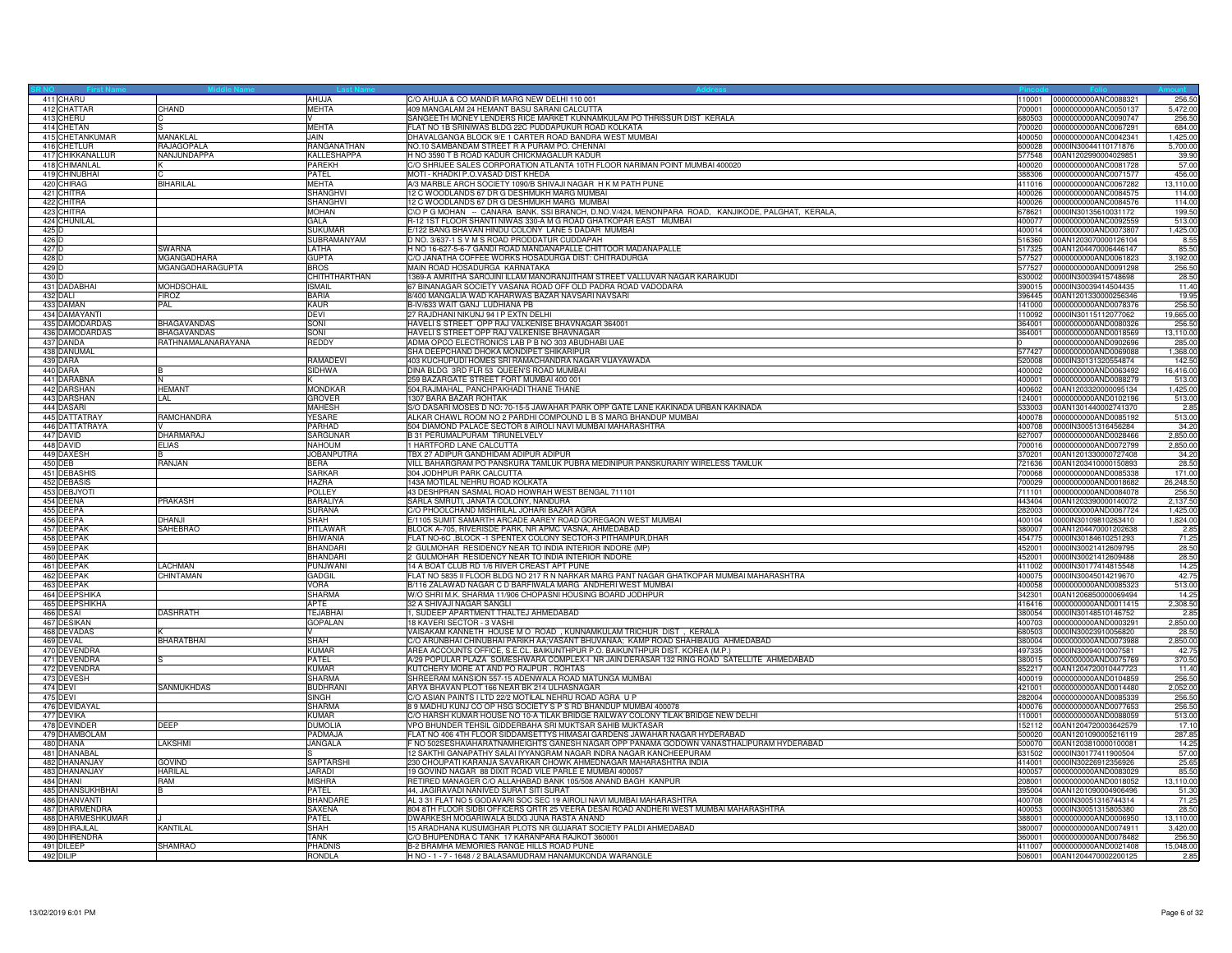| 411 CHARU         |                     | AHUJA                         | C/O AHUJA & CO MANDIR MARG NEW DELHI 110 001                                                                           | 110001           | 0000000000ANC0088321                         | 256.50              |
|-------------------|---------------------|-------------------------------|------------------------------------------------------------------------------------------------------------------------|------------------|----------------------------------------------|---------------------|
| 412 CHATTAR       | CHAND               | <b>MEHTA</b>                  | 409 MANGALAM 24 HEMANT BASU SARANI CALCUTTA                                                                            | 700001           | 0000000000ANC0050137                         | 5,472.00            |
| 413 CHERU         |                     |                               | SANGEETH MONEY LENDERS RICE MARKET KUNNAMKULAM PO THRISSUR DIST KERALA                                                 | 680503           | 0000000000ANC0090747                         | 256.50              |
| 414 CHETAN        |                     | <b>MEHTA</b>                  | FLAT NO 1B SRINIWAS BLDG 22C PUDDAPUKUR ROAD KOLKATA                                                                   | 700020           | 0000000000ANC0067291                         | 684.00              |
| 415 CHETANKUMAR   | <b>MANAKI AI</b>    | JAIN.                         | DHAVALGANGA BLOCK 9/E 1 CARTER ROAD BANDRA WEST MUMBAI                                                                 | 400050           | 0000000000ANC0042341                         | 1,425.00            |
| 416 CHETLUR       | RAJAGOPALA          | RANGANATHAN                   | NO.10 SAMBANDAM STREET R A PURAM PO. CHENNAI                                                                           | 600028           | 0000IN30044110171876                         | 5,700.00            |
| 417 CHIKKANALLUR  | NANJUNDAPPA         | KALLESHAPPA                   | H NO 3590 T B ROAD KADUR CHICKMAGALUR KADUR                                                                            | 577548           | 00AN1202990004029851                         | 39.90               |
| 418 CHIMANLAL     |                     | <b>PAREKH</b>                 | C/O SHRIJEE SALES CORPORATION ATLANTA 10TH FLOOR NARIMAN POINT MUMBAI 400020                                           | 400020           | 0000000000ANC0081728                         | 57.00               |
| 419 CHINUBHAI     |                     | PATEL                         | MOTI - KHADKI P.O.VASAD DIST KHEDA                                                                                     | 388306           | 0000000000ANC0071577                         | 456.00              |
| 420 CHIRAG        | <b>BIHARILAL</b>    | <b>MEHTA</b>                  | A/3 MARBLE ARCH SOCIETY 1090/B SHIVAJI NAGAR H K M PATH PUNE                                                           | 411016           | 0000000000ANC0067282                         | 13,110.00           |
| 421 CHITRA        |                     | SHANGHVI                      | 12 C WOODLANDS 67 DR G DESHMUKH MARG MUMBAI                                                                            | 400026           | 0000000000ANC0084575                         | 114.00              |
| 422 CHITRA        |                     | <b>SHANGHVI</b>               | 12 C WOODLANDS 67 DR G DESHMUKH MARG MUMBAI                                                                            | 400026           | 0000000000ANC0084576                         | 114.00              |
| 423 CHITRA        |                     | <b>MOHAN</b>                  | CIO P G MOHAN -- CANARA BANK. SSI BRANCH, D.NO.V/424, MENONPARA ROAD, KANJIKODE, PALGHAT, KERALA,                      | 678621           | 0000lN30135610031172                         | 199.50              |
| 424 CHUNILAL      |                     | GALA                          | R-12 1ST FLOOR SHANTI NIWAS 330-A M G ROAD GHATKOPAR EAST MUMBAI                                                       | 400077           | 0000000000ANC0092559                         | 513.00              |
| 425 D             |                     | SUKUMAR                       | E/122 BANG BHAVAN HINDU COLONY LANE 5 DADAR MUMBAI                                                                     | 400014           | 0000000000AND0073807                         | 1,425.00            |
| 426 D             |                     | SUBRAMANYAM                   | D NO. 3/637-1 S V M S ROAD PRODDATUR CUDDAPAH                                                                          | 516360           | 00AN1203070000126104                         | 8.5                 |
| 427 D             | <b>SWARNA</b>       | LATHA                         | H NO 16-627-5-6-7 GANDI ROAD MANDANAPALLE CHITTOOR MADANAPALLE                                                         | 517325           | 00AN1204470006446147                         | 85.50               |
| 428 D             | MGANGADHARA         | <b>GUPTA</b>                  | C/O JANATHA COFFEE WORKS HOSADURGA DIST: CHITRADURGA                                                                   | 577527           | 0000000000AND0061823                         | 3,192.00            |
| 429 D             | MGANGADHARAGUPTA    | <b>BROS</b>                   | MAIN ROAD HOSADURGA KARNATAKA                                                                                          | 577527           | 0000000000AND0091298                         | 256.50              |
| 430 D             |                     | CHITHTHARTHAN                 | 1369-A AMRITHA SAROJINI ILLAM MANORANJITHAM STREET VALLUVAR NAGAR KARAIKUDI                                            | 630002           | 0000IN30039415748698                         | 28.50               |
| 431 DADABHAI      | <b>MOHDSOHAIL</b>   | <b>ISMAIL</b>                 | 67 BINANAGAR SOCIETY VASANA ROAD OFF OLD PADRA ROAD VADODARA                                                           | 390015           | 0000IN30039414504435                         | 11.40               |
| 432 DALI          | <b>FIROZ</b>        | <b>BARIA</b>                  | 8/400 MANGALIA WAD KAHARWAS BAZAR NAVSARI NAVSARI                                                                      | 396445           | 00AN1201330000256346                         | 19.95               |
| 433 DAMAN         | PAL                 | KAUR                          | B-IV/633 WAIT GANJ LUDHIANA PB                                                                                         | 141000           | 0000000000AND0078376                         | 256.50              |
| 434 DAMAYANTI     |                     | <b>DEVI</b>                   | 27 RAJDHANI NIKUNJ 94 I P EXTN DELHI                                                                                   | 110092           | 0000IN30115112077062                         | 19,665.00           |
| 435 DAMODARDAS    | <b>BHAGAVANDAS</b>  | SONI                          | HAVELIS STREET OPP RAJ VALKENISE BHAVNAGAR 364001                                                                      | 364001           | 0000000000AND0080326                         | 256.50              |
| 436 DAMODARDAS    | BHAGAVANDAS         | SONI                          | HAVELIS STREET OPP RAJ VALKENISE BHAVNAGAR                                                                             | 364001           | 0000000000AND0018569                         | 13,110.00           |
| 437 DANDA         | RATHNAMAI ANARAYANA | <b>REDDY</b>                  | ADMA OPCO ELECTRONICS LAB P B NO 303 ABUDHABI UAE                                                                      |                  | 0000000000AND0902696                         | 285.00              |
| 438 DANUMA        |                     |                               | SHA DEEPCHAND DHOKA MONDIPET SHIKARIPUR                                                                                | 577427           | 0000000000AND0069088                         | 1,368.00            |
| 439 DARA          |                     | <b>RAMADEVI</b>               | 403 KUCHUPUDI HOMES SRI RAMACHANDRA NAGAR VIJAYAWADA                                                                   | 520008           | 0000IN30131320554874                         | 142.50              |
| 440 DARA          | B                   | <b>SIDHWA</b>                 | DINA BLDG 3RD FLR 53 QUEEN'S ROAD MUMBAI                                                                               | 400002           | 0000000000AND0063492                         | 16,416.00           |
| 441 DARABNA       |                     |                               | 259 BAZARGATE STREET FORT MUMBAI 400 001                                                                               | 400001           | 0000000000AND0088279                         | 513.00              |
| 442 DARSHAN       | <b>HEMANT</b>       | <b>MONDKAR</b>                | 504, RAJMAHAL, PANCHPAKHADI THANE THANE                                                                                | 400602           | 00AN1203320000095134                         | 1,425.00            |
| 443 DARSHAN       | LAL                 | <b>GROVER</b>                 | 1307 BARA BAZAR ROHTAK                                                                                                 | 124001           | 0000000000AND0102196                         | 513.00              |
| 444 DASARI        |                     | <b>MAHESH</b>                 | S/O DASARI MOSES D NO: 70-15-5 JAWAHAR PARK OPP GATE LANE KAKINADA URBAN KAKINADA                                      | 533003           | 00AN1301440002741370                         | 2.85                |
| 445 DATTATRAY     | RAMCHANDRA          | YESARE                        | ALKAR CHAWL ROOM NO 2 PARDHI COMPOUND L B S MARG BHANDUP MUMBAI                                                        | 400078           | 0000000000AND0085192                         | 513.00              |
| 446 DATTATRAYA    |                     | PARHAD                        | 504 DIAMOND PALACE SECTOR 8 AIROLI NAVI MUMBAI MAHARASHTRA                                                             | 400708           | 0000IN30051316456284                         | 34.20               |
| 447 DAVID         | <b>DHARMARAJ</b>    | <b>SARGUNAF</b>               | <b>B 31 PERUMALPURAM TIRUNELVELY</b>                                                                                   | 627007           | 0000000000AND0028466                         | 2,850.00            |
| 448 DAVID         | <b>ELIAS</b>        |                               |                                                                                                                        | 700016           |                                              |                     |
|                   |                     | <b>NAHOUM</b>                 | 1 HARTFORD LANE CALCUTTA                                                                                               |                  | 0000000000AND0072799                         | 2,850.00            |
| 449 DAXESH        | RANJAN              | <b>JOBANPUTRA</b>             | TBX 27 ADIPUR GANDHIDAM ADIPUR ADIPUR<br>VILL BAHARGRAM PO PANSKURA TAMLUK PUBRA MEDINIPUR PANSKURARIY WIRELESS TAMLUK | 370201           | 00AN1201330000727408                         | 34.20               |
| 450 DEB           |                     | <b>BERA</b>                   |                                                                                                                        | 721636           | 00AN1203410000150893                         | 28.50               |
| 451 DEBASHIS      |                     | <b>SARKAR</b><br><b>HAZRA</b> | 304 JODHPUR PARK CALCUTTA                                                                                              | 700068<br>700029 | 0000000000AND0085338<br>0000000000AND0018682 | 171.00<br>26,248.50 |
| 452 DEBASIS       |                     |                               | 143A MOTILAL NEHRU ROAD KOLKATA                                                                                        |                  |                                              |                     |
| 453 DEBJYOTI      | <b>PRAKASH</b>      | <b>POLLEY</b>                 | 43 DESHPRAN SASMAL ROAD HOWRAH WEST BENGAL 711101                                                                      | 711101           | 0000000000AND0084078                         | 256.50              |
| 454 DEENA         |                     | <b>BARALIYA</b>               | SARLA SMRUTI, JANATA COLONY, NANDURA                                                                                   | 443404           | 00AN1203390000140072                         | 2,137.50            |
| 455 DEEPA         |                     | <b>SURANA</b>                 | C/O PHOOLCHAND MISHRILAL JOHARI BAZAR AGRA                                                                             | 282003           | 0000000000AND0067724                         | 1,425.00            |
| 456 DEEPA         | <b>DHANJI</b>       | SHAH                          | E/1105 SUMIT SAMARTH ARCADE AAREY ROAD GOREGAON WEST MUMBAI                                                            | 400104           | 0000IN30109810263410                         | 1,824.00            |
| 457 DEEPAK        | <b>SAHEBRAO</b>     | PITLAWAR                      | BLOCK A-705. RIVERISDE PARK, NR APMC VASNA, AHMEDABAD                                                                  | 380007           | 00AN1204470001202638                         | 2.85                |
| 458 DEEPAK        |                     | BHIWANIA                      | FLAT NO-6C ,BLOCK -1 SPENTEX COLONY SECTOR-3 PITHAMPUR, DHAR                                                           | 454775           | 0000IN30184610251293                         | 71.25               |
| 459 DEEPAK        |                     | <b>BHANDARI</b>               | 2 GULMOHAR RESIDENCY NEAR TO INDIA INTERIOR INDORE (MP)                                                                | 452001           | 0000IN30021412609795                         | 28.50               |
| 460 DEEPAK        |                     | <b>HANDARI</b>                | 2 GULMOHAR RESIDENCY NEAR TO INDIA INTERIOR INDORE                                                                     | 452001           | 0000lN30021412609488                         | 28.50               |
| 461 DEEPAK        | LACHMAN             | PUNJWANI                      | 14 A BOAT CLUB RD 1/6 RIVER CREAST APT PUNE                                                                            | 411002           | 0000lN30177414815548                         | 14.25               |
| 462 DEEPAK        | CHINTAMAN           | <b>GADGIL</b>                 | FLAT NO 5835 II FLOOR BLDG NO 217 R N NARKAR MARG PANT NAGAR GHATKOPAR MUMBAI MAHARASHTRA                              | 400075           | 0000IN30045014219670                         | 42.75               |
| 463 DEEPAK        |                     | <b>VORA</b>                   | B/116 ZALAWAD NAGAR C D BARFIWALA MARG ANDHERI WEST MUMBAI                                                             | 400058           | 0000000000AND0085323                         | 513.00              |
| 464 DEEPSHIKA     |                     | SHARMA                        | W/O SHRI M.K. SHARMA 11/906 CHOPASNI HOUSING BOARD JODHPUR                                                             | 342301           | 00AN1206850000069494                         | 14.25               |
| 465 DEEPSHIKHA    |                     | <b>IPTF</b>                   | 32 A SHIVAJI NAGAR SANGLI                                                                                              | 416416           | 0000000000AND0011415                         | 2,308.50            |
| 466 DESAI         | <b>DASHRATH</b>     | <b>TEJABHAI</b>               | 1, SUDEEP APARTMENT THALTEJ AHMEDABAD                                                                                  | 380054           | 0000lN30148510146752                         | 2.85                |
| 467 DESIKAN       |                     | <b>GOPALAN</b>                | 18 KAVERI SECTOR - 3 VASHI                                                                                             | 400703           | 0000000000AND0003291                         | 2,850.00            |
| 468 DEVADAS       |                     |                               | VAISAKAM KANNETH HOUSE M O ROAD, KUNNAMKULAM TRICHUR DIST, KERALA                                                      | 680503           | 0000IN30023910056820                         | 28.50               |
| 469 DEVAL         | <b>BHARATBHAI</b>   | <b>SHAH</b>                   | C/O ARUNBHAI CHINUBHAI PARIKH AA; VASANT BHUVANAA; KAMP ROAD SHAHIBAUG AHMEDABAD                                       | 380004           | 0000000000AND0073988                         | 2,850.00            |
| 470 DEVENDRA      |                     | KUMAR                         | AREA ACCOUNTS OFFICE, S.E.CL. BAIKUNTHPUR P.O. BAIKUNTHPUR DIST. KOREA (M.P.)                                          | 497335           | 0000IN30094010007581                         | 42.75               |
| 471 DEVENDRA      |                     | PATEL                         | A/29 POPULAR PLAZA SOMESHWARA COMPLEX-I NR JAIN DERASAR 132 RING ROAD SATELLITE AHMEDABAD                              | 380015           | 0000000000AND0075769                         | 370.50              |
| 472 DEVENDRA      |                     | <b>KUMAR</b>                  | KUTCHERY MORE AT AND PO RAJPUR. ROHTAS                                                                                 | 852217           | 00AN1204720010447723                         | 11.40               |
| 473 DEVESH        |                     | <b>SHARMA</b>                 | SHREERAM MANSION 557-15 ADENWALA ROAD MATUNGA MUMBAI                                                                   | 400019           | 0000000000AND0104859                         | 256.50              |
| 474 DEVI          | <b>SANMUKHDAS</b>   | <b>BUDHRANI</b>               | ARYA BHAVAN PLOT 166 NEAR BK 214 ULHASNAGAR                                                                            | 421001           | 0000000000AND0014480                         | 2.052.00            |
| 475 DEVI          |                     | <b>SINGH</b>                  | C/O ASIAN PAINTS I LTD 22/2 MOTILAL NEHRU ROAD AGRA U P                                                                | 282004           | 0000000000AND0085339                         | 256.50              |
| 476 DEVIDAYAL     |                     | SHARMA                        | 8 9 MADHU KUNJ CO OP HSG SOCIETY S P S RD BHANDUP MUMBAI 400078                                                        | 400076           | 0000000000AND0077653                         | 256.50              |
| 477 DEVIKA        |                     | <b>KUMAR</b>                  | C/O HARSH KUMAR HOUSE NO 10-A TILAK BRIDGE RAILWAY COLONY TILAK BRIDGE NEW DELHI                                       | 110001           | 0000000000AND0088059                         | 513.00              |
| 478 DEVINDER      | <b>DEEP</b>         | <b>DUMOLIA</b>                | VPO BHUNDER TEHSIL GIDDERBAHA SRI MUKTSAR SAHIB MUKTASAR                                                               | 152112           | 00AN1204720003642579                         | 17.10               |
| 479 DHAMBOLAM     |                     | PADMAJA                       | FLAT NO 406 4TH FLOOR SIDDAMSETTYS HIMASAI GARDENS JAWAHAR NAGAR HYDERABAD                                             | 500020           | 00AN1201090005216119                         | 287.85              |
| 480 DHANA         | <b>LAKSHMI</b>      | JANGALA                       | F NO 502SESHAIAHARATNAMHEIGHTS GANESH NAGAR OPP PANAMA GODOWN VANASTHALIPURAM HYDERABAD                                | 500070           | 00AN1203810000100081                         | 14.25               |
| 481 DHANABAL      |                     |                               | 12 SAKTHI GANAPATHY SALAI IYYANGRAM NAGAR INDRA NAGAR KANCHEEPURAM                                                     | 631502           | 0000lN30177411900504                         | 57.00               |
| 482 DHANANJAY     | <b>GOVIND</b>       | <b>SAPTARSHI</b>              | 230 CHOUPATI KARANJA SAVARKAR CHOWK AHMEDNAGAR MAHARASHTRA INDIA                                                       | 414001           | 0000IN30226912356926                         | 25.65               |
| 483 DHANANJAY     | <b>HARILAL</b>      | <b>JARADI</b>                 | 19 GOVIND NAGAR 88 DIXIT ROAD VILE PARLE E MUMBAI 400057                                                               | 400057           | 0000000000AND0083029                         | 85.50               |
| 484 DHANI         | RAM                 | <b>MISHRA</b>                 | RETIRED MANAGER C/O ALLAHABAD BANK 105/508 ANAND BAGH KANPUR                                                           | 208001           | 0000000000AND0018052                         | 13,110.00           |
| 485 DHANSUKHBHAI  | <sub>B</sub>        | PATEL                         | 44, JAGIRAVADI NANIVED SURAT SITI SURAT                                                                                | 395004           | 00AN1201090004906496                         | 51.30               |
| 486 DHANVANTI     |                     | <b>BHANDARI</b>               | AL 3 31 FLAT NO 5 GODAVARI SOC SEC 19 AIROLI NAVI MUMBAI MAHARASHTRA                                                   | 400708           | 0000lN30051316744314                         | 71.25               |
| 487 DHARMENDRA    |                     | SAXFNA                        | 804 8TH FLOOR SIDBI OFFICERS QRTR 25 VEERA DESAI ROAD ANDHERI WEST MUMBAI MAHARASHTRA                                  | 400053           | 0000IN30051315805380                         | 28.50               |
| 488 DHARMESHKUMAR |                     | PATEL                         | DWARKESH MOGARIWALA BLDG JUNA RASTA ANAND                                                                              | 388001           | 0000000000AND0006950                         | 13,110.00           |
| 489 DHIRAJLAL     | KANTILAL            | SHAH                          | 15 ARADHANA KUSUMGHAR PLOTS NR GUJARAT SOCIETY PALDI AHMEDABAD                                                         | 380007           | 0000000000AND0074911                         | 3,420.00            |
| 490 DHIRENDRA     |                     | <b>TANK</b>                   | C/O BHUPENDRA C TANK 17 KARANPARA RAJKOT 360001                                                                        | 360001           | 0000000000AND0078482                         | 256.50              |
| 491 DILEEP        | <b>SHAMRAO</b>      | <b>PHADNIS</b>                | B-2 BRAMHA MEMORIES RANGE HILLS ROAD PUNE                                                                              | 411007           | 0000000000AND0021408                         | 15,048,00           |
| 492 DILIP         |                     | <b>RONDLA</b>                 | H NO - 1 - 7 - 1648 / 2 BALASAMUDRAM HANAMUKONDA WARANGLE                                                              | 506001           | 00AN1204470002200125                         | 2.85                |
|                   |                     |                               |                                                                                                                        |                  |                                              |                     |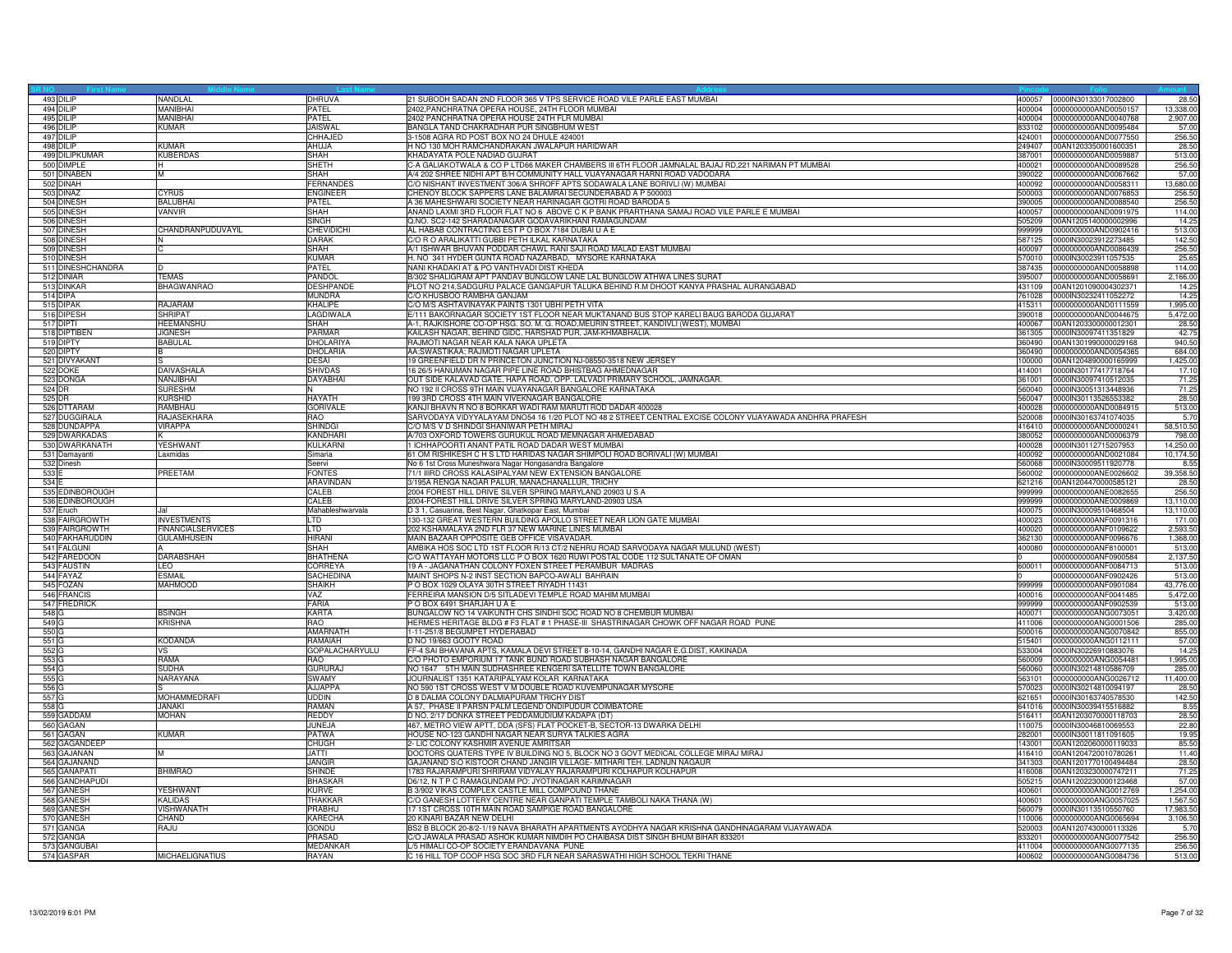| 493 DILIP                | NANDLAL                  | DHRUVA                  | 21 SUBODH SADAN 2ND FLOOR 365 V TPS SERVICE ROAD VILE PARLE EAST MUMBAI                                 | 400057           | 0000IN30133017002800                         | 28.50                 |
|--------------------------|--------------------------|-------------------------|---------------------------------------------------------------------------------------------------------|------------------|----------------------------------------------|-----------------------|
| 494 DILIP                | <b>MANIBHAI</b>          | PATEL                   | 2402, PANCHRATNA OPERA HOUSE, 24TH FLOOR MUMBAI                                                         | 400004           | 0000000000AND0050157                         | 13,338.00             |
| 495 DILIP                | MANIBHAI                 | PATEL                   | 2402 PANCHRATNA OPERA HOUSE 24TH FLR MUMBAI                                                             | 400004           | 0000000000AND0040768                         | 2,907.00              |
| 496 DILIP                | KUMAR                    | <b>JAISWAL</b>          | BANGLA TAND CHAKRADHAR PUR SINGBHUM WEST                                                                | 833102           | 0000000000AND0095484                         | 57.00                 |
| 497 DILIP                |                          | CHHAJED                 | 3-1508 AGRA RD POST BOX NO 24 DHULE 424001                                                              | 424001           | 0000000000AND0077550                         | 256.50                |
| 498 DILIP                | <b>KUMAR</b>             | AHUJA                   | H NO 130 MOH RAMCHANDRAKAN JWALAPUR HARIDWAR                                                            | 249407           | 00AN1203350001600351                         | 28.50                 |
| 499 DILIPKUMAR           | <b>KUBERDAS</b>          | SHAH                    | KHADAYATA POLE NADIAD GUJRAT                                                                            | 387001           | 0000000000AND0059887                         | 513.00                |
| 500 DIMPLE               |                          | SHETH                   | C-A GALIAKOTWALA & CO P LTD66 MAKER CHAMBERS III 6TH FLOOR JAMNALAL BAJAJ RD,221 NARIMAN PT MUMBAI      | 400021           | 0000000000AND0089528                         | 256.50                |
| 501 DINABEN              | M                        | SHAH                    | A/4 202 SHREE NIDHI APT B/H COMMUNITY HALL VIJAYANAGAR HARNI ROAD VADODARA                              | 390022           | 0000000000AND0067662                         | 57.00                 |
| 502 DINAH                |                          | <b>ERNANDES</b>         | C/O NISHANT INVESTMENT 306/A SHROFF APTS SODAWALA LANE BORIVLI (W) MUMBAI                               | 400092           | 0000000000AND0058311                         | 13,680,00             |
| 503 DINAZ                | <b>CYRUS</b>             | <b>ENGINEER</b>         | CHENOY BLOCK SAPPERS LANE BALAMRAI SECUNDERABAD A P 500003                                              | 500003           | 0000000000AND0076853                         | 256.50                |
| 504 DINESH               | <b>RAI LIBHA</b>         | PATEL                   | A 36 MAHESHWARI SOCIETY NEAR HARINAGAR GOTRI ROAD BARODA 5                                              | 390005           | 0000000000AND0088540                         | 256.50                |
| 505 DINESH               | VANVIR                   | <b>SHAH</b>             | ANAND LAXMI 3RD FLOOR FLAT NO 6 ABOVE C K P BANK PRARTHANA SAMAJ ROAD VILE PARLE E MUMBAI               | 400057           | 0000000000AND0091975                         | 114.00                |
| 506 DINESH               |                          | <b>SINGH</b>            | Q.NO. SC2-142 SHARADANAGAR GODAVARIKHANI RAMAGUNDAM                                                     | 505209           | 00AN1205140000002996                         | 14.25                 |
| 507 DINESH               | CHANDRANPUDUVAYIL        | <b>CHEVIDICHI</b>       | AL HABAB CONTRACTING EST P O BOX 7184 DUBAI U A E                                                       | 999999           | 0000000000AND0902416                         | 513.00                |
| 508 DINESH               |                          | DARAK                   | C/O R O ARALIKATTI GUBBI PETH ILKAL KARNATAKA                                                           | 587125           | 0000IN30023912273485                         | 142.50                |
| 509 DINESH               | C                        | SHAH                    | A/1 ISHWAR BHUVAN PODDAR CHAWL RANI SAJI ROAD MALAD EAST MUMBAI                                         | 400097           | 0000000000AND0086439                         | 256.50                |
| 510 DINESH               |                          | <b>KUMAR</b>            | H. NO 341 HYDER GUNTA ROAD NAZARBAD, MYSORE KARNATAKA                                                   | 570010           | 0000IN30023911057535                         | 25.65                 |
| 511 DINESHCHANDRA        | n.                       | PATEL                   | NANI KHADAKI AT & PO VANTHVADI DIST KHEDA                                                               | 387435           | 0000000000AND0058898                         | 114.00                |
| 512 DINIAR               | <b>TEMAS</b>             | <b>PANDOI</b>           | B/302 SHALIGRAM APT PANDAV BUNGLOW LANE LAL BUNGLOW ATHWA LINES SURAT                                   | 395007           | 0000000000AND0058691                         | 2,166.00              |
| 513 DINKAR               | <b>BHAGWANRAO</b>        | DESHPANDE               | PLOT NO 214, SADGURU PALACE GANGAPUR TALUKA BEHIND R.M DHOOT KANYA PRASHAL AURANGABAD                   | 431109           | 00AN1201090004302371                         | 14.25                 |
| 514 DIPA                 |                          | <b>MUNDRA</b>           | C/O KHUSBOO RAMBHA GANJAM                                                                               | 761028           | 0000IN30232411052272                         | 14.25                 |
| 515 DIPAK                | RAJARAM                  | <b>KHALIPE</b>          | C/O M/S ASHTAVINAYAK PAINTS 1301 UBHI PETH VITA                                                         |                  | 415311 0000000000AND0111559                  | 1,995.00              |
| 516 DIPESH               | SHRIPAT                  | LAGDIWALA               | E/111 BAKORNAGAR SOCIETY 1ST FLOOR NEAR MUKTANAND BUS STOP KARELI BAUG BARODA GUJARAT                   | 390018           | 0000000000AND0044675                         | 5,472.00              |
| 517 DIPTI                | <b>HEEMANSHU</b>         | SHAH                    | A-1, RAJKISHORE CO-OP HSG. SO. M. G. ROAD, MEURIN STREET, KANDIVLI (WEST), MUMBAI                       | 400067           | 00AN1203300000012301                         | 28.50                 |
| 518 DIPTIBEN             | <b>JIGNESH</b>           | PARMAR                  | KAILASH NAGAR, BEHIND GIDC, HARSHAD PUR, JAM-KHMABHALIA.                                                | 361305           | 0000IN30097411351829                         | 42.75                 |
| 519 DIPTY                | <b>BABULAL</b>           | <b>DHOLARIYA</b>        | RAJMOTI NAGAR NEAR KALA NAKA UPLETA                                                                     | 360490           | 00AN1301990000029168                         | 940.50                |
| 520 DIPTY                | в                        | <b>DHOLARIA</b>         | AA;SWASTIKAA; RAJMOTI NAGAR UPLETA                                                                      | 360490           | 0000000000AND0054365                         | 684.00                |
| 521 DIVYAKANT            |                          | DESAI                   | 19 GREENFIELD DR N PRINCETON JUNCTION NJ-08550-3518 NEW JERSEY                                          | 100000           | 00AN1204890000165999                         | 1,425.00              |
| 522 DOKE                 | <b>DAIVASHALA</b>        | <b>SHIVDAS</b>          | 16 26/5 HANUMAN NAGAR PIPE LINE ROAD BHISTBAG AHMEDNAGAR                                                | 414001           | 0000IN30177417718764                         | 17.10                 |
| 523 DONGA                | NANJIBHAI                | DAYABHAI                | OUT SIDE KALAVAD GATE, HAPA ROAD, OPP. LALVADI PRIMARY SCHOOL, JAMNAGAR.                                | 361001           | 0000IN30097410512035                         | 71.25                 |
| 524 DR                   | <b>SURESHM</b>           | N                       | NO 192 II CROSS 9TH MAIN VIJAYANAGAR BANGALORE KARNATAKA                                                | 560040           | 0000IN30051313448936                         | 71.25                 |
| 525 DR                   | <b>KURSHID</b>           | <b>HAYATH</b>           | 199 3RD CROSS 4TH MAIN VIVEKNAGAR BANGALORE                                                             | 560047           | 0000IN30113526553382                         | 28.50                 |
| 526 DTTARAM              | <b>RAMRHAL</b>           | <b>GORIVALE</b>         | KANJI BHAVN R NO 8 BORKAR WADI RAM MARUTI ROD DADAR 400028                                              | 400028           | 0000000000AND0084915                         | 513.00                |
| 527 DUGGIRALA            | RAJASEKHARA              | RAO                     | SARVODAYA VIDYYALAYAM DNO54 16 1/20 PLOT NO 48 2 STREET CENTRAL EXCISE COLONY VIJAYAWADA ANDHRA PRAFESH | 520008           | 0000IN30163741074035                         | 5.70                  |
| 528 DUNDAPPA             | VIRAPPA                  | <b>SHINDG</b>           | C/O M/S V D SHINDGI SHANIWAR PETH MIRAJ                                                                 | 416410           | 0000000000AND0000241                         | 58,510.50             |
| 529 DWARKADAS            |                          | KANDHARI                | A/703 OXFORD TOWERS GURUKUL ROAD MEMNAGAR AHMEDABAD                                                     | 380052           | 0000000000AND0006379                         | 798.00                |
| 530 DWARKANATH           | <b>YESHWANT</b>          | KULKARNI                | 1 ICHHAPOORTI ANANT PATIL ROAD DADAR WEST MUMBAI                                                        | 400028           | 0000IN30112715207953                         | 14,250.00             |
| 531 Damayanti            | Laxmidas                 | Simaria                 | 61 OM RISHIKESH C H S LTD HARIDAS NAGAR SHIMPOLI ROAD BORIVALI (W) MUMBAI                               | 400092           | 0000000000AND0021084                         | 10,174.50             |
| 532 Dinesh               |                          | Seervi                  | No 6 1st Cross Muneshwara Nagar Hongasandra Bangalore                                                   | 560068           | 0000IN30009511920778                         | 8.55                  |
| 533 E                    | PREETAM                  | <b>FONTES</b>           | 71/1 IIIRD CROSS KALASIPALYAM NEW EXTENSION BANGALORE                                                   | 560002           | 0000000000ANE0026602                         | 39,358.50             |
| 534 E                    |                          | ARAVINDAN               | 3/195A RENGA NAGAR PALUR, MANACHANALLUR, TRICHY                                                         | 621216           | 00AN1204470000585121                         | 28.50                 |
| 535 EDINBOROUGH          |                          | CALEB                   | 2004 FOREST HILL DRIVE SILVER SPRING MARYLAND 20903 U S A                                               | 999999           | 0000000000ANE0082655                         | 256.50                |
| 536 EDINBOROUGH          |                          | CALEB                   | 2004-FOREST HILL DRIVE SILVER SPRING MARYLAND-20903 USA                                                 | 999999           | 0000000000ANE0009869                         | 13,110.00             |
| 537 Eruch                |                          | Mahableshwarvala        | D 3 1, Casuarina, Best Nagar, Ghatkopar East, Mumbai                                                    | 400075           | 0000IN30009510468504                         | 13,110.00             |
| 538 FAIRGROWTH           | <b>INVESTMENTS</b>       | <b>LTD</b>              | 130-132 GREAT WESTERN BUILDING APOLLO STREET NEAR LION GATE MUMBAI                                      | 400023           | 0000000000ANF0091316                         | 171.00                |
| 539 FAIRGROWTH           | <b>FINANCIALSERVICES</b> | <b>LTD</b>              | 202 KSHAMALAYA 2ND FLR 37 NEW MARINE LINES MUMBAI                                                       | 400020           | 0000000000ANF0109622                         | 2,593.50              |
| 540 FAKHARUDDIN          | <b>GULAMHUSEIN</b>       | <b>HIRANI</b>           | MAIN BAZAAR OPPOSITE GEB OFFICE VISAVADAR.                                                              | 362130           | 0000000000ANF0096676                         | 1,368.00              |
| 541 FALGUNI              | A                        | SHAH                    | AMBIKA HOS SOC LTD 1ST FLOOR R/13 CT/2 NEHRU ROAD SARVODAYA NAGAR MULUND (WEST)                         | 400080           | 0000000000ANF8100001                         | 513.00                |
| 542 FAREDOON             | <b>DARABSHAH</b>         | BHATHENA                | C/O WATTAYAH MOTORS LLC P O BOX 1620 RUWI POSTAL CODE 112 SULTANATE OF OMAN                             |                  | 0000000000ANF0900584                         | 2,137.50              |
| 543 FAUSTIN              | <b>IFO</b>               | <b>CORREYA</b>          | 19 A - JAGANATHAN COLONY FOXEN STREET PERAMBUR MADRAS                                                   | 600011           | 0000000000ANF0084713                         | 513.00                |
| 544 FAYAZ                | <b>ESMAII</b>            | SACHEDINA               | MAINT SHOPS N-2 INST SECTION BAPCO-AWALI BAHRAIN                                                        |                  | 0000000000ANF0902426                         | 513.00                |
|                          |                          |                         |                                                                                                         | 999999           |                                              |                       |
| 545 FOZAN<br>546 FRANCIS | MAHMOOD                  | <b>SHAIKH</b><br>VA7    | P O BOX 1029 OLAYA 30TH STREET RIYADH 11431<br>FERREIRA MANSION D/5 SITLADEVI TEMPLE ROAD MAHIM MUMBAI  | 400016           | 0000000000ANF0901084<br>0000000000ANF0041485 | 43,776.00<br>5,472.00 |
|                          |                          |                         |                                                                                                         |                  |                                              |                       |
| 547 FREDRICK<br>548 G    |                          | <b>FARIA</b>            | POBOX 6491 SHARJAH U A E                                                                                | 999999           | 0000000000ANF0902539                         | 513.00                |
|                          | <b>BSINGH</b>            | <b>KARTA</b>            | BUNGALOW NO 14 VAIKUNTH CHS SINDHI SOC ROAD NO 8 CHEMBUR MUMBAI                                         | 400071           | 0000000000ANG0073051                         | 3,420.00              |
| 549 G                    | <b>KRISHNA</b>           | RAO                     | HERMES HERITAGE BLDG # F3 FLAT # 1 PHASE-III SHASTRINAGAR CHOWK OFF NAGAR ROAD PUNE                     | 411006<br>500016 | 0000000000ANG0001506                         | 285.00                |
| 550 G                    | <b>KODANDA</b>           | AMARNATH<br>RAMAIAH     | 1-11-251/8 BEGUMPET HYDERABAD                                                                           | 515401           | 0000000000ANG0070842<br>0000000000ANG0112111 | 855.00<br>57.00       |
| 551 G                    |                          |                         | D NO 19/663 GOOTY ROAD                                                                                  |                  |                                              |                       |
| 552 G<br>553 G           | VS<br>RAMA               | GOPALACHARYULU<br>RAO   | FF-4 SAI BHAVANA APTS, KAMALA DEVI STREET 8-10-14, GANDHI NAGAR E.G.DIST, KAKINADA                      | 533004           | 0000IN30226910883076                         | 14.25                 |
|                          |                          |                         | C/O PHOTO EMPORIUM 17 TANK BUND ROAD SUBHASH NAGAR BANGALORE                                            | 560009           | 0000000000ANG0054481                         | 1,995.00              |
| 554 G                    | <b>SUDHA</b>             | <b>GURURAJ</b>          | NO 1647 5TH MAIN SUDHASHREE KENGERI SATELLITE TOWN BANGALORE                                            | 560060           | 0000IN30214810586709                         | 285.00                |
| 555 G                    | NARAYANA                 | SWAMY<br><b>AJJAPPA</b> | JOURNALIST 1351 KATARIPALYAM KOLAR KARNATAKA                                                            | 563101<br>570023 | 0000000000ANG0026712<br>0000IN30214810094197 | 11,400.00<br>28.50    |
| 556 G                    |                          |                         | NO 590 1ST CROSS WEST V M DOUBLE ROAD KUVEMPUNAGAR MYSORE                                               |                  |                                              |                       |
| 557 G                    | MOHAMMEDRAFI             | UDDIN<br>RAMAN          | D 8 DALMA COLONY DALMIAPURAM TRICHY DIST                                                                | 621651           | 0000IN30163740578530                         | 142.50                |
| 558 G                    | <b>JANAKI</b>            |                         | A 57, PHASE II PARSN PALM LEGEND ONDIPUDUR COIMBATORE                                                   | 641016           | 0000IN30039415516882                         | 8.55                  |
| 559 GADDAM               | <b>MOHAN</b>             | <b>REDDY</b>            | D NO. 2/17 DONKA STREET PEDDAMUDIUM KADAPA (DT)                                                         |                  | 516411 00AN1203070000118703                  | 28.50                 |
| 560 GAGAN                |                          | JUNEJA                  | 467, METRO VIEW APTT, DDA (SFS) FLAT POCKET-B, SECTOR-13 DWARKA DELHI                                   | 110075           | 0000IN30046810069553                         | 22.80                 |
| 561 GAGAN                | <b>KUMAR</b>             | PATWA                   | HOUSE NO-123 GANDHI NAGAR NEAR SURYA TALKIES AGRA                                                       | 282001           | 0000IN30011811091605                         | 19.95                 |
| 562 GAGANDEEF            |                          | CHUGH                   | 2- LIC COLONY KASHMIR AVENUE AMRITSAR                                                                   | 143001           | 00AN1202060000119033                         | 85.50                 |
| 563 GAJANAN              | M                        | <b>ITTAL</b>            | DOCTORS QUATERS TYPE IV BUILDING NO 5, BLOCK NO 3 GOVT MEDICAL COLLEGE MIRAJ MIRAJ                      |                  | 416410 00AN1204720010780261                  | 11.40                 |
| 564 GAJANAND             |                          | <b>JANGIR</b>           | GAJANAND S\O KISTOOR CHAND JANGIR VILLAGE- MITHARI TEH. LADNUN NAGAUR                                   | 341303           | 00AN1201770100494484                         | 28.50                 |
| 565 GANAPATI             | <b>BHIMRAO</b>           | <b>SHINDE</b>           | 1783 RAJARAMPURI SHRIRAM VIDYALAY RAJARAMPURI KOLHAPUR KOLHAPUR                                         | 416008           | 00AN1203230000747211                         | 71.25                 |
| 566 GANDHAPUDI           |                          | <b>BHASKAR</b>          | D6/12, N T P C RAMAGUNDAM PO: JYOTINAGAR KARIMNAGAR                                                     | 505215           | 00AN1202230000123468                         | 57.00                 |
| 567 GANESH               | <b>YESHWANT</b>          | <b>KURVE</b>            | B 3/902 VIKAS COMPLEX CASTLE MILL COMPOUND THANE                                                        | 400601           | 0000000000ANG0012769                         | 1,254.00              |
| 568 GANESH               | <b>KALIDAS</b>           | THAKKAF                 | C/O GANESH LOTTERY CENTRE NEAR GANPATI TEMPLE TAMBOLI NAKA THANA (W)                                    | 400601           | 0000000000ANG0057025                         | 1,567.50              |
| 569 GANESH               | <b>VISHWANATH</b>        | PRABHU                  | 17 1ST CROSS 10TH MAIN ROAD SAMPIGE ROAD BANGALORE                                                      | 560079           | 0000IN30113510550760                         | 17.983.50             |
| 570 GANESH               | CHAND                    | <b>KARECHA</b>          | 20 KINARI BAZAR NEW DELHI                                                                               | 110006           | 0000000000ANG0065694                         | 3,106.50              |
| 571 GANGA                | RAJU                     | <b>GONDU</b>            | BS2 B BLOCK 20-8/2-1/19 NAVA BHARATH APARTMENTS AYODHYA NAGAR KRISHNA GANDHINAGARAM VIJAYAWADA          | 520003           | 00AN1207430000113326                         | 5.70                  |
| 572 GANGA                |                          | PRASAD                  | C/O JAWALA PRASAD ASHOK KUMAR NIMDIH PO CHAIBASA DIST SINGH BHUM BIHAR 833201                           | 833201           | 0000000000ANG0077542                         | 256.50                |
| 573 GANGUBAI             | <b>MICHAELIGNATIUS</b>   | <b>MEDANKAF</b>         | L/5 HIMALI CO-OP SOCIETY ERANDAVANA PUNE                                                                |                  | 411004 0000000000ANG0077135                  | 256.50                |
| 574 GASPAR               |                          | <b>RAYAN</b>            | C 16 HILL TOP COOP HSG SOC 3RD FLR NEAR SARASWATHI HIGH SCHOOL TEKRI THANE                              |                  | 400602 0000000000ANG0084736                  | 513.00                |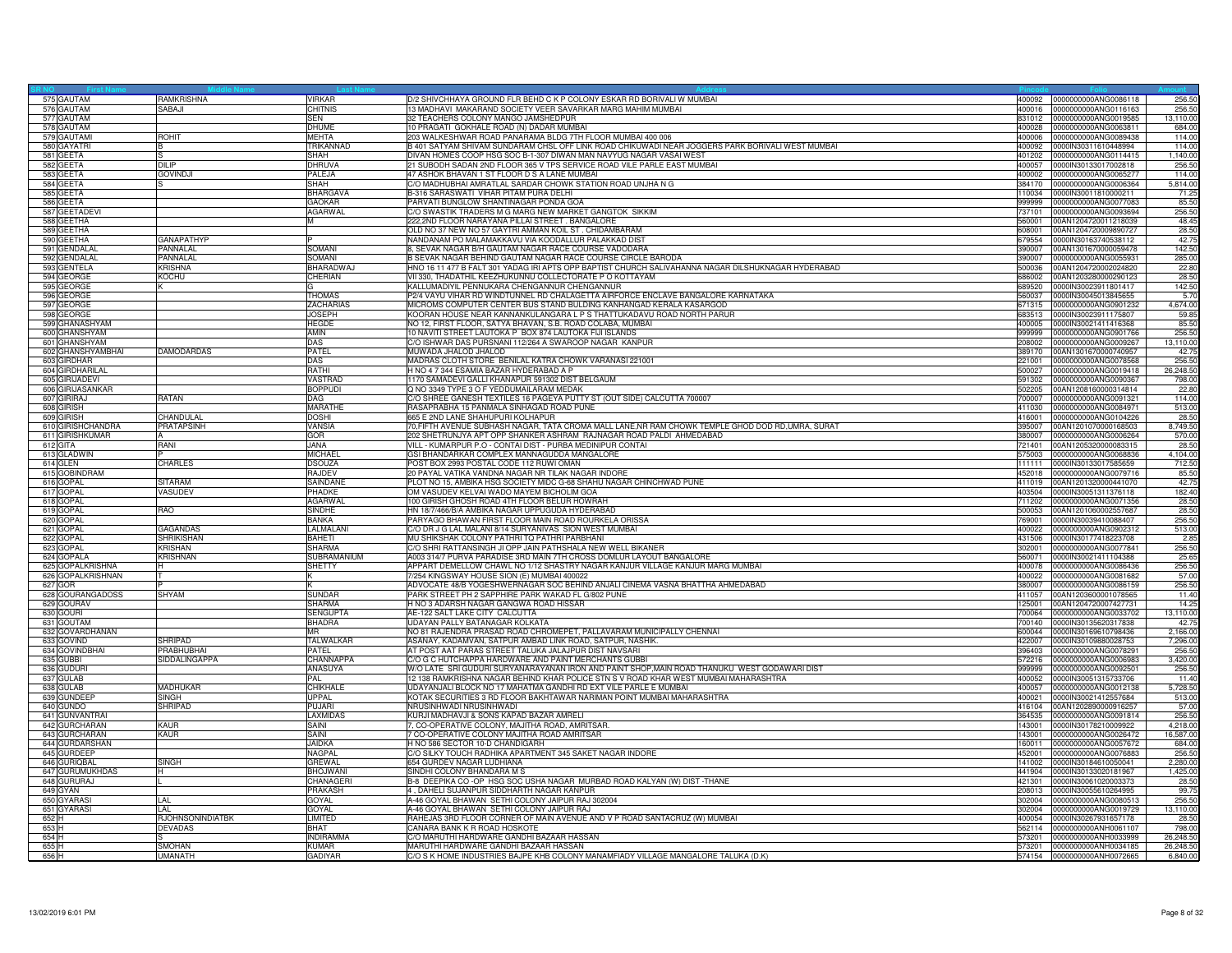| 575 GAUTAM        | <b>RAMKRISHNA</b> | VIRKAR           | D/2 SHIVCHHAYA GROUND FLR BEHD C K P COLONY ESKAR RD BORIVALI W MUMBAI                                              | 400092 | 0000000000ANG0086118        | 256.50    |
|-------------------|-------------------|------------------|---------------------------------------------------------------------------------------------------------------------|--------|-----------------------------|-----------|
| 576 GAUTAM        | SABAJI            | <b>CHITNIS</b>   | 13 MADHAVI MAKARAND SOCIETY VEER SAVARKAR MARG MAHIM MUMBAI                                                         | 400016 | 0000000000ANG0116163        | 256.5     |
| 577 GAUTAM        |                   | <b>SEN</b>       | 32 TEACHERS COLONY MANGO JAMSHEDPUR                                                                                 | 831012 | 0000000000ANG0019585        | 13,110.00 |
| 578 GAUTAM        |                   | DHUME            | 10 PRAGATI GOKHALE ROAD (N) DADAR MUMBAI                                                                            | 400028 | 0000000000ANG0063811        | 684.00    |
| 579 GAUTAMI       | <b>ROHIT</b>      | <b>MEHTA</b>     | 203 WALKESHWAR ROAD PANARAMA BLDG 7TH FLOOR MUMBAI 400 006                                                          | 400006 | 0000000000ANG0089438        | 114.00    |
| 580 GAYATRI       |                   | <b>RIKANNAD</b>  | 3 401 SATYAM SHIVAM SUNDARAM CHSL OFF LINK ROAD CHIKUWADI NEAR JOGGERS PARK BORIVALI WEST MUMBAI                    | 400092 | 0000IN30311610448994        | 114.00    |
| 581 GEETA         |                   | SHAH             | DIVAN HOMES COOP HSG SOC B-1-307 DIWAN MAN NAVYUG NAGAR VASAI WEST                                                  | 401202 | 0000000000ANG0114415        | 1,140.00  |
| 582 GEETA         | <b>DILIP</b>      | <b>DHRUVA</b>    | 21 SUBODH SADAN 2ND FLOOR 365 V TPS SERVICE ROAD VILE PARLE EAST MUMBAI                                             | 400057 | 0000IN30133017002818        | 256.50    |
| 583 GEETA         | <b>GOVINDJI</b>   | PALEJA           | 47 ASHOK BHAVAN 1 ST FLOOR D S A LANE MUMBAI                                                                        | 400002 | 0000000000ANG0065277        | 114.00    |
| 584 GEETA         | S.                | SHAH             | C/O MADHUBHAI AMRATLAL SARDAR CHOWK STATION ROAD UNJHA N G                                                          | 384170 | 0000000000ANG0006364        | 5,814.00  |
| 585 GEETA         |                   | <b>BHARGAVA</b>  | B-316 SARASWATI VIHAR PITAM PURA DELHI                                                                              | 110034 | 0000IN30011810000211        | 71.25     |
| 586 GEETA         |                   | GAOKAR           | PARVATI BUNGLOW SHANTINAGAR PONDA GOA                                                                               | 999999 | 0000000000ANG0077083        | 85.50     |
| 587 GEETADEV      |                   | <b>AGARWAL</b>   | C/O SWASTIK TRADERS M G MARG NEW MARKET GANGTOK SIKKIM                                                              | 737101 | 0000000000ANG0093694        | 256.50    |
| 588 GEETHA        |                   | M                | 222,2ND FLOOR NARAYANA PILLAI STREET. BANGALORE                                                                     | 560001 | 00AN1204720011218039        | 48.45     |
| 589 GEETHA        |                   |                  | OLD NO 37 NEW NO 57 GAYTRI AMMAN KOIL ST. CHIDAMBARAM                                                               | 608001 | 00AN1204720009890727        | 28.50     |
| 590 GEETHA        | <b>GANAPATHYP</b> |                  | NANDANAM PO MALAMAKKAVU VIA KOODALLUR PALAKKAD DIST                                                                 | 379554 | 0000IN30163740538112        | 42.75     |
| 591 GENDALAI      | PANNALAL          | <b>SOMANI</b>    | 8, SEVAK NAGAR B/H GAUTAM NAGAR RACE COURSE VADODARA                                                                | 390007 | 00AN1301670000059478        | 142.50    |
| 592 GENDALAL      | PANNALAL          | SOMANI           | B SEVAK NAGAR BEHIND GAUTAM NAGAR RACE COURSE CIRCLE BARODA                                                         | 390007 | 0000000000ANG0055931        | 285.00    |
| 593 GENTELA       | <b>KRISHNA</b>    | BHARADWAJ        | HNO 16 11 477 B FALT 301 YADAG IRI APTS OPP BAPTIST CHURCH SALIVAHANNA NAGAR DILSHUKNAGAR HYDERABAD                 | 500036 | 00AN1204720002024820        | 22.80     |
| 594 GEORGE        | <b>KOCHU</b>      | CHERIAN          | VII 330, THADATHIL KEEZHUKUNNU COLLECTORATE PO KOTTAYAM                                                             | 686002 | 00AN1203280000290123        | 28.50     |
| 595 GEORGE        |                   |                  | KALLUMADIYIL PENNUKARA CHENGANNUR CHENGANNUR                                                                        | 689520 | 0000IN30023911801417        | 142.50    |
| 596 GEORGE        |                   | <b>THOMAS</b>    | P2/4 VAYU VIHAR RD WINDTUNNEL RD CHALAGETTA AIRFORCE ENCLAVE BANGALORE KARNATAKA                                    | 560037 | 0000IN30045013845655        | 5.7(      |
| 597 GEORGE        |                   | <b>ZACHARIAS</b> | MICROMS COMPUTER CENTER BUS STAND BULDING KANHANGAD KERALA KASARGOD                                                 | 671315 | 0000000000ANG0901232        | 4,674.00  |
| 598 GEORGE        |                   | <b>JOSEPH</b>    | KOORAN HOUSE NEAR KANNANKULANGARA L P S THATTUKADAVU ROAD NORTH PARUR                                               | 683513 | 0000IN30023911175807        | 59.85     |
| 599 GHANASHYAM    |                   | <b>HEGDE</b>     | NO 12, FIRST FLOOR, SATYA BHAVAN, S.B. ROAD COLABA, MUMBAI                                                          | 400005 | 0000IN30021411416368        | 85.50     |
| 600 GHANSHYAM     |                   | AMIN             | 10 NAVITI STREET LAUTOKA P BOX 874 LAUTOKA FIJI ISLANDS                                                             | 999999 | 0000000000ANG0901766        | 256.50    |
| 601 GHANSHYAM     |                   | DAS              | C/O ISHWAR DAS PURSNANI 112/264 A SWAROOP NAGAR KANPUR                                                              | 208002 | 0000000000ANG0009267        | 13,110.00 |
| 602 GHANSHYAMBHAI | <b>DAMODARDAS</b> | PATEL            | MUWADA JHALOD JHALOD                                                                                                | 389170 | 00AN1301670000740957        | 42.75     |
| 603 GIRDHAR       |                   | DAS              | MADRAS CLOTH STORE BENILAL KATRA CHOWK VARANASI 221001                                                              | 221001 | 0000000000ANG0078568        | 256.50    |
| 604 GIRDHARILAL   |                   | RATHI            | H NO 4 7 344 ESAMIA BAZAR HYDERABAD A P                                                                             | 500027 | 0000000000ANG0019418        | 26,248.50 |
|                   |                   | <b>VASTRAD</b>   |                                                                                                                     | 591302 |                             | 798.0     |
| 605 GIRIJADEVI    |                   | <b>BOPPUDI</b>   | 1170 SAMADEVI GALLI KHANAPUR 591302 DIST BELGAUM                                                                    |        | 0000000000ANG0090367        |           |
| 606 GIRIJASANKAR  | RATAN             |                  | Q NO 3349 TYPE 3 O F YEDDUMAILARAM MEDAK<br>C/O SHREE GANESH TEXTILES 16 PAGEYA PUTTY ST (OUT SIDE) CALCUTTA 700007 | 502205 | 00AN1208160000314814        | 22.80     |
| 607 GIRIRAJ       |                   | DAG              |                                                                                                                     | 700007 | 0000000000ANG0091321        | 114.00    |
| 608 GIRISH        |                   | MARATHE          | RASAPRABHA 15 PANMALA SINHAGAD ROAD PUNE                                                                            | 411030 | 0000000000ANG0084971        | 513.00    |
| 609 GIRISH        | CHANDULAL         | <b>DOSHI</b>     | 665 E 2ND LANE SHAHUPURI KOLHAPUR                                                                                   | 416001 | 0000000000ANG0104226        | 28.50     |
| 610 GIRISHCHANDRA | <b>PRATAPSINH</b> | VANSIA           | 70,FIFTH AVENUE SUBHASH NAGAR, TATA CROMA MALL LANE,NR RAM CHOWK TEMPLE GHOD DOD RD,UMRA, SURAT                     | 395007 | 00AN1201070000168503        | 8,749.50  |
| 611 GIRISHKUMAR   |                   | GOR              | 202 SHETRUNJYA APT OPP SHANKER ASHRAM RAJNAGAR ROAD PALDI AHMEDABAD                                                 | 380007 | 0000000000ANG0006264        | 570.00    |
| 612 GITA          | RANI              | <b>JANA</b>      | VILL - KUMARPUR P.O - CONTAI DIST - PURBA MEDINIPUR CONTAI                                                          | 721401 | 00AN1205320000083315        | 28.50     |
| 613 GLADWIN       |                   | <b>MICHAEL</b>   | GSI BHANDARKAR COMPLEX MANNAGUDDA MANGALORE                                                                         | 575003 | 0000000000ANG0068836        | 4,104.00  |
| 614 GLEN          | <b>CHARLES</b>    | <b>DSOUZA</b>    | POST BOX 2993 POSTAL CODE 112 RUWI OMAN                                                                             | 111111 | 0000IN30133017585659        | 712.50    |
| 615 GOBINDRAM     |                   | RAJDEV           | 20 PAYAL VATIKA VANDNA NAGAR NR TILAK NAGAR INDORE                                                                  | 452018 | 0000000000ANG0079716        | 85.50     |
| 616 GOPAL         | <b>SITARAM</b>    | SAINDANE         | PLOT NO 15, AMBIKA HSG SOCIETY MIDC G-68 SHAHU NAGAR CHINCHWAD PUNE                                                 | 411019 | 00AN1201320000441070        | 42.75     |
| 617 GOPA          | VASUDEV           | PHADKE           | OM VASUDEV KELVAI WADO MAYEM BICHOLIM GOA                                                                           | 403504 | 0000IN30051311376118        | 182.40    |
| 618 GOPAL         |                   | AGARWAL          | 100 GIRISH GHOSH ROAD 4TH FLOOR BELUR HOWRAH                                                                        | 711202 | 0000000000ANG0071356        | 28.50     |
| 619 GOPAL         | RAO               | SINDHE           | HN 18/7/466/B/A AMBIKA NAGAR UPPUGUDA HYDERABAD                                                                     | 500053 | 00AN1201060002557687        | 28.50     |
| 620 GOPAL         |                   | <b>BANKA</b>     | PARYAGO BHAWAN FIRST FLOOR MAIN ROAD ROURKELA ORISSA                                                                | 769001 | 0000IN30039410088407        | 256.50    |
| 621 GOPAL         | <b>GAGANDAS</b>   | LALMALANI        | C/O DR J G LAL MALANI 8/14 SURYANIVAS SION WEST MUMBAI                                                              | 400022 | 0000000000ANG0902312        | 513.00    |
| 622 GOPAL         | <b>SHRIKISHAN</b> | <b>BAHFTI</b>    | MU SHIKSHAK COLONY PATHRI TQ PATHRI PARBHANI                                                                        | 431506 | 0000lN30177418223708        | 2.85      |
| 623 GOPAL         | <b>KRISHAN</b>    | <b>SHARMA</b>    | C/O SHRI RATTANSINGH JI OPP JAIN PATHSHALA NEW WELL BIKANER                                                         | 302001 | 0000000000ANG0077841        | 256.50    |
| 624 GOPALA        | <b>KRISHNAN</b>   | SUBRAMANIUM      | A003 314/7 PURVA PARADISE 3RD MAIN 7TH CROSS DOMLUR LAYOUT BANGALORE                                                | 560071 | 0000IN30021411104388        | 25.65     |
| 625 GOPALKRISHNA  |                   | <b>SHETTY</b>    | APPART DEMELLOW CHAWL NO 1/12 SHASTRY NAGAR KANJUR VILLAGE KANJUR MARG MUMBAI                                       | 400078 | 0000000000ANG0086436        | 256.50    |
| 626 GOPALKRISHNAN | т                 |                  | 7/254 KINGSWAY HOUSE SION (E) MUMBAI 400022                                                                         | 400022 | 0000000000ANG0081682        | 57.00     |
| 627 GOR           |                   |                  | ADVOCATE 48/B YOGESHWERNAGAR SOC BEHIND ANJALI CINEMA VASNA BHATTHA AHMEDABAD                                       | 380007 | 0000000000ANG0086159        | 256.50    |
| 628 GOURANGADOSS  | SHYAM             | SUNDAR           | PARK STREET PH 2 SAPPHIRE PARK WAKAD FL G/802 PUNE                                                                  | 411057 | 00AN1203600001078565        | 11.40     |
| 629 GOURAV        |                   | SHARMA           | H NO 3 ADARSH NAGAR GANGWA ROAD HISSAR                                                                              | 125001 | 00AN1204720007427731        | 14.25     |
| 630 GOURI         |                   | <b>SENGUPTA</b>  | AE-122 SALT LAKE CITY CALCUTTA                                                                                      | 700064 | 0000000000ANG0033702        | 13,110.00 |
| 631 GOUTAM        |                   | <b>BHADRA</b>    | UDAYAN PALLY BATANAGAR KOLKATA                                                                                      | 700140 | 0000IN30135620317838        | 42.75     |
| 632 GOVARDHANAN   |                   | MR.              | NO 81 RAJENDRA PRASAD ROAD CHROMEPET, PALLAVARAM MUNICIPALLY CHENNAI                                                | 600044 | 0000IN30169610798436        | 2,166.00  |
| 633 GOVIND        | <b>SHRIPAD</b>    | TALWALKAR        | ASANAY, KADAMVAN, SATPUR AMBAD LINK ROAD, SATPUR, NASHIK.                                                           | 422007 | 0000IN30109880028753        | 7,296.00  |
| 634 GOVINDBHAI    | PRABHUBHAI        | PATEL            | AT POST AAT PARAS STREET TALUKA JALAJPUR DIST NAVSARI                                                               | 396403 | 0000000000ANG0078291        | 256.50    |
| 635 GUBBI         | SIDDALINGAPPA     | CHANNAPPA        | C/O G C HUTCHAPPA HARDWARE AND PAINT MERCHANTS GUBBI                                                                | 572216 | 0000000000ANG0006983        | 3,420.00  |
| 636 GUDURI        |                   | <b>ANASUYA</b>   | W/O LATE SRI GUDURI SURYANARAYANAN IRON AND PAINT SHOP, MAIN ROAD THANUKU WEST GODAWARI DIST                        | 999999 | 0000000000ANG0092501        | 256,50    |
| 637 GULAB         |                   | PAL              | 12 138 RAMKRISHNA NAGAR BEHIND KHAR POLICE STN S V ROAD KHAR WEST MUMBAI MAHARASHTRA                                | 400052 | 0000IN30051315733706        | 11.40     |
| 638 GULAB         | <b>MADHUKAR</b>   | CHIKHALE         | UDAYANJALI BLOCK NO 17 MAHATMA GANDHI RD EXT VILE PARLE E MUMBAI                                                    | 400057 | 0000000000ANG0012138        | 5,728.50  |
| 639 GUNDEEF       | <b>SINGH</b>      | <b>IPPAL</b>     | KOTAK SECURITIES 3 RD FLOOR BAKHTAWAR NARIMAN POINT MUMBAI MAHARASHTRA                                              | 400021 | 0000IN30021412557684        | 513.00    |
| 640 GUNDO         | <b>SHRIPAD</b>    | PUJARI           | NRUSINHWADI NRUSINHWADI                                                                                             | 416104 | 00AN1202890000916257        | 57.00     |
| 641 GUNVANTRA     |                   | <b>LAXMIDAS</b>  | KURJI MADHAVJI & SONS KAPAD BAZAR AMRELI                                                                            | 364535 | 0000000000ANG0091814        | 256.50    |
| 642 GURCHARAN     | KAUR              | SAINI            | 7, CO-OPERATIVE COLONY, MAJITHA ROAD, AMRITSAR.                                                                     | 143001 | 0000IN30178210009922        | 4,218.00  |
| 643 GURCHARAN     | <b>KAUR</b>       | SAINI            | 7 CO-OPERATIVE COLONY MAJITHA ROAD AMRITSAR                                                                         | 143001 | 0000000000ANG0026472        | 16,587.00 |
| 644 GURDARSHAN    |                   | <b>JAIDKA</b>    | H NO 586 SECTOR 10-D CHANDIGARH                                                                                     | 160011 | 0000000000ANG0057672        | 684.00    |
| 645 GURDEEP       |                   | NAGPAL           | C/O SILKY TOUCH RADHIKA APARTMENT 345 SAKET NAGAR INDORE                                                            | 452001 | 0000000000ANG0076883        | 256.50    |
| 646 GURIQBAL      | <b>SINGH</b>      | <b>GREWAL</b>    | 654 GURDEV NAGAR LUDHIANA                                                                                           | 141002 | 0000IN30184610050041        | 2,280.00  |
| 647 GURUMUKHDAS   | H                 | <b>BHOJWANI</b>  | SINDHI COLONY BHANDARA M S                                                                                          | 441904 | 0000IN30133020181967        | 1,425.00  |
| 648 GURURAJ       |                   | CHANAGERI        | B-8 DEEPIKA CO -OP HSG SOC USHA NAGAR MURBAD ROAD KALYAN (W) DIST -THANE                                            | 421301 | 0000IN30061020003373        | 28.50     |
| 649 GYAN          |                   | <b>PRAKASH</b>   | 4, DAHELI SUJANPUR SIDDHARTH NAGAR KANPUR                                                                           | 208013 | 0000IN30055610264995        | 99.7      |
| 650 GYARASI       | I AI              | GOYAL            | A-46 GOYAL BHAWAN SETHI COLONY JAIPUR RAJ 302004                                                                    | 302004 | 0000000000ANG0080513        | 256.50    |
| 651 GYARASI       | LAL               | GOYAL            | A-46 GOYAL BHAWAN SETHI COLONY JAIPUR RAJ                                                                           | 302004 | 0000000000ANG0019729        | 13,110.00 |
| 652 H             | RJOHNSONINDIATBK  | LIMITED          | RAHEJAS 3RD FLOOR CORNER OF MAIN AVENUE AND V P ROAD SANTACRUZ (W) MUMBAI                                           | 400054 | 0000IN30267931657178        | 28.50     |
| 653 H             | <b>DEVADAS</b>    | <b>BHAT</b>      | CANARA BANK K R ROAD HOSKOTE                                                                                        | 562114 | 0000000000ANH0061107        | 798.00    |
| 654 H             |                   | NDIRAMMA         | C/O MARUTHI HARDWARE GANDHI BAZAAR HASSAN                                                                           | 573201 | 0000000000ANH0033999        | 26,248.50 |
| 655 H             | <b>SMOHAN</b>     | KUMAR            | MARUTHI HARDWARE GANDHI BAZAAR HASSAN                                                                               | 573201 |                             |           |
|                   |                   | <b>GADIYAR</b>   | C/O S K HOME INDUSTRIES BAJPE KHB COLONY MANAMFIADY VILLAGE MANGALORE TALUKA (D.K)                                  |        | 0000000000ANH0034185        | 26,248.50 |
| 656 H             | UMANATH           |                  |                                                                                                                     |        | 574154 0000000000ANH0072665 | 6,840.00  |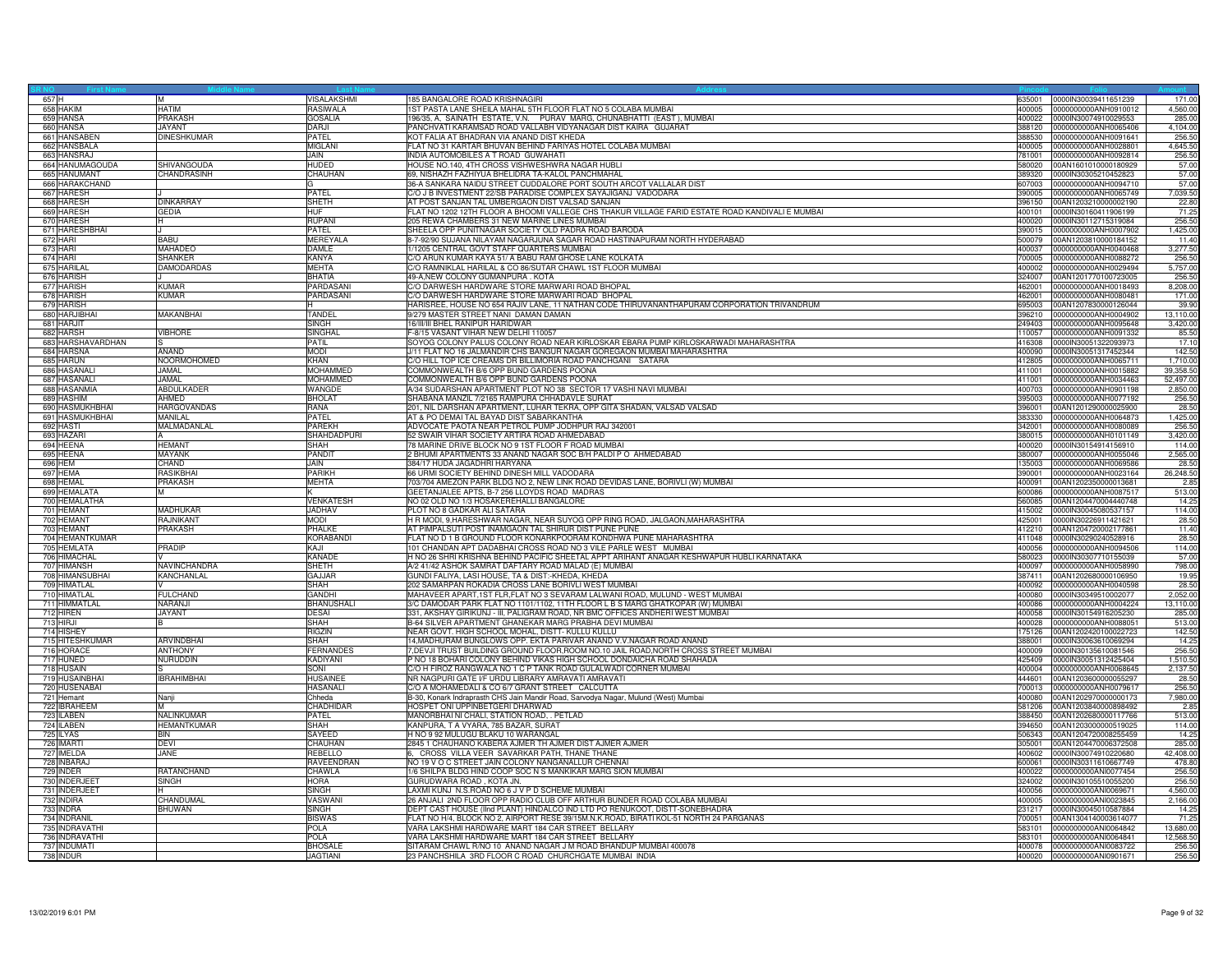|                                | M                  | VISALAKSHMI                       | 185 BANGALORE ROAD KRISHNAGIRI                                                                   | 635001           | 0000IN30039411651239                                | 171.00             |
|--------------------------------|--------------------|-----------------------------------|--------------------------------------------------------------------------------------------------|------------------|-----------------------------------------------------|--------------------|
| 658 HAKIM                      | <b>HATIM</b>       | RASIWALA                          | 1ST PASTA LANE SHEILA MAHAL 5TH FLOOR FLAT NO 5 COLABA MUMBAI                                    | 400005           | 0000000000ANH0910012                                | 4,560.00           |
| 659 HANSA                      | <b>PRAKASH</b>     | <b>GOSALIA</b>                    | 196/35, A, SAINATH ESTATE, V.N. PURAV MARG, CHUNABHATTI (EAST), MUMBAI                           | 400022           | 0000IN30074910029553                                | 285.00             |
| 660 HANSA                      | JAYANT             | DARJI                             | PANCHVATI KARAMSAD ROAD VALLABH VIDYANAGAR DIST KAIRA GUJARAT                                    | 388120           | 0000000000ANH0065406                                | 4,104.00           |
| 661 HANSABEN                   | <b>DINESHKUMAR</b> | PATEL                             | KOT FALIA AT BHADRAN VIA ANAND DIST KHEDA                                                        | 388530           | 0000000000ANH0091641                                | 256.50             |
| 662 HANSBALA                   |                    | MIGLANI                           | FLAT NO 31 KARTAR BHUVAN BEHIND FARIYAS HOTEL COLABA MUMBAI                                      | 400005           | 0000000000ANH0028801                                | 4,645.50           |
| 663 HANSRAJ                    |                    | JAIN.                             | INDIA AUTOMOBILES A T ROAD GUWAHATI                                                              | 781001           | 0000000000ANH0092814                                | 256.50             |
| 664 HANUMAGOUDA                | SHIVANGOUDA        | <b>HUDED</b>                      | HOUSE NO.140, 4TH CROSS VISHWESHWRA NAGAR HUBLI                                                  | 580020           | 00AN1601010000180929                                | 57.00              |
|                                | CHANDRASINH        |                                   | 69, NISHAZH FAZHIYUA BHELIDRA TA-KALOL PANCHMAHAL                                                | 389320           |                                                     | 57.00              |
| 665 HANUMANT<br>666 HARAKCHAND |                    | CHAUHAN                           | 36-A SANKARA NAIDU STREET CUDDALORE PORT SOUTH ARCOT VALLALAR DIST                               | 607003           | 0000IN30305210452823<br>0000000000ANH0094710        | 57.00              |
|                                |                    |                                   |                                                                                                  |                  |                                                     |                    |
| 667 HARESH                     |                    | PATEL                             | C/O J B INVESTMENT 22/SB PARADISE COMPLEX SAYAJIGANJ VADODARA                                    | 390005           | 0000000000ANH0065749                                | 7,039.50           |
| 668 HARESH                     | <b>DINKARRAY</b>   | <b>SHETH</b>                      | AT POST SANJAN TAL UMBERGAON DIST VALSAD SANJAN                                                  | 396150           | 00AN1203210000002190                                | 22.80              |
| 669 HARESH                     | <b>GEDIA</b>       | <b>HUF</b>                        | FLAT NO 1202 12TH FLOOR A BHOOMI VALLEGE CHS THAKUR VILLAGE FARID ESTATE ROAD KANDIVALI E MUMBAI | 400101           | 0000IN30160411906199                                | 71.25              |
| 670 HARESH                     | н                  | <b>RUPANI</b>                     | 205 REWA CHAMBERS 31 NEW MARINE LINES MUMBAI                                                     | 400020           | 0000lN30112715319084                                | 256.50             |
| 671 HARESHBHAI                 |                    | PATEL                             | SHEELA OPP PUNITNAGAR SOCIETY OLD PADRA ROAD BARODA                                              | 390015           | 0000000000ANH0007902                                | 1,425.00           |
| 672 HARI                       | <b>BABU</b>        | <b>MEREYALA</b>                   | 8-7-92/90 SUJANA NILAYAM NAGARJUNA SAGAR ROAD HASTINAPURAM NORTH HYDERABAD                       | 500079           | 00AN1203810000184152                                | 11.40              |
| 673 HARI                       | <b>MAHADEO</b>     | <b>DAMLE</b>                      | 1/1205 CENTRAL GOVT STAFF QUARTERS MUMBAL                                                        | 400037           | 0000000000ANH0040468                                | 3.277.50           |
| 674 HARI                       | <b>SHANKER</b>     | <b>KANYA</b>                      | C/O ARUN KUMAR KAYA 51/ A BABU RAM GHOSE LANE KOLKATA                                            | 700005           | 0000000000ANH0088272                                | 256.50             |
| 675 HARILAI                    | <b>DAMODARDAS</b>  | <b>MEHTA</b>                      | C/O RAMNIKLAL HARILAL & CO 86/SUTAR CHAWL 1ST FLOOR MUMBAI                                       | 400002           | 0000000000ANH0029494                                | 5,757.00           |
| 676 HARISH                     |                    | BHATIA                            | 49-A,NEW COLONY GUMANPURA . KOTA                                                                 | 324007           | 00AN1201770100723005                                | 256.50             |
| 677 HARISH                     | KUMAR              | PARDASAN                          | C/O DARWESH HARDWARE STORE MARWARI ROAD BHOPAL                                                   | 462001           | 0000000000ANH0018493                                | 8,208.00           |
| 678 HARISH                     | <b>KUMAR</b>       | PARDASANI                         | C/O DARWESH HARDWARE STORE MARWARI ROAD BHOPAL                                                   | 462001           | 0000000000ANH0080481                                | 171.00             |
| 679 HARISH                     |                    |                                   | HARISREE, HOUSE NO 654 RAJIV LANE, 11 NATHAN CODE THIRUVANANTHAPURAM CORPORATION TRIVANDRUM      | 695003           | 00AN1207830000126044                                | 39.90              |
| 680 HARJIBHAI                  | <b>MAKANBHAI</b>   | <b>TANDEI</b>                     | 9/279 MASTER STREET NANI DAMAN DAMAN                                                             | 396210           | 0000000000ANH0004902                                | 13,110.00          |
| 681 HARJIT                     |                    | SINGH                             | 16/III/III BHEL RANIPUR HARIDWAR                                                                 | 249403           | 0000000000ANH0095648                                | 3,420.00           |
| 682 HARSH                      | <b>VIBHORE</b>     | SINGHAL                           | F-8/15 VASANT VIHAR NEW DELHI 110057                                                             | 110057           |                                                     | 85.50              |
| 683 HARSHAVARDHAN              |                    |                                   | SOYOG COLONY PALUS COLONY ROAD NEAR KIRLOSKAR EBARA PUMP KIRLOSKARWADI MAHARASHTRA               |                  | 0000000000ANH0091332                                |                    |
|                                |                    | PATIL                             |                                                                                                  | 416308           | 0000IN30051322093973                                | 17.10              |
| 684 HARSNA                     | <b>ANAND</b>       | <b>MODI</b>                       | J/11 FLAT NO 16 JALMANDIR CHS BANGUR NAGAR GOREGAON MUMBAI MAHARASHTRA                           | 400090           | 0000IN30051317452344                                | 142.50             |
| 685 HARUN                      | NOORMOHOMED        | <b>KHAN</b>                       | C/O HILL TOP ICE CREAMS DR BILLIMORIA ROAD PANCHGANI SATARA                                      | 412805           | 0000000000ANH0065711                                | 1,710.00           |
| 686 HASANALI                   | <b>JAMAL</b>       | <b>MOHAMMED</b>                   | COMMONWEALTH B/6 OPP BUND GARDENS POONA                                                          | 411001           | 0000000000ANH0015882                                | 39,358.50          |
| 687 HASANALI                   | <b>JAMAL</b>       | <b>MOHAMMED</b>                   | COMMONWEALTH B/6 OPP BUND GARDENS POONA                                                          | 411001           | 0000000000ANH0034463                                | 52,497.00          |
| 688 HASANMIA                   | <b>ABDULKADER</b>  | WANGDE                            | A/34 SUDARSHAN APARTMENT PLOT NO 38 SECTOR 17 VASHI NAVI MUMBAI                                  | 400703           | 0000000000ANH0901198                                | 2,850.00           |
| 689 HASHIM                     | AHMED              | <b>BHOLAT</b>                     | SHABANA MANZIL 7/2165 RAMPURA CHHADAVLE SURAT                                                    | 395003           | 0000000000ANH0077192                                | 256.50             |
| 690 HASMUKHBHAI                | <b>HARGOVANDAS</b> | RANA                              | 201, NIL DARSHAN APARTMENT, LUHAR TEKRA, OPP GITA SHADAN, VALSAD VALSAD                          | 396001           | 00AN1201290000025900                                | 28.50              |
| 691 HASMUKHBHAI                | MANILAL            | PATEL                             | AT & PO DEMAI TAL BAYAD DIST SABARKANTHA                                                         | 383330           | 0000000000ANH0064873                                | 1,425.00           |
| 692 HASTI                      | MALMADANLAL        | <b>PARFKH</b>                     | ADVOCATE PAOTA NEAR PETROL PUMP JODHPUR RAJ 342001                                               | 342001           | 0000000000ANH0080089                                | 256.50             |
| 693 HAZAR                      |                    | SHAHDADPURI                       | 52 SWAIR VIHAR SOCIETY ARTIRA ROAD AHMEDABAD                                                     | 380015           | 0000000000ANH0101149                                | 3,420.00           |
| 694 HEENA                      | <b>HEMANT</b>      | <b>SHAH</b>                       | 78 MARINE DRIVE BLOCK NO 9 1ST FLOOR F ROAD MUMBAI                                               | 400020           | 0000IN30154914156910                                | 114.00             |
| 695 HEENA                      | MAYANK             | PANDIT                            | 2 BHUMI APARTMENTS 33 ANAND NAGAR SOC B/H PALDI P O AHMEDABAD                                    | 380007           | 0000000000ANH0055046                                | 2,565.00           |
| 696 HEM                        | CHAND              | JAIN                              | 384/17 HUDA JAGADHRI HARYANA                                                                     | 135003           | 0000000000ANH0069586                                | 28.50              |
| 697 HEMA                       | <b>RASIKBHAI</b>   | <b>PARIKH</b>                     | 66 URMI SOCIETY BEHIND DINESH MILL VADODARA                                                      | 390001           | 0000000000ANH0023164                                | 26,248.50          |
| 698 HEMAL                      | <b>PRAKASH</b>     | <b>MEHTA</b>                      | 703/704 AMEZON PARK BLDG NO 2, NEW LINK ROAD DEVIDAS LANE, BORIVLI (W) MUMBAI                    | 400091           | 00AN1202350000013681                                | 2.85               |
|                                | M                  |                                   |                                                                                                  |                  |                                                     | 513.00             |
| 699 HEMALATA                   |                    |                                   | GEETANJALEE APTS, B-7 256 LLOYDS ROAD MADRAS                                                     | 680006           | 0000000000ANH0087517                                |                    |
| 700 HEMALATHA                  |                    | <b>VENKATESH</b>                  | NO 02 OLD NO 1/3 HOSAKEREHALLI BANGALORE                                                         | 560085           | 00AN1204470004440748                                | 14.25              |
| 701 HEMANT                     | <b>MADHUKAR</b>    | <b>JADHAV</b>                     | PLOT NO 8 GADKAR ALI SATARA                                                                      | 415002           | 0000IN30045080537157                                | 114.00             |
| 702 HEMANT                     | RAJNIKANT          | <b>MODI</b>                       | H R MODI, 9, HARESHWAR NAGAR, NEAR SUYOG OPP RING ROAD, JALGAON, MAHARASHTRA                     | 425001           | 0000IN30226911421621                                | 28.50              |
| 703 HEMANT                     | PRAKASH            | PHALKE                            | AT PIMPALSUTI POST INAMGAON TAL SHIRUR DIST PUNE PUNE                                            | 412210           | 00AN1204720002177861                                | 11.40              |
| 704 HEMANTKUMAR                |                    | KORABANDI                         | FLAT NO D 1 B GROUND FLOOR KONARKPOORAM KONDHWA PUNE MAHARASHTRA                                 | 411048           | 0000IN30290240528916                                | 28.50              |
| 705 HEMLATA                    | PRADIP             | KA.II                             | 101 CHANDAN APT DADABHAI CROSS ROAD NO 3 VILE PARLE WEST MUMBAI                                  | 400056           | 0000000000ANH0094506                                | 114.00             |
| 706 HIMACHAL                   |                    | KANADE                            | H NO 26 SHRI KRISHNA BEHIND PACIFIC SHEETAL APPT ARIHANT ANAGAR KESHWAPUR HUBLI KARNATAKA        | 580023           | 0000IN30307710155039                                | 57.00              |
| 707 HIMANSH                    | NAVINCHANDRA       | SHETH                             | A/2 41/42 ASHOK SAMRAT DAFTARY ROAD MALAD (E) MUMBAI                                             | 400097           | 0000000000ANH0058990                                | 798.00             |
| 708 HIMANSUBHAI                | KANCHANLAL         | GAJJAR                            | GUNDI FALIYA, LASI HOUSE, TA & DIST:-KHEDA, KHEDA                                                | 387411           | 00AN1202680000106950                                | 19.95              |
| 709 HIMATLAL                   |                    | SHAH                              | 202 SAMARPAN ROKADIA CROSS LANE BORIVLI WEST MUMBAI                                              | 400092           | 0000000000ANH0040598                                | 28.50              |
| 710 HIMATLAL                   | <b>FULCHAND</b>    | <b>GANDH</b>                      | MAHAVEER APART,1ST FLR,FLAT NO 3 SEVARAM LALWANI ROAD, MULUND - WEST MUMBAI                      | 400080           | 0000IN30349510002077                                | 2,052.00           |
| 711 HIMMATLAI                  | <b>NARANJI</b>     | <b>BHANUSHALI</b>                 | 3/C DAMODAR PARK FLAT NO 1101/1102, 11TH FLOOR L B S MARG GHATKOPAR (W) MUMBAI                   | 400086           | 0000000000ANH0004224                                | 13,110.00          |
| 712 HIREN                      | <b>JAYANT</b>      | <b>DESAI</b>                      | 331, AKSHAY GIRIKUNJ - III, PALIGRAM ROAD, NR BMC OFFICES ANDHERI WEST MUMBAI                    | 400058           | 0000IN30154916205230                                | 285.00             |
| 713 HIRJI                      | в                  | SHAH                              | B-64 SILVER APARTMENT GHANEKAR MARG PRABHA DEVI MUMBAI                                           | 400028           | 0000000000ANH0088051                                | 513.00             |
| 714 HISHEY                     |                    | RIGZIN                            | NEAR GOVT. HIGH SCHOOL MOHAL, DISTT- KULLU KULLU                                                 | 175126           | 00AN1202420100022723                                | 142.50             |
| 715 HITESHKUMAR                | ARVINDBHAI         | SHAH                              | 14, MADHURAM BUNGLOWS OPP. EKTA PARIVAR ANAND V.V. NAGAR ROAD ANAND                              | 388001           | 0000lN30063610069294                                | 14.25              |
| 716 HORACE                     | <b>ANTHONY</b>     | <b>FERNANDES</b>                  | 7, DEVJI TRUST BUILDING GROUND FLOOR, ROOM NO.10 JAIL ROAD, NORTH CROSS STREET MUMBAI            | 400009           | 0000lN30135610081546                                | 256.50             |
| 717 HUNED                      | NURUDDIN           | <b>KADIYANI</b>                   | P NO 18 BOHARI COLONY BEHIND VIKAS HIGH SCHOOL DONDAICHA ROAD SHAHADA                            | 425409           | 0000IN30051312425404                                | 1,510.50           |
| 718 HUSAIN                     |                    | SONI                              | C/O H FIROZ RANGWALA NO 1 C P TANK ROAD GULALWADI CORNER MUMBAI                                  | 400004           | 0000000000ANH0068645                                | 2,137.50           |
| 719 HUSAINBHAI                 | <b>IBRAHIMBHAI</b> | <b>HUSAINEE</b>                   |                                                                                                  | 444601           | 00AN1203600000055297                                | 28.50              |
|                                |                    |                                   | NR NAGPURI GATE I/F URDU LIBRARY AMRAVATI AMRAVATI                                               |                  |                                                     |                    |
| 720 HUSENABAI<br>721 Hemant    |                    | <b>HASANALI</b><br>Chheda         | C/O A MOHAMEDALI & CO 6/7 GRANT STREET CALCUTTA                                                  | 700013<br>400080 | 0000000000ANH0079617                                | 256.50<br>7,980.00 |
|                                | Nanji              |                                   | B-30, Konark Indraprasth CHS Jain Mandir Road, Sarvodya Nagar, Mulund (West) Mumbai              |                  | 00AN1202970000000173                                |                    |
| 722 IBRAHEEM                   | M                  | CHADHIDAR                         | HOSPET ONI UPPINBETGERI DHARWAD                                                                  | 581206           | 00AN1203840000898492                                | 2.85               |
| 723 ILABEN                     | NALINKUMAR         | PATEL                             | MANORBHAI NI CHALI, STATION ROAD, . PETLAD                                                       | 388450           | 00AN1202680000117766                                | 513.00             |
| 724 ILABEN                     | <b>HEMANTKUMAR</b> | SHAH                              | KANPURA, T A VYARA, 785 BAZAR, SURAT                                                             | 394650           | 00AN1203000000519025                                | 114.00             |
| 725 ILYAS                      | <b>BIN</b>         | SAYEED                            | H NO 9 92 MULUGU BLAKU 10 WARANGAL                                                               | 506343           | 00AN1204720008255459                                | 14.25              |
| 726 IMARTI                     | <b>DEVI</b>        | CHAUHAN                           | 2845 1 CHAUHANO KABERA AJMER TH AJMER DIST AJMER AJMER                                           | 305001           | 00AN1204470006372508                                | 285.00             |
| 727 IMELDA                     | JANE               | <b>REBELLO</b>                    | 6, CROSS VILLA VEER SAVARKAR PATH, THANE THANE                                                   | 400602           | 0000IN30074910220680                                | 42,408.00          |
| 728 INBARAJ                    |                    | RAVEENDRAN                        | NO 19 V O C STREET JAIN COLONY NANGANALLUR CHENNAI                                               | 600061           | 0000IN30311610667749                                | 478.80             |
| 729 INDER                      | RATANCHAND         | CHAWLA                            | 1/6 SHILPA BLDG HIND COOP SOC N S MANKIKAR MARG SION MUMBAI                                      | 400022           | 0000000000ANI0077454                                | 256.5              |
| 730 INDERJEET                  | <b>SINGH</b>       | <b>HORA</b>                       | GURUDWARA ROAD, KOTA JN.                                                                         | 324002           | 0000IN30105510055200                                | 256.50             |
| 731 INDERJEET                  |                    | <b>SINGH</b>                      | LAXMI KUNJ N.S.ROAD NO 6 J V P D SCHEME MUMBAI                                                   | 400056           | 0000000000ANI0069671                                | 4,560.00           |
| 732 INDIRA                     | CHANDUMAL          | VASWANI                           | 26 ANJALI 2ND FLOOR OPP RADIO CLUB OFF ARTHUR BUNDER ROAD COLABA MUMBAI                          | 400005           | 0000000000ANI0023845                                | 2,166.00           |
| 733 INDRA                      | <b>BHUWAN</b>      | SINGH                             | DEPT CAST HOUSE (IInd PLANT) HINDALCO IND LTD PO RENUKOOT, DISTT-SONEBHADRA                      | 231217           | 0000IN30045010587884                                | 14.25              |
| 734 INDRANIL                   |                    | <b>BISWAS</b>                     | FLAT NO H/4, BLOCK NO 2, AIRPORT RESE 39/15M.N.K.ROAD, BIRATI KOL-51 NORTH 24 PARGANAS           | 700051           | 00AN1304140003614077                                | 71.25              |
| 735 INDRAVATHI                 |                    | POLA                              | VARA LAKSHMI HARDWARE MART 184 CAR STREET BELLARY                                                | 583101           | 0000000000ANI0064842                                | 13,680.00          |
| 736 INDRAVATHI                 |                    | POLA                              | VARA LAKSHMI HARDWARE MART 184 CAR STREET BELLARY                                                | 583101           | 0000000000ANI0064841                                | 12,568.50          |
|                                |                    |                                   |                                                                                                  |                  |                                                     |                    |
| 737 INDUMATI                   |                    | <b>BHOSALE</b><br><b>JAGTIANI</b> | SITARAM CHAWL R/NO 10 ANAND NAGAR J M ROAD BHANDUP MUMBAI 400078                                 | 400078           | 0000000000ANI0083722<br>400020 0000000000ANI0901671 | 256.50<br>256.50   |
| 738 INDUR                      |                    |                                   | 23 PANCHSHILA 3RD FLOOR C ROAD CHURCHGATE MUMBAI INDIA                                           |                  |                                                     |                    |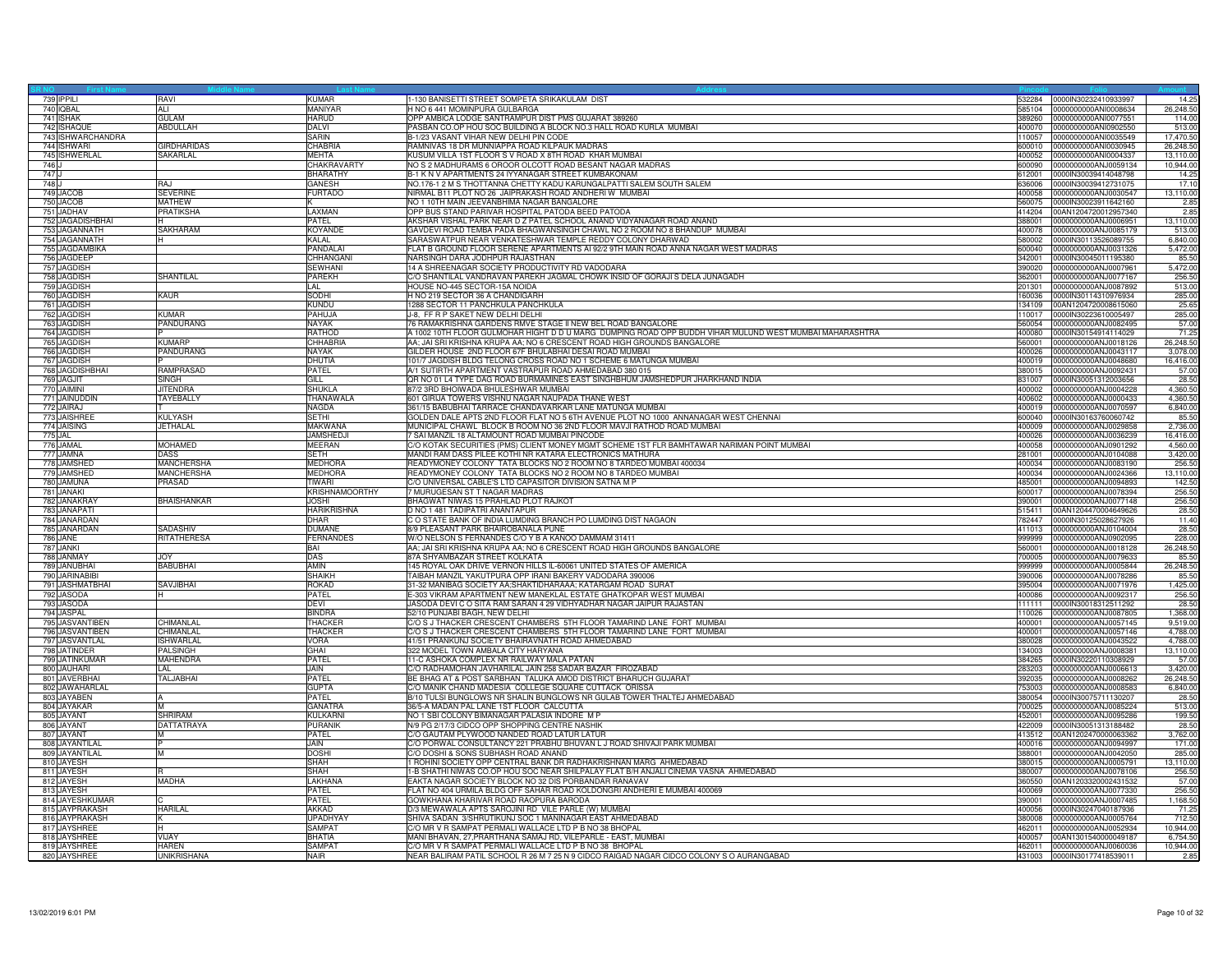| 739 IPPILI                    | RAVI                          | <b>KUMAR</b>                  | 1-130 BANISETTI STREET SOMPETA SRIKAKULAM DIST                                                        | 532284           | 0000IN30232410933997                         | 14.25             |
|-------------------------------|-------------------------------|-------------------------------|-------------------------------------------------------------------------------------------------------|------------------|----------------------------------------------|-------------------|
| 740 IQBAL                     | ALI                           | MANIYAR                       | H NO 6 441 MOMINPURA GULBARGA                                                                         |                  | 585104 0000000000ANl0008634                  | 26,248.50         |
| 741 ISHAK                     | <b>GULAM</b>                  | <b>HARUD</b>                  | OPP AMBICA LODGE SANTRAMPUR DIST PMS GUJARAT 389260                                                   | 389260           | 0000000000ANI0077551                         | 114.00            |
| 742 ISHAQUE                   | ABDULLAH                      | DALVI                         | PASBAN CO.OP HOU SOC BUILDING A BLOCK NO.3 HALL ROAD KURLA MUMBAI                                     |                  | 400070 0000000000ANI0902550                  | 513.00            |
| 743 ISHWARCHANDRA             |                               | SARIN                         | B-1/23 VASANT VIHAR NEW DELHI PIN CODE                                                                | 110057           | 0000000000ANI0035549                         | 17,470.50         |
| 744 ISHWARI                   | <b>GIRDHARIDAS</b>            | CHABRIA                       | AMNIVAS 18 DR MUNNIAPPA ROAD KILPAUK MADRAS                                                           | 00010            | 0000000000ANI0030945                         | 26,248.50         |
| 745 ISHWERLAL                 | SAKARLAL                      | MEHTA                         | KUSUM VILLA 1ST FLOOR S V ROAD X 8TH ROAD KHAR MUMBAI                                                 | 400052           | 0000000000ANI0004337                         | 13,110.00         |
| 746 J                         |                               | <b>CHAKRAVARTY</b>            | NO S 2 MADHURAMS 6 OROOR OLCOTT ROAD BESANT NAGAR MADRAS                                              | 600090           | 0000000000ANJ0059134                         | 10.944.00         |
| 747 J                         |                               | <b>BHARATHY</b>               | B-1 K N V APARTMENTS 24 IYYANAGAR STREET KUMBAKONAM                                                   | 612001           | 0000IN30039414048798                         | 14.25             |
| 748 J                         | RAJ                           | <b>GANESH</b>                 | NO.176-1 2 M S THOTTANNA CHETTY KADU KARUNGALPATTI SALEM SOUTH SALEM                                  | 800838           | 0000IN30039412731075                         | 17.10             |
| 749 JACOB                     | <b>SEVERINE</b>               | <b>FURTADO</b>                | VIRMAL B11 PLOT NO 26 JAIPRAKASH ROAD ANDHERI W MUMBAI                                                | 400058           | 0000000000ANJ0030547                         | 13,110.0          |
| 750 JACOB                     | <b>MATHEW</b>                 |                               | NO 1 10TH MAIN JEEVANBHIMA NAGAR BANGALORE                                                            |                  | 560075 0000IN30023911642160                  | 2.85              |
| 751 JADHAV                    | <b>PRATIKSHA</b>              | LAXMAN                        | OPP BUS STAND PARIVAR HOSPITAL PATODA BEED PATODA                                                     | 414204           | 00AN1204720012957340                         | 2.85              |
| 752 JAGADISHBHAI              |                               | PATEL                         | AKSHAR VISHAL PARK NEAR D Z PATEL SCHOOL ANAND VIDYANAGAR ROAD ANAND                                  | 388001           | 0000000000ANJ0006951                         | 13,110.00         |
| 753 JAGANNATH                 | <b>SAKHARAM</b>               | <b>KOYANDE</b>                | GAVDEVI ROAD TEMBA PADA BHAGWANSINGH CHAWL NO 2 ROOM NO 8 BHANDUP MUMBAI                              | 400078           | 0000000000ANJ0085179                         | 513.00            |
| 754 JAGANNATH                 |                               | KALAL                         | SARASWATPUR NEAR VENKATESHWAR TEMPLE REDDY COLONY DHARWAD                                             | 580002           | 0000IN30113526089755                         | 6,840.00          |
| 755 JAGDAMBIKA                |                               | PANDALAI                      | FLAT B GROUND FLOOR SERENE APARTMENTS AI 92/2 9TH MAIN ROAD ANNA NAGAR WEST MADRAS                    | 600040           | 0000000000ANJ0031326                         | 5,472.00          |
| 756 JAGDEEP                   |                               | CHHANGANI                     | NARSINGH DARA JODHPUR RAJASTHAN                                                                       | 342001           | 0000IN30045011195380                         | 85.50             |
| 757 JAGDISH                   |                               | <b>SEWHANI</b>                | 14 A SHREENAGAR SOCIETY PRODUCTIVITY RD VADODARA                                                      | 390020           | 0000000000ANJ0007961                         | 5,472.00          |
| 758 JAGDISH                   | SHANTILAL                     | <b>PAREKH</b>                 | C/O SHANTILAL VANDRAVAN PAREKH JAGMAL CHOWK INSID OF GORAJI S DELA JUNAGADH                           | 362001           | 0000000000ANJ0077167                         | 256.50            |
| 759 JAGDISH                   |                               | LAL                           | HOUSE NO-445 SECTOR-15A NOIDA                                                                         | 201301           | 0000000000ANJ0087892                         | 513.0             |
| 760 JAGDISH                   | <b>KAUR</b>                   | SODHI                         | H NO 219 SECTOR 36 A CHANDIGARH                                                                       | 160036           | 0000IN30114310976934                         | 285.00            |
| 761 JAGDISH                   |                               | <b>KUNDU</b>                  | <b>1288 SECTOR 11 PANCHKULA PANCHKULA</b>                                                             | 134109           | 00AN1204720008615060                         | 25.65             |
| 762 JAGDISH                   | KUMAR                         | PAHUJA                        | J-8, FF R P SAKET NEW DELHI DELHI                                                                     | 110017           | 0000IN30223610005497                         | 285.00            |
| 763 JAGDISH                   | <b>PANDURANG</b>              | <b>NAYAK</b>                  | 76 RAMAKRISHNA GARDENS RMVE STAGE II NEW BEL ROAD BANGALORE                                           | 560054           | 0000000000AN.J0082495                        | 57.00             |
| 764 JAGDISH                   |                               | <b>RATHOD</b>                 | 1002 10TH FLOOR GULMOHAR HIGHT D D U MARG DUMPING ROAD OPP BUDDH VIHAR MULUND WEST MUMBAI MAHARASHTRA | 400080           | 0000lN30154914114029                         | 71.25             |
| 765 JAGDISH                   | KIMARE                        | CHHABRIA                      | AA; JAI SRI KRISHNA KRUPA AA; NO 6 CRESCENT ROAD HIGH GROUNDS BANGALORE                               | 560001           | 0000000000ANJ0018126                         | 26,248.50         |
| 766 JAGDISH                   | PANDURANG                     | NAYAK                         | GILDER HOUSE 2ND FLOOR 67F BHULABHAI DESAI ROAD MUMBAI                                                | 400026           | 0000000000ANJ0043117                         | 3,078.00          |
| 767 JAGDISH                   |                               | DHUTIA                        | 101/7 JAGDISH BLDG TELONG CROSS ROAD NO 1 SCHEME 6 MATUNGA MUMBAI                                     | 400019           | 0000000000ANJ0048680                         | 16,416.00         |
| 768 JAGDISHBHAI               | <b>RAMPRASAD</b>              | <b>PATFI</b>                  | A/1 SUTIRTH APARTMENT VASTRAPUR ROAD AHMEDABAD 380 015                                                | 380015           | 0000000000AN.J0092431                        | 57.00             |
| 769 JAGJIT                    | SINGH                         | GILL                          | QR NO 01 L4 TYPE DAG ROAD BURMAMINES EAST SINGHBHUM JAMSHEDPUR JHARKHAND INDIA                        | 831007           | 0000IN30051312003656                         | 28.50             |
| 770 JAIMINI                   | <b>JITENDRA</b>               | <b>SHUKLA</b>                 | 87/2 3RD BHOIWADA BHULESHWAR MUMBAI                                                                   | 400002           | 0000000000ANJ0004228                         | 4,360.50          |
| 771 JAINUDDIN                 | TAYEBALLY                     | THANAWALA                     | 601 GIRIJA TOWERS VISHNU NAGAR NAUPADA THANE WEST                                                     | 400602           | 0000000000ANJ0000433                         | 4,360.50          |
| 772 JAIRAJ                    |                               | NAGDA                         | 361/15 BABUBHAI TARRACE CHANDAVARKAR LANE MATUNGA MUMBAI                                              | 400019           | 0000000000ANJ0070597                         | 6,840.00          |
| 773 JAISHREE                  | <b>KULYASH</b>                | <b>SFTHI</b>                  | GOLDEN DALE APTS 2ND FLOOR FLAT NO 5 6TH AVENUE PLOT NO 1000 ANNANAGAR WEST CHENNAI                   | 600040           | 0000IN30163760060742                         | 85.50             |
| 774 JAISING                   | JETHALAL                      | <b>MAKWANA</b>                | MUNICIPAL CHAWL BLOCK B ROOM NO 36 2ND FLOOR MAVJI RATHOD ROAD MUMBAI                                 | 400009           | 0000000000ANJ0029858                         | 2,736.00          |
| 775 JAL                       |                               | <b>JAMSHEDJI</b>              | 7 SAI MANZIL 18 ALTAMOUNT ROAD MUMBAI PINCODE                                                         | 400026           | 0000000000ANJ0036239                         | 16,416.00         |
| 776 JAMAL                     | <b>MOHAMED</b>                | <b>MEERAN</b>                 | C/O KOTAK SECURITIES (PMS) CLIENT MONEY MGMT SCHEME 1ST FLR BAMHTAWAR NARIMAN POINT MUMBAI            | 400058           | 0000000000ANJ0901292                         | 4,560.00          |
| 777 JAMNA                     | <b>DASS</b>                   | <b>SETH</b>                   | MANDI RAM DASS PILEE KOTHI NR KATARA ELECTRONICS MATHURA                                              | 281001           | 0000000000ANJ0104088                         | 3,420.00          |
| 778 JAMSHED                   | <b>MANCHERSHA</b>             | <b>MEDHORA</b>                | READYMONEY COLONY TATA BLOCKS NO 2 ROOM NO 8 TARDEO MUMBAI 400034                                     | 400034           | 0000000000ANJ0083190                         | 256.50            |
| 779 JAMSHED                   | MANCHERSHA                    | <b>MEDHORA</b>                | READYMONEY COLONY TATA BLOCKS NO 2 ROOM NO 8 TARDEO MUMBAI                                            | 400034           | 0000000000ANJ0024366                         | 13,110.00         |
| 780 JAMUNA                    | PRASAD                        | <b>TIWARI</b>                 | C/O UNIVERSAL CABLE'S LTD CAPASITOR DIVISION SATNA M P                                                | 485001           | 0000000000ANJ0094893                         | 142.50            |
| 781 JANAKI                    |                               | <b>KRISHNAMOORTHY</b>         | MURUGESAN ST T NAGAR MADRAS                                                                           | 600017           | 0000000000ANJ0078394                         | 256.50            |
| 782 JANAKRAY                  | BHAISHANKAR                   | <b>JOSHI</b>                  | BHAGWAT NIWAS 15 PRAHLAD PLOT RAJKOT                                                                  | 390001           | 0000000000ANJ0077148                         | 256.50            |
| 783 JANAPATI                  |                               | <b>HARIKRISHNA</b>            | O NO 1 481 TADIPATRI ANANTAPUR                                                                        | 515411           | 00AN1204470004649626                         | 28.50             |
| 784 JANARDAN                  |                               | DHAR                          | C O STATE BANK OF INDIA LUMDING BRANCH PO LUMDING DIST NAGAON                                         | 782447           | 0000IN30125028627926                         | 11.40             |
| 785 JANARDAN                  | <b>SADASHIV</b>               | <b>DUMANE</b>                 | 8/9 PLEASANT PARK BHAIROBANALA PUNE                                                                   | 411013           | 0000000000ANJ0104004                         | 28.50             |
| 786 JANE                      | <b>RITATHERESA</b>            | <b>FERNANDES</b>              | W/O NELSON S FERNANDES C/O Y B A KANOO DAMMAM 31411                                                   | 999999           | 0000000000ANJ0902095                         | 228.00            |
| 787 JANKI                     |                               | <b>BAI</b>                    | AA; JAI SRI KRISHNA KRUPA AA; NO 6 CRESCENT ROAD HIGH GROUNDS BANGALORE                               | 560001           | 0000000000ANJ0018128                         | 26,248.50         |
| 788 JANMAY                    | <b>JOY</b>                    | <b>DAS</b>                    | 87A SHYAMBAZAR STREET KOLKATA                                                                         | 700005           | 0000000000ANJ0079633                         | 85.50             |
| 789 JANUBHAI                  | <b>BABUBHAI</b>               | AMIN                          | 145 ROYAL OAK DRIVE VERNON HILLS IL-60061 UNITED STATES OF AMERICA                                    | 999999           | 0000000000ANJ0005844                         | 26,248.50         |
| 790 JARINABIBI                |                               | <b>SHAIKH</b>                 | TAIBAH MANZIL YAKUTPURA OPP IRANI BAKERY VADODARA 390006                                              | 390006           | 0000000000ANJ0078286                         | 85.50             |
| 791 JASHMATBHAI               | <b>SAVJIBHAI</b>              | <b>ROKAD</b>                  | 31-32 MANIBAG SOCIETY AA;SHAKTIDHARAAA; KATARGAM ROAD SURAT                                           | 395004           | 0000000000ANJ0071976                         | 1,425.00          |
| 792 JASODA                    |                               | PATEL                         | E-303 VIKRAM APARTMENT NEW MANEKLAL ESTATE GHATKOPAR WEST MUMBAI                                      | 400086           | 0000000000ANJ0092317                         | 256.50            |
| 793 JASODA                    |                               | <b>DEVI</b>                   | JASODA DEVI C O SITA RAM SARAN 4 29 VIDHYADHAR NAGAR JAIPUR RAJASTAN                                  | 11111            | 0000IN30018312511292                         | 28.50             |
| 794 JASPAL                    |                               | <b>BINDRA</b>                 | 52/10 PUNJABI BAGH, NEW DELHI                                                                         | 110026           | 0000000000ANJ0087805                         | 1,368.00          |
| 795 JASVANTIBEN               | CHIMANLAL                     | <b>THACKER</b>                | C/O S J THACKER CRESCENT CHAMBERS 5TH FLOOR TAMARIND LANE FORT MUMBAI                                 | 400001           | 0000000000ANJ0057145                         | 9.519.00          |
| 796 JASVANTIBEN               | CHIMANLAL<br><b>ISHWARLAL</b> | <b>THACKEF</b><br><b>VORA</b> | C/O S J THACKER CRESCENT CHAMBERS 5TH FLOOR TAMARIND LANE FORT MUMBAI                                 | 400001<br>380028 | 0000000000ANJ0057146                         | 4,788.00          |
| 797 JASVANTLAL                |                               |                               | 41/51 PRANKUNJ SOCIETY BHAIRAVNATH ROAD AHMEDABAD                                                     |                  | 0000000000ANJ0043522                         | 4.788.00          |
| 798 JATINDER                  | PALSINGH                      | GHAI                          | 322 MODEL TOWN AMBALA CITY HARYANA<br>11-C ASHOKA COMPLEX NR RAILWAY MALA PATAN                       | 34003            | 0000000000ANJ0008381                         | 13,110.00         |
| 799 JATINKUMAR<br>800 JAUHARI | <b>MAHENDRA</b><br>LAL        | PATEL<br><b>JAIN</b>          | C/O RADHAMOHAN JAVHARILAL JAIN 258 SADAR BAZAR FIROZABAD                                              | 384265<br>283203 | 0000IN30220110308929<br>0000000000ANJ0006613 | 57.00<br>3.420.00 |
| 801 JAVERBHAI                 | TALJABHAI                     | PATEL                         | BE BHAG AT & POST SARBHAN TALUKA AMOD DISTRICT BHARUCH GUJARAT                                        | 392035           | 0000000000ANJ0008262                         | 26,248.50         |
| 802 JAWAHARLAI                |                               | <b>GUPTA</b>                  | C/O MANIK CHAND MADESIA COLLEGE SQUARE CUTTACK ORISSA                                                 | 753003           | 0000000000ANJ0008583                         | 6,840.00          |
| 803 JAYABEN                   |                               | PATEL                         | 3/10 TULSI BUNGLOWS NR SHALIN BUNGLOWS NR GULAB TOWER THALTEJ AHMEDABAD                               | 380054           | 0000IN30075711130207                         | 28.50             |
| 804 JAYAKAR                   |                               | <b>GANATRA</b>                | 36/5-A MADAN PAL LANE 1ST FLOOR CALCUTTA                                                              | 700025           | 0000000000ANJ0085224                         | 513.00            |
| 805 JAYANT                    | <b>SHRIRAM</b>                | <b>KULKARNI</b>               | NO 1 SBI COLONY BIMANAGAR PALASIA INDORE M P                                                          | 452001           | 0000000000ANJ0095286                         | 199.50            |
| 806 JAYANT                    | DATTATRAYA                    | <b>PURANIK</b>                | N/9 PG 2/17/3 CIDCO OPP SHOPPING CENTRE NASHIK                                                        | 422009           | 0000IN30051313188482                         | 28.50             |
| 807 JAYANT                    | M                             | <b>PATEL</b>                  | C/O GAUTAM PLYWOOD NANDED ROAD LATUR LATUR                                                            | 413512           | 00AN1202470000063362                         | 3,762.00          |
| 808 JAYANTILAL                |                               | JAIN                          | CO PORWAL CONSULTANCY 221 PRABHU BHUVAN L J ROAD SHIVAJI PARK MUMBAI                                  | 400016           | 0000000000ANJ0094997                         | 171.00            |
| 809 JAYANTILAL                | M                             | <b>DOSHI</b>                  | C/O DOSHI & SONS SUBHASH ROAD ANAND                                                                   | 388001           | 0000000000ANJ0042050                         | 285.0             |
| 810 JAYESH                    |                               | <b>SHAH</b>                   | ROHINI SOCIETY OPP CENTRAL BANK DR RADHAKRISHNAN MARG AHMEDABAD                                       | 380015           | 0000000000ANJ0005791                         | 13,110.00         |
| 811 JAYESH                    |                               | <b>SHAH</b>                   | 1-B SHATHI NIWAS CO.OP HOU SOC NEAR SHILPALAY FLAT B/H ANJALI CINEMA VASNA AHMEDABAD                  | 380007           | 0000000000ANJ0078106                         | 256.50            |
| 812 JAYESH                    | <b>MADHA</b>                  | <b>LAKHANA</b>                | EAKTA NAGAR SOCIETY BLOCK NO 32 DIS PORBANDAR RANAVAV                                                 | 360550           | 00AN1203320002431532                         | 57.00             |
| 813 JAYESH                    |                               | PATEL                         | LAT NO 404 URMILA BLDG OFF SAHAR ROAD KOLDONGRI ANDHERI E MUMBAI 400069                               | 400069           | 0000000000ANJ0077330                         | 256.5             |
| 814 JAYESHKUMAR               |                               | PATEL                         | GOWKHANA KHARIVAR ROAD RAOPURA BARODA                                                                 | 390001           | 0000000000ANJ0007485                         | 1,168.5           |
| 815 JAYPRAKASH                | <b>HARILAL</b>                | <b>AKKAD</b>                  | D/3 MEWAWALA APTS SAROJINI RD VILE PARLE (W) MUMBAI                                                   | 400056           | 0000IN30247040187936                         | 71.25             |
| 816 JAYPRAKASH                | ĸ                             | <b>UPADHYAY</b>               | SHIVA SADAN 3/SHRUTIKUNJ SOC 1 MANINAGAR EAST AHMEDABAD                                               | 380008           | 0000000000ANJ0005764                         | 712.50            |
| 817 JAYSHREE                  | н                             | <b>SAMPAT</b>                 | C/O MR V R SAMPAT PERMALI WALLACE LTD P B NO 38 BHOPAL                                                | 462011           | 0000000000ANJ0052934                         | 10,944.00         |
| 818 JAYSHREE                  | <b>VI.IAY</b>                 | <b>BHATIA</b>                 | MANI BHAVAN, 27, PRARTHANA SAMAJ RD, VILEPARLE - EAST, MUMBAI                                         | 400057           | 00AN1301540000049187                         | 6,754.5           |
| 819 JAYSHREE                  | <b>HAREN</b>                  | SAMPA <sub>1</sub>            | C/O MR V R SAMPAT PERMALI WALLACE LTD P B NO 38 BHOPAL                                                | 462011           | 0000000000ANJ0060036                         | 10,944.00         |
| 820 JAYSHREE                  | <b>UNIKRISHANA</b>            | <b>NAIR</b>                   | NEAR BALIRAM PATIL SCHOOL R 26 M 7 25 N 9 CIDCO RAIGAD NAGAR CIDCO COLONY S O AURANGABAD              |                  | 431003 0000IN30177418539011                  | 2.85              |
|                               |                               |                               |                                                                                                       |                  |                                              |                   |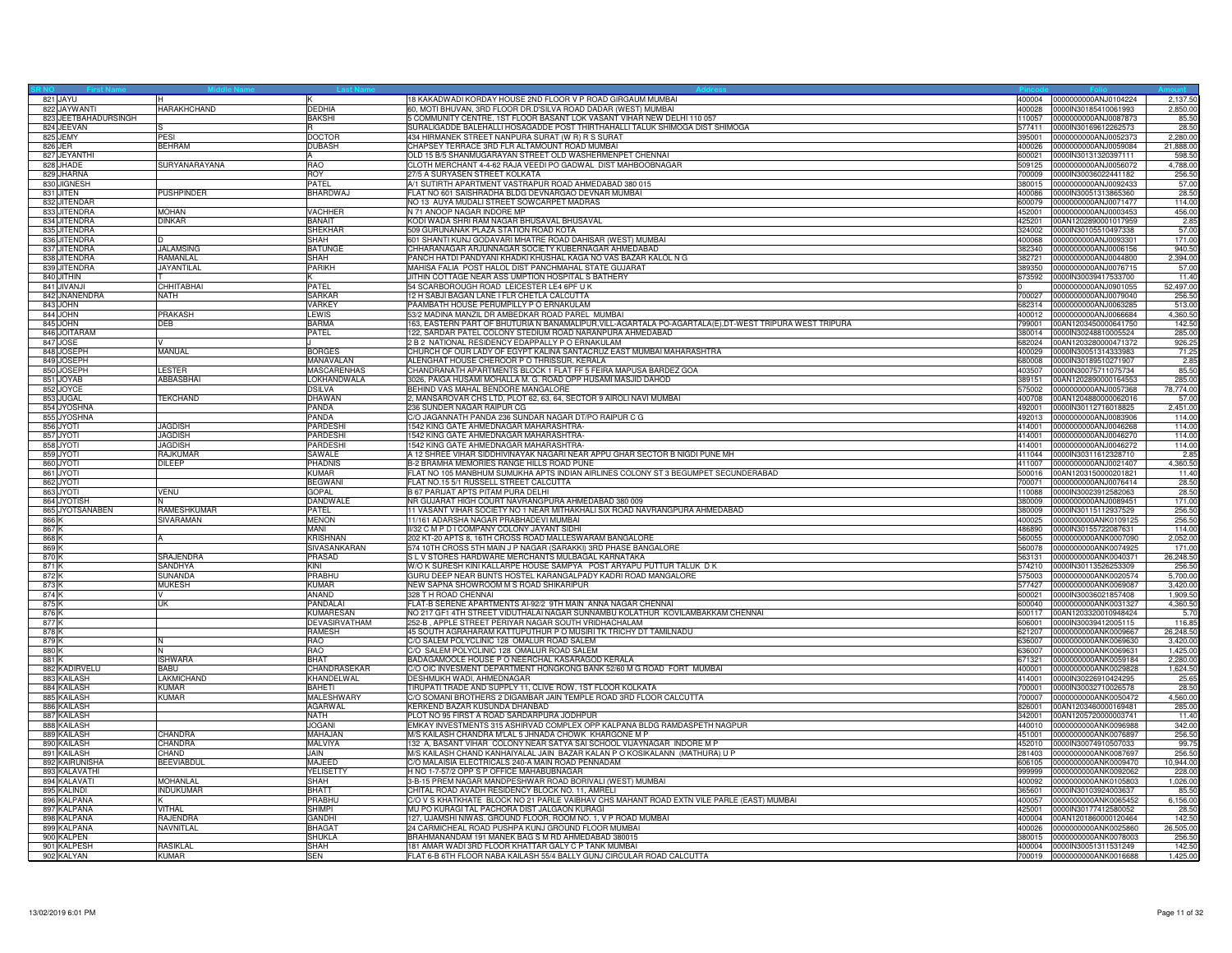| 821 JAYU             |                    |                       | 18 KAKADWADI KORDAY HOUSE 2ND FLOOR V P ROAD GIRGAUM MUMBAI                                                              | 400004           | 0000000000ANJ0104224                         | 2,137.50             |
|----------------------|--------------------|-----------------------|--------------------------------------------------------------------------------------------------------------------------|------------------|----------------------------------------------|----------------------|
| 822 JAYWANTI         | <b>HARAKHCHAND</b> | <b>DEDHIA</b>         | 60, MOTI BHUVAN, 3RD FLOOR DR.D'SILVA ROAD DADAR (WEST) MUMBAI                                                           | 400028           | 0000IN30185410061993                         | 2,850.00             |
| 823 JEETBAHADURSINGH |                    | <b>BAKSHI</b>         | 5 COMMUNITY CENTRE, 1ST FLOOR BASANT LOK VASANT VIHAR NEW DELHI 110 057                                                  | 110057           | 0000000000ANJ0087873                         | 85.50                |
| 824 JEEVAN           |                    |                       | SURALIGADDE BALEHALLI HOSAGADDE POST THIRTHAHALLI TALUK SHIMOGA DIST SHIMOGA                                             | 577411           | 0000IN30169612262573                         | 28.50                |
| 825 JEMY             | PESI               | <b>DOCTOR</b>         | 434 HIRMANEK STREET NANPURA SURAT (W R) R S SURAT                                                                        | 395001           | 0000000000ANJ0052373                         | 2,280.00             |
| 826 JER              | <b>BEHRAM</b>      | <b>DUBASH</b>         | HAPSEY TERRACE 3RD FLR ALTAMOUNT ROAD MUMBAI                                                                             | 400026           | 0000000000ANJ0059084                         | 21,888.00            |
| 827 JEYANTH          |                    |                       |                                                                                                                          |                  |                                              |                      |
| 828 JHADE            | SURYANARAYANA      | <b>RAO</b>            | OLD 15 B/5 SHANMUGARAYAN STREET OLD WASHERMENPET CHENNAI<br>CLOTH MERCHANT 4-4-62 RAJA VEEDI PO GADWAL DIST MAHBOOBNAGAR | 600021<br>509125 | 0000lN30131320397111<br>0000000000ANJ0056072 | 598.50<br>4.788.00   |
|                      |                    |                       |                                                                                                                          |                  |                                              |                      |
| 829 JHARNA           |                    | <b>ROY</b>            | 27/5 A SURYASEN STREET KOLKATA                                                                                           | 700009           | 0000IN30036022441182                         | 256.50               |
| 830 JIGNESH          |                    | PATFI                 | A/1 SUTIRTH APARTMENT VASTRAPUR ROAD AHMEDABAD 380 015                                                                   | 380015           | 0000000000ANJ0092433                         | 57.00                |
| 831 JITEN            | <b>PUSHPINDER</b>  | <b>BHARDWAJ</b>       | FLAT NO 601 SAISHRADHA BLDG DEVNARGAO DEVNAR MUMBAI                                                                      | 400086           | 0000IN30051313865360                         | 28.50                |
| 832 JITENDAR         |                    |                       | NO 13 AUYA MUDALI STREET SOWCARPET MADRAS                                                                                | 600079           | 0000000000ANJ0071477                         | 114.00               |
| 833 JITENDRA         | <b>MOHAN</b>       | <b>VACHHER</b>        | N 71 ANOOP NAGAR INDORE MP                                                                                               | 452001           | 0000000000ANJ0003453                         | 456.00               |
| 834 JITENDRA         | <b>DINKAR</b>      | <b>BANAIT</b>         | KODI WADA SHRI RAM NAGAR BHUSAVAL BHUSAVAL                                                                               | 425201           | 00AN1202890001017959                         | 2.85                 |
| 835 JITENDRA         |                    | <b>SHEKHAR</b>        | 509 GURUNANAK PLAZA STATION ROAD KOTA                                                                                    | 324002           | 0000IN30105510497338                         | 57.00                |
| 836 JITENDRA         |                    | SHAH                  | 601 SHANTI KUNJ GODAVARI MHATRE ROAD DAHISAR (WEST) MUMBAI                                                               | 400068           | 0000000000ANJ0093301                         | 171.00               |
| 837 JITENDRA         | <b>JALAMSING</b>   | <b>BATUNGE</b>        |                                                                                                                          | 382340           | 0000000000ANJ0006156                         | 940.50               |
|                      |                    |                       | CHHARANAGAR ARJUNNAGAR SOCIETY KUBERNAGAR AHMEDABAD                                                                      |                  |                                              |                      |
| 838 JITENDRA         | RAMANLAL           | SHAH                  | PANCH HATDI PANDYANI KHADKI KHUSHAL KAGA NO VAS BAZAR KALOL N G                                                          | 382721           | 0000000000ANJ0044800                         | 2,394.00             |
| 839 JITENDRA         | <b>JAYANTILAL</b>  | PARIKH                | MAHISA FALIA POST HALOL DIST PANCHMAHAL STATE GUJARAT                                                                    | 389350           | 0000000000ANJ0076715                         | 57.00                |
| 840 JITHIN           |                    |                       | JITHIN COTTAGE NEAR ASS UMPTION HOSPITAL S BATHERY                                                                       | 673592           | 0000IN30039417533700                         | 11.40                |
| 841 JIVANJI          | CHHITABHAI         | PATEL                 | 54 SCARBOROUGH ROAD LEICESTER LE4 6PF U K                                                                                |                  | 0000000000ANJ0901055                         | 52,497.00            |
| 842 JNANENDRA        | <b>NATH</b>        | <b>SARKAR</b>         | 12 H SABJI BAGAN LANE I FLR CHETLA CALCUTTA                                                                              | 700027           | 0000000000ANJ0079040                         | 256.50               |
| 843 JOHN             |                    | VARKEY                | PAAMBATH HOUSE PERUMPILLY P O ERNAKULAM                                                                                  | 682314           | 0000000000ANJ0063285                         | 513.00               |
| 844 JOHN             | PRAKASH            | LEWIS                 | 53/2 MADINA MANZIL DR AMBEDKAR ROAD PAREL MUMBAI                                                                         | 400012           | 0000000000ANJ0066684                         | 4,360.50             |
| 845 JOHN             | DEB.               | <b>BARMA</b>          | 63, EASTERN PART OF BHUTURIA N BANAMALIPUR, VILL-AGARTALA PO-AGARTALA(E), DT-WEST TRIPURA WEST TRIPURA                   | 799001           | 00AN1203450000641750                         | 142.50               |
| 846 JOITARAM         |                    | PATEL                 | 122, SARDAR PATEL COLONY STEDIUM ROAD NARANPURA AHMEDABAD                                                                | 380014           | 0000IN30248810005524                         | 285.00               |
| 847 JOSE             |                    |                       | 2 B 2 NATIONAL RESIDENCY EDAPPALLY P O ERNAKULAM                                                                         | 682024           |                                              |                      |
|                      |                    |                       |                                                                                                                          |                  | 00AN1203280000471372                         | 926.25               |
| 848 JOSEPH           | MANUAL             | <b>BORGES</b>         | CHURCH OF OUR LADY OF EGYPT KALINA SANTACRUZ EAST MUMBAI MAHARASHTRA                                                     | 400029           | 0000IN30051314333983                         | 71.25                |
| 849 JOSEPH           |                    | MANAVALAN             | ALENGHAT HOUSE CHEROOR P O THRISSUR, KERALA                                                                              | 680008           | 0000IN30189510271907                         | 2.85                 |
| 850 JOSEPH           | LESTER             | MASCARENHAS           | CHANDRANATH APARTMENTS BLOCK 1 FLAT FF 5 FEIRA MAPUSA BARDEZ GOA                                                         | 403507           | 0000IN30075711075734                         | 85.50                |
| 851 JOYAB            | ABBASBHAI          | LOKHANDWALA           | 3026, PAIGA HUSAMI MOHALLA M. G. ROAD OPP HUSAMI MASJID DAHOD                                                            | 389151           | 00AN1202890000164553                         | 285.00               |
| 852 JOYCE            |                    | <b>DSILVA</b>         | BEHIND VAS MAHAL BENDORE MANGALORE                                                                                       | 575002           | 0000000000ANJ0057368                         | 78,774.00            |
| 853 JUGAL            | <b>TEKCHAND</b>    | <b>DHAWAN</b>         | , MANSAROVAR CHS LTD, PLOT 62, 63, 64, SECTOR 9 AIROLI NAVI MUMBAI                                                       | 400708           | 00AN1204880000062016                         | 57.00                |
| 854 JYOSHNA          |                    | PANDA                 | 236 SUNDER NAGAR RAIPUR CG                                                                                               | 492001           | 0000IN30112716018825                         | 2,451.00             |
| 855 JYOSHNA          |                    | PANDA                 | /O JAGANNATH PANDA 236 SUNDAR NAGAR DT/PO RAIPUR C G                                                                     | 492013           | 0000000000ANJ0083906                         | 114.00               |
|                      |                    |                       |                                                                                                                          |                  |                                              |                      |
| 856 JYOTI            | <b>JAGDISH</b>     | PARDESHI              | 1542 KING GATE AHMEDNAGAR MAHARASHTRA-                                                                                   | 414001           | 0000000000ANJ0046268                         | 114.00               |
| 857 JYOTI            | <b>JAGDISH</b>     | <b>PARDESHI</b>       | 1542 KING GATE AHMEDNAGAR MAHARASHTRA-                                                                                   | 414001           | 0000000000ANJ0046270                         | 114.00               |
| 858 JYOTI            | <b>JAGDISH</b>     | PARDESHI              | 1542 KING GATE AHMEDNAGAR MAHARASHTRA-                                                                                   | 414001           | 0000000000ANJ0046272                         | 114.00               |
| 859 JYOTI            | RAJKUMAF           | SAWALE                | A 12 SHREE VIHAR SIDDHIVINAYAK NAGARI NEAR APPU GHAR SECTOR B NIGDI PUNE MH                                              | 411044           | 0000IN30311612328710                         | 2.85                 |
| 860 JYOTI            | <b>DILEEP</b>      | PHADNIS               | 3-2 BRAMHA MEMORIES RANGE HILLS ROAD PUNE                                                                                | 411007           | 0000000000ANJ0021407                         | 4,360.50             |
| 861 JYOTI            |                    | <b>KUMAR</b>          | FLAT NO 105 MANBHUM SUMUKHA APTS INDIAN AIRLINES COLONY ST 3 BEGUMPET SECUNDERABAD                                       | 500016           | 00AN1203150000201821                         | 11.40                |
| 862 JYOTI            |                    | <b>BEGWANI</b>        | FLAT NO.15 5/1 RUSSELL STREET CALCUTTA                                                                                   | 700071           | 0000000000ANJ0076414                         | 28.50                |
| 863 JYOTI            | VENU               | <b>GOPAL</b>          | B 67 PARIJAT APTS PITAM PURA DELHI                                                                                       | 110088           | 0000IN30023912582063                         | 28.50                |
| 864 JYOTISH          |                    |                       | NR GUJARAT HIGH COURT NAVRANGPURA AHMEDABAD 380 009                                                                      | 380009           | 0000000000ANJ0089451                         | 171.00               |
|                      |                    | DANDWALE              |                                                                                                                          |                  |                                              |                      |
| 865 JYOTSANABEN      | RAMESHKUMAR        | PATEL                 | 11 VASANT VIHAR SOCIETY NO 1 NEAR MITHAKHALI SIX ROAD NAVRANGPURA AHMEDABAD                                              | 380009           | 0000IN30115112937529                         | 256.50               |
| 866 K                | SIVARAMAN          | <b>MENON</b>          | 11/161 ADARSHA NAGAR PRABHADEVI MUMBAI                                                                                   | 400025           | 0000000000ANK0109125                         | 256.50               |
| 867 K                |                    | MANI                  | IV32 C M P D I COMPANY COLONY JAYANT SIDHI                                                                               | 486890           | 0000IN30155722087631                         | 114.00               |
| 868 K                |                    | <b>KRISHNAN</b>       | 202 KT-20 APTS 8, 16TH CROSS ROAD MALLESWARAM BANGALORE                                                                  | 560055           | 0000000000ANK0007090                         | 2,052.00             |
| 869 K                |                    | SIVASANKARAN          | 574 10TH CROSS 5TH MAIN J P NAGAR (SARAKKI) 3RD PHASE BANGALORE                                                          | 560078           | 0000000000ANK0074925                         | 171.00               |
| 870 K                | SRAJENDRA          | PRASAD                | S L V STORES HARDWARE MERCHANTS MULBAGAL KARNATAKA                                                                       | 563131           | 0000000000ANK0040371                         | 26,248.50            |
| 871 K                | <b>SANDHYA</b>     | KINI                  | W/O K SURESH KINI KALLARPE HOUSE SAMPYA POST ARYAPU PUTTUR TALUK D K                                                     | 574210           | 0000IN30113526253309                         | 256.50               |
| 872 K                | SUNANDA            | PRABHU                | GURU DEEP NEAR BUNTS HOSTEL KARANGALPADY KADRI ROAD MANGALORE                                                            | 575003           | 0000000000ANK0020574                         | 5,700.00             |
|                      |                    |                       | NEW SAPNA SHOWROOM M S ROAD SHIKARIPUR                                                                                   | 577427           |                                              |                      |
| 873 K<br>874 K       | <b>MUKESH</b>      | KUMAR<br><b>ANAND</b> | 328 T H ROAD CHENNAI                                                                                                     | 600021           | 0000000000ANK0069087<br>0000IN30036021857408 | 3,420.00<br>1.909.50 |
|                      |                    |                       |                                                                                                                          |                  |                                              |                      |
| 875 K                | UK                 | PANDALAI              | LAT-B SERENE APARTMENTS AI-92/2 9TH MAIN ANNA NAGAR CHENNAI                                                              | 600040           | 0000000000ANK0031327                         | 4,360.50             |
| 876 K                |                    | <b>KUMARESAN</b>      | NO 217 GF1 4TH STREET VIDUTHALAI NAGAR SUNNAMBU KOLATHUR KOVILAMBAKKAM CHENNAI                                           | 600117           | 00AN1203320010948424                         | 5.70                 |
| 877 K                |                    | DEVASIRVATHAM         | 252-B, APPLE STREET PERIYAR NAGAR SOUTH VRIDHACHALAM                                                                     | 606001           | 0000IN30039412005115                         | 116.85               |
| 878 K                |                    | <b>RAMESH</b>         | 45 SOUTH AGRAHARAM KATTUPUTHUR P O MUSIRI TK TRICHY DT TAMILNADU                                                         | 621207           | 0000000000ANK0009667                         | 26,248.50            |
| 879 K                |                    | RAO                   | C/O SALEM POLYCLINIC 128 OMALUR ROAD SALEM                                                                               | 636007           | 0000000000ANK0069630                         | 3,420.00             |
| 880 K                |                    | RAO                   | C/O SALEM POLYCLINIC 128 OMALUR ROAD SALEM                                                                               | 636007           | 0000000000ANK0069631                         | 1,425.00             |
| 881 K                | <b>ISHWARA</b>     | <b>BHAT</b>           | BADAGAMOOLE HOUSE P O NEERCHAL KASARAGOD KERALA                                                                          | 671321           | 0000000000ANK0059184                         | 2,280.00             |
| 882 KADIRVELU        | <b>BABU</b>        | CHANDRASEKAR          | C/O OIC INVESMENT DEPARTMENT HONGKONG BANK 52/60 M G ROAD FORT MUMBAI                                                    | 400001           | 0000000000ANK0029828                         | 1,624.50             |
| 883 KAILASH          | LAKMICHAND         | KHANDELWAL            | DESHMUKH WADI, AHMEDNAGAR                                                                                                | 414001           | 0000IN30226910424295                         | 25.65                |
| 884 KAILASH          | KUMAR              | <b>BAHETI</b>         | IRUPATI TRADE AND SUPPLY 11, CLIVE ROW, 1ST FLOOR KOLKATA                                                                | 700001           | 0000IN30032710026578                         | 28.50                |
|                      |                    |                       |                                                                                                                          |                  |                                              |                      |
| 885 KAILASH          | <b>KUMAR</b>       | MALESHWARY            | C/O SOMANI BROTHERS 2 DIGAMBAR JAIN TEMPLE ROAD 3RD FLOOR CALCUTTA                                                       | 700007           | 0000000000ANK0050472                         | 4,560.00             |
| 886 KAILASH          |                    | <b>AGARWAL</b>        | KERKEND BAZAR KUSUNDA DHANBAD                                                                                            | 826001           | 00AN1203460000169481                         | 285.00               |
| 887 KAILASH          |                    | <b>NATH</b>           | PLOT NO 95 FIRST A ROAD SARDARPURA JODHPUR                                                                               | 342001           | 00AN1205720000003741                         | 11.40                |
| 888 KAILASH          |                    | <b>JOGANI</b>         | EMKAY INVESTMENTS 315 ASHIRVAD COMPLEX OPP KALPANA BLDG RAMDASPETH NAGPUR                                                | 440010           | 0000000000ANK0096988                         | 342.00               |
| 889 KAILASH          | CHANDRA            | MAHAJAN               | M/S KAILASH CHANDRA M'LAL 5 JHNADA CHOWK KHARGONE M P                                                                    | 451001           | 0000000000ANK0076897                         | 256.50               |
| 890 KAILASH          | CHANDRA            | MALVIYA               | 132 A, BASANT VIHAR COLONY NEAR SATYA SAI SCHOOL VIJAYNAGAR INDORE M P                                                   | 452010           | 0000IN30074910507033                         | 99.75                |
| 891 KAILASH          | CHAND              | <b>JAIN</b>           | M/S KAILASH CHAND KANHAIYALAL JAIN BAZAR KALAN P O KOSIKALANN (MATHURA) U P                                              | 281403           | 0000000000ANK0087697                         | 256.50               |
| 892 KAIRUNISHA       | <b>BEEVIABDUL</b>  | MAJEED                | C/O MALAISIA ELECTRICALS 240-A MAIN ROAD PENNADAM                                                                        | 606105           | 0000000000ANK0009470                         | 10,944.00            |
| 893 KALAVATHI        |                    | <b>YELISETTY</b>      | H NO 1-7-57/2 OPP S P OFFICE MAHABUBNAGAR                                                                                | 999999           | 0000000000ANK0092062                         | 228.00               |
| 894 KALAVATI         | MOHANLAL           | SHAH                  | -B-15 PREM NAGAR MANDPESHWAR ROAD BORIVALI (WEST) MUMBAI                                                                 | 400092           | 0000000000ANK0105803                         | 1,026.00             |
|                      |                    | <b>BHATT</b>          |                                                                                                                          |                  |                                              |                      |
| 895 KALINDI          | <b>INDUKUMAR</b>   |                       | CHITAL ROAD AVADH RESIDENCY BLOCK NO. 11, AMRELI                                                                         | 365601           | 0000IN30103924003637                         | 85.50                |
| 896 KALPANA          |                    | PRABHL                | C/O V S KHATKHATE BLOCK NO 21 PARLE VAIBHAV CHS MAHANT ROAD EXTN VILE PARLE (EAST) MUMBAI                                | 400057           | 0000000000ANK0065452                         | 6,156.00             |
| 897 KALPANA          | <b>VITHAL</b>      | <b>SHIMPI</b>         | MU PO KURAGI TAL PACHORA DIST JALGAON KURAGI                                                                             | 425001           | 0000IN30177412580052                         | 28.50                |
| 898 KALPANA          | RAJENDRA           | <b>GANDHI</b>         | 127, UJAMSHI NIWAS, GROUND FLOOR, ROOM NO. 1, V P ROAD MUMBAI                                                            | 400004           | 00AN1201860000120464                         | 142.50               |
| 899 KALPANA          | NAVNITLAL          | BHAGA <sub>1</sub>    | 4 CARMICHEAL ROAD PUSHPA KUNJ GROUND FLOOR MUMBAI                                                                        | 400026           | 0000000000ANK0025860                         | 26,505.00            |
| 900 KALPEN           |                    | <b>SHUKLA</b>         | BRAHMANANDAM 191 MANEK BAG S M RD AHMEDABAD 380015                                                                       | 380015           | 0000000000ANK0078003                         | 256.50               |
| 901 KALPESH          | <b>RASIKLAL</b>    | SHAH                  | 181 AMAR WADI 3RD FLOOR KHATTAR GALY C P TANK MUMBAI                                                                     | 400004           | 0000IN30051311531249                         | 142.50               |
| 902 KALYAN           | <b>KUMAR</b>       | <b>SEN</b>            | FLAT 6-B 6TH FLOOR NABA KAILASH 55/4 BALLY GUNJ CIRCULAR ROAD CALCUTTA                                                   |                  | 700019 0000000000ANK0016688                  | 1,425.00             |
|                      |                    |                       |                                                                                                                          |                  |                                              |                      |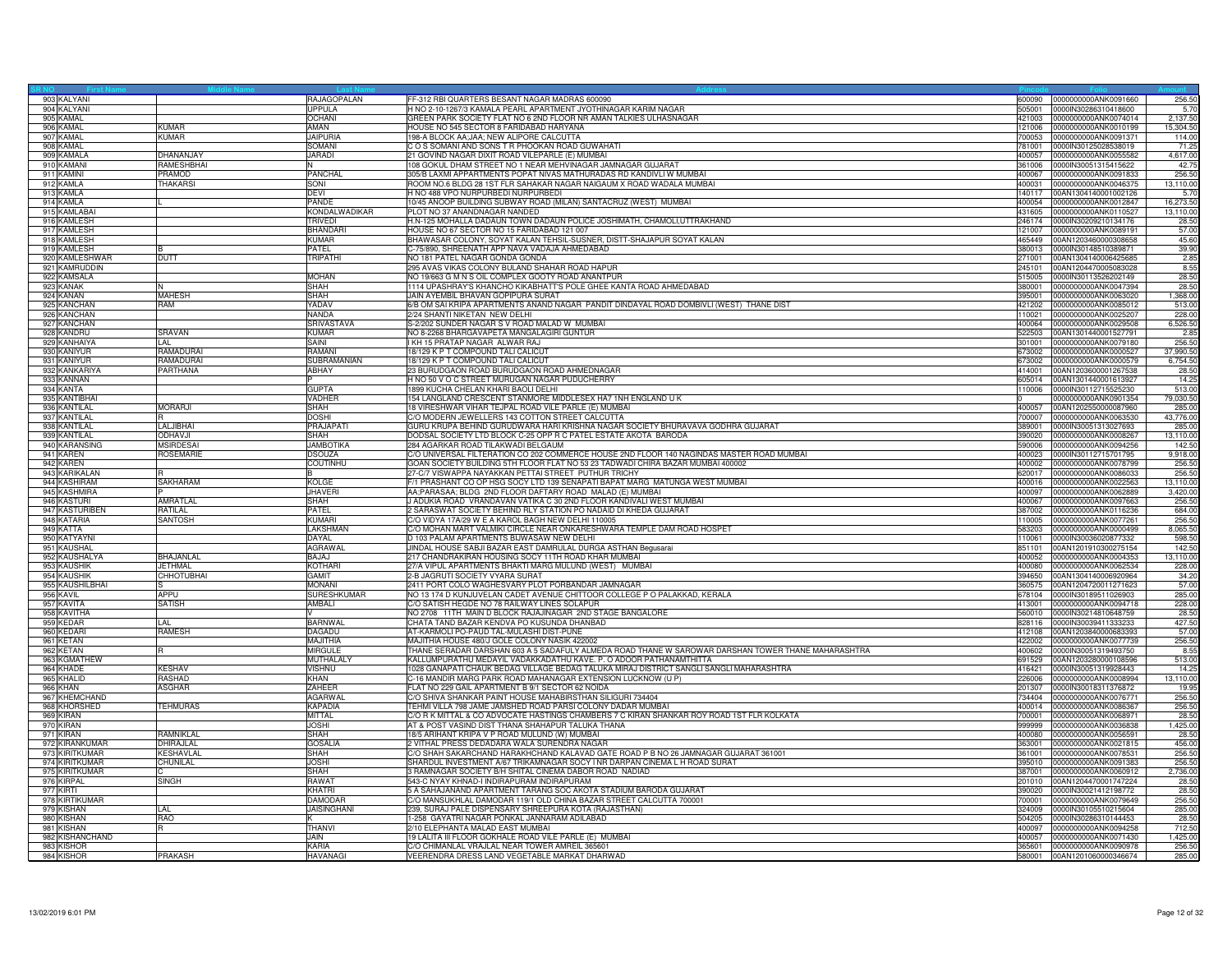| 903 KALYANI     |                   | RAJAGOPALAN        | FF-312 RBI QUARTERS BESANT NAGAR MADRAS 600090                                                     | 600090 | 0000000000ANK0091660        | 256.50    |
|-----------------|-------------------|--------------------|----------------------------------------------------------------------------------------------------|--------|-----------------------------|-----------|
| 904 KALYANI     |                   | <b>UPPULA</b>      | H NO 2-10-1267/3 KAMALA PEARL APARTMENT JYOTHINAGAR KARIM NAGAR                                    | 505001 | 0000IN30286310418600        | 5.7       |
| 905 KAMAL       |                   | <b>OCHANI</b>      | GREEN PARK SOCIETY FLAT NO 6 2ND FLOOR NR AMAN TALKIES ULHASNAGAR                                  | 421003 | 0000000000ANK0074014        | 2.137.50  |
| 906 KAMAL       | <b>KUMAR</b>      | AMAN               | HOUSE NO 545 SECTOR 8 FARIDABAD HARYANA                                                            |        | 121006 0000000000ANK0010199 | 15,304.50 |
| 907 KAMAL       | <b>KUMAR</b>      | <b>JAIPURIA</b>    | 198-A BLOCK AA;JAA; NEW ALIPORE CALCUTTA                                                           | 700053 | 0000000000ANK0091371        | 114.00    |
| 908 KAMAL       |                   | SOMANI             | C O S SOMANI AND SONS T R PHOOKAN ROAD GUWAHATI                                                    | 781001 | 0000IN30125028538019        | 71.25     |
|                 |                   |                    |                                                                                                    |        |                             |           |
| 909 KAMALA      | DHANANJAY         | <b>JARADI</b>      | 21 GOVIND NAGAR DIXIT ROAD VILEPARLE (E) MUMBAI                                                    | 400057 | 0000000000ANK0055582        | 4,617.00  |
| 910 KAMANI      | <b>RAMESHBHAI</b> |                    | 108 GOKUL DHAM STREET NO 1 NEAR MEHVINAGAR JAMNAGAR GUJARAT                                        | 361006 | 0000IN30051315415622        | 42.75     |
| 911 KAMINI      | PRAMOD            | PANCHAL            | 305/B LAXMI APPARTMENTS POPAT NIVAS MATHURADAS RD KANDIVLI W MUMBAI                                | 400067 | 0000000000ANK0091833        | 256.50    |
| 912 KAMLA       | <b>THAKARSI</b>   | SONI               | ROOM NO.6 BLDG 28 1ST FLR SAHAKAR NAGAR NAIGAUM X ROAD WADALA MUMBAI                               | 400031 | 0000000000ANK0046375        | 13,110.00 |
| 913 KAMLA       |                   | <b>DEVI</b>        | H NO 488 VPO NURPURBEDI NURPURBEDI                                                                 | 140117 | 00AN1304140001002126        | 5.7       |
| 914 KAMLA       |                   | PANDE              | 10/45 ANOOP BUILDING SUBWAY ROAD (MILAN) SANTACRUZ (WEST) MUMBAI                                   | 400054 | 0000000000ANK0012847        | 16,273.50 |
| 915 KAMLABAI    |                   | KONDALWADIKAR      | PLOT NO 37 ANANDNAGAR NANDED                                                                       |        | 431605 0000000000ANK0110527 | 13,110.00 |
| 916 KAMLESH     |                   | <b>TRIVEDI</b>     | H.N-125 MOHALLA DADAUN TOWN DADAUN POLICE JOSHIMATH, CHAMOLI,UTTRAKHAND                            |        | 246174 0000IN30209210134176 | 28.50     |
| 917 KAMLESH     |                   | <b>BHANDARI</b>    |                                                                                                    | 121007 | 0000000000ANK0089191        | 57.00     |
|                 |                   |                    | HOUSE NO 67 SECTOR NO 15 FARIDABAD 121 007                                                         |        |                             |           |
| 918 KAMLESH     |                   | <b>KUMAR</b>       | BHAWASAR COLONY, SOYAT KALAN TEHSIL-SUSNER, DISTT-SHAJAPUR SOYAT KALAN                             | 465449 | 00AN1203460000308658        | 45.60     |
| 919 KAMLESH     |                   | PATEL              | C-75/890, SHREENATH APP NAVA VADAJA AHMEDABAD                                                      | 380013 | 0000lN30148510389871        | 39.90     |
| 920 KAMLESHWAR  | <b>DUTT</b>       | <b>TRIPATHI</b>    | NO 181 PATEL NAGAR GONDA GONDA                                                                     | 271001 | 00AN1304140006425685        | 2.85      |
| 921 KAMRUDDIN   |                   |                    | 295 AVAS VIKAS COLONY BULAND SHAHAR ROAD HAPUR                                                     | 245101 | 00AN1204470005083028        | 8.55      |
| 922 KAMSALA     |                   | <b>MOHAN</b>       | NO 19/663 G M N S OIL COMPLEX GOOTY ROAD ANANTPUR                                                  | 515005 | 0000IN30113526202149        | 28.50     |
| 923 KANAK       |                   | <b>SHAH</b>        | 1114 UPASHRAY'S KHANCHO KIKABHATT'S POLE GHEE KANTA ROAD AHMEDABAD                                 | 380001 | 0000000000ANK0047394        | 28.50     |
| 924 KANAN       | <b>MAHESH</b>     | SHAH               | JAIN AYEMBIL BHAVAN GOPIPURA SURAT                                                                 | 395001 | 0000000000ANK0063020        | 1,368.00  |
| 925 KANCHAN     | RAM               | YADAV              | 6/B OM SAI KRIPA APARTMENTS ANAND NAGAR PANDIT DINDAYAL ROAD DOMBIVLI (WEST) THANE DIST            | 421202 | 0000000000ANK0085012        | 513.00    |
|                 |                   |                    |                                                                                                    |        |                             |           |
| 926 KANCHAN     |                   | <b>NANDA</b>       | 2/24 SHANTI NIKETAN NEW DELHI                                                                      |        | 110021 0000000000ANK0025207 | 228.00    |
| 927 KANCHAN     |                   | <b>SRIVASTAVA</b>  | S-2/202 SUNDER NAGAR S V ROAD MALAD W MUMBAI                                                       | 400064 | 0000000000ANK0029508        | 6,526.50  |
| 928 KANDRU      | SRAVAN            | <b>KUMAR</b>       | NO 8-2268 BHARGAVAPETA MANGALAGIRI GUNTUR                                                          | 522503 | 00AN1301440001527791        | 2.85      |
| 929 KANHAIYA    | I AI              | SAINI              | I KH 15 PRATAP NAGAR ALWAR RAJ                                                                     | 301001 | 0000000000ANK0079180        | 256.50    |
| 930 KANIYUR     | <b>RAMADURA</b>   | RAMANI             | 18/129 K P T COMPOUND TALI CALICUT                                                                 | 673002 | 0000000000ANK0000527        | 37,990.50 |
| 931 KANIYUR     | RAMADURAI         | SUBRAMANIAN        | 18/129 K P T COMPOUND TALI CALICUT                                                                 |        | 673002 0000000000ANK0000579 | 6,754.50  |
| 932 KANKARIYA   | PARTHANA          | <b>ABHAY</b>       | 23 BURUDGAON ROAD BURUDGAON ROAD AHMEDNAGAR                                                        | 414001 | 00AN1203600001267538        | 28.50     |
| 933 KANNAN      |                   |                    | H NO 50 V O C STREET MURUGAN NAGAR PUDUCHERRY                                                      |        | 605014 00AN1301440001613927 | 14.25     |
| 934 KANTA       |                   | <b>GUPTA</b>       | 1899 KUCHA CHELAN KHARI BAOLI DELHI                                                                | 110006 | 0000lN30112715525230        | 513.00    |
|                 |                   |                    |                                                                                                    |        |                             |           |
| 935 KANTIBHAI   |                   | <b>VADHER</b>      | 154 LANGLAND CRESCENT STANMORE MIDDLESEX HA7 1NH ENGLAND U K                                       |        | 0000000000ANK0901354        | 79,030.50 |
| 936 KANTILAL    | <b>MORARJI</b>    | <b>SHAH</b>        | 18 VIRESHWAR VIHAR TEJPAL ROAD VILE PARLE (E) MUMBAI                                               | 400057 | 00AN1202550000087960        | 285.00    |
| 937 KANTILAL    |                   | <b>DOSHI</b>       | C/O MODERN JEWELLERS 143 COTTON STREET CALCUTTA                                                    | 700007 | 0000000000ANK0063530        | 43,776.00 |
| 938 KANTILAL    | LALJIBHAI         | PRAJAPATI          | GURU KRUPA BEHIND GURUDWARA HARI KRISHNA NAGAR SOCIETY BHURAVAVA GODHRA GUJARAT                    | 389001 | 0000IN30051313027693        | 285.00    |
| 939 KANTILAL    | ODHAV.II          | SHAH               | DODSAL SOCIETY LTD BLOCK C-25 OPP R C PATEL ESTATE AKOTA BARODA                                    | 390020 | 0000000000ANK0008267        | 13,110.00 |
| 940 KARANSING   | <b>MSIRDESA</b>   | <b>JAMBOTIKA</b>   | 284 AGARKAR ROAD TILAKWADI BELGAUM                                                                 | 590006 | 0000000000ANK0094256        | 142.50    |
| 941 KAREN       | <b>ROSEMARIE</b>  | <b>DSOUZA</b>      | C/O UNIVERSAL FILTERATION CO 202 COMMERCE HOUSE 2ND FLOOR 140 NAGINDAS MASTER ROAD MUMBAI          | 400023 | 0000IN30112715701795        | 9,918.00  |
| 942 KAREN       |                   | COUTINHU           | GOAN SOCIETY BUILDING 5TH FLOOR FLAT NO 53 23 TADWADI CHIRA BAZAR MUMBAI 400002                    | 400002 | 0000000000ANK0078799        | 256.50    |
| 943 KARIKALAN   |                   |                    | 27-C/7 VISWAPPA NAYAKKAN PETTAI STREET PUTHUR TRICHY                                               | 620017 | 0000000000ANK0086033        | 256.50    |
| 944 KASHIRAM    | <b>SAKHARAM</b>   | <b>KOLGE</b>       |                                                                                                    | 400016 |                             | 13,110.00 |
|                 |                   |                    | F/1 PRASHANT CO OP HSG SOCY LTD 139 SENAPATI BAPAT MARG MATUNGA WEST MUMBAI                        |        | 0000000000ANK0022563        |           |
| 945 KASHMIRA    |                   | <b>JHAVERI</b>     | AA;PARASAA; BLDG 2ND FLOOR DAFTARY ROAD MALAD (E) MUMBAI                                           | 400097 | 0000000000ANK0062889        | 3,420.00  |
| 946 KASTURI     | AMRATLAL          | SHAH               | J ADUKIA ROAD VRANDAVAN VATIKA C 30 2ND FLOOR KANDIVALI WEST MUMBAI                                | 400067 | 0000000000ANK0097663        | 256.50    |
| 947 KASTURIBEN  | RATILAL           | PATEL              | 2 SARASWAT SOCIETY BEHIND RLY STATION PO NADAID DI KHEDA GUJARAT                                   | 387002 | 0000000000ANK0116236        | 684.00    |
| 948 KATARIA     | <b>SANTOSH</b>    | KUMARI             | C/O VIDYA 17A/29 W E A KAROL BAGH NEW DELHI 110005                                                 | 110005 | 0000000000ANK0077261        | 256.50    |
| 949 KATTA       |                   | LAKSHMAN           | C/O MOHAN MART VALMIKI CIRCLE NEAR ONKARESHWARA TEMPLE DAM ROAD HOSPET                             | 583203 | 0000000000ANK0000499        | 8.065.50  |
| 950 KATYAYNI    |                   | DAYAL              | D 103 PALAM APARTMENTS BIJWASAW NEW DELHI                                                          | 110061 | 0000IN30036020877332        | 598.50    |
| 951 KAUSHAL     |                   | <b>AGRAWAL</b>     | JINDAL HOUSE SABJI BAZAR EAST DAMRULAL DURGA ASTHAN Begusarai                                      | 851101 | 00AN1201910300275154        | 142.50    |
| 952 KAUSHALYA   | BHAJANLAL         | <b>BAJAJ</b>       | 217 CHANDRAKIRAN HOUSING SOCY 11TH ROAD KHAR MUMBAI                                                | 400052 | 0000000000ANK0004353        | 13,110.00 |
|                 |                   |                    |                                                                                                    |        |                             |           |
| 953 KAUSHIK     | <b>JETHMAL</b>    | KOTHARI            | 27/A VIPUL APARTMENTS BHAKTI MARG MULUND (WEST) MUMBAI                                             | 400080 | 0000000000ANK0062534        | 228.00    |
| 954 KAUSHIK     | <b>CHHOTUBHAI</b> | <b>GAMIT</b>       | 2-B JAGRUTI SOCIETY VYARA SURAT                                                                    |        | 394650 00AN1304140006920964 | 34.20     |
| 955 KAUSHILBHAI |                   | <b>MONANI</b>      | 2411 PORT COLO WAGHESVARY PLOT PORBANDAR JAMNAGAR                                                  | 360575 | 00AN1204720011271623        | 57.00     |
| 956 KAVIL       | APPU              | <b>SURESHKUMAR</b> | NO 13 174 D KUNJUVELAN CADET AVENUE CHITTOOR COLLEGE P O PALAKKAD, KERALA                          |        | 678104 0000IN30189511026903 | 285.00    |
| 957 KAVITA      | SATISH            | AMBALI             | C/O SATISH HEGDE NO 78 RAILWAY LINES SOLAPUR                                                       | 413001 | 0000000000ANK0094718        | 228.0     |
| 958 KAVITHA     |                   |                    | NO 2708 11TH MAIN D BLOCK RAJAJINAGAR 2ND STAGE BANGALORE                                          | 560010 | 0000IN30214810648759        | 28.50     |
| 959 KEDAR       | LAL               | <b>BARNWAL</b>     | CHATA TAND BAZAR KENDVA PO KUSUNDA DHANBAD                                                         | 828116 | 0000IN30039411333233        | 427.50    |
| 960 KEDARI      | <b>RAMESH</b>     | DAGADU             | AT-KARMOLI PO-PAUD TAL-MULASHI DIST-PUNE                                                           |        | 412108 00AN1203840000683393 | 57.00     |
| 961 KETAN       |                   | <b>MAJITHIA</b>    | MAJITHIA HOUSE 480/J GOLE COLONY NASIK 422002                                                      | 422002 | 0000000000ANK0077739        | 256.50    |
| 962 KETAN       |                   | <b>MIRGULE</b>     | THANE SERADAR DARSHAN 603 A 5 SADAFULY ALMEDA ROAD THANE W SAROWAR DARSHAN TOWER THANE MAHARASHTRA | 400602 | 0000IN30051319493750        | 8.55      |
|                 |                   |                    |                                                                                                    |        |                             |           |
| 963 KGMATHEW    |                   | <b>MUTHALALY</b>   | KALLUMPURATHU MEDAYIL VADAKKADATHU KAVE. P. O ADOOR PATHANAMTHITTA                                 | 691529 | 00AN1203280000108596        | 513.00    |
| 964 KHADE       | <b>KESHAV</b>     | <b>VISHNU</b>      | 1028 GANAPATI CHAUK BEDAG VILLAGE BEDAG TALUKA MIRAJ DISTRICT SANGLI SANGLI MAHARASHTRA            |        | 416421 0000IN30051319928443 | 14.25     |
| 965 KHALID      | RASHAD            | <b>KHAN</b>        | C-16 MANDIR MARG PARK ROAD MAHANAGAR EXTENSION LUCKNOW (U P)                                       |        | 226006 0000000000ANK0008994 | 13,110.00 |
| 966 KHAN        | <b>ASGHAR</b>     | ZAHEER             | FLAT NO 229 GAIL APARTMENT B 9/1 SECTOR 62 NOIDA                                                   | 201307 | 0000IN30018311376872        | 19.95     |
| 967 KHEMCHAND   |                   | <b>AGARWAL</b>     | C/O SHIVA SHANKAR PAINT HOUSE MAHABIRSTHAN SILIGURI 734404                                         | 734404 | 0000000000ANK0076771        | 256.50    |
| 968 KHORSHED    | <b>TEHMURAS</b>   | <b>KAPADIA</b>     | TEHMI VILLA 798 JAME JAMSHED ROAD PARSI COLONY DADAR MUMBAI                                        | 400014 | 0000000000ANK0086367        | 256.50    |
| 969 KIRAN       |                   | MITTAL             | C/O R K MITTAL & CO ADVOCATE HASTINGS CHAMBERS 7 C KIRAN SHANKAR ROY ROAD 1ST FLR KOLKATA          | 700001 | 0000000000ANK0068971        | 28.5      |
| 970 KIRAN       |                   | <b>JOSHI</b>       | AT & POST VASIND DIST THANA SHAHAPUR TALUKA THANA                                                  | 999999 | 0000000000ANK0036838        | 1,425.00  |
| 971 KIRAN       | RAMNIKLAL         | <b>SHAH</b>        | 18/5 ARIHANT KRIPA V P ROAD MULUND (W) MUMBAI                                                      | 400080 | 0000000000ANK0056591        | 28.50     |
|                 |                   |                    |                                                                                                    |        |                             |           |
| 972 KIRANKUMAR  | DHIRAJLAL         | <b>GOSALIA</b>     | 2 VITHAL PRESS DEDADARA WALA SURENDRA NAGAR                                                        | 363001 | 0000000000ANK0021815        | 456.00    |
| 973 KIRITKUMAR  | <b>KESHAVLAL</b>  | <b>SHAH</b>        | C/O SHAH SAKARCHAND HARAKHCHAND KALAVAD GATE ROAD P B NO 26 JAMNAGAR GUJARAT 361001                | 361001 | 0000000000ANK0078531        | 256.50    |
| 974 KIRITKUMAR  | CHUNILAL          | <b>JOSHI</b>       | SHARDUL INVESTMENT A/67 TRIKAMNAGAR SOCY I NR DARPAN CINEMA L H ROAD SURAT                         | 395010 | 0000000000ANK0091383        | 256.50    |
| 975 KIRITKUMAR  |                   | SHAH               | 3 RAMNAGAR SOCIETY B/H SHITAL CINEMA DABOR ROAD NADIAD                                             |        | 387001 0000000000ANK0060912 | 2,736.00  |
| 976 KIRPAL      | <b>SINGH</b>      | RAWAT              | 543-C NYAY KHNAD-I INDIRAPURAM INDIRAPURAM                                                         | 201010 | 00AN1204470001747224        | 28.50     |
| 977 KIRTI       |                   | KHATRI             | 5 A SAHAJANAND APARTMENT TARANG SOC AKOTA STADIUM BARODA GUJARAT                                   | 390020 | 0000IN30021412198772        | 28.50     |
| 978 KIRTIKUMAR  |                   | <b>DAMODAR</b>     | C/O MANSUKHLAL DAMODAR 119/1 OLD CHINA BAZAR STREET CALCUTTA 700001                                | 700001 | 0000000000ANK0079649        | 256.50    |
| 979 KISHAN      | LAL               | <b>JAISINGHANI</b> | 239, SURAJ PALE DISPENSARY SHREEPURA KOTA (RAJASTHAN)                                              | 324009 | 0000lN30105510215604        | 285.00    |
| 980 KISHAN      | RAO               |                    |                                                                                                    | 504205 | 0000IN30286310144453        | 28.50     |
|                 |                   |                    | 1-258 GAYATRI NAGAR PONKAL JANNARAM ADILABAD                                                       |        |                             |           |
| 981 KISHAN      |                   | THANVI             | 2/10 ELEPHANTA MALAD EAST MUMBAI                                                                   | 400097 | 0000000000ANK0094258        | 712.50    |
| 982 KISHANCHAND |                   | JAIN               | 19 LALITA III FLOOR GOKHALE ROAD VILE PARLE (E) MUMBAI                                             | 400057 | 0000000000ANK0071430        | 1,425.00  |
| 983 KISHOR      |                   | KARIA              | C/O CHIMANLAL VRAJLAL NEAR TOWER AMREIL 365601                                                     |        | 365601 0000000000ANK0090978 | 256.50    |
| 984 KISHOR      | <b>PRAKASH</b>    | <b>HAVANAGI</b>    | VEERENDRA DRESS LAND VEGETABLE MARKAT DHARWAD                                                      |        | 580001 00AN1201060000346674 | 285.00    |
|                 |                   |                    |                                                                                                    |        |                             |           |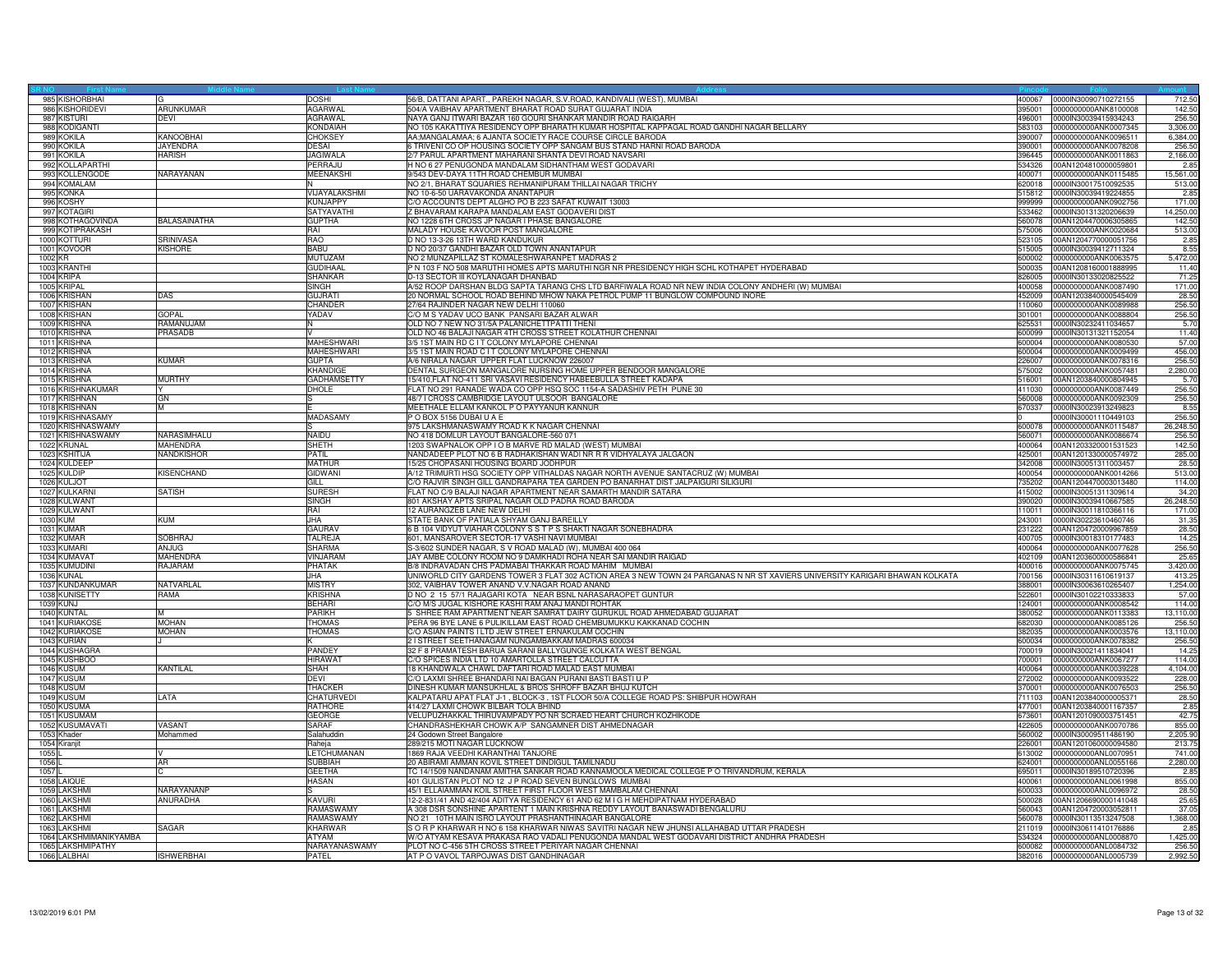| 985 KISHORBHAI                |                               | DOSHI                     | 56/B, DATTANI APART., PAREKH NAGAR, S.V.ROAD, KANDIVALI (WEST), MUMBAI                                                       | 400067           | 0000IN30090710272155                         | 712.5               |
|-------------------------------|-------------------------------|---------------------------|------------------------------------------------------------------------------------------------------------------------------|------------------|----------------------------------------------|---------------------|
| 986 KISHORIDEVI               | ARUNKUMAR                     | <b>AGARWAL</b>            | 504/A VAIBHAV APARTMENT BHARAT ROAD SURAT GUJARAT INDIA                                                                      | 395001           | 0000000000ANK8100008                         | 142.50              |
| 987 KISTURI                   | <b>DEVI</b>                   | AGRAWAL                   | NAYA GANJ ITWARI BAZAR 160 GOURI SHANKAR MANDIR ROAD RAIGARH                                                                 | 496001           | 0000IN30039415934243                         | 256.50              |
| 988 KODIGANTI                 |                               | <b>KONDAIAH</b>           | NO 105 KAKATTIYA RESIDENCY OPP BHARATH KUMAR HOSPITAL KAPPAGAL ROAD GANDHI NAGAR BELLARY                                     | 583103           | 0000000000ANK0007345                         | 3,306.00            |
| 989 KOKILA                    | KANOOBHAI                     | <b>CHOKSEY</b>            | AA;MANGALAMAA; 6 AJANTA SOCIETY RACE COURSE CIRCLE BARODA                                                                    | 390007           | 0000000000ANK0096511                         | 6,384.00            |
| 990 KOKILA                    | JAYENDRA                      | <b>DESAI</b>              | 6 TRIVENI CO OP HOUSING SOCIETY OPP SANGAM BUS STAND HARNI ROAD BARODA                                                       | 390001           | 0000000000ANK0078208                         | 256.50              |
| 991 KOKILA                    | <b>HARISH</b>                 | <b>JAGIWALA</b>           | 2/7 PARUL APARTMENT MAHARANI SHANTA DEVI ROAD NAVSARI                                                                        | 396445           | 0000000000ANK0011863                         | 2,166.00            |
| 992 KOLLAPARTHI               |                               | PERRAJU                   | H NO 6 27 PENUGONDA MANDALAM SIDHANTHAM WEST GODAVARI                                                                        | 534326           | 00AN1204810000059801                         | 2.85                |
| 993 KOLLENGODE<br>994 KOMALAM | NARAYANAN                     | <b>MEENAKSHI</b>          | 9/543 DEV-DAYA 11TH ROAD CHEMBUR MUMBAI                                                                                      | 400071<br>620018 | 0000000000ANK0115485<br>0000IN30017510092535 | 15,561.00<br>513.00 |
|                               |                               |                           | NO 2/1, BHARAT SQUARIES REHMANIPURAM THILLAI NAGAR TRICHY                                                                    |                  |                                              |                     |
| 995 KONKA<br>996 KOSHY        |                               | VIJAYALAKSHMI<br>KUNJAPPY | NO 10-6-50 UARAVAKONDA ANANTAPUR<br>C/O ACCOUNTS DEPT ALGHO PO B 223 SAFAT KUWAIT 13003                                      | 515812<br>999999 | 0000IN30039419224855<br>0000000000ANK0902756 | 2.85<br>171.00      |
| 997 KOTAGIRI                  |                               | <b>SATYAVATH</b>          | Z BHAVARAM KARAPA MANDALAM EAST GODAVERI DIST                                                                                | 533462           | 0000IN30131320206639                         | 14,250.00           |
| 998 KOTHAGOVINDA              | <b>BALASAINATHA</b>           | <b>GUPTHA</b>             | NO 1228 6TH CROSS JP NAGAR I PHASE BANGALORE                                                                                 | 560078           | 00AN1204470006305865                         | 142.50              |
| 999 KOTIPRAKASH               |                               | RAI                       | MALADY HOUSE KAVOOR POST MANGALORE                                                                                           | 575006           | 0000000000ANK0020684                         | 513.0               |
| 1000 KOTTURI                  | SRINIVASA                     | RAO                       | D NO 13-3-26 13TH WARD KANDUKUR                                                                                              | 523105           | 00AN1204770000051756                         | 2.85                |
| 1001 KOVOOR                   | <b>KISHORF</b>                | <b>BABU</b>               | D NO 20/37 GANDHI BAZAR OLD TOWN ANANTAPUR                                                                                   | 515005           | 0000IN30039412711324                         | 8.55                |
| 1002 KR                       |                               | <b>MUTUZAM</b>            | NO 2 MUNZAPILLAZ ST KOMALESHWARANPET MADRAS 2                                                                                | 600002           | 0000000000ANK0063575                         | 5.472.00            |
| 1003 KRANTHI                  |                               | <b>GUDIHAAI</b>           | P N 103 F NO 508 MARUTHI HOMES APTS MARUTHI NGR NR PRESIDENCY HIGH SCHL KOTHAPET HYDERABAD                                   | 500035           | 00AN1208160001888995                         | 11.40               |
| 1004 KRIPA                    |                               | SHANKAR                   | D-13 SECTOR III KOYLANAGAR DHANBAD                                                                                           | 826005           | 0000IN30133020825522                         | 71.25               |
| 1005 KRIPAI                   |                               | <b>SINGH</b>              | A/52 ROOP DARSHAN BLDG SAPTA TARANG CHS LTD BARFIWALA ROAD NR NEW INDIA COLONY ANDHERI (W) MUMBAI                            | 400058           | 0000000000ANK0087490                         | 171.00              |
| 1006 KRISHAN                  | DAS                           | <b>GUJRATI</b>            | 20 NORMAL SCHOOL ROAD BEHIND MHOW NAKA PETROL PUMP 11 BUNGLOW COMPOUND INORE                                                 | 452009           | 00AN1203840000545409                         | 28.50               |
| 1007 KRISHAN                  |                               | CHANDER                   | 27/64 RAJINDER NAGAR NEW DELHI 110060                                                                                        | 110060           | 0000000000ANK0089988                         | 256.50              |
| 1008 KRISHAN                  | GOPAL                         | YADAV                     | C/O M S YADAV UCO BANK PANSARI BAZAR ALWAR                                                                                   | 301001           | 0000000000ANK0088804                         | 256.50              |
| 1009 KRISHNA                  | <b>AMANUJAM</b>               |                           | OLD NO 7 NEW NO 31/5A PALANICHETTPATTI THENI                                                                                 | 625531           | 0000IN30232411034657                         | 5.7(                |
| 1010 KRISHNA                  | PRASADB                       |                           | OLD NO 46 BALAJI NAGAR 4TH CROSS STREET KOLATHUR CHENNAI                                                                     | 600099           | 0000IN30131321152054                         | 11.40               |
| 1011 KRISHNA                  |                               | <b>MAHESHWARI</b>         | 3/5 1ST MAIN RD C I T COLONY MYLAPORE CHENNAI                                                                                | 600004           | 0000000000ANK0080530                         | 57.00               |
| 1012 KRISHNA                  |                               | MAHESHWARI                | 3/5 1ST MAIN ROAD C I T COLONY MYLAPORE CHENNAI                                                                              | 600004           | 0000000000ANK0009499                         | 456.00              |
| 1013 KRISHNA                  | <b>KUMAR</b>                  | <b>GLIPTA</b>             | A/6 NIRALA NAGAR UPPER FLAT LUCKNOW 226007                                                                                   | 226007           | 0000000000ANK0078316                         | 256.50              |
| 1014 KRISHNA                  |                               | KHANDIGE                  | DENTAL SURGEON MANGALORE NURSING HOME UPPER BENDOOR MANGALORE                                                                | 575002           | 0000000000ANK0057481                         | 2,280.0             |
| 1015 KRISHNA                  | <b>MURTHY</b>                 | GADHAMSETTY               | 15/410, FLAT NO-411 SRI VASAVI RESIDENCY HABEEBULLA STREET KADAPA                                                            | 516001           | 00AN1203840000804945                         | 5.7                 |
| 1016 KRISHNAKUMAR             |                               | DHOLE                     | FLAT NO 291 RANADE WADA CO OPP HSQ SOC 1154-A SADASHIV PETH PUNE 30                                                          | 411030           | 0000000000ANK0087449                         | 256.50              |
| 1017 KRISHNAN                 | GN                            |                           | 48/7 I CROSS CAMBRIDGE LAYOUT ULSOOR BANGALORE                                                                               | 560008           | 0000000000ANK0092309                         | 256.50              |
| 1018 KRISHNAN                 | M                             |                           | MEETHALE ELLAM KANKOL P O PAYYANUR KANNUR                                                                                    | 670337           | 0000IN30023913249823                         | 8.55                |
| 1019 KRISHNASAMY              |                               | <b>MADASAMY</b>           | P O BOX 5156 DUBAI U A E                                                                                                     |                  | 0000IN30001110449103                         | 256.50              |
| 1020 KRISHNASWAMY             |                               |                           | 975 LAKSHMANASWAMY ROAD K K NAGAR CHENNAI<br>NO 418 DOMLUR LAYOUT BANGALORE-560 071                                          | 600078           | 0000000000ANK0115487                         | 26,248.5            |
| 1021 KRISHNASWAMY             | NARASIMHALU                   | <b>NAIDU</b>              |                                                                                                                              | 560071           | 0000000000ANK0086674                         | 256.50              |
| 1022 KRUNAL<br>1023 KSHITIJA  | MAHENDRA<br><b>NANDKISHOR</b> | SHETH<br>PATIL            | 1203 SWAPNALOK OPP I O B MARVE RD MALAD (WEST) MUMBAI<br>NANDADEEP PLOT NO 6 B RADHAKISHAN WADI NR R R VIDHYALAYA JALGAON    | 400064<br>425001 | 00AN1203320001531523<br>00AN1201330000574972 | 142.50<br>285.00    |
|                               |                               |                           | 15/25 CHOPASANI HOUSING BOARD JODHPUR                                                                                        | 342008           |                                              |                     |
| 1024 KULDEEF<br>1025 KULDIP   | <b>KISENCHAND</b>             | MATHUR<br><b>GIDWANI</b>  | A/12 TRIMURTI HSG SOCIETY OPP VITHALDAS NAGAR NORTH AVENUE SANTACRUZ (W) MUMBAI                                              | 400054           | 0000IN30051311003457<br>0000000000ANK0014266 | 28.5<br>513.00      |
| 1026 KULJOT                   |                               | GILL                      | C/O RAJVIR SINGH GILL GANDRAPARA TEA GARDEN PO BANARHAT DIST JALPAIGURI SILIGURI                                             | 735202           | 00AN1204470003013480                         | 114.00              |
| 1027 KULKARNI                 | <b>SATISH</b>                 | <b>SURESH</b>             | FLAT NO C/9 BALAJI NAGAR APARTMENT NEAR SAMARTH MANDIR SATARA                                                                | 415002           | 0000IN30051311309614                         | 34.20               |
| 1028 KULWANT                  |                               | SINGH                     | 801 AKSHAY APTS SRIPAL NAGAR OLD PADRA ROAD BARODA                                                                           | 390020           | 0000IN30039410667585                         | 26,248.50           |
| 1029 KULWANT                  |                               | RAI                       | 12 AURANGZEB LANE NEW DELHI                                                                                                  | 110011           | 0000IN30011810366116                         | 171.00              |
| 1030 KUM                      | <b>KUM</b>                    | JHA.                      | STATE BANK OF PATIALA SHYAM GANJ BAREILLY                                                                                    | 243001           | 0000IN30223610460746                         | 31.35               |
| 1031 KUMAR                    |                               | <b>GAURAV</b>             | 6 B 104 VIDYUT VIAHAR COLONY S S T P S SHAKTI NAGAR SONEBHADRA                                                               | 231222           | 00AN1204720009967859                         | 28.50               |
| 1032 KUMAR                    | <b>SOBHRAJ</b>                | TALREJA                   | 601, MANSAROVER SECTOR-17 VASHI NAVI MUMBAI                                                                                  | 400705           | 0000IN30018310177483                         | 14.25               |
| 1033 KUMARI                   | <b>ANJUG</b>                  | <b>SHARMA</b>             | S-3/602 SUNDER NAGAR, S V ROAD MALAD (W), MUMBAI 400 064                                                                     | 400064           | 0000000000ANK0077628                         | 256.50              |
| 1034 KUMAVAT                  | <b>MAHENDRA</b>               | VINJARAM                  | JAY AMBE COLONY ROOM NO 9 DAMKHADI ROHA NEAR SAI MANDIR RAIGAD                                                               | 402109           | 00AN1203600000586841                         | 25.6                |
| 1035 KUMUDINI                 | RAJARAM                       | PHATAK                    | B/8 INDRAVADAN CHS PADMABAI THAKKAR ROAD MAHIM MUMBAI                                                                        | 400016           | 0000000000ANK0075745                         | 3,420.00            |
| 1036 KUNAL                    |                               | JHA.                      | UNIWORLD CITY GARDENS TOWER 3 FLAT 302 ACTION AREA 3 NEW TOWN 24 PARGANAS N NR ST XAVIERS UNIVERSITY KARIGARI BHAWAN KOLKATA | 700156           | 0000IN30311610619137                         | 413.25              |
| 1037 KUNDANKUMAR              | NATVARLAL                     | <b>MISTRY</b>             | 302, VAIBHAV TOWER ANAND V.V.NAGAR ROAD ANAND                                                                                | 388001           | 0000IN30063610265407                         | 1,254.00            |
| 1038 KUNISETTY                | RAMA                          | KRISHNA                   | D NO 2 15 57/1 RAJAGARI KOTA NEAR BSNL NARASARAOPET GUNTUR                                                                   | 522601           | 0000IN30102210333833                         | 57.00               |
| 1039 KUNJ                     |                               | <b>BEHARI</b>             | C/O M/S JUGAL KISHORE KASHI RAM ANAJ MANDI ROHTAK                                                                            | 124001           | 0000000000ANK0008542                         | 114.00              |
| 1040 KUNTAL                   | M                             | <b>PARIKH</b>             | 5 SHREE RAM APARTMENT NEAR SAMRAT DAIRY GURUKUL ROAD AHMEDABAD GUJARAT                                                       | 380052           | 0000000000ANK0113383                         | 13,110.00           |
| 1041 KURIAKOSE                | <b>MOHAN</b>                  | THOMAS                    | PERA 96 BYE LANE 6 PULIKILLAM EAST ROAD CHEMBUMUKKU KAKKANAD COCHIN                                                          | 682030           | 0000000000ANK0085126                         | 256.50              |
| 1042 KURIAKOSE                | <b>MOHAN</b>                  | <b>THOMAS</b>             | C/O ASIAN PAINTS I LTD JEW STREET ERNAKULAM COCHIN                                                                           | 382035           | 0000000000ANK0003576                         | 13,110.00           |
| 1043 KURIAN                   |                               |                           | 2 I STREET SEETHANAGAM NUNGAMBAKKAM MADRAS 600034                                                                            | 600034           | 0000000000ANK0078382                         | 256.5               |
| 1044 KUSHAGRA<br>1045 KUSHBOO |                               | PANDEY<br><b>HIRAWAT</b>  | 32 F 8 PRAMATESH BARUA SARANI BALLYGUNGE KOLKATA WEST BENGAL<br>C/O SPICES INDIA LTD 10 AMARTOLLA STREET CALCUTTA            | 700019<br>700001 | 0000IN30021411834041<br>0000000000ANK0067277 | 14.25<br>114.00     |
| 1046 KUSUM                    | KANTILAL                      | SHAH                      | 18 KHANDWALA CHAWL DAFTARI ROAD MALAD EAST MUMBA                                                                             | 400064           | 0000000000ANK0039228                         | 4.104.00            |
| 1047 KUSUM                    |                               | <b>DEVI</b>               | C/O LAXMI SHREE BHANDARI NAI BAGAN PURANI BASTI BASTI U P                                                                    | 272002           | 0000000000ANK0093522                         | 228.00              |
| 1048 KUSUM                    |                               | <b>THACKER</b>            | DINESH KUMAR MANSUKHLAL & BROS SHROFF BAZAR BHUJ KUTCH                                                                       | 370001           | 0000000000ANK0076503                         | 256.5               |
| 1049 KUSUM                    | LATA                          | CHATURVED                 | KALPATARU APAT FLAT J-1, BLOCK-3, 1ST FLOOR 50/A COLLEGE ROAD PS: SHIBPUR HOWRAH                                             | 711103           | 00AN1203840000005371                         | 28.50               |
| 1050 KUSUMA                   |                               | RATHORE                   | 414/27 LAXMI CHOWK BILBAR TOLA BHIND                                                                                         | 477001           | 00AN1203840001167357                         | 2.85                |
| 1051 KUSUMAM                  |                               | <b>GEORGE</b>             | VELUPUZHAKKAL THIRUVAMPADY PO NR SCRAED HEART CHURCH KOZHIKODE                                                               | 673601           | 00AN1201090003751451                         | 42.75               |
| 1052 KUSUMAVATI               | VASANT                        | SARAF                     | CHANDRASHEKHAR CHOWK A/P SANGAMNER DIST AHMEDNAGAR                                                                           | 422605           | 0000000000ANK0070786                         | 855.00              |
| 1053 Khader                   | Mohammed                      | Salahuddin                | 24 Godown Street Bangalore                                                                                                   | 560002           | 0000IN30009511486190                         | 2,205.9             |
| 1054 Kiranjit                 |                               | Raheja                    | 289/215 MOTI NAGAR LUCKNOW                                                                                                   | 226001           | 00AN1201060000094580                         | 213.75              |
| 1055L                         |                               | LETCHUMANAN               | 1869 RAJA VEEDHI KARANTHAI TANJORE                                                                                           | 613002           | 0000000000ANL0070951                         | 741.00              |
| 1056L                         | AR                            | <b>SUBBIAH</b>            | 20 ABIRAMI AMMAN KOVIL STREET DINDIGUL TAMILNADU                                                                             | 624001           | 0000000000ANL0055166                         | 2,280.00            |
| 1057                          |                               | <b>GEETHA</b>             | TC 14/1509 NANDANAM AMITHA SANKAR ROAD KANNAMOOLA MEDICAL COLLEGE P O TRIVANDRUM, KERALA                                     | 695011           | 0000IN30189510720396                         | 2.85                |
| 1058 LAIQUE                   |                               | HASAN                     | 401 GULISTAN PLOT NO 12 J P ROAD SEVEN BUNGLOWS MUMBAI                                                                       | 400061           | 0000000000ANL0061998                         | 855.0               |
| 1059 LAKSHMI                  | NARAYANANP                    |                           | 45/1 ELLAIAMMAN KOIL STREET FIRST FLOOR WEST MAMBALAM CHENNAI                                                                | 600033           | 0000000000ANL0096972                         | 28.50               |
| 1060 LAKSHMI                  | ANURADHA                      | KAVURI                    | 12-2-831/41 AND 42/404 ADITYA RESIDENCY 61 AND 62 M I G H MEHDIPATNAM HYDERABAD                                              | 500028           | 00AN1206690000141048                         | 25.65               |
| 1061 LAKSHMI                  |                               | RAMASWAMY                 | A 308 DSR SONSHINE APARTENT 1 MAIN KRISHNA REDDY LAYOUT BANASWADI BENGALURU                                                  | 560043           | 00AN1204720003052811                         | 37.05               |
| 1062 LAKSHMI                  |                               | RAMASWAMY                 | NO 21 10TH MAIN ISRO LAYOUT PRASHANTHINAGAR BANGALORE                                                                        | 560078           | 0000IN30113513247508                         | 1,368.00            |
| 1063 LAKSHMI                  | SAGAR                         | KHARWAR                   | S O R P KHARWAR H NO 6 158 KHARWAR NIWAS SAVITRI NAGAR NEW JHUNSI ALLAHABAD UTTAR PRADESH                                    | 211019           | 0000IN30611410176886                         | 2.85                |
| 1064 LAKSHMIMANIKYAMBA        |                               | <b>ATYAM</b>              | W/O ATYAM KESAVA PRAKASA RAO VADALI PENUGONDA MANDAL WEST GODAVARI DISTRICT ANDHRA PRADESH                                   | 534324           | 0000000000ANL0008870                         | 1,425.00            |
| 1065 LAKSHMIPATHY             |                               | NARAYANASWAMY             | PLOT NO C-456 5TH CROSS STREET PERIYAR NAGAR CHENNAI                                                                         | 600082           | 0000000000ANL0084732                         | 256.50              |
| 1066 LALBHAI                  | <b>ISHWERBHAI</b>             | <b>PATFI</b>              | AT P O VAVOL TARPOJWAS DIST GANDHINAGAR                                                                                      |                  | 382016 0000000000ANL0005739                  | 2,992.50            |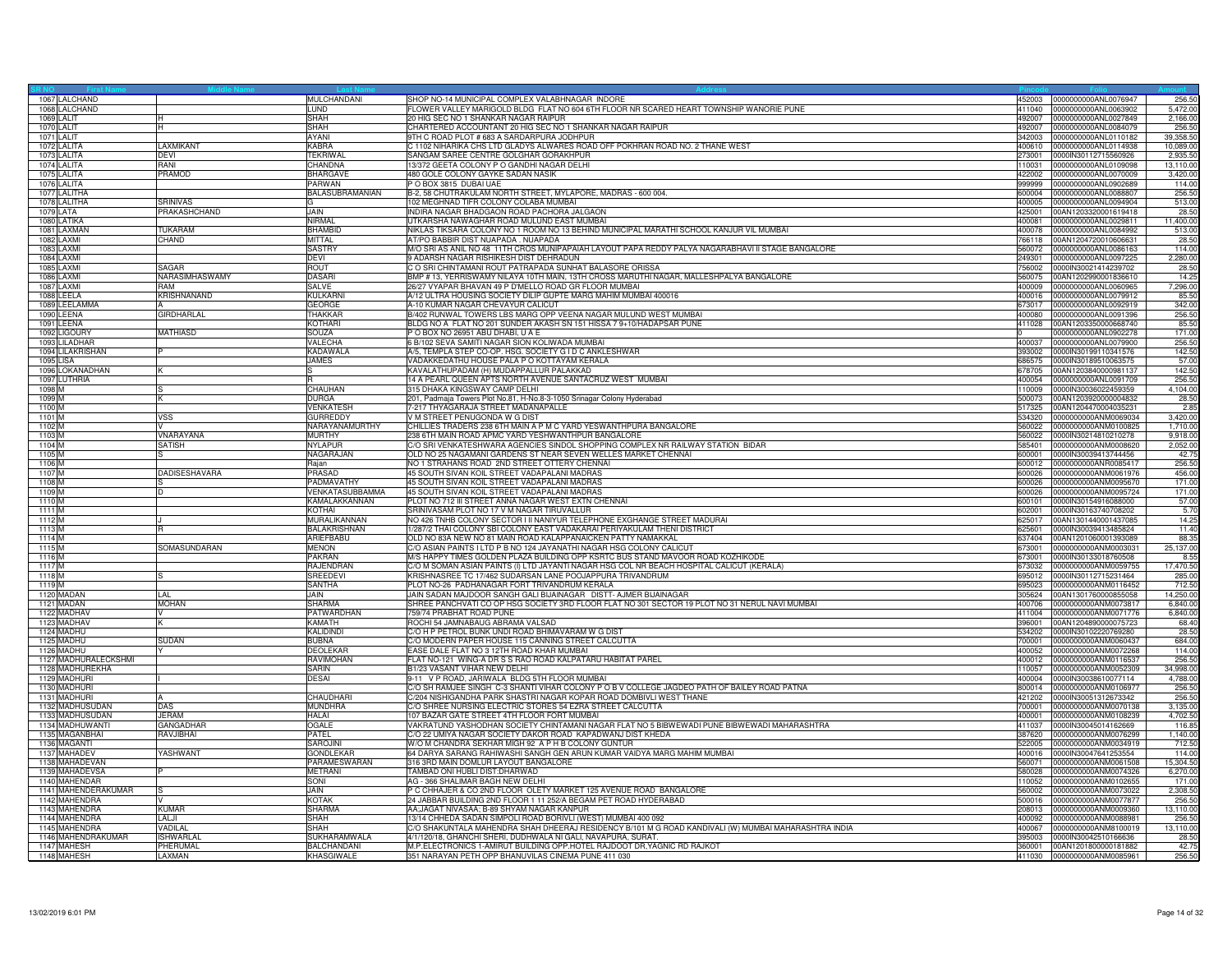| 1067 LALCHAND        |                      | MULCHANDANI        | SHOP NO-14 MUNICIPAL COMPLEX VALABHNAGAR INDORE                                                      | 452003 | 0000000000ANL0076947        | 256.50    |
|----------------------|----------------------|--------------------|------------------------------------------------------------------------------------------------------|--------|-----------------------------|-----------|
| 1068 LALCHAND        |                      | LUND               | FLOWER VALLEY MARIGOLD BLDG FLAT NO 604 6TH FLOOR NR SCARED HEART TOWNSHIP WANORIE PUNE              | 411040 | 0000000000ANL0063902        | 5,472.00  |
| 1069 LALIT           |                      | <b>SHAH</b>        | 20 HIG SEC NO 1 SHANKAR NAGAR RAIPUR                                                                 | 492007 | 0000000000ANL0027849        | 2.166.00  |
|                      |                      | <b>SHAH</b>        |                                                                                                      | 492007 | 0000000000ANL0084079        |           |
| 1070 LALIT           |                      | <b>AYANI</b>       | CHARTERED ACCOUNTANT 20 HIG SEC NO 1 SHANKAR NAGAR RAIPUR                                            |        |                             | 256.50    |
| 1071 LALIT           |                      |                    | 9TH C ROAD PLOT # 683 A SARDARPURA JODHPUR                                                           | 342003 | 0000000000ANL0110182        | 39,358.50 |
| 1072 LALITA          | AXMIKANT             | <b>KABRA</b>       | C 1102 NIHARIKA CHS LTD GLADYS ALWARES ROAD OFF POKHRAN ROAD NO. 2 THANE WEST                        | 400610 | 0000000000ANL0114938        | 10,089.00 |
| 1073 LALITA          | DEVI                 | <b>TEKRIWAL</b>    | SANGAM SAREE CENTRE GOLGHAR GORAKHPUR                                                                | 273001 | 0000IN30112715560926        | 2.935.50  |
| 1074 LALITA          | RANI                 | CHANDNA            | 13/372 GEETA COLONY P O GANDHI NAGAR DELHI                                                           | 110031 | 0000000000ANL0109098        | 13,110.00 |
| 1075 LALITA          | PRAMOD               | <b>BHARGAVE</b>    | 480 GOLE COLONY GAYKE SADAN NASIK                                                                    | 422002 | 0000000000ANL0070009        | 3.420.00  |
| 1076 LALITA          |                      | PARWAN             | P O BOX 3815 DUBAI UAE                                                                               | 999999 | 0000000000ANL0902689        | 114.00    |
| 1077 LALITHA         |                      | BALASUBRAMANIAN    | B-2, 58 CHUTRAKULAM NORTH STREET, MYLAPORE, MADRAS - 600 004                                         | 600004 | 0000000000ANL0088807        | 256.5     |
| 1078 LALITHA         | SRINIVAS             |                    | 102 MEGHNAD TIFR COLONY COLABA MUMBAI                                                                | 400005 | 0000000000ANL0094904        | 513.00    |
| 1079 LATA            | PRAKASHCHAND         | JAIN               | INDIRA NAGAR BHADGAON ROAD PACHORA JALGAON                                                           | 425001 | 00AN1203320001619418        | 28.50     |
|                      |                      |                    |                                                                                                      |        |                             |           |
| 1080 LATIKA          |                      | NIRMAI             | UTKARSHA NAWAGHAR ROAD MULUND EAST MUMBAI                                                            | 400081 | 0000000000ANL0029811        | 11,400.00 |
| 1081 LAXMAN          | <b>TUKARAM</b>       | <b>BHAMBID</b>     | NIKLAS TIKSARA COLONY NO 1 ROOM NO 13 BEHIND MUNICIPAL MARATHI SCHOOL KANJUR VIL MUMBAI              | 400078 | 0000000000ANL0084992        | 513.00    |
| 1082 LAXMI           | <b>CHAND</b>         | <b>MITTAI</b>      | AT/PO BABBIR DIST NUAPADA . NUAPADA                                                                  | 766118 | 00AN1204720010606631        | 28.50     |
| 1083 LAXMI           |                      | <b>SASTRY</b>      | M/O SRI AS ANIL NO 48 11TH CROS MUNIPAPAIAH LAYOUT PAPA REDDY PALYA NAGARABHAVI II STAGE BANGALORE   | 560072 | 0000000000ANL0086163        | 114.00    |
| 1084 LAXMI           |                      | DEVI               | 9 ADARSH NAGAR RISHIKESH DIST DEHRADUN                                                               | 249301 | 0000000000ANL0097225        | 2,280.00  |
| 1085 LAXMI           | SAGAR                | ROUT               | C O SRI CHINTAMANI ROUT PATRAPADA SUNHAT BALASORE ORISSA                                             | 756002 | 0000IN30021414239702        | 28.50     |
| 1086 LAXMI           | NARASIMHASWAMY       | <b>DASARI</b>      | BMP # 13, YERRISWAMY NILAYA 10TH MAIN, 13TH CROSS MARUTHI NAGAR, MALLESHPALYA BANGALORE              | 560075 | 00AN1202990001836610        | 14.25     |
| 1087 LAXMI           | RAM                  | SALVE              | 26/27 VYAPAR BHAVAN 49 P D'MELLO ROAD GR FLOOR MUMBAI                                                | 400009 | 0000000000ANL0060965        | 7,296.00  |
|                      |                      |                    |                                                                                                      |        |                             |           |
| 1088 LEELA           | KRISHNANAND          | KULKARNI           | A/12 ULTRA HOUSING SOCIETY DILIP GUPTE MARG MAHIM MUMBAI 400016                                      | 400016 | 0000000000ANL0079912        | 85.50     |
| 1089 LEELAMMA        |                      | <b>GEORGE</b>      | A-10 KUMAR NAGAR CHEVAYUR CALICUT                                                                    | 673017 | 0000000000ANL0092919        | 342.00    |
| 1090 LEENA           | GIRDHARLAL           | THAKKAR            | B/402 RUNWAL TOWERS LBS MARG OPP VEENA NAGAR MULUND WEST MUMBAI                                      | 400080 | 0000000000ANL0091396        | 256.50    |
| 1091 LEENA           |                      | KOTHARI            | BLDG NO A FLAT NO 201 SUNDER AKASH SN 151 HISSA 7 9+10/HADAPSAR PUNE                                 | 411028 | 00AN1203350000668740        | 85.50     |
| 1092 LIGOURY         | MATHIASD             | SOUZA              | P O BOX NO 26951 ABU DHABI, U A E                                                                    |        | 0000000000ANL0902278        | 171.00    |
| 1093 LILADHAR        |                      | VALECHA            | 6 B/102 SEVA SAMITI NAGAR SION KOLIWADA MUMBAI                                                       | 400037 | 0000000000ANL0079900        | 256.50    |
| 1094 LILAKRISHAN     |                      | <b>KADAWALA</b>    | A/5, TEMPLA STEP CO-OP. HSG. SOCIETY G I D C ANKLESHWAR                                              | 393002 | 0000lN30199110341576        | 142.50    |
| 1095 LISA            |                      | JAMES              | VADAKKEDATHU HOUSE PALA P O KOTTAYAM KERALA                                                          | 686575 | 0000IN30189510063575        | 57.00     |
|                      |                      |                    | KAVALATHUPADAM (H) MUDAPPALLUR PALAKKAD                                                              | 678705 | 00AN1203840000981137        | 142.50    |
| 1096 LOKANADHAN      |                      |                    | 14 A PEARL QUEEN APTS NORTH AVENUE SANTACRUZ WEST MUMBAI                                             |        |                             |           |
| 1097 LUTHRIA         |                      |                    |                                                                                                      | 400054 | 0000000000ANL0091709        | 256.50    |
| 1098 M               |                      | CHAUHAN            | 315 DHAKA KINGSWAY CAMP DELHI                                                                        | 110009 | 0000IN30036022459359        | 4,104.00  |
| 1099 M               |                      | <b>JURGA</b>       | 201, Padmaja Towers Plot No.81, H-No.8-3-1050 Srinagar Colony Hyderabad                              | 500073 | 00AN1203920000004832        | 28.50     |
| 1100 M               |                      | VENKATESH          | 7-217 THYAGARAJA STREET MADANAPALLE                                                                  | 517325 | 00AN1204470004035231        | 2.85      |
| 1101 M               | VSS                  | <b>GURREDDY</b>    | V M STREET PENUGONDA W G DIST                                                                        | 534320 | 0000000000ANM0069034        | 3,420.00  |
| 1102 M               |                      | NARAYANAMURTHY     | CHILLIES TRADERS 238 6TH MAIN A P M C YARD YESWANTHPURA BANGALORE                                    | 560022 | 0000000000ANM0100825        | 1,710.00  |
| 1103 M               | VNARAYANA            | <b>MURTHY</b>      | 238 6TH MAIN ROAD APMC YARD YESHWANTHPUR BANGALORE                                                   | 560022 | 0000IN30214810210278        | 9.918.00  |
| 1104 M               | <b>SATISH</b>        | NYLAPUF            | C/O SRI VENKATESHWARA AGENCIES SINDOL SHOPPING COMPLEX NR RAILWAY STATION BIDAR                      | 585401 | 0000000000ANM0008620        | 2.052.00  |
| 1105 M               |                      | NAGARAJAN          | OLD NO 25 NAGAMANI GARDENS ST NEAR SEVEN WELLES MARKET CHENNAI                                       | 600001 | 0000IN30039413744456        | 42.75     |
|                      |                      |                    |                                                                                                      |        |                             |           |
| 1106 M               |                      | Rajan              | NO 1 STRAHANS ROAD 2ND STREET OTTERY CHENNAI                                                         | 600012 | 0000000000ANR0085417        | 256.5     |
| 1107 M               | <b>DADISESHAVARA</b> | PRASAD             | 45 SOUTH SIVAN KOIL STREET VADAPALANI MADRAS                                                         | 600026 | 0000000000ANM0061976        | 456.00    |
| 1108 M               |                      | PADMAVATHY         | 45 SOUTH SIVAN KOIL STREET VADAPALANI MADRAS                                                         | 600026 | 0000000000ANM0095670        | 171.00    |
| 1109 M               |                      | VENKATASUBBAMMA    | 45 SOUTH SIVAN KOIL STREET VADAPALANI MADRAS                                                         | 600026 | 0000000000ANM0095724        | 171.00    |
| 1110 <sub>M</sub>    |                      | KAMALAKKANNAN      | PLOT NO 712 III STREET ANNA NAGAR WEST EXTN CHENNAI                                                  | 600101 | 0000lN30154916088000        | 57.00     |
| 1111 M               |                      | KOTHAI             | SRINIVASAM PLOT NO 17 V M NAGAR TIRUVALLUR                                                           | 602001 | 0000IN30163740708202        | 5.70      |
| 1112 M               |                      | MURALIKANNAN       | NO 426 TNHB COLONY SECTOR I II NANIYUR TELEPHONE EXGHANGE STREET MADURAI                             | 625017 | 00AN1301440001437085        | 14.25     |
| 1113 M               |                      | BALAKRISHNAN       | 1/287/2 THAI COLONY SBI COLONY EAST VADAKARAI PERIYAKULAM THENI DISTRICT                             | 625601 | 0000IN30039413485824        | 11.40     |
|                      |                      |                    |                                                                                                      |        |                             | 88.35     |
| 1114 M               |                      | ARIEFBABU          | OLD NO 83A NEW NO 81 MAIN ROAD KALAPPANAICKEN PATTY NAMAKKAL                                         | 637404 | 00AN1201060001393089        |           |
| 1115 M               | SOMASUNDARAN         | <b>MENON</b>       | C/O ASIAN PAINTS I LTD P B NO 124 JAYANATHI NAGAR HSG COLONY CALICUT                                 | 673001 | 0000000000ANM0003031        | 25,137.00 |
| 1116 M               |                      | PAKRAN             | M/S HAPPY TIMES GOLDEN PLAZA BUILDING OPP KSRTC BUS STAND MAVOOR ROAD KOZHIKODE                      | 673001 | 0000IN30133018760508        | 8.55      |
| 1117 <sub>M</sub>    |                      | <b>RAJENDRAN</b>   | C/O M SOMAN ASIAN PAINTS (I) LTD JAYANTI NAGAR HSG COL NR BEACH HOSPITAL CALICUT (KERALA)            | 673032 | 0000000000ANM0059755        | 17,470.50 |
| 1118 M               |                      | SREEDEVI           | KRISHNASREE TC 17/462 SUDARSAN LANE POOJAPPURA TRIVANDRUM                                            | 695012 | 0000IN30112715231464        | 285.00    |
| 1119 M               |                      | SANTHA             | PLOT NO-26 PADHANAGAR FORT TRIVANDRUM KERALA                                                         | 695023 | 0000000000ANM0116452        | 712.50    |
| 1120 MADAN           | LAI.                 | <b>JAIN</b>        | JAIN SADAN MAJDOOR SANGH GALI BIJAINAGAR DISTT- AJMER BIJAINAGAR                                     | 305624 | 00AN1301760000855058        | 14,250,00 |
| 1121 MADAN           | <b>MOHAN</b>         | <b>SHARMA</b>      | SHREE PANCHVATI CO OP HSG SOCIETY 3RD FLOOR FLAT NO 301 SECTOR 19 PLOT NO 31 NERUL NAVI MUMBAI       | 400706 | 0000000000ANM0073817        | 6,840.00  |
| 1122 MADHAV          |                      | <b>PATWARDHAN</b>  | 759/74 PRABHAT ROAD PUNE                                                                             | 411004 | 0000000000ANM0071776        | 6,840.00  |
| 1123 MADHAV          |                      |                    | ROCHI 54 JAMNABAUG ABRAMA VALSAD                                                                     |        |                             |           |
|                      |                      | KAMATH             |                                                                                                      | 396001 | 00AN1204890000075723        | 68.40     |
| 1124 MADHU           |                      | KALIDINDI          | C/O H P PETROL BUNK UNDI ROAD BHIMAVARAM W G DIST                                                    | 534202 | 0000IN30102220769280        | 28.50     |
| 1125 MADHU           | <b>SUDAN</b>         | <b>BUBNA</b>       | C/O MODERN PAPER HOUSE 115 CANNING STREET CALCUTTA                                                   | 700001 | 0000000000ANM0060437        | 684.00    |
| 1126 MADHU           |                      | <b>DEOLEKAF</b>    | EASE DALE FLAT NO 3 12TH ROAD KHAR MUMBAI                                                            | 400052 | 0000000000ANM0072268        | 114.00    |
| 1127 MADHURALECKSHMI |                      | <b>RAVIMOHAN</b>   | FLAT NO-121 WING-A DR S S RAO ROAD KALPATARU HABITAT PAREL                                           | 400012 | 0000000000ANM0116537        | 256.50    |
| 1128 MADHUREKHA      |                      | <b>SARIN</b>       | B1/23 VASANT VIHAR NEW DELHI                                                                         | 110057 | 0000000000ANM0052309        | 34,998.00 |
| 1129 MADHURI         |                      | DESAI              | 9-11 V P ROAD, JARIWALA BLDG 5TH FLOOR MUMBAI                                                        | 400004 | 0000IN30038610077114        | 4,788.00  |
| 1130 MADHURI         |                      |                    | O SH RAMJEE SINGH C-3 SHANTI VIHAR COLONY P O B V COLLEGE JAGDEO PATH OF BAILEY ROAD PATNA           | 800014 | 0000000000ANM0106977        | 256.50    |
| 1131 MADHURI         |                      | CHAUDHARI          | C/204 NISHIGANDHA PARK SHASTRI NAGAR KOPAR ROAD DOMBIVLI WEST THANE                                  | 421202 | 0000lN30051312673342        | 256.50    |
| 1132 MADHUSUDAN      | <b>DAS</b>           | <b>MUNDHRA</b>     | C/O SHREE NURSING ELECTRIC STORES 54 EZRA STREET CALCUTTA                                            | 700001 | 0000000000ANM0070138        | 3.135.00  |
|                      |                      |                    |                                                                                                      |        |                             |           |
| 1133 MADHUSUDAN      | JERAM                | HALAI              | 107 BAZAR GATE STREET 4TH FLOOR FORT MUMBAI                                                          | 400001 | 0000000000ANM0108239        | 4,702.50  |
| 1134 MADHUWANTI      | <b>GANGADHAR</b>     | OGAL F             | VAKRATUND YASHODHAN SOCIETY CHINTAMANI NAGAR FLAT NO 5 BIBWEWADI PUNE BIBWEWADI MAHARASHTRA          | 411037 | 0000IN30045014162669        | 116.85    |
| 1135 MAGANBHAI       | <b>AVJIBHAI</b>      | PATEL              | C/O 22 UMIYA NAGAR SOCIETY DAKOR ROAD KAPADWANJ DIST KHEDA                                           | 387620 | 0000000000ANM0076299        | 1,140.00  |
| 1136 MAGANTI         |                      | <b>SAROJINI</b>    | W/O M CHANDRA SEKHAR MIGH 92 A P H B COLONY GUNTUR                                                   | 522005 | 0000000000ANM0034919        | 712.50    |
| 1137 MAHADEV         | YASHWANT             | <b>GONDLEKAR</b>   | 64 DARYA SARANG RAHIWASHI SANGH GEN ARUN KUMAR VAIDYA MARG MAHIM MUMBAI                              | 400016 | 0000IN30047641253554        | 114.00    |
| 1138 MAHADEVAN       |                      | PARAMESWARAN       | 316 3RD MAIN DOMLUR LAYOUT BANGALORE                                                                 | 560071 | 0000000000ANM0061508        | 15,304.50 |
| 1139 MAHADEVSA       |                      | <b>METRANI</b>     | TAMBAD ONI HUBLI DIST:DHARWAD                                                                        | 580028 | 0000000000ANM0074326        | 6,270.00  |
| 1140 MAHENDAR        |                      | SONI               | AG - 366 SHALIMAR BAGH NEW DELHI                                                                     | 110052 | 0000000000ANM0102655        | 171.00    |
|                      |                      |                    |                                                                                                      |        |                             |           |
| 1141 MAHENDERAKUMAR  |                      | JAIN.              | P C CHHAJER & CO 2ND FLOOR OLETY MARKET 125 AVENUE ROAD BANGALORE                                    | 560002 | 0000000000ANM0073022        | 2,308.50  |
| 1142 MAHENDRA        |                      | KOTAK              | 24 JABBAR BUILDING 2ND FLOOR 1 11 252/A BEGAM PET ROAD HYDERABAD                                     | 500016 | 0000000000ANM0077877        | 256.50    |
| 1143 MAHENDRA        | KUMAR                | SHARMA             | AA;JAGAT NIVASAA; B-89 SHYAM NAGAR KANPUR                                                            | 208013 | 0000000000ANM0009360        | 13,110.00 |
| 1144 MAHENDRA        | LALJI                | SHAH               | 13/14 CHHEDA SADAN SIMPOLI ROAD BORIVLI (WEST) MUMBAI 400 092                                        | 400092 | 0000000000ANM0088981        | 256.50    |
| 1145 MAHENDRA        | <b>/ADILAI</b>       | SHAH               | C/O SHAKUNTALA MAHENDRA SHAH DHEERAJ RESIDENCY B/101 M G ROAD KANDIVALI (W) MUMBAI MAHARASHTRA INDIA | 400067 | 0000000000ANM8100019        | 13,110.00 |
| 1146 MAHENDRAKUMAR   | <b>ISHWARLA</b>      | SUKHARAMWALA       | 4/1/120/18, GHANCHI SHERI, DUDHWALA NI GALI, NAVAPURA, SURAT.                                        | 395003 | 0000lN30042510166636        | 28.50     |
| 1147 MAHESH          | PHERUMAI             | <b>BALCHANDANI</b> | M.P.ELECTRONICS 1-AMIRUT BUILDING OPP.HOTEL RAJDOOT DR, YAGNIC RD RAJKOT                             | 360001 | 00AN1201800000181882        | 42.75     |
| 1148 MAHESH          | <b>LAXMAN</b>        | KHASGIWALE         | 351 NARAYAN PETH OPP BHANUVILAS CINEMA PUNE 411 030                                                  |        | 411030 0000000000ANM0085961 | 256.50    |
|                      |                      |                    |                                                                                                      |        |                             |           |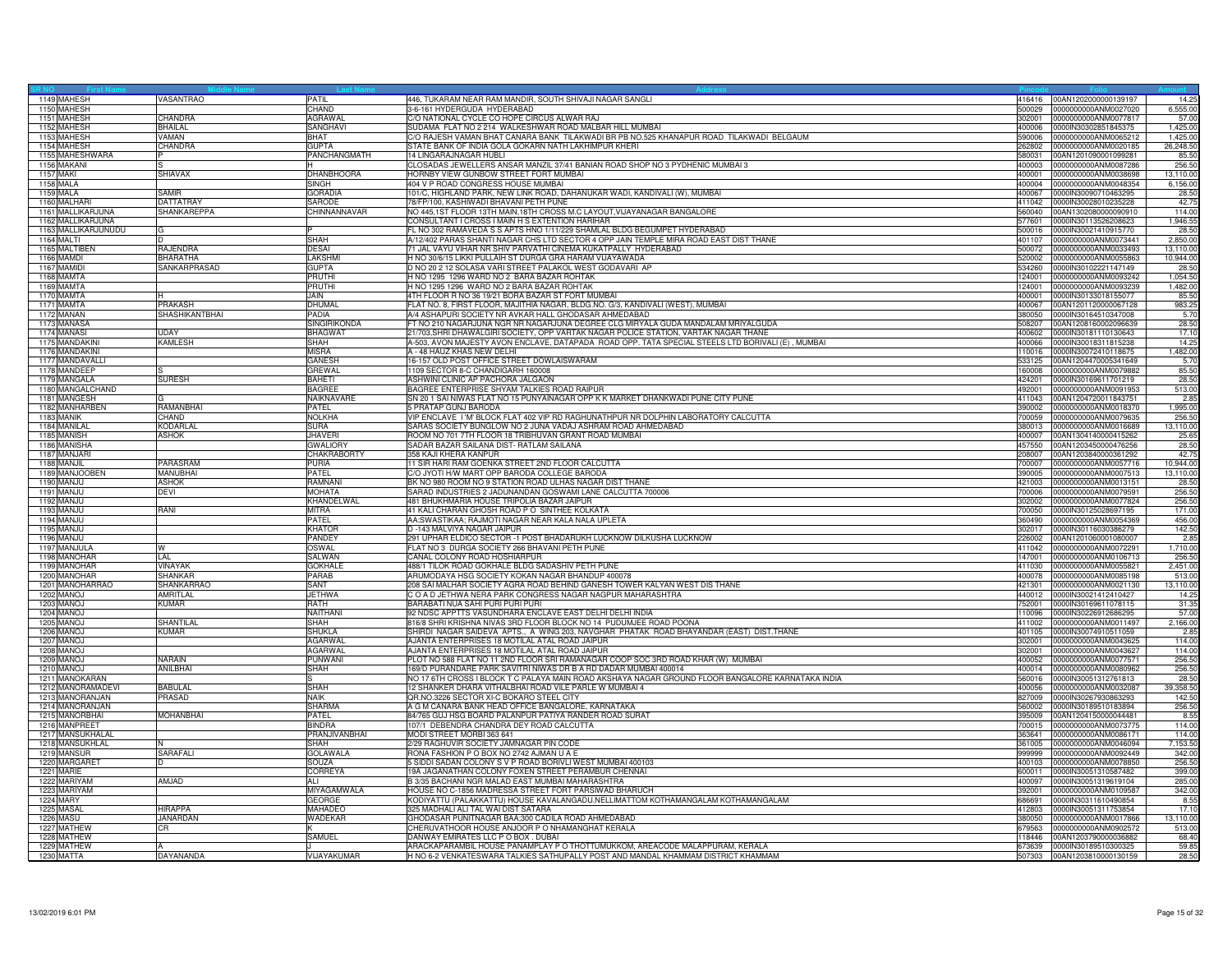| 1149 MAHESH         | VASANTRAO                   | PATIL              | 446, TUKARAM NEAR RAM MANDIR, SOUTH SHIVAJI NAGAR SANGLI                                           | 416416 | 00AN1202000000139197        | 14.25     |
|---------------------|-----------------------------|--------------------|----------------------------------------------------------------------------------------------------|--------|-----------------------------|-----------|
| 1150 MAHESH         |                             | CHAND              | 3-6-161 HYDERGUDA HYDERABAD                                                                        | 500029 | 0000000000ANM0027020        | 6,555.00  |
| 1151 MAHESH         | CHANDRA                     | AGRAWAL            | C/O NATIONAL CYCLE CO HOPE CIRCUS ALWAR RAJ                                                        | 302001 | 0000000000ANM0077817        | 57.00     |
| 1152 MAHESH         | <b>BHAILAL</b>              | SANGHAVI           | SUDAMA FLAT NO 2 214 WALKESHWAR ROAD MALBAR HILL MUMBAI                                            | 400006 | 0000IN30302851845375        | 1,425.00  |
| 1153 MAHESH         | VAMAN                       | <b>BHAT</b>        | C/O RAJESH VAMAN BHAT CANARA BANK TILAKWADI BR PB NO.525 KHANAPUR ROAD TILAKWADI BELGAUM           | 590006 | 0000000000ANM0065212        | 1.425.00  |
| 1154 MAHESH         | CHANDRA                     | <b>GUPTA</b>       | STATE BANK OF INDIA GOLA GOKARN NATH LAKHIMPUR KHERI                                               | 262802 | 0000000000ANM0020185        | 26,248.50 |
| 1155 MAHESHWARA     |                             | PANCHANGMATH       | 14 LINGARAJNAGAR HUBLI                                                                             | 580031 | 00AN1201090001099281        | 85.50     |
| 1156 MAKANI         |                             |                    | CLOSADAS JEWELLERS ANSAR MANZIL 37/41 BANIAN ROAD SHOP NO 3 PYDHENIC MUMBAI 3                      | 400003 | 0000000000ANM0087286        | 256.50    |
|                     |                             |                    |                                                                                                    |        |                             |           |
| 1157 MAKI           | SHIAVAX                     | DHANBHOORA         | HORNBY VIEW GUNBOW STREET FORT MUMBAI                                                              | 400001 | 0000000000ANM0038698        | 13,110.00 |
| 1158 MALA           |                             | <b>SINGH</b>       | 404 V P ROAD CONGRESS HOUSE MUMBAI                                                                 | 400004 | 0000000000ANM0048354        | 6,156.00  |
| 1159 MALA           | SAMIR                       | GORADIA            | 101/C, HIGHLAND PARK, NEW LINK ROAD, DAHANUKAR WADI, KANDIVALI (W), MUMBAI                         | 400067 | 0000IN30090710463295        | 28.50     |
| 1160 MALHARI        | <b>DATTATRAY</b>            | SARODE             | 78/FP/100, KASHIWADI BHAVANI PETH PUNE                                                             | 411042 | 0000IN30028010235228        | 42.75     |
| 1161 MALLIKARJUNA   | SHANKAREPPA                 | CHINNANNAVAR       | NO 445,1ST FLOOR 13TH MAIN,18TH CROSS M.C LAYOUT, VIJAYANAGAR BANGALORE                            | 560040 | 00AN1302080000090910        | 114.00    |
| 1162 MALLIKARJUNA   |                             |                    | CONSULTANT I CROSS I MAIN H S EXTENTION HARIHAR                                                    | 577601 | 0000IN30113526208623        | 1,946.55  |
| 1163 MALLIKARJUNUDU |                             |                    | EL NO 302 RAMAVEDA S S APTS HNO 1/11/229 SHAMLAL BLDG BEGUMPET HYDERABAD                           | 500016 | 0000IN30021410915770        | 28.50     |
| 1164 MALTI          |                             | <b>SHAH</b>        | A/12/402 PARAS SHANTI NAGAR CHS LTD SECTOR 4 OPP JAIN TEMPLE MIRA ROAD EAST DIST THANE             | 401107 | 0000000000ANM0073441        | 2,850.00  |
| 1165 MALTIBEN       | <b>RAJENDRA</b>             | <b>DESAI</b>       | 71 JAL VAYU VIHAR NR SHIV PARVATHI CINEMA KUKATPALLY HYDERABAD                                     | 500072 | 0000000000ANM0033493        | 13,110.00 |
| 1166 MAMDI          | <b>BHARATHA</b>             | LAKSHMI            | H NO 30/6/15 LIKKI PULLAIH ST DURGA GRA HARAM VIJAYAWADA                                           | 520002 | 0000000000ANM0055863        | 10,944.00 |
| 1167 MAMIDI         | SANKARPRASAD                | <b>GUPTA</b>       | D NO 20 2 12 SOLASA VARI STREET PALAKOL WEST GODAVARI AP                                           | 534260 | 0000lN30102221147149        | 28.50     |
| 1168 MAMTA          |                             | PRUTHI             | H NO 1295 1296 WARD NO 2 BARA BAZAR ROHTAK                                                         | 24001  | 0000000000ANM0093242        | 1,054.50  |
| 1169 MAMTA          |                             | PRUTHI             | H NO 1295 1296 WARD NO 2 BARA BAZAR ROHTAK                                                         | 124001 | 0000000000ANM0093239        | 1,482.00  |
| 1170 MAMTA          |                             | <b>JAIN</b>        | 4TH FLOOR R NO 36 19/21 BORA BAZAR ST FORT MUMBAI                                                  | 400001 | 0000IN30133018155077        | 85.50     |
| 1171 MAMTA          | <b>PRAKASH</b>              | DHUMAL             |                                                                                                    | 400067 | 00AN1201120000067128        | 983.25    |
|                     |                             |                    | FLAT NO. 8, FIRST FLOOR, MAJITHIA NAGAR, BLDG.NO. G/3, KANDIVALI (WEST), MUMBAI                    |        |                             |           |
| 1172 MANAN          | <b>SHASHIKANTBHAI</b>       | PADIA              | A/4 ASHAPURI SOCIETY NR AVKAR HALL GHODASAR AHMEDABAD                                              | 380050 | 0000IN30164510347008        | 5.70      |
| 1173 MANASA         |                             | SINGIRIKONDA       | T NO 210 NAGARJUNA NGR NR NAGARJUNA DEGREE CLG MIRYALA GUDA MANDALAM MRIYALGUDA                    | 08207  | 00AN1208160002096639        | 28.50     |
| 1174 MANASI         | <b>UDAY</b>                 | <b>BHAGWAT</b>     | 21/703,SHRI DHAWALGIRI SOCIETY, OPP VARTAK NAGAR POLICE STATION, VARTAK NAGAR THANE                | 400602 | 0000IN30181110130643        | 17.10     |
| 1175 MANDAKINI      | <b>KAMLESH</b>              | <b>SHAH</b>        | A-503, AVON MAJESTY AVON ENCLAVE, DATAPADA ROAD OPP. TATA SPECIAL STEELS LTD BORIVALI (E) , MUMBAI | 400066 | 0000IN30018311815238        | 14.25     |
| 1176 MANDAKINI      |                             | <b>MISRA</b>       | A - 48 HAUZ KHAS NEW DELHI                                                                         | 110016 | 0000IN30072410118675        | 1,482.00  |
| 1177 MANDAVALL      |                             | GANESH             | 16-157 OLD POST OFFICE STREET DOWLAISWARAM                                                         | 533125 | 00AN1204470005341649        | 5.70      |
| 1178 MANDEEP        |                             | GREWAL             | 109 SECTOR 8-C CHANDIGARH 160008                                                                   | 80008  | 0000000000ANM0079882        | 85.50     |
| 1179 MANGALA        | <b>SURESH</b>               | <b>BAHETI</b>      | ASHWINI CLINIC AP PACHORA JALGAON                                                                  | 424201 | 0000IN30169611701219        | 28.50     |
| 1180 MANGALCHAND    |                             | <b>BAGREE</b>      | BAGREE ENTERPRISE SHYAM TALKIES ROAD RAIPUR                                                        | 492001 | 0000000000ANM0091953        | 513.00    |
| 1181 MANGESH        |                             | NAIKNAVARE         | SN 201 SAI NIWAS FLAT NO 15 PUNYAINAGAR OPP K K MARKET DHANKWADI PUNE CITY PUNE                    | 411043 | 00AN1204720011843751        | 2.85      |
| 1182 MANHARBEN      | RAMANBHAI                   | PATEL              | 5 PRATAP GUNJ BARODA                                                                               | 390002 | 0000000000ANM0018370        | 1,995.00  |
| 1183 MANIK          | CHAND                       | NOLKHA             | VIP ENCLAVE I 'M' BLOCK FLAT 402 VIP RD RAGHUNATHPUR NR DOLPHIN LABORATORY CALCUTTA                | 700059 | 0000000000ANM0079635        | 256.50    |
| 1184 MANILAI        | KODARLA                     | <b>SURA</b>        | SARAS SOCIETY BUNGLOW NO 2 JUNA VADAJ ASHRAM ROAD AHMEDABAD                                        | 380013 | 0000000000ANM0016689        | 13,110.00 |
| 1185 MANISH         | <b>ASHOK</b>                | <b>JHAVERI</b>     | ROOM NO 701 7TH FLOOR 18 TRIBHUVAN GRANT ROAD MUMBAI                                               | 400007 | 00AN1304140000415262        | 25.65     |
| 1186 MANISHA        |                             | <b>GWALIORY</b>    | SADAR BAZAR SAILANA DIST- RATLAM SAILANA                                                           | 457550 | 00AN1203450000476256        | 28.50     |
| 1187 MANJARI        |                             | <b>CHAKRABORTY</b> | 358 KAJI KHERA KANPUR                                                                              | 208007 | 00AN1203840000361292        | 42.75     |
|                     |                             | PURIA              |                                                                                                    |        |                             |           |
| 1188 MANJIL         | PARASRAM<br><b>MANUBHAI</b> |                    | 1 SIR HARI RAM GOENKA STREET 2ND FLOOR CALCUTTA                                                    | 700007 | 0000000000ANM0057716        | 10,944.00 |
| 1189 MANJOOBEN      |                             | PATEL              | C/O JYOTI H/W MART OPP BARODA COLLEGE BARODA                                                       | 390005 | 0000000000ANM0007513        | 13,110.00 |
| 1190 MANJU          | <b>ASHOK</b>                | RAMNANI            | BK NO 980 ROOM NO 9 STATION ROAD ULHAS NAGAR DIST THANE                                            | 421003 | 0000000000ANM0013151        | 28.50     |
| 1191 MANJU          | DEVI                        | MOHATA             | SARAD INDUSTRIES 2 JADUNANDAN GOSWAMI LANE CALCUTTA 700006                                         | 700006 | 0000000000ANM0079591        | 256.50    |
| 1192 MANJU          |                             | KHANDELWAL         | 481 BHUKHMARIA HOUSE TRIPOLIA BAZAR JAIPUR                                                         | 302002 | 0000000000ANM0077824        | 256.50    |
| 1193 MANJU          | RANI                        | <b>MITRA</b>       | 41 KALI CHARAN GHOSH ROAD PO SINTHEE KOLKATA                                                       | 700050 | 0000IN30125028697195        | 171.00    |
| 1194 MANJU          |                             | PATEL              | AA;SWASTIKAA; RAJMOTI NAGAR NEAR KALA NALA UPLETA                                                  | 360490 | 0000000000ANM0054369        | 456.00    |
| 1195 MANJU          |                             | <b>KHATOF</b>      | D -143 MALVIYA NAGAR JAIPUR                                                                        | 302017 | 0000IN30116030386279        | 142.50    |
| 1196 MANJU          |                             | PANDEY             | 291 UPHAR ELDICO SECTOR -1 POST BHADARUKH LUCKNOW DILKUSHA LUCKNOW                                 | 226002 | 00AN1201060001080007        | 2.85      |
| 1197 MANJULA        | W                           | OSWAL              | FLAT NO 3 DURGA SOCIETY 266 BHAVANI PETH PUNE                                                      | 411042 | 0000000000ANM0072291        | 1,710.00  |
| 1198 MANOHAR        | LAL                         | SALWAN             | CANAL COLONY ROAD HOSHIARPUR                                                                       | 147001 | 0000000000ANM0106713        | 256.50    |
| 1199 MANOHAR        | <b>VINAYAK</b>              | <b>GOKHALE</b>     | 488/1 TILOK ROAD GOKHALE BLDG SADASHIV PETH PUNE                                                   | 411030 | 0000000000ANM0055821        | 2,451.00  |
| 1200 MANOHAR        | <b>SHANKAR</b>              | PARAB              | ARUMODAYA HSG SOCIETY KOKAN NAGAR BHANDUP 400078                                                   | 400078 | 0000000000ANM0085198        | 513.00    |
| 1201 MANOHARRAO     | SHANKARRAO                  | SANT               | 208 SAI MALHAR SOCIETY AGRA ROAD BEHIND GANESH TOWER KALYAN WEST DIS THANE                         | 421301 | 0000000000ANM0021130        | 13,110.00 |
| 1202 MANOJ          | AMRITLAL                    | <b>JETHWA</b>      | O A D JETHWA NERA PARK CONGRESS NAGAR NAGPUR MAHARASHTRA                                           | 440012 | 0000IN30021412410427        | 14.25     |
| 1203 MANOJ          | KUMAR                       | RATH               | BARABATI NUA SAHI PURI PURI PURI                                                                   | 52001  | 0000IN30169611078115        | 31.35     |
| 1204 MANOJ          |                             | <b>NAITHAN</b>     | 92 NDSC APPTTS VASUNDHARA ENCLAVE EAST DELHI DELHI INDIA                                           | 110096 | 0000IN30226912686295        | 57.00     |
| 1205 MANOJ          | <b>SHANTILAI</b>            | SHAH               | 816/8 SHRI KRISHNA NIVAS 3RD FLOOR BLOCK NO 14 PUDUMJEE ROAD POONA                                 | 411002 | 0000000000ANM0011497        | 2,166.00  |
| 1206 MANOJ          | KUMAR                       | <b>SHUKLA</b>      | SHIRDI NAGAR SAIDEVA APTS., A WING 203, NAVGHAR PHATAK ROAD BHAYANDAR (EAST) DIST.THANE            | 401105 | 0000IN30074910511059        | 2.85      |
| 1207 MANOJ          |                             | AGARWAL            | AJANTA ENTERPRISES 18 MOTILAL ATAL ROAD JAIPUR                                                     | 302001 | 0000000000ANM0043625        | 114.00    |
|                     |                             |                    |                                                                                                    |        |                             |           |
| 1208 MANOJ          |                             | <b>AGARWAL</b>     | AJANTA ENTERPRISES 18 MOTILAL ATAL ROAD JAIPUR                                                     | 302001 | 0000000000ANM0043627        | 114.00    |
| 1209 MANOJ          | <b>NARAIN</b>               | <b>PUNWANI</b>     | PLOT NO 588 FLAT NO 11 2ND FLOOR SRI RAMANAGAR COOP SOC 3RD ROAD KHAR (W) MUMBAI                   | 400052 | 0000000000ANM0077571        | 256.50    |
| 1210 MANOJ          | ANILBHAI                    | SHAH               | 169/D PURANDARE PARK SAVITRI NIWAS DR B A RD DADAR MUMBAI 400014                                   | 400014 | 0000000000ANM0080962        | 256.50    |
| 1211 MANOKARAN      |                             |                    | NO 17 6TH CROSS I BLOCK T C PALAYA MAIN ROAD AKSHAYA NAGAR GROUND FLOOR BANGALORE KARNATAKA INDIA  | 560016 | 0000lN30051312761813        | 28.50     |
| 1212 MANORAMADEVI   | <b>BABULAL</b>              | SHAH               | 2 SHANKER DHARA VITHALBHAI ROAD VILE PARLE W MUMBAI 4                                              | 400056 | 0000000000ANM0032087        | 39,358.50 |
| 1213 MANORANJAN     | PRASAD                      | NAIK               | QR.NO.3226 SECTOR XI-C BOKARO STEEL CITY                                                           | 827009 | 0000IN30267930863293        | 142.50    |
| 1214 MANORANJAN     |                             | <b>SHARMA</b>      | A G M CANARA BANK HEAD OFFICE BANGALORE, KARNATAKA                                                 | 560002 | 0000IN30189510183894        | 256.50    |
| 1215 MANORBHAI      | <b>MOHANBHAI</b>            | PATEL              | 84/765 GUJ HSG BOARD PALANPUR PATIYA RANDER ROAD SURAT                                             | 395009 | 00AN1204150000044481        | 8.55      |
| 1216 MANPREET       |                             | <b>BINDRA</b>      | 107/1 DEBENDRA CHANDRA DEY ROAD CALCUTTA                                                           | 700015 | 0000000000ANM0073775        | 114.00    |
| 1217 MANSUKHALAL    |                             | PRANJIVANBHAI      | MODI STREET MORBI 363 641                                                                          | 363641 | 0000000000ANM0086171        | 114.00    |
| 1218 MANSUKHLAL     |                             | SHAH               | 2/29 RAGHUVIR SOCIETY JAMNAGAR PIN CODE                                                            | 361005 | 0000000000ANM0046094        | 7,153.50  |
| 1219 MANSUR         | SARAFALI                    | <b>GOLAWALA</b>    | RONA FASHION P O BOX NO 2742 AJMAN U A E                                                           | 999999 | 0000000000ANM0092449        | 342.00    |
| 1220 MARGARET       | D                           | SOUZA              | 5 SIDDI SADAN COLONY S V P ROAD BORIVLI WEST MUMBAI 400103                                         | 400103 | 0000000000ANM0078850        | 256.50    |
| 1221 MARIE          |                             | CORREYA            | 19A JAGANATHAN COLONY FOXEN STREET PERAMBUR CHENNAI                                                | 600011 | 0000lN30051310587482        | 399.00    |
| 1222 MARIYAM        | AMJAD                       |                    | B 3/35 BACHANI NGR MALAD EAST MUMBAI MAHARASHTRA                                                   | 400097 | 0000lN30051319619104        | 285.0     |
| 1223 MARIYAM        |                             | <b>MIYAGAMWALA</b> | HOUSE NO C-1856 MADRESSA STREET FORT PARSIWAD BHARUCH                                              | 392001 | 0000000000ANM0109587        | 342.00    |
| 1224 MARY           |                             | GEORGE             | KODIYATTU (PALAKKATTU) HOUSE KAVALANGADU,NELLIMATTOM KOTHAMANGALAM KOTHAMANGALAM                   | 686691 | 0000lN30311610490854        | 8.55      |
| 1225 MASAL          | <b>HIRAPPA</b>              | MAHADEO            | 325 MADHALI ALI TAL WAI DIST SATARA                                                                | 412803 | 0000lN30051311753854        | 17.10     |
| 1226 MASU           | <b>JANARDAN</b>             | WADEKAR            | GHODASAR PUNITNAGAR BAA;300 CADILA ROAD AHMEDABAD                                                  | 380050 | 0000000000ANM0017866        | 13,110.00 |
|                     |                             |                    |                                                                                                    |        |                             |           |
| 1227 MATHEW         | CR                          |                    | CHERUVATHOOR HOUSE ANJOOR P O NHAMANGHAT KERALA                                                    | 379563 | 0000000000ANM0902572        | 513.00    |
| 1228 MATHEW         |                             | SAMUEL             | DANWAY EMIRATES LLC P O BOX . DUBAI                                                                | 118446 | 00AN1203790000036882        | 68.40     |
| 1229 MATHEW         |                             |                    | ARACKAPARAMBIL HOUSE PANAMPLAY P O THOTTUMUKKOM, AREACODE MALAPPURAM, KERALA                       | 673639 | 0000IN30189510300325        | 59.85     |
| 1230 MATTA          | DAYANANDA                   | VIJAYAKUMAR        | H NO 6-2 VENKATESWARA TALKIES SATHUPALLY POST AND MANDAL KHAMMAM DISTRICT KHAMMAM                  |        | 507303 00AN1203810000130159 | 28.50     |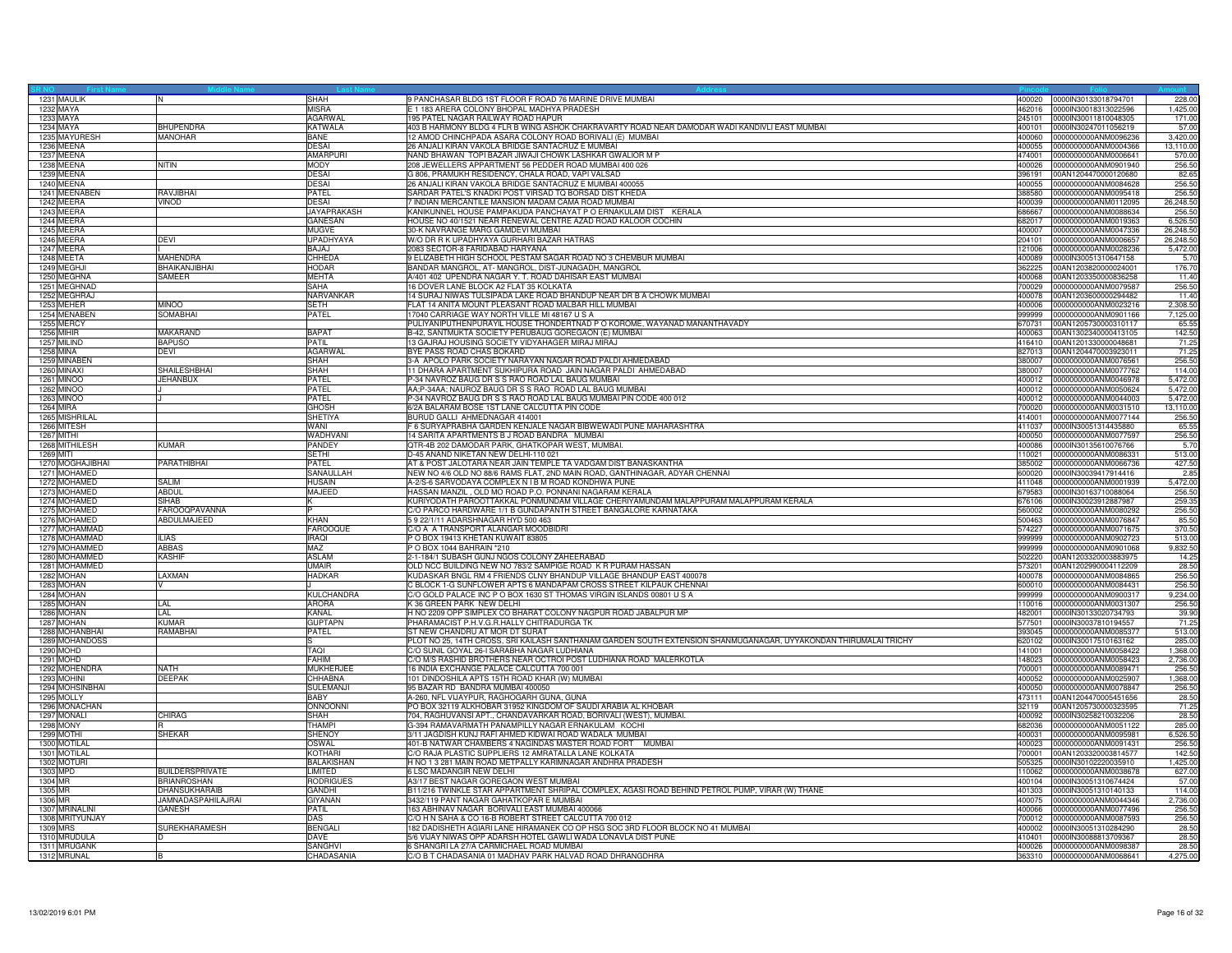| 1231 MAULIK              | IN.                    | <b>SHAH</b>        | 9 PANCHASAR BLDG 1ST FLOOR F ROAD 76 MARINE DRIVE MUMBAI                                                         | 400020           | 0000IN30133018794701                         | 228.00               |
|--------------------------|------------------------|--------------------|------------------------------------------------------------------------------------------------------------------|------------------|----------------------------------------------|----------------------|
| 1232 MAYA                |                        | <b>MISRA</b>       | E 1 183 ARERA COLONY BHOPAL MADHYA PRADESH                                                                       | 462016           | 0000IN30018313022596                         | 1,425.00             |
| 1233 MAYA                |                        | <b>AGARWAL</b>     | 195 PATEL NAGAR RAILWAY ROAD HAPUR                                                                               | 245101           | 0000IN30011810048305                         | 171.00               |
| 1234 MAYA                | <b>BHUPENDRA</b>       | <b>KATWALA</b>     | 403 B HARMONY BLDG 4 FLR B WING ASHOK CHAKRAVARTY ROAD NEAR DAMODAR WADI KANDIVLI EAST MUMBAI                    | 400101           | 0000IN30247011056219                         | 57.00                |
| 1235 MAYURESH            | MANOHAR                | <b>BANE</b>        | 12 AMOD CHINCHPADA ASARA COLONY ROAD BORIVALI (E) MUMBAI                                                         | 400060           | 0000000000ANM0096236                         | 3,420.00             |
| 1236 MEENA               |                        | <b>DESAI</b>       | 26 ANJALI KIRAN VAKOLA BRIDGE SANTACRUZ E MUMBAI                                                                 | 400055           | 0000000000ANM0004366                         | 13,110.00            |
| 1237 MEENA               |                        | <b>AMARPUR</b>     | NAND BHAWAN TOPI BAZAR JIWAJI CHOWK LASHKAR GWALIOR M P                                                          | 474001           | 0000000000ANM0006641                         | 570.00               |
| 1238 MEENA               | <b>NITIN</b>           | <b>MODY</b>        | 208 JEWELLERS APPARTMENT 56 PEDDER ROAD MUMBAI 400 026                                                           | 400026           | 0000000000ANM0901940                         | 256.50               |
| 1239 MEENA               |                        | <b>DESAI</b>       | G 806, PRAMUKH RESIDENCY, CHALA ROAD, VAPI VALSAD                                                                | 396191           | 00AN1204470000120680                         | 82.65                |
| 1240 MEENA               |                        | <b>DESAI</b>       | 26 ANJALI KIRAN VAKOLA BRIDGE SANTACRUZ E MUMBAI 400055                                                          | 400055           | 0000000000ANM0084628                         | 256.50               |
| 1241 MEENABEN            | RAVJIBHAI              | PATEL              | SARDAR PATEL'S KNADKI POST VIRSAD TO BORSAD DIST KHEDA                                                           | 388580           | 0000000000ANM0095418                         | 256.50               |
| 1242 MEERA               | VINOD                  | <b>DESAI</b>       | 7 INDIAN MERCANTILE MANSION MADAM CAMA ROAD MUMBAI                                                               | 400039           | 0000000000ANM0112095                         | 26,248.50            |
| 1243 MEERA               |                        | <b>JAYAPRAKASH</b> | KANIKUNNEL HOUSE PAMPAKUDA PANCHAYAT P O ERNAKULAM DIST KERALA                                                   | 686667           | 0000000000ANM0088634                         | 256.50               |
|                          |                        |                    |                                                                                                                  |                  |                                              |                      |
| 1244 MEERA               |                        | GANESAN            | HOUSE NO 40/1521 NEAR RENEWAL CENTRE AZAD ROAD KALOOR COCHIN                                                     | 682017           | 0000000000ANM0019363                         | 6,526.50             |
| 1245 MEERA               |                        | <b>MUGVE</b>       | 30-K NAVRANGE MARG GAMDEVI MUMBAI                                                                                | 400007           | 0000000000ANM0047336                         | 26,248.50            |
| 1246 MEERA               | <b>DEVI</b>            | <b>UPADHYAYA</b>   | W/O DR R K UPADHYAYA GURHARI BAZAR HATRAS                                                                        | 204101           | 0000000000ANM0006657                         | 26,248.50            |
| 1247 MEERA               |                        | <b>BAJAJ</b>       | 2083 SECTOR-8 FARIDABAD HARYANA                                                                                  | 121006           | 0000000000ANM0028236                         | 5,472.00             |
| 1248 MEETA               | <b>MAHENDRA</b>        | <b>CHHEDA</b>      | 9 ELIZABETH HIGH SCHOOL PESTAM SAGAR ROAD NO 3 CHEMBUR MUMBAI                                                    | 400089           | 0000IN30051310647158                         | 5.70                 |
| 1249 MEGHJI              | BHAIKANJIBHAI          | <b>HODAR</b>       | BANDAR MANGROL, AT- MANGROL, DIST-JUNAGADH, MANGROL                                                              | 362225           | 00AN1203820000024001                         | 176.70               |
| 1250 MEGHNA              | SAMEER                 | <b>MEHTA</b>       | A/401 402 UPENDRA NAGAR Y. T. ROAD DAHISAR EAST MUMBAI                                                           | 400068           | 00AN1203350000836258                         | 11.40                |
| 1251 MEGHNAD             |                        | SAHA               | 16 DOVER LANE BLOCK A2 FLAT 35 KOLKATA                                                                           | 700029           | 0000000000ANM0079587                         | 256.50               |
| 1252 MEGHRAJ             |                        | NARVANKAR          | 14 SURAJ NIWAS TULSIPADA LAKE ROAD BHANDUP NEAR DR B A CHOWK MUMBAI                                              | 400078           | 00AN1203600000294482                         | 11.40                |
| 1253 MEHER               | <b>MINOO</b>           | <b>SETH</b>        | FLAT 14 ANITA MOUNT PLEASANT ROAD MALBAR HILL MUMBAI                                                             | 400006           | 0000000000ANM0023216                         | 2,308.50             |
| 1254 MENABEN             | <b>SOMABHAI</b>        | PATEL              | 17040 CARRIAGE WAY NORTH VILLE MI 48167 U S A                                                                    | 999999           | 0000000000ANM0901166                         | 7,125.00             |
| 1255 MERCY               |                        |                    | PULIYANIPUTHENPURAYIL HOUSE THONDERTNAD P O KOROME, WAYANAD MANANTHAVADY                                         | 670731           | 00AN1205730000310117                         | 65.55                |
| 1256 MIHIR               | MAKARAND               | <b>BAPAT</b>       | B-42, SANTMUKTA SOCIETY PERUBAUG GOREGAON (E) MUMBAI                                                             | 400063           | 00AN1302340000413105                         | 142.50               |
| 1257 MILIND              | <b>BAPUSO</b>          | PATIL              | 13 GAJRAJ HOUSING SOCIETY VIDYAHAGER MIRAJ MIRAJ                                                                 | 416410           | 00AN1201330000048681                         | 71.25                |
| <b>1258 MINA</b>         | <b>DEVI</b>            | <b>AGARWAL</b>     | BYE PASS ROAD CHAS BOKARD                                                                                        | 827013           | 00AN1204470003923011                         | 71.25                |
| 1259 MINABEN             |                        | SHAH               | 3-A APOLO PARK SOCIETY NARAYAN NAGAR ROAD PALDI AHMEDABAD                                                        | 380007           | 0000000000ANM0076561                         | 256.50               |
| 1260 MINAXI              | SHAILESHBHAI           | SHAH               | 11 DHARA APARTMENT SUKHIPURA ROAD JAIN NAGAR PALDI AHMEDABAD                                                     | 380007           | 0000000000ANM0077762                         | 114.00               |
|                          |                        |                    |                                                                                                                  |                  |                                              |                      |
| 1261 MINOO<br>1262 MINOO | <b>JEHANBUX</b>        | PATEL<br>PATEL     | P-34 NAVROZ BAUG DR S S RAO ROAD LAL BAUG MUMBAI<br>AA;P-34AA; NAUROZ BAUG DR S S RAO ROAD LAL BAUG MUMBAI       | 400012<br>400012 | 0000000000ANM0046978<br>0000000000ANM0050624 | 5,472.00<br>5.472.00 |
|                          |                        |                    |                                                                                                                  |                  |                                              |                      |
| 1263 MINOO               |                        | PATEL              | P-34 NAVROZ BAUG DR S S RAO ROAD LAL BAUG MUMBAI PIN CODE 400 012                                                | 400012           | 0000000000ANM0044003                         | 5,472.00             |
| 1264 MIRA                |                        | <b>GHOSH</b>       | 6/2A BALARAM BOSE 1ST LANE CALCUTTA PIN CODE                                                                     | 700020           | 0000000000ANM0031510                         | 13,110.00            |
| 1265 MISHRILAL           |                        | <b>SHETIYA</b>     | BURUD GALLI AHMEDNAGAR 414001                                                                                    | 414001           | 0000000000ANM0077144                         | 256.50               |
| 1266 MITESH              |                        | WANI               | F 6 SURYAPRABHA GARDEN KENJALE NAGAR BIBWEWADI PUNE MAHARASHTRA                                                  | 411037           | 0000IN30051314435880                         | 65.55                |
| 1267 MITHI               |                        | WADHVANI           | 14 SARITA APARTMENTS B J ROAD BANDRA MUMBAI                                                                      | 400050           | 0000000000ANM0077597                         | 256.50               |
| 1268 MITHILESH           | <b>KUMAR</b>           | PANDEY             | QTR-4B 202 DAMODAR PARK, GHATKOPAR WEST, MUMBAI.                                                                 | 400086           | 0000IN30135610076766                         | 5.70                 |
| 1269 MITI                |                        | <b>SFTHI</b>       | D-45 ANAND NIKETAN NEW DELHI-110 021                                                                             | 110021           | 0000000000ANM0086331                         | 513.00               |
| 1270 MOGHAJIBHAI         | <b>PARATHIBHAI</b>     | PATEL              | AT & POST JALOTARA NEAR JAIN TEMPLE TA VADGAM DIST BANASKANTHA                                                   | 385002           | 0000000000ANM0066736                         | 427.50               |
| 1271 MOHAMED             |                        | SANAULLAH          | NEW NO 4/6 OLD NO 88/6 RAMS FLAT, 2ND MAIN ROAD, GANTHINAGAR, ADYAR CHENNAI                                      | 600020           | 0000IN30039417914416                         | 2.85                 |
| 1272 MOHAMED             | <b>SALIM</b>           | <b>HUSAIN</b>      | A-2/S-6 SARVODAYA COMPLEX N I B M ROAD KONDHWA PUNE                                                              | 411048           | 0000000000ANM0001939                         | 5,472.00             |
| 1273 MOHAMED             | <b>ABDUL</b>           | MAJEED             | HASSAN MANZIL, OLD MO ROAD P.O. PONNANI NAGARAM KERALA                                                           | 679583           | 0000IN30163710088064                         | 256.50               |
| 1274 MOHAMED             | <b>SIHAB</b>           |                    | KURIYODATH PAROOTTAKKAL PONMUNDAM VILLAGE CHERIYAMUNDAM MALAPPURAM MALAPPURAM KERALA                             | 676106           | 0000IN30023912887987                         | 259.35               |
| 1275 MOHAMED             | <b>FAROOQPAVANNA</b>   |                    | C/O PARCO HARDWARE 1/1 B GUNDAPANTH STREET BANGALORE KARNATAKA                                                   | 560002           | 0000000000ANM0080292                         | 256.50               |
| 1276 MOHAMED             | ABDULMAJEED            | <b>KHAN</b>        | 5 9 22/1/11 ADARSHNAGAR HYD 500 463                                                                              | 500463           | 0000000000ANM0076847                         | 85.50                |
| 1277 MOHAMMAD            |                        | <b>FAROOQUE</b>    | C/O A A TRANSPORT ALANGAR MOODBIDRI                                                                              | 574227           | 0000000000ANM0071675                         | 370.50               |
|                          | <b>ILIAS</b>           | <b>IRAQI</b>       | P O BOX 19413 KHETAN KUWAIT 83805                                                                                | 999999           | 0000000000ANM0902723                         |                      |
| 1278 MOHAMMAD            |                        |                    |                                                                                                                  |                  |                                              | 513.00               |
| 1279 MOHAMMED            | <b>ABBAS</b>           | MAZ                | P O BOX 1044 BAHRAIN *210                                                                                        | 999999           | 0000000000ANM0901068                         | 9,832.50             |
| 1280 MOHAMMED            | <b>KASHIF</b>          | <b>ASLAM</b>       | 2-1-184/1 SUBASH GUNJ NGOS COLONY ZAHEERABAD                                                                     | 502220           | 00AN1203320003883975                         | 14.25                |
| 1281 MOHAMMED            |                        | <b>UMAIR</b>       | OLD NCC BUILDING NEW NO 783/2 SAMPIGE ROAD K R PURAM HASSAN                                                      | 573201           | 00AN1202990004112209                         | 28.50                |
| 1282 MOHAN               | LAXMAN                 | <b>HADKAR</b>      | KUDASKAR BNGL RM 4 FRIENDS CLNY BHANDUP VILLAGE BHANDUP EAST 400078                                              | 400078           | 0000000000ANM0084865                         | 256.50               |
| 1283 MOHAN               | M                      |                    | C BLOCK 1-G SUNFLOWER APTS 6 MANDAPAM CROSS STREET KILPAUK CHENNAI                                               | 600010           | 0000000000ANM0084431                         | 256.50               |
| 1284 MOHAN               |                        | KULCHANDRA         | C/O GOLD PALACE INC P O BOX 1630 ST THOMAS VIRGIN ISLANDS 00801 U S A                                            | 199999           | 0000000000ANM0900317                         | 9,234.00             |
| 1285 MOHAN               | LAL                    | <b>ARORA</b>       | K 36 GREEN PARK NEW DELHI                                                                                        | 110016           | 0000000000ANM0031307                         | 256.50               |
| 1286 MOHAN               | LAL                    | <b>KANAL</b>       | H NO 2209 OPP SIMPLEX CO BHARAT COLONY NAGPUR ROAD JABALPUR MP                                                   | 482001           | 0000IN30133020734793                         | 39.90                |
| 1287 MOHAN               | KUMAR                  | <b>GUPTAPN</b>     | PHARAMACIST P.H.V.G.R.HALLY CHITRADURGA TK                                                                       | 577501           | 0000IN30037810194557                         | 71.25                |
| 1288 MOHANBHAI           | RAMABHAI               | PATEL              | ST NEW CHANDRU AT MOR DT SURAT                                                                                   | 393045           | 0000000000ANM0085377                         | 513.00               |
| 1289 MOHANDOSS           |                        |                    | PLOT NO 25, 14TH CROSS, SRI KAILASH SANTHANAM GARDEN SOUTH EXTENSION SHANMUGANAGAR, UYYAKONDAN THIRUMALAI TRICHY | 620102           | 0000IN30017510163162                         | 285.00               |
| 1290 MOHD                |                        | <b>TAQI</b>        | C/O SUNIL GOYAL 26-I SARABHA NAGAR LUDHIANA                                                                      | 141001           | 0000000000ANM0058422                         | 1,368.00             |
| 1291 MOHD                |                        | <b>FAHIM</b>       | C/O M/S RASHID BROTHERS NEAR OCTROI POST LUDHIANA ROAD MALERKOTLA                                                | 148023           | 0000000000ANM0058423                         | 2,736.00             |
| 1292 MOHENDRA            | <b>NATH</b>            | MUKHERJEE          | 16 INDIA EXCHANGE PALACE CALCUTTA 700 001                                                                        | 700001           | 0000000000ANM0089471                         | 256.50               |
| 1293 MOHINI              | <b>DEEPAK</b>          | CHHABNA            | 101 DINDOSHILA APTS 15TH ROAD KHAR (W) MUMBAI                                                                    | 400052           | 0000000000ANM0025907                         | 1.368.00             |
| 1294 MOHSINBHAI          |                        | SULEMANJ           | 95 BAZAR RD BANDRA MUMBAI 400050                                                                                 | 400050           | 0000000000ANM0078847                         | 256.50               |
| 1295 MOLLY               |                        | <b>BABY</b>        | A-260, NFL VIJAYPUR, RAGHOGARH GUNA, GUNA                                                                        | 473111           | 00AN1204470005451656                         | 28.50                |
| 1296 MONACHAN            |                        | ONNOONNI           | PO BOX 32119 ALKHOBAR 31952 KINGDOM OF SAUDI ARABIA AL KHOBAR                                                    | 32119            | 00AN1205730000323595                         | 71.25                |
|                          | <b>CHIRAG</b>          | SHAH               | 704, RAGHUVANSI APT., CHANDAVARKAR ROAD, BORIVALI (WEST), MUMBAI.                                                | 400092           |                                              |                      |
| 1297 MONALI              |                        |                    | G-394 RAMAVARMATH PANAMPILLY NAGAR ERNAKULAM KOCHI                                                               |                  | 0000lN30258210032206                         | 28.50                |
| <b>1298 MONY</b>         |                        | THAMPI             |                                                                                                                  | 682036           | 0000000000ANM0051122                         | 285.00               |
| 1299 MOTHI               | <b>SHEKAR</b>          | <b>SHENOY</b>      | 3/11 JAGDISH KUNJ RAFI AHMED KIDWAI ROAD WADALA MUMBAI                                                           | 400031           | 0000000000ANM0095981                         | 6,526.50             |
| 1300 MOTILAL             |                        | OSWAL              | 401-B NATWAR CHAMBERS 4 NAGINDAS MASTER ROAD FORT MUMBAI                                                         | 400023           | 0000000000ANM0091431                         | 256.50               |
| 1301 MOTILAL             |                        | <b>KOTHARI</b>     | C/O RAJA PLASTIC SUPPLIERS 12 AMRATALLA LANE KOLKATA                                                             | 700001           | 00AN1203320003814577                         | 142.50               |
| 1302 MOTURI              |                        | <b>BALAKISHAN</b>  | H NO 1 3 281 MAIN ROAD METPALLY KARIMNAGAR ANDHRA PRADESH                                                        | 505325           | 0000lN30102220035910                         | 1,425.00             |
| 1303 MPD                 | <b>BUILDERSPRIVATE</b> | LIMITED            | 6 LSC MADANGIR NEW DELHI                                                                                         | 10062            | 0000000000ANM0038678                         | 627.00               |
| 1304 MR                  | <b>BRIANROSHAN</b>     | <b>RODRIGUES</b>   | A3/17 BEST NAGAR GOREGAON WEST MUMBAI                                                                            | 400104           | 0000lN30051310674424                         | 57.00                |
| 1305 MR                  | <b>DHANSUKHARAIB</b>   | <b>GANDHI</b>      | B11/216 TWINKLE STAR APPARTMENT SHRIPAL COMPLEX, AGASI ROAD BEHIND PETROL PUMP, VIRAR (W) THANE                  | 401303           | 0000lN30051310140133                         | 114.00               |
| 1306 MR                  | JAMNADASPAHILAJRAI     | <b>GIYANAN</b>     | 3432/119 PANT NAGAR GAHATKOPAR E MUMBAI                                                                          | 400075           | 0000000000ANM0044346                         | 2,736.00             |
| 1307 MRINALINI           | <b>GANESH</b>          | PATIL              | 163 ABHINAV NAGAR BORIVALI EAST MUMBAI 400066                                                                    | 400066           | 0000000000ANM0077496                         | 256.50               |
| 1308 MRITYUNJAY          |                        | DAS                | C/O H N SAHA & CO 16-B ROBERT STREET CALCUTTA 700 012                                                            | 700012           | 0000000000ANM0087593                         | 256.50               |
| 1309 MRS                 | <b>SUREKHARAMESH</b>   | <b>BENGAL</b>      | 182 DADISHETH AGIARI LANE HIRAMANEK CO OP HSG SOC 3RD FLOOR BLOCK NO 41 MUMBAI                                   | 400002           | 0000lN30051310284290                         | 28.50                |
| 1310 MRUDULA             | ID                     | DAVE               | 5/6 VIJAY NIWAS OPP ADARSH HOTEL GAWLI WADA LONAVLA DIST PUNE                                                    | 410401           | 0000IN30088813709367                         | 28.50                |
| 1311 MRUGANK             |                        | <b>SANGHVI</b>     | 6 SHANGRI LA 27/A CARMICHAEL ROAD MUMBAI                                                                         | 400026           | 0000000000ANM0098387                         | 28.50                |
| 1312 MRUNAL              | lв                     | CHADASANIA         | C/O B T CHADASANIA 01 MADHAV PARK HALVAD ROAD DHRANGDHRA                                                         |                  | 363310 0000000000ANM0068641                  | 4,275.00             |
|                          |                        |                    |                                                                                                                  |                  |                                              |                      |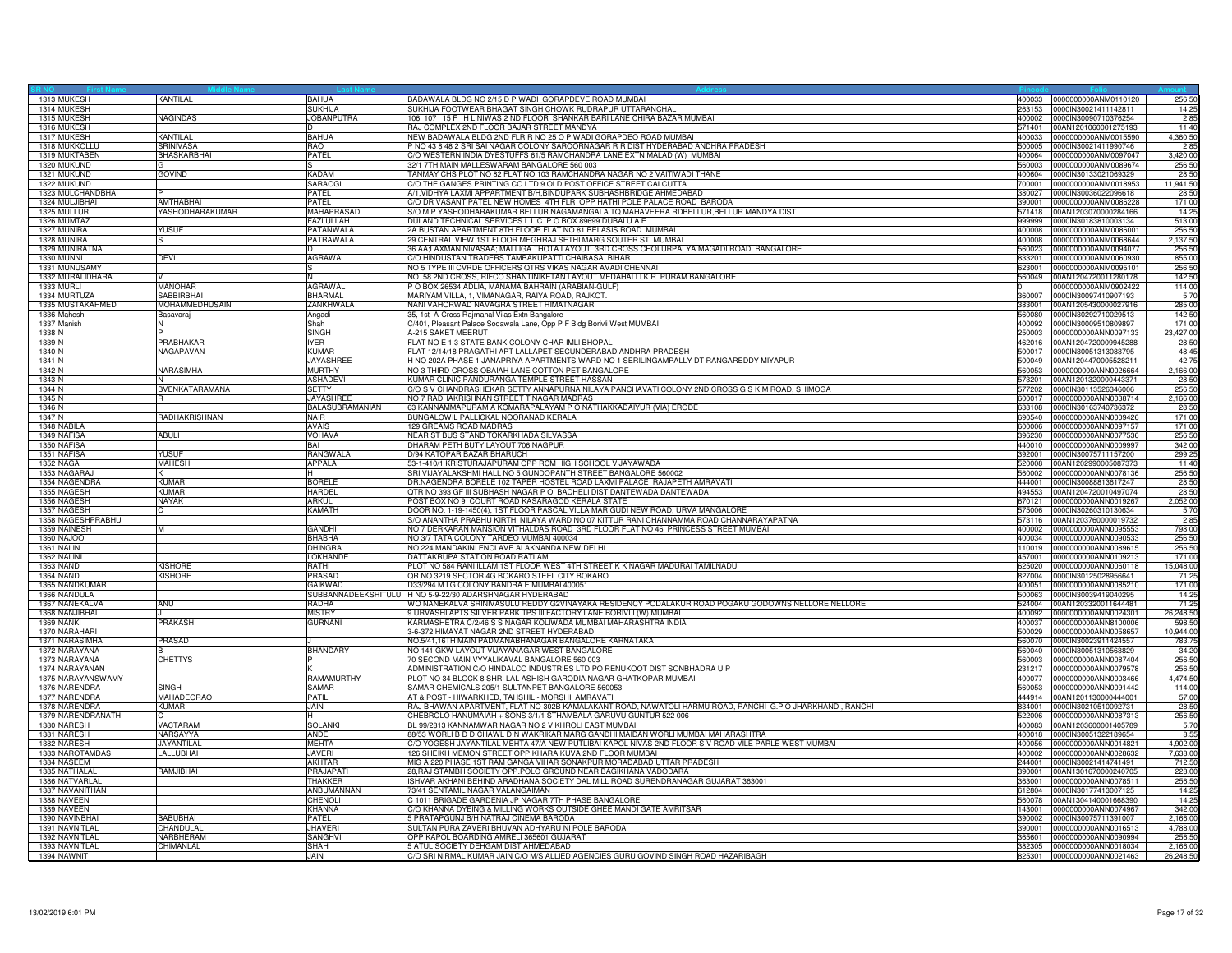|                   | 1313 MUKESH       | <b>KANTILAL</b>       | <b>BAHUA</b>         | BADAWALA BLDG NO 2/15 D P WADI GORAPDEVE ROAD MUMBAI                                                                                      | 400033           | 0000000000ANM0110120                         | 256.50    |
|-------------------|-------------------|-----------------------|----------------------|-------------------------------------------------------------------------------------------------------------------------------------------|------------------|----------------------------------------------|-----------|
|                   | 1314 MUKESH       |                       | <b>SUKHIJA</b>       | SUKHIJA FOOTWEAR BHAGAT SINGH CHOWK RUDRAPUR UTTARANCHAL                                                                                  | 263153           | 0000lN30021411142811                         | 14.25     |
|                   | 1315 MUKESH       | <b>NAGINDAS</b>       | <b>JOBANPUTRA</b>    | 106 107 15 F H L NIWAS 2 ND FLOOR SHANKAR BARI LANE CHIRA BAZAR MUMBAI                                                                    | 400002           | 0000IN30090710376254                         | 2.85      |
|                   | 1316 MUKESH       |                       |                      | RAJ COMPLEX 2ND FLOOR BAJAR STREET MANDYA                                                                                                 | 571401           | 00AN1201060001275193                         | 11.40     |
|                   | 1317 MUKESH       | <b>KANTILAL</b>       | <b>BAHUA</b>         | NEW BADAWALA BLDG 2ND FLR R NO 25 O P WADI GORAPDEO ROAD MUMBAI                                                                           | 400033           | 0000000000ANM0015590                         | 4,360.50  |
|                   | 1318 MUKKOLLU     | <b>SRINIVASA</b>      | <b>RAO</b>           | NO 43 8 48 2 SRI SAI NAGAR COLONY SAROORNAGAR R R DIST HYDERABAD ANDHRA PRADESH                                                           | 500005           | 0000IN30021411990746                         | 2.85      |
|                   | 1319 MUKTABEN     | <b>BHASKARBHAI</b>    | PATEL                | %/O WESTERN INDIA DYESTUFFS 61/5 RAMCHANDRA LANE EXTN MALAD (W) MUMBAI                                                                    | 400064           | 0000000000ANM0097047                         | 3,420.00  |
|                   | 1320 MUKUND       |                       |                      | 32/1 7TH MAIN MALLESWARAM BANGALORE 560 003                                                                                               | 560003           | 0000000000ANM0089674                         | 256.50    |
|                   | 1321 MUKUND       | <b>GOVIND</b>         | <b>KADAM</b>         | TANMAY CHS PLOT NO 82 FLAT NO 103 RAMCHANDRA NAGAR NO 2 VAITIWADI THANE                                                                   | 400604           | 0000IN30133021069329                         | 28.50     |
|                   | 1322 MUKUND       |                       | SARAOGI              | C/O THE GANGES PRINTING CO LTD 9 OLD POST OFFICE STREET CALCUTTA                                                                          | 700001           | 0000000000ANM0018953                         | 11,941.50 |
|                   | 1323 MULCHANDBHAI |                       | <b>PATEL</b>         | A/1, VIDHYA LAXMI APPARTMENT B/H, BINDUPARK SUBHASHBRIDGE AHMEDABAD                                                                       | 380027           | 0000IN30036022096618                         | 28.50     |
|                   | 1324 MULJIBHAI    | AMTHABHAI             | PATEL                | C/O DR VASANT PATEL NEW HOMES 4TH FLR OPP HATHI POLE PALACE ROAD BARODA                                                                   | 390001           | 0000000000ANM0086228                         | 171.00    |
|                   | 1325 MULLUR       | YASHODHARAKUMAR       | <b>MAHAPRASAD</b>    | S/O M P YASHODHARAKUMAR BELLUR NAGAMANGALA TQ MAHAVEERA RDBELLUR, BELLUR MANDYA DIST                                                      | 571418           | 00AN1203070000284166                         | 14.25     |
|                   | 1326 MUMTAZ       |                       | <b>FAZLULLAH</b>     | DULAND TECHNICAL SERVICES L.L.C. P.O.BOX 89699 DUBAI U.A.E                                                                                | 999999           | 0000lN30183810003134                         | 513.00    |
|                   | 1327 MUNIRA       | <b>YUSUF</b>          | PATANWALA            | 2A BUSTAN APARTMENT 8TH FLOOR FLAT NO 81 BELASIS ROAD MUMBAI                                                                              | 400008           | 0000000000ANM0086001                         | 256.50    |
|                   | 1328 MUNIRA       |                       | PATRAWALA            | 29 CENTRAL VIEW 1ST FLOOR MEGHRAJ SETHI MARG SOUTER ST. MUMBAI                                                                            | 400008           | 0000000000ANM0068644                         | 2,137.50  |
|                   | 1329 MUNIRATNA    |                       |                      | 36 AA;LAXMAN NIVASAA; MALLIGA THOTA LAYOUT 3RD CROSS CHOLURPALYA MAGADI ROAD BANGALORE                                                    | 560023           | 0000000000ANM0094077                         | 256.50    |
|                   | 1330 MUNNI        | <b>DEVI</b>           | <b>AGRAWAL</b>       | C/O HINDUSTAN TRADERS TAMBAKUPATTI CHAIBASA BIHAR                                                                                         | 833201           | 0000000000ANM0060930                         | 855.00    |
|                   | 1331 MUNUSAMY     |                       |                      | NO 5 TYPE III CVRDE OFFICERS QTRS VIKAS NAGAR AVADI CHENNAI                                                                               | 623001           | 0000000000ANM0095101                         | 256.50    |
|                   | 1332 MURALIDHARA  |                       |                      | NO. 58 2ND CROSS, RIFCO SHANTINIKETAN LAYOUT MEDAHALLI K.R. PURAM BANGALORE                                                               | 560049           | 00AN1204720011280178                         | 142.50    |
|                   | 1333 MURLI        | <b>MANOHAR</b>        | AGRAWAL              | O BOX 26534 ADLIA, MANAMA BAHRAIN (ARABIAN-GULF)                                                                                          |                  | 0000000000ANM0902422                         | 114.00    |
|                   | 1334 MURTUZA      | SABBIRBHAI            | <b>BHARMAL</b>       | MARIYAM VILLA, 1, VIMANAGAR, RAIYA ROAD, RAJKOT.                                                                                          | 360007           | 0000IN30097410907193                         | 5.70      |
|                   | 1335 MUSTAKAHMED  | <b>MOHAMMEDHUSAIN</b> | ZANKHWALA            | NANI VAHORWAD NAVAGRA STREET HIMATNAGAR                                                                                                   | 383001           | 00AN1205430000027916                         | 285.00    |
|                   | 1336 Mahesh       | Basavaraj             | Angadi               | 35, 1st A-Cross Rajmahal Vilas Extn Bangalore                                                                                             | 560080           | 0000IN30292710029513                         | 142.50    |
|                   | 1337 Manish       | IN.                   | Shah                 | C/401, Pleasant Palace Sodawala Lane, Opp P F Bldg Borivli West MUMBAI                                                                    | 400092           | 0000IN30009510809897                         | 171.00    |
| 1338 N            |                   |                       | <b>SINGH</b>         | -215 SAKET MEERUT                                                                                                                         | 250003           | 0000000000ANN0097133                         | 23,427.00 |
| 1339 <sup>N</sup> |                   | PRABHAKAR             | <b>IYER</b>          | FLAT NO E 1 3 STATE BANK COLONY CHAR IMLI BHOPAL                                                                                          | 462016           | 00AN1204720009945288                         | 28.50     |
| 1340 N            |                   | NAGAPAVAN             | <b>KUMAR</b>         | FLAT 12/14/18 PRAGATHI APT LALLAPET SECUNDERABAD ANDHRA PRADESH                                                                           | 500017           | 0000IN30051313083795                         | 48.45     |
| 1341 N            |                   |                       | JAYASHREE            | H NO 202A PHASE 1 JANAPRIYA APARTMENTS WARD NO 1 SERILINGAMPALLY DT RANGAREDDY MIYAPUR                                                    | 500049           | 00AN1204470005528211                         | 42.75     |
| 1342 N            |                   | <b>NARASIMHA</b>      | <b>MURTHY</b>        | NO 3 THIRD CROSS OBAIAH LANE COTTON PET BANGALORE                                                                                         | 560053           | 0000000000ANN0026664                         | 2,166.00  |
| 1343 N            |                   |                       | <b>ASHADEVI</b>      | KUMAR CLINIC PANDURANGA TEMPLE STREET HASSAN                                                                                              | 573201           | 00AN1201320000443371                         | 28.50     |
| 1344 N            |                   | BVENKATARAMANA        | SETTY                | C/O S V CHANDRASHEKAR SETTY ANNAPURNA NILAYA PANCHAVATI COLONY 2ND CROSS G S K M ROAD, SHIMOGA                                            | 577202           | 0000IN30113526346006                         | 256.50    |
| 1345 N            |                   | R                     | <b>JAYASHREE</b>     | NO 7 RADHAKRISHNAN STREET T NAGAR MADRAS                                                                                                  | 600017           | 0000000000ANN0038714                         | 2.166.00  |
| 1346 N            |                   |                       | BALASUBRAMANIAN      | 63 KANNAMMAPURAM A KOMARAPALAYAM P O NATHAKKADAIYUR (VIA) ERODE                                                                           | 638108           | 0000lN30163740736372                         | 28.50     |
| 1347 <sub>N</sub> |                   | RADHAKRISHNAN         | <b>NAIR</b>          | BUNGALOWIL PALLICKAL NOORANAD KERALA                                                                                                      | 690540           | 0000000000ANN0009426                         | 171.00    |
|                   | 1348 NABILA       |                       | <b>AVAIS</b>         | 29 GREAMS ROAD MADRAS                                                                                                                     | 600006           | 0000000000ANN0097157                         | 171.00    |
|                   | 1349 NAFISA       | <b>ABULI</b>          |                      | NEAR ST BUS STAND TOKARKHADA SILVASSA                                                                                                     | 396230           | 0000000000ANN0077536                         | 256.50    |
|                   | 1350 NAFISA       |                       | <b>VOHAVA</b><br>BAI | DHARAM PETH BUTY LAYOUT 706 NAGPUR                                                                                                        | 440010           | 0000000000ANN0009997                         | 342.00    |
|                   | 1351 NAFISA       | <b>YUSUF</b>          | <b>RANGWALA</b>      | D/94 KATOPAR BAZAR BHARUCH                                                                                                                | 392001           | 0000IN30075711157200                         | 299.25    |
|                   |                   | <b>MAHESH</b>         | <b>APPALA</b>        | 53-1-410/1 KRISTURAJAPURAM OPP RCM HIGH SCHOOL VIJAYAWADA                                                                                 |                  | 00AN1202990005087373                         | 11.40     |
|                   | 1352 NAGA         |                       |                      |                                                                                                                                           | 520008           |                                              |           |
|                   | 1353 NAGARAJ      | <b>KUMAR</b>          | <b>BORELE</b>        | SRI VIJAYALAKSHMI HALL NO 5 GUNDOPANTH STREET BANGALORE 560002<br>DR.NAGENDRA BORELE 102 TAPER HOSTEL ROAD LAXMI PALACE RAJAPETH AMRAVATI | 560002           | 0000000000ANN0078136                         | 256.50    |
|                   | 1354 NAGENDRA     |                       | <b>HARDEL</b>        | QTR NO 393 GF III SUBHASH NAGAR P O BACHELI DIST DANTEWADA DANTEWADA                                                                      | 444001           | 0000IN30088813617247                         | 28.50     |
|                   | 1355 NAGESH       | <b>KUMAR</b>          |                      |                                                                                                                                           | 494553           | 00AN1204720010497074                         | 28.50     |
|                   | 1356 NAGESH       | <b>NAYAK</b>          | ARKUL<br>KAMATH      | POST BOX NO 9 COURT ROAD KASARAGOD KERALA STATE<br>DOOR NO. 1-19-1450(4), 1ST FLOOR PASCAL VILLA MARIGUDI NEW ROAD, URVA MANGALORE        | 670121<br>575006 | 0000000000ANN0019267<br>0000IN30260310130634 | 2,052.00  |
|                   | 1357 NAGESH       |                       |                      |                                                                                                                                           |                  |                                              | 5.70      |
|                   | 1358 NAGESHPRABHU | M                     |                      | S/O ANANTHA PRABHU KIRTHI NILAYA WARD NO 07 KITTUR RANI CHANNAMMA ROAD CHANNARAYAPATNA                                                    | 573116           | 00AN1203760000019732                         | 2.85      |
|                   | 1359 NAINESH      |                       | <b>GANDHI</b>        | NO 7 DERKARAN MANSION VITHALDAS ROAD 3RD FLOOR FLAT NO 46 PRINCESS STREET MUMBAI                                                          | 400002           | 0000000000ANN0095553                         | 798.00    |
|                   | 1360 NAJOO        |                       | <b>BHABHA</b>        | NO 3/7 TATA COLONY TARDEO MUMBAI 400034                                                                                                   | 400034           | 0000000000ANN0090533                         | 256.50    |
|                   | 1361 NALIN        |                       | <b>DHINGRA</b>       | NO 224 MANDAKINI ENCLAVE ALAKNANDA NEW DELHI                                                                                              | 110019           | 0000000000ANN0089615                         | 256.50    |
|                   | 1362 NALINI       |                       | <b>LOKHANDE</b>      | DATTAKRUPA STATION ROAD RATLAM                                                                                                            | 457001           | 0000000000ANN0109213                         | 171.00    |
|                   | 1363 NAND         | <b>KISHORE</b>        | RATHI                | PLOT NO 584 RANI ILLAM 1ST FLOOR WEST 4TH STREET K K NAGAR MADURAI TAMILNADU                                                              | 625020           | 0000000000ANN0060118                         | 15,048.00 |
|                   | 1364 NAND         | <b>KISHORE</b>        | PRASAD               | QR NO 3219 SECTOR 4G BOKARO STEEL CITY BOKARO                                                                                             | 827004           | 0000lN30125028956641                         | 71.25     |
|                   | 1365 NANDKUMAR    |                       | GAIKWAD              | D33/294 M I G COLONY BANDRA E MUMBAI 400051                                                                                               | 400051           | 0000000000ANN0085210                         | 171.00    |
|                   | 1366 NANDULA      |                       |                      | SUBBANNADEEKSHITULU  H NO 5-9-22/30 ADARSHNAGAR HYDERABAD                                                                                 | 500063           | 0000IN30039419040295                         | 14.25     |
|                   | 1367 NANEKALVA    | ANU                   | RADHA                | WO NANEKALVA SRINIVASULU REDDY G2VINAYAKA RESIDENCY PODALAKUR ROAD POGAKU GODOWNS NELLORE NELLORE                                         | 524004           | 00AN1203320011644481                         | 71.25     |
|                   | 1368 NANJIBHAI    |                       | <b>MISTRY</b>        | 9 URVASHI APTS SILVER PARK TPS III FACTORY LANE BORIVLI (W) MUMBAI                                                                        | 400092           | 0000000000ANN0024301                         | 26,248.50 |
|                   | 1369 NANKI        | <b>PRAKASH</b>        | <b>GURNANI</b>       | KARMASHETRA C/2/46 S S NAGAR KOLIWADA MUMBAI MAHARASHTRA INDIA                                                                            | 400037           | 0000000000ANN8100006                         | 598.50    |
|                   | 1370 NARAHARI     |                       |                      | 3-6-372 HIMAYAT NAGAR 2ND STREET HYDERABAD                                                                                                | 500029           | 0000000000ANN0058657                         | 10,944.00 |
|                   | 1371 NARASIMHA    | PRASAD                |                      | NO.5/41,16TH MAIN PADMANABHANAGAR BANGALORE KARNATAKA                                                                                     | 560070           | 0000IN30023911424557                         | 783.75    |
|                   | 1372 NARAYANA     |                       | <b>BHANDARY</b>      | NO 141 GKW LAYOUT VIJAYANAGAR WEST BANGALORE                                                                                              | 560040           | 0000IN30051310563829                         | 34.20     |
|                   | 1373 NARAYANA     | <b>CHETTYS</b>        |                      | 70 SECOND MAIN VYYALIKAVAL BANGALORE 560 003                                                                                              | 560003           | 0000000000ANN0087404                         | 256.50    |
|                   | 1374 NARAYANAN    |                       |                      | ADMINISTRATION C/O HINDALCO INDUSTRIES LTD PO RENUKOOT DIST SONBHADRA U P                                                                 | 231217           | 0000000000ANN0079578                         | 256.50    |
|                   | 1375 NARAYANSWAMY |                       | RAMAMURTHY           | PLOT NO 34 BLOCK 8 SHRI LAL ASHISH GARODIA NAGAR GHATKOPAR MUMBAI                                                                         | 400077           | 0000000000ANN0003466                         | 4,474.50  |
|                   | 1376 NARENDRA     | <b>SINGH</b>          | SAMAR                | SAMAR CHEMICALS 205/1 SULTANPET BANGALORE 560053                                                                                          | 560053           | 0000000000ANN0091442                         | 114.00    |
|                   | 1377 NARENDRA     | MAHADEORAO            | PATIL                | AT & POST - HIWARKHED, TAHSHIL - MORSHI, AMRAVATI                                                                                         | 444914           | 00AN1201130000444001                         | 57.00     |
|                   | 1378 NARENDRA     | KUMAR                 | JAIN                 | RAJ BHAWAN APARTMENT, FLAT NO-302B KAMALAKANT ROAD, NAWATOLI HARMU ROAD, RANCHI G.P.O JHARKHAND, RANCHI                                   | 834001           | 0000IN30210510092731                         | 28.50     |
|                   | 1379 NARENDRANATH |                       | H                    | CHEBROLO HANUMAIAH + SONS 3/1/1 STHAMBALA GARUVU GUNTUR 522 006                                                                           | 522006           | 0000000000ANN0087313                         | 256.50    |
|                   | 1380 NARESH       | VACTARAM              | <b>SOLANKI</b>       | BL 99/2813 KANNAMWAR NAGAR NO 2 VIKHROLI EAST MUMBAI                                                                                      | 400083           | 00AN1203600001405789                         | 5.70      |
|                   | 1381 NARESH       | NARSAYYA              | <b>ANDE</b>          | 88/53 WORLI B D D CHAWL D N WAKRIKAR MARG GANDHI MAIDAN WORLI MUMBAI MAHARASHTRA                                                          | 400018           | 0000IN30051322189654                         | 8.55      |
|                   | 1382 NARESH       | JAYANTILAL            | <b>MEHTA</b>         | % YOGESH JAYANTILAL MEHTA 47/A NEW PUTLIBAI KAPOL NIVAS 2ND FLOOR S V ROAD VILE PARLE WEST MUMBAI                                         | 400056           | 0000000000ANN0014821                         | 4,902.00  |
|                   | 1383 NAROTAMDAS   | LALLUBHAI             | <b>JAVERI</b>        | 126 SHEIKH MEMON STREET OPP KHARA KUVA 2ND FLOOR MUMBAI                                                                                   | 400002           | 0000000000ANN0028632                         | 7,638.00  |
|                   | 1384 NASEEM       |                       | <b>AKHTAR</b>        | MIG A 220 PHASE 1ST RAM GANGA VIHAR SONAKPUR MORADABAD UTTAR PRADESH                                                                      | 244001           | 0000IN30021414741491                         | 712.50    |
|                   | 1385 NATHALAI     | RAMJIBHAI             | PRAJAPAT             | 28, RAJ STAMBH SOCIETY OPP. POLO GROUND NEAR BAGIKHANA VADODARA                                                                           | 390001           | 00AN1301670000240705                         | 228.00    |
|                   | 1386 NATVARLAL    |                       | <b>THAKKER</b>       | ISHVAR AKHANI BEHIND ARADHANA SOCIETY DAL MILL ROAD SURENDRANAGAR GUJARAT 363001                                                          | 363001           | 0000000000ANN0078511                         | 256.50    |
|                   | 1387 NAVANITHAN   |                       | ANBUMANNAN           | 3/41 SENTAMIL NAGAR VALANGAIMAN                                                                                                           | 612804           | 0000IN30177413007125                         | 14.25     |
|                   | 1388 NAVEEN       |                       | <b>CHENOLI</b>       | C 1011 BRIGADE GARDENIA JP NAGAR 7TH PHASE BANGALORE                                                                                      | 560078           | 00AN1304140001668390                         | 14.25     |
|                   | 1389 NAVEEN       |                       | <b>KHANNA</b>        | C/O KHANNA DYEING & MILLING WORKS OUTSIDE GHEE MANDI GATE AMRITSAR                                                                        | 143001           | 0000000000ANN0074967                         | 342.00    |
|                   | 1390 NAVINBHA     | <b>BABUBHAI</b>       | PATEL                | 5 PRATAPGUNJ B/H NATRAJ CINEMA BARODA                                                                                                     | 390002           | 0000IN30075711391007                         | 2,166.00  |
|                   | 1391 NAVNITLAL    | CHANDULAL             | <b>JHAVERI</b>       | SULTAN PURA ZAVERI BHUVAN ADHYARU NI POLE BARODA                                                                                          | 390001           | 0000000000ANN0016513                         | 4,788.00  |
|                   | 1392 NAVNITLAL    | NARBHERAM             | SANGHVI              | OPP KAPOL BOARDING AMRELI 365601 GUJARAT                                                                                                  | 365601           | 0000000000ANN0090994                         | 256.50    |
|                   | 1393 NAVNITLAL    | CHIMANLAL             | <b>SHAH</b>          | 5 ATUL SOCIETY DEHGAM DIST AHMEDABAD                                                                                                      | 382305           | 0000000000ANN0018034                         | 2,166.00  |
|                   | 1394 NAWNIT       |                       | JAIN                 | C/O SRI NIRMAL KUMAR JAIN C/O M/S ALLIED AGENCIES GURU GOVIND SINGH ROAD HAZARIBAGH                                                       |                  | 825301 0000000000ANN0021463                  | 26,248.50 |
|                   |                   |                       |                      |                                                                                                                                           |                  |                                              |           |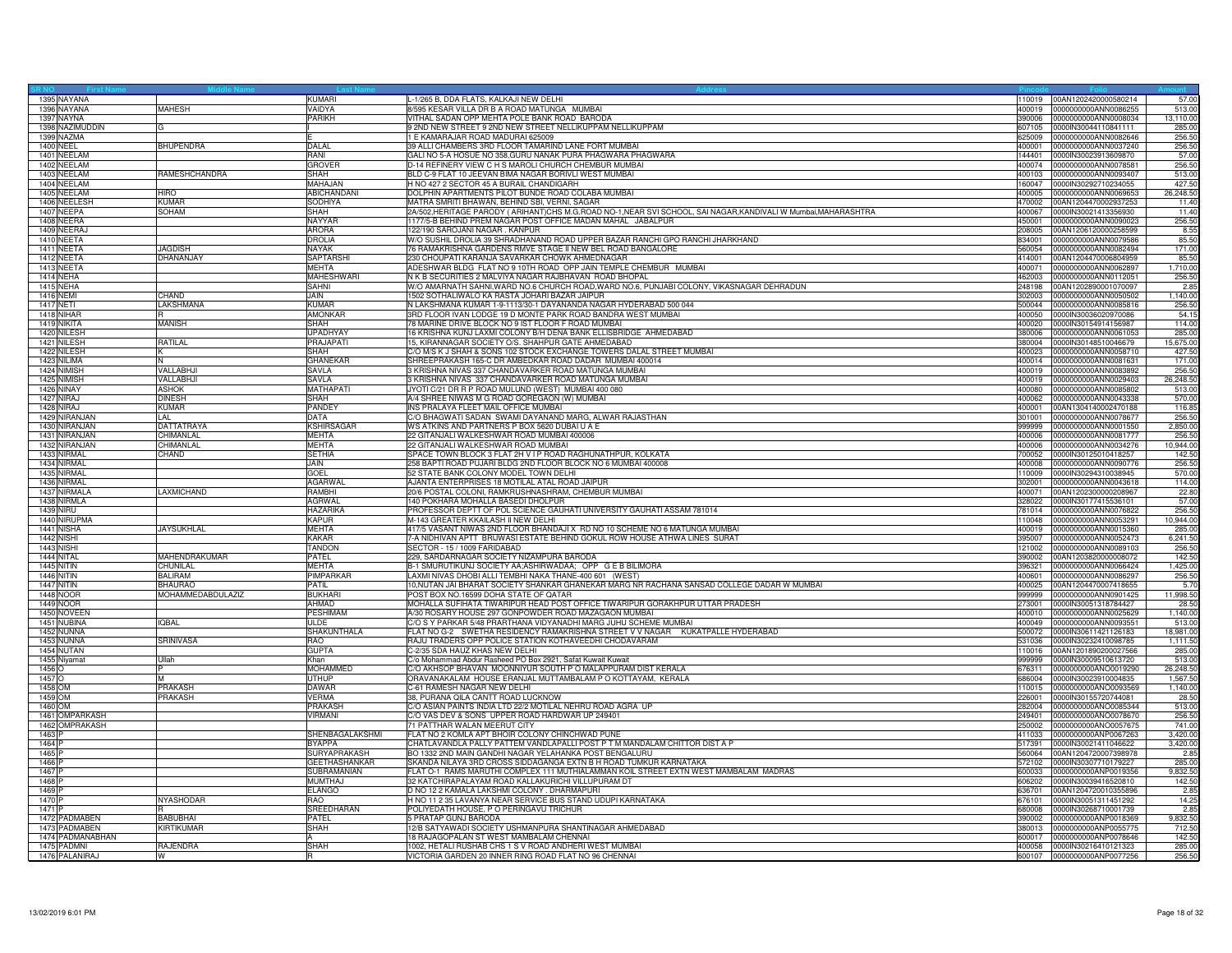| 1395 NAYANA              |                               | KUMARI               | -1/265 B, DDA FLATS, KALKAJI NEW DELHI                                                                      | 110019           | 00AN1202420000580214                         | 57.00            |
|--------------------------|-------------------------------|----------------------|-------------------------------------------------------------------------------------------------------------|------------------|----------------------------------------------|------------------|
| 1396 NAYANA              | <b>MAHESH</b>                 | VAIDYA               | 8/595 KESAR VILLA DR B A ROAD MATUNGA MUMBAI                                                                | 400019           | 0000000000ANN0086255                         | 513.00           |
| 1397 NAYNA               |                               | PARIKH               | VITHAL SADAN OPP MEHTA POLE BANK ROAD BARODA                                                                | 390006           | 0000000000ANN0008034                         | 13,110.00        |
| 1398 NAZIMUDDIN          | G                             |                      | 9 2ND NEW STREET 9 2ND NEW STREET NELLIKUPPAM NELLIKUPPAM                                                   | 607105           | 0000IN30044110841111                         | 285.00           |
| 1399 NAZMA               |                               |                      | E KAMARAJAR ROAD MADURAI 625009                                                                             | 625009           | 0000000000ANN0082646                         | 256.50           |
| 1400 NEEL                | <b>BHUPENDRA</b>              | DALAL                | 39 ALLI CHAMBERS 3RD FLOOR TAMARIND LANE FORT MUMBAI                                                        | 400001           | 0000000000ANN0037240                         | 256.50           |
| 1401 NEELAM              |                               | <b>RANI</b>          | GALI NO 5-A HOSUE NO 358, GURU NANAK PURA PHAGWARA PHAGWARA                                                 | 144401           | 0000IN30023913609870                         | 57.00            |
| 1402 NEELAM              |                               | <b>GROVER</b>        | D-14 REFINERY VIEW C H S MAROLI CHURCH CHEMBUR MUMBAI                                                       | 400074           | 0000000000ANN0078581                         | 256.50           |
| 1403 NEELAM              | RAMESHCHANDRA                 | SHAH                 | BLD C-9 FLAT 10 JEEVAN BIMA NAGAR BORIVLI WEST MUMBAI                                                       | 400103           | 0000000000ANN0093407                         | 513.00           |
| 1404 NEELAM              |                               | MAHAJAN              | H NO 427 2 SECTOR 45 A BURAIL CHANDIGARH                                                                    | 160047           | 0000IN30292710234055                         | 427.50           |
| 1405 NEELAM              | <b>HIRO</b>                   | ABICHANDAN           | DOLPHIN APARTMENTS PILOT BUNDE ROAD COLABA MUMBAI                                                           | 400005           | 0000000000ANN0069653                         | 26,248.50        |
| 1406 NEELESH             | <b>KUMAR</b>                  | <b>SODHIYA</b>       | MATRA SMRITI BHAWAN, BEHIND SBI, VERNI, SAGAR                                                               | 470002           | 00AN1204470002937253                         | 11.40            |
| 1407 NEEPA               | SOHAM                         | SHAH                 | 2A/502,HERITAGE PARODY (ARIHANT)CHS M.G.ROAD NO-1,NEAR SVI SCHOOL, SAI NAGAR,KANDIVALI W Mumbai,MAHARASHTRA | 400067           | 0000IN30021413356930                         | 11.40            |
| 1408 NEERA               |                               | NAYYAR               | 177/5-B BEHIND PREM NAGAR POST OFFICE MADAN MAHAL JABALPUR                                                  | 450001           | 0000000000ANN0090023                         | 256.50           |
| 1409 NEERAJ              |                               | <b>ARORA</b>         | 22/190 SAROJANI NAGAR. KANPUR                                                                               | 208005           | 00AN1206120000258599                         | 8.55             |
| 1410 NEETA               |                               | <b>DROLIA</b>        | W/O SUSHIL DROLIA 39 SHRADHANAND ROAD UPPER BAZAR RANCHI GPO RANCHI JHARKHAND                               | 834001           | 0000000000ANN0079586                         | 85.50            |
| 1411 NEETA               | <b>JAGDISH</b>                | <b>NAYAK</b>         | 76 RAMAKRISHNA GARDENS RMVE STAGE II NEW BEL ROAD BANGALORE                                                 | 560054           | 0000000000ANN0082494                         | 171.00           |
| 1412 NEETA               | DHANANJAY                     | <b>SAPTARSH</b>      | 230 CHOUPATI KARANJA SAVARKAR CHOWK AHMEDNAGAR                                                              | 414001           | 00AN1204470006804959                         | 85.50            |
| 1413 NEETA               |                               | <b>MEHTA</b>         | ADESHWAR BLDG FLAT NO 9 10TH ROAD OPP JAIN TEMPLE CHEMBUR MUMBAI                                            | 400071           | 0000000000ANN0062897                         | 1,710.00         |
| 1414 NEHA                |                               | MAHESHWARI           | N K B SECURITIES 2 MALVIYA NAGAR RAJBHAVAN ROAD BHOPAL                                                      | 462003           | 0000000000ANN0112051                         | 256.50           |
| <b>1415 NEHA</b>         |                               | SAHNI                | W/O AMARNATH SAHNI, WARD NO.6 CHURCH ROAD, WARD NO.6, PUNJABI COLONY, VIKASNAGAR DEHRADUN                   | 248198           | 00AN1202890001070097                         | 2.85             |
| 1416 NEMI                | CHAND                         | <b>JAIN</b>          | 1502 SOTHALIWALO KA RASTA JOHARI BAZAR JAIPUR                                                               | 302003           | 0000000000ANN0050502                         | 1,140.00         |
| <b>1417 NETI</b>         | LAKSHMANA                     | <b>KUMAR</b>         | N LAKSHMANA KUMAR 1-9-1113/30-1 DAYANANDA NAGAR HYDERABAD 500 044                                           |                  | 500044 0000000000ANN0085816                  | 256.50           |
| 1418 NIHAR               |                               | <b>AMONKAR</b>       | 3RD FLOOR IVAN LODGE 19 D MONTE PARK ROAD BANDRA WEST MUMBAI                                                | 400050           | 0000IN30036020970086                         | 54.15            |
| 1419 NIKITA              | <b>MANISH</b>                 | SHAH                 | 8 MARINE DRIVE BLOCK NO 9 IST FLOOR F ROAD MUMBAI                                                           | 400020           | 0000lN30154914156987                         | 114.00           |
| 1420 NILESH              |                               | <b>UPADHYAY</b>      | 16 KRISHNA KUNJ LAXMI COLONY B/H DENA BANK ELLISBRIDGE AHMEDABAD                                            | 380006           | 0000000000ANN0061053                         | 285.00           |
| 1421 NILESH              | RATILAL                       | PRAJAPATI            | 15, KIRANNAGAR SOCIETY O/S. SHAHPUR GATE AHMEDABAD                                                          | 380004           | 0000IN30148510046679                         | 15,675.00        |
| 1422 NILESH              |                               | SHAH                 | C/O M/S K J SHAH & SONS 102 STOCK EXCHANGE TOWERS DALAL STREET MUMBAI                                       | 400023           | 0000000000ANN0058710                         | 427.50           |
| 1423 NILIMA              | IN                            | <b>GHANEKAR</b>      | SHREEPRAKASH 165-C DR AMBEDKAR ROAD DADAR MUMBAI 400014                                                     | 400014           | 0000000000ANN0081631                         | 171.00           |
| 1424 NIMISH              | VALLABHJI                     | SAVLA                | 3 KRISHNA NIVAS 337 CHANDAVARKER ROAD MATUNGA MUMBAI                                                        | 400019           | 0000000000ANN0083892                         | 256.50           |
| 1425 NIMISH              | VALLABHJ                      | <b>SAVLA</b>         | 3 KRISHNA NIVAS 337 CHANDAVARKER ROAD MATUNGA MUMBAI                                                        | 400019           | 0000000000ANN0029403                         | 26,248.50        |
| <b>1426 NINAY</b>        | <b>ASHOK</b>                  | <b>MATHAPATI</b>     | JYOTI C/21 DR R P ROAD MULUND (WEST) MUMBAI 400 080                                                         | 400080           | 0000000000ANN0085802                         | 513.00           |
|                          |                               | SHAH                 |                                                                                                             |                  |                                              |                  |
| 1427 NIRAJ<br>1428 NIRAJ | <b>DINESH</b><br><b>KUMAR</b> | PANDEY               | A/4 SHREE NIWAS M G ROAD GOREGAON (W) MUMBAI<br>INS PRALAYA FLEET MAIL OFFICE MUMBAI                        | 400062<br>400001 | 0000000000ANN0043338<br>00AN1304140002470188 | 570.00<br>116.85 |
| 1429 NIRANJAN            | LAL                           | <b>DATA</b>          |                                                                                                             | 301001           | 0000000000ANN0078677                         | 256.50           |
| 1430 NIRANJAN            | <b>DATTATRAYA</b>             | <b>KSHIRSAGAR</b>    | C/O BHAGWATI SADAN SWAMI DAYANAND MARG, ALWAR RAJASTHAN                                                     | 999999           | 0000000000ANN0001550                         | 2,850.00         |
|                          |                               |                      | WS ATKINS AND PARTNERS P BOX 5620 DUBAI U A E                                                               |                  |                                              |                  |
| 1431 NIRANJAN            | CHIMANLAL                     | <b>MEHTA</b>         | 22 GITANJALI WALKESHWAR ROAD MUMBAI 400006                                                                  | 400006           | 0000000000ANN0081777                         | 256.50           |
| 1432 NIRANJAN            | CHIMANLAL                     | <b>MEHTA</b>         | 22 GITANJALI WALKESHWAR ROAD MUMBAI                                                                         | 400006           | 0000000000ANN0034276                         | 10,944.00        |
| 1433 NIRMAL              | CHAND                         | <b>SETHIA</b>        | SPACE TOWN BLOCK 3 FLAT 2H V I P ROAD RAGHUNATHPUR, KOLKATA                                                 | 700052           | 0000IN30125010418257                         | 142.50           |
| 1434 NIRMAL              |                               | JAIN                 | 258 BAPTI ROAD PUJARI BLDG 2ND FLOOR BLOCK NO 6 MUMBAI 400008                                               | 400008           | 0000000000ANN0090776                         | 256.50           |
| 1435 NIRMAL              |                               | GOEL                 | 52 STATE BANK COLONY MODEL TOWN DELHI                                                                       | 110009           | 0000IN30294310038945                         | 570.00           |
| 1436 NIRMAL              |                               | <b>AGARWAL</b>       | AJANTA ENTERPRISES 18 MOTILAL ATAL ROAD JAIPUR                                                              | 302001           | 0000000000ANN0043618                         | 114.00           |
| 1437 NIRMALA             | <b>LAXMICHAND</b>             | RAMBHI               | 20/6 POSTAL COLONI, RAMKRUSHNASHRAM, CHEMBUR MUMBAI                                                         | 400071           | 00AN1202300000208967                         | 22.80            |
| 1438 NIRMLA              |                               | <b>AGRWAL</b>        | 40 POKHARA MOHALLA BASEDI DHOLPUR                                                                           | 328022           | 0000IN30177415536101                         | 57.00            |
| 1439 NIRU                |                               | <b>HAZARIKA</b>      | PROFESSOR DEPTT OF POL SCIENCE GAUHATI UNIVERSITY GAUHATI ASSAM 781014                                      | 781014           | 0000000000ANN0076822                         | 256.50           |
| 1440 NIRUPMA             |                               | <b>KAPUR</b>         | M-143 GREATER KKAILASH II NEW DELHI                                                                         | 110048           | 0000000000ANN0053291                         | 10,944.00        |
| 1441 NISHA               | <b>JAYSUKHLAL</b>             | <b>MEHTA</b>         | 417/5 VASANT NIWAS 2ND FLOOR BHANDAJI X RD NO 10 SCHEME NO 6 MATUNGA MUMBAI                                 | 400019           | 0000000000ANN0015360                         | 285.00           |
| <b>1442 NISHI</b>        |                               | <b>KAKAR</b>         | 7-A NIDHIVAN APTT BRIJWASI ESTATE BEHIND GOKUL ROW HOUSE ATHWA LINES SURAT                                  | 395007           | 0000000000ANN0052473                         | 6,241.50         |
| 1443 NISHI               |                               | <b>TANDON</b>        | SECTOR - 15 / 1009 FARIDABAD                                                                                | 121002           | 0000000000ANN0089103                         | 256.50           |
| 1444 NITAL               | MAHENDRAKUMAR                 | PATEL                | 229, SARDARNAGAR SOCIETY NIZAMPURA BARODA                                                                   | 390002           | 00AN1203820000008072                         | 142.50           |
| <b>1445 NITIN</b>        | CHUNILAL                      | <b>MEHTA</b>         | B-1 SMURUTIKUNJ SOCIETY AA;ASHIRWADAA; OPP G E B BILIMORA                                                   | 396321           | 0000000000ANN0066424                         | 1,425.00         |
| <b>1446 NITIN</b>        | <b>BALIRAM</b>                | PIMPARKAR            | LAXMI NIVAS DHOBI ALLI TEMBHI NAKA THANE-400 601 (WEST)                                                     | 400601           | 0000000000ANN0086297                         | 256.50           |
| <b>1447 NITIN</b>        | <b>BHAURAO</b>                | <b>PATIL</b>         | 10, NUTAN JAI BHARAT SOCIETY SHANKAR GHANEKAR MARG NR RACHANA SANSAD COLLEGE DADAR W MUMBAI                 | 400025           | 00AN1204470007418655                         | 5.70             |
| 1448 NOOR                | MOHAMMEDABDULAZIZ             | <b>BUKHARI</b>       | POST BOX NO.16599 DOHA STATE OF QATAR                                                                       | 999999           | 0000000000ANN0901425                         | 11,998.50        |
| 1449 NOOR                |                               | AHMAD                | MOHALLA SUFIHATA TIWARIPUR HEAD POST OFFICE TIWARIPUR GORAKHPUR UTTAR PRADESH                               | 273001           | 0000IN30051318784427                         | 28.50            |
| 1450 NOVEEN              |                               | <b>PESHIMAM</b>      | A/30 ROSARY HOUSE 297 GONPOWDER ROAD MAZAGAON MUMBAI                                                        | 400010           | 0000000000ANN0025629                         | 1,140.00         |
| 1451 NUBINA              | <b>IQBAL</b>                  | <b>ULDE</b>          | C/O S Y PARKAR 5/48 PRARTHANA VIDYANADHI MARG JUHU SCHEME MUMBAI                                            | 400049           | 0000000000ANN0093551                         | 513.00           |
| 1452 NUNNA               |                               | SHAKUNTHALA          | FLAT NO G-2 SWETHA RESIDENCY RAMAKRISHNA STREET V V NAGAR KUKATPALLE HYDERABAD                              | 500072           | 0000IN30611421126183                         | 18,981.00        |
| 1453 NUNNA               | SRINIVASA                     | RAO                  | RAJU TRADERS OPP POLICE STATION KOTHAVEEDHI CHODAVARAM                                                      | 531036           | 0000IN30232410098785                         | 1,111.50         |
| 1454 NUTAN               |                               | <b>GUPTA</b>         | C-2/35 SDA HAUZ KHAS NEW DELHI                                                                              | 110016           | 00AN1201890200027566                         | 285.00           |
| 1455 Niyamat             | Ullah                         | Khan                 | C/o Mohammad Abdur Rasheed PO Box 2921, Safat Kuwait Kuwait                                                 | 999999           | 0000IN30009510613720                         | 513.00           |
| 1456 O                   |                               | MOHAMMED             | C/O AKHSOP BHAVAN MOONNIYUR SOUTH P O MALAPPURAM DIST KERALA                                                | 676311           | 0000000000ANO0019290                         | 26,248.50        |
| 1457 O                   |                               | <b>UTHUP</b>         | ORAVANAKALAM HOUSE ERANJAL MUTTAMBALAM P O KOTTAYAM, KERALA                                                 | 686004           | 0000lN30023910004835                         | 1,567.50         |
| 1458 OM                  | PRAKASH                       | <b>DAWAR</b>         | C-61 RAMESH NAGAR NEW DELHI                                                                                 | 110015           | 0000000000ANO0093569                         | 1,140.00         |
| 1459 OM                  | PRAKASH                       | <b>VERMA</b>         | 38, PURANA QILA CANTT ROAD LUCKNOW                                                                          | 226001           | 0000lN30155720744081                         | 28.50            |
| 1460 OM                  |                               | <b>PRAKASH</b>       | C/O ASIAN PAINTS INDIA LTD 22/2 MOTILAL NEHRU ROAD AGRA UP                                                  | 282004           | 0000000000ANO0085344                         | 513.00           |
| 1461 OMPARKASH           |                               | <b>VIRMANI</b>       | C/O VAS DEV & SONS UPPER ROAD HARDWAR UP 249401                                                             | 249401           | 0000000000ANO0078670                         | 256.50           |
| 1462 OMPRAKASH           |                               |                      | 71 PATTHAR WALAN MEERUT CITY                                                                                | 250002           | 0000000000ANO0057675                         | 741.00           |
| 1463 P                   |                               | SHENBAGALAKSHMI      | FLAT NO 2 KOMLA APT BHOIR COLONY CHINCHWAD PUNE                                                             | 411033           | 0000000000ANP0067263                         | 3,420.00         |
| 1464 P                   |                               | <b>BYAPPA</b>        | CHATLAVANDLA PALLY PATTEM VANDLAPALLI POST P T M MANDALAM CHITTOR DIST A P                                  | 517391           | 0000lN30021411046622                         | 3,420.00         |
| 1465 <sub>P</sub>        |                               | SURYAPRAKASH         | BO 1332 2ND MAIN GANDHI NAGAR YELAHANKA POST BENGALURU                                                      |                  | 560064 00AN1204720007398978                  | 2.85             |
| 1466 P                   |                               | <b>GEETHASHANKAR</b> | SKANDA NILAYA 3RD CROSS SIDDAGANGA EXTN B H ROAD TUMKUR KARNATAKA                                           | 572102           | 0000IN30307710179227                         | 285.00           |
| 1467 F                   |                               | SUBRAMANIAN          | FLAT O-1 RAMS MARUTHI COMPLEX 111 MUTHIALAMMAN KOIL STREET EXTN WEST MAMBALAM MADRAS                        | 600033           | 0000000000ANP0019356                         | 9,832.50         |
| 1468 <sub>P</sub>        |                               | <b>MUMTHAJ</b>       | 32 KATCHIRAPALAYAM ROAD KALLAKURICHI VILLUPURAM DT                                                          | 606202           | 0000lN30039416520810                         | 142.50           |
| 1469 <sub>P</sub>        |                               | <b>ELANGO</b>        | D NO 12 2 KAMALA LAKSHMI COLONY . DHARMAPURI                                                                | 636701           | 00AN1204720010355896                         | 2.85             |
| 1470 P                   | <b>NYASHODAR</b>              | RAO                  | H NO 11 2 35 LAVANYA NEAR SERVICE BUS STAND UDUPI KARNATAKA                                                 | 676101           | 0000IN30051311451292                         | 14.25            |
| 1471 P                   |                               | SREEDHARAN           | POLIYEDATH HOUSE, P O PERINGAVU TRICHUR                                                                     | 680008           | 0000IN30268710001739                         | 2.85             |
| 1472 PADMABEN            | <b>BABUBHAI</b>               | PATEL                | 5 PRATAP GUNJ BARODA                                                                                        | 390002           | 0000000000ANP0018369                         | 9,832.50         |
| 1473 PADMABEN            | KIRTIKUMAR                    | SHAH                 | 12/B SATYAWADI SOCIETY USHMANPURA SHANTINAGAR AHMEDABAD                                                     | 380013           | 0000000000ANP0055775                         | 712.50           |
| 1474 PADMANABHAN         |                               |                      | 18 RAJAGOPALAN ST WEST MAMBALAM CHENNAI                                                                     | 600017           | 0000000000ANP0078646                         | 142.50           |
| 1475 PADMNI              | RAJENDRA                      | <b>SHAH</b>          | 002, HETALI RUSHAB CHS 1 S V ROAD ANDHERI WEST MUMBAI                                                       |                  |                                              | 285.00           |
| 1476 PALANIRA            | lw                            | l R                  | VICTORIA GARDEN 20 INNER RING ROAD FLAT NO 96 CHENNAI                                                       |                  | 600107 0000000000ANP0077256                  | 256.50           |
|                          |                               |                      |                                                                                                             |                  |                                              |                  |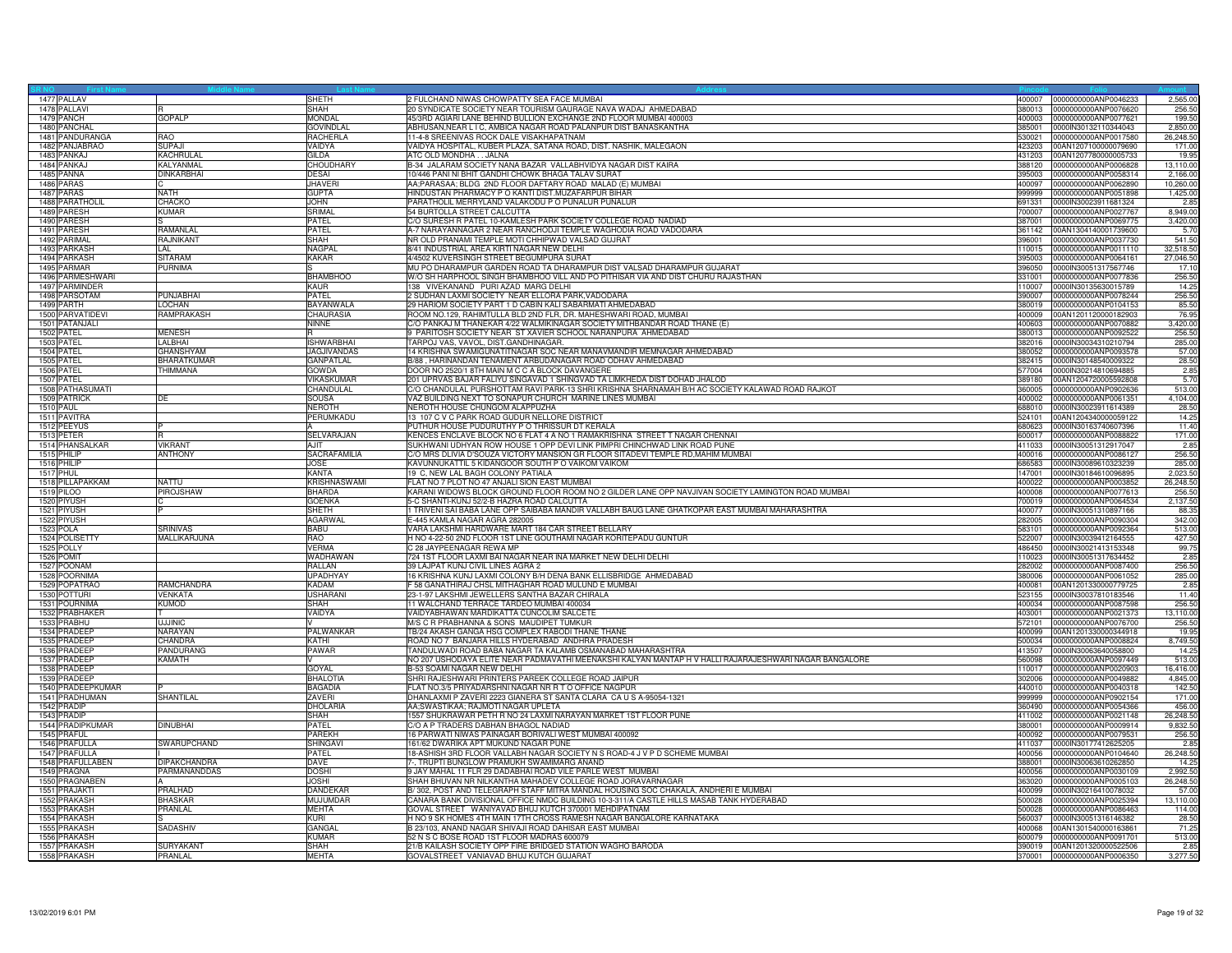| 1477 PALLAV       |                     | SHETH               | 2 FULCHAND NIWAS CHOWPATTY SEA FACE MUMBAI                                                             | 400007 | 0000000000ANP0046233        | 2,565.00  |
|-------------------|---------------------|---------------------|--------------------------------------------------------------------------------------------------------|--------|-----------------------------|-----------|
| 1478 PALLAVI      |                     | SHAH                | 20 SYNDICATE SOCIETY NEAR TOURISM GAURAGE NAVA WADAJ AHMEDABAD                                         | 380013 | 0000000000ANP0076620        | 256.50    |
| 1479 PANCH        | <b>GOPALP</b>       | <b>MONDAL</b>       | 45/3RD AGIARI LANE BEHIND BULLION EXCHANGE 2ND FLOOR MUMBAI 400003                                     | 400003 | 0000000000ANP0077621        | 199.50    |
| 1480 PANCHAL      |                     | <b>GOVINDLAI</b>    |                                                                                                        | 385001 | 0000IN30132110344043        | 2.850.00  |
|                   | <b>RAO</b>          |                     | ABHUSAN, NEAR L I C, AMBICA NAGAR ROAD PALANPUR DIST BANASKANTHA                                       |        |                             |           |
| 1481 PANDURANGA   |                     | <b>RACHERLA</b>     | 11-4-8 SREENIVAS ROCK DALE VISAKHAPATNAM                                                               | 530021 | 0000000000ANP0017580        | 26,248.50 |
| 1482 PANJABRAO    | <b>SUPAJI</b>       | VAIDYA              | VAIDYA HOSPITAL, KUBER PLAZA, SATANA ROAD, DIST. NASHIK, MALEGAON                                      | 123203 | 00AN1207100000079690        | 171.00    |
| 1483 PANKAJ       | KACHRULAL           | <b>GILDA</b>        | ATC OLD MONDHA JALNA                                                                                   | 431203 | 00AN1207780000005733        | 19.95     |
| 1484 PANKAJ       | KALYANMAL           | <b>CHOUDHARY</b>    | B-34 JALARAM SOCIETY NANA BAZAR VALLABHVIDYA NAGAR DIST KAIRA                                          | 388120 | 0000000000ANP0006828        | 13.110.00 |
| 1485 PANNA        | <b>DINKARBHAI</b>   | <b>DESAI</b>        | 10/446 PANI NI BHIT GANDHI CHOWK BHAGA TALAV SURAT                                                     | 395003 | 0000000000ANP0058314        | 2,166.00  |
| 1486 PARAS        |                     | <b>JHAVER</b>       | AA;PARASAA; BLDG 2ND FLOOR DAFTARY ROAD MALAD (E) MUMBAI                                               | 400097 | 0000000000ANP0062890        | 10,260.00 |
| 1487 PARAS        | <b>NATH</b>         | <b>GUPTA</b>        | HINDUSTAN PHARMACY P O KANTI DIST.MUZAFARPUR BIHAR                                                     | 999999 | 0000000000ANP0051898        | 1,425.00  |
| 1488 PARATHOLIL   | CHACKO              |                     | PARATHOLIL MERRYLAND VALAKODU P O PUNALUR PUNALUR                                                      |        | 0000IN30023911681324        |           |
|                   |                     | <b>JOHN</b>         |                                                                                                        | 691331 |                             | 2.85      |
| 1489 PARESH       | <b>KUMAR</b>        | SRIMAL              | 54 BURTOLLA STREET CALCUTTA                                                                            | 700007 | 0000000000ANP0027767        | 8,949.00  |
| 1490 PARESH       |                     | <b>PATEL</b>        | C/O SURESH R PATEL 10-KAMLESH PARK SOCIETY COLLEGE ROAD NADIAD                                         | 387001 | 0000000000ANP0069775        | 3,420.00  |
| 1491 PARESH       | RAMANLAL            | <b>PATEL</b>        | A-7 NARAYANNAGAR 2 NEAR RANCHODJI TEMPLE WAGHODIA ROAD VADODARA                                        | 361142 | 00AN1304140001739600        | 5.70      |
| 1492 PARIMAL      | RAJNIKANT           | <b>SHAH</b>         | NR OLD PRANAMI TEMPLE MOTI CHHIPWAD VALSAD GUJRAT                                                      | 396001 | 0000000000ANP0037730        | 541.50    |
| 1493 PARKASH      | li Ai               | <b>NAGPA</b>        | 8/41 INDUSTRIAL AREA KIRTI NAGAR NEW DELHI                                                             | 110015 | 0000000000ANP0011110        | 32,518.50 |
| 1494 PARKASH      | <b>SITARAM</b>      | <b>KAKAR</b>        | 4/4502 KUVERSINGH STREET BEGUMPURA SURAT                                                               | 395003 | 0000000000ANP0064161        | 27,046.50 |
| 1495 PARMAR       | <b>PURNIMA</b>      |                     | MU PO DHARAMPUR GARDEN ROAD TA DHARAMPUR DIST VALSAD DHARAMPUR GUJARAT                                 | 396050 | 0000IN30051317567746        | 17.10     |
| 1496 PARMESHWARI  |                     | <b>BHAMBHOO</b>     | W/O SH HARPHOOL SINGH BHAMBHOO VILL AND PO PITHISAR VIA AND DIST CHURU RAJASTHAN                       | 331001 | 0000000000ANP0077836        | 256.50    |
|                   |                     |                     |                                                                                                        |        |                             |           |
| 1497 PARMINDER    |                     | <b>KAUR</b>         | 138 VIVEKANAND PURI AZAD MARG DELHI                                                                    | 110007 | 0000IN30135630015789        | 14.25     |
| 1498 PARSOTAM     | PUNJABHAI           | <b>PATEL</b>        | 2 SUDHAN LAXMI SOCIETY NEAR ELLORA PARK, VADODARA                                                      | 390007 | 0000000000ANP0078244        | 256.50    |
| 1499 PARTH        | LOCHAN              | BAYANWALA           | 29 HARIOM SOCIETY PART 1 D CABIN KALI SABARMATI AHMEDABAD                                              | 380019 | 0000000000ANP0104153        | 85.50     |
| 1500 PARVATIDEVI  | RAMPRAKASH          | CHAURASIA           | ROOM NO.129, RAHIMTULLA BLD 2ND FLR, DR. MAHESHWARI ROAD, MUMBAI                                       | 400009 | 00AN1201120000182903        | 76.95     |
| 1501 PATANJALI    |                     | <b>NINNE</b>        | C/O PANKAJ M THANEKAR 4/22 WALMIKINAGAR SOCIETY MITHBANDAR ROAD THANE (E)                              | 400603 | 0000000000ANP0070882        | 3,420.00  |
| 1502 PATEL        | <b>MENESH</b>       |                     | 9 PARITOSH SOCIETY NEAR ST XAVIER SCHOOL NARANPURA AHMEDABAD                                           | 380013 | 0000000000ANP0092522        | 256.50    |
| 1503 PATEL        | <b>LALBHAI</b>      | <b>ISHWARBHAI</b>   | TARPOJ VAS, VAVOL, DIST.GANDHINAGAR.                                                                   | 382016 | 0000IN30034310210794        | 285.00    |
|                   |                     |                     |                                                                                                        | 380052 |                             |           |
| 1504 PATEL        | <b>GHANSHYAM</b>    | JAGJIVANDAS         | 14 KRISHNA SWAMIGUNATITNAGAR SOC NEAR MANAVMANDIR MEMNAGAR AHMEDABAD                                   |        | 0000000000ANP0093578        | 57.00     |
| 1505 PATEL        | BHARATKUMAR         | <b>GANPATLAL</b>    | B/88, HARINANDAN TENAMENT ARBUDANAGAR ROAD ODHAV AHMEDABAD                                             | 382415 | 0000IN30148540009322        | 28.50     |
| 1506 PATEL        | THIMMANA            | <b>GOWDA</b>        | DOOR NO 2520/1 8TH MAIN M C C A BLOCK DAVANGERE                                                        | 577004 | 0000lN30214810694885        | 2.85      |
| 1507 PATEL        |                     | VIKASKUMAF          | 201 UPRVAS BAJAR FALIYU SINGAVAD 1 SHINGVAD TA LIMKHEDA DIST DOHAD JHALOD                              | 389180 | 00AN1204720005592808        | 5.70      |
| 1508 PATHASUMATI  |                     | CHANDULAL           | C/O CHANDULAL PURSHOTTAM RAVI PARK-13 SHRI KRISHNA SHARNAMAH B/H AC SOCIETY KALAWAD ROAD RAJKOT        | 360005 | 0000000000ANP0902636        | 513.00    |
| 1509 PATRICK      | DE                  | <b>SOUSA</b>        | VAZ BUILDING NEXT TO SONAPUR CHURCH MARINE LINES MUMBAI                                                | 400002 | 0000000000ANP0061351        | 4,104.00  |
| <b>1510 PAUL</b>  |                     | <b>NEROTH</b>       | NEROTH HOUSE CHUNGOM ALAPPUZHA                                                                         | 688010 | 0000IN30023911614389        | 28.50     |
| 1511 PAVITRA      |                     | PERUMKADU           | 13 107 C V C PARK ROAD GUDUR NELLORE DISTRICT                                                          | 24101  | 00AN1204340000059122        | 14.25     |
|                   |                     |                     |                                                                                                        |        |                             |           |
| 1512 PEEYUS       |                     |                     | PUTHUR HOUSE PUDURUTHY P O THRISSUR DT KERALA                                                          | 680623 | 0000IN30163740607396        | 11.40     |
| 1513 PETER        | R                   | <b>SELVARAJAN</b>   | KENCES ENCLAVE BLOCK NO 6 FLAT 4 A NO 1 RAMAKRISHNA STREET T NAGAR CHENNAL                             | 600017 | 0000000000ANP0088822        | 171.00    |
| 1514 PHANSALKAR   | <b>VIKRANT</b>      | AJIT                | SUKHWANI UDHYAN ROW HOUSE 1 OPP DEVI LINK PIMPRI CHINCHWAD LINK ROAD PUNE                              | 411033 | 0000IN30051312917047        | 2.85      |
| 1515 PHILIP       | <b>ANTHONY</b>      | SACRAFAMILIA        | C/O MRS DLIVIA D'SOUZA VICTORY MANSION GR FLOOR SITADEVI TEMPLE RD, MAHIM MUMBAI                       | 400016 | 0000000000ANP0086127        | 256.50    |
| 1516 PHILIF       |                     | <b>JOSE</b>         | KAVUNNUKATTIL 5 KIDANGOOR SOUTH P O VAIKOM VAIKOM                                                      | 686583 | 0000IN30089610323239        | 285.00    |
| <b>1517 PHUL</b>  |                     | <b>KANTA</b>        | 19 C, NEW LAL BAGH COLONY PATIALA                                                                      | 147001 | 0000IN30184610096895        | 2,023.50  |
| 1518 PILLAPAKKAM  | <b>NATTU</b>        | <b>KRISHNASWAMI</b> | FLAT NO 7 PLOT NO 47 ANJALI SION EAST MUMBAI                                                           | 400022 | 0000000000ANP0003852        | 26,248.50 |
| 1519 PILOO        | PIROJSHAW           | <b>BHARDA</b>       | KARANI WIDOWS BLOCK GROUND FLOOR ROOM NO 2 GILDER LANE OPP NAVJIVAN SOCIETY LAMINGTON ROAD MUMBAI      | 400008 | 0000000000ANP0077613        | 256.50    |
| 1520 PIYUSH       |                     | <b>GOENKA</b>       | 5-C SHANTI-KUNJ 52/2-B HAZRA ROAD CALCUTTA                                                             | 700019 | 0000000000ANP0064534        | 2,137.50  |
|                   |                     |                     |                                                                                                        | 400077 |                             |           |
| 1521 PIYUSH       |                     | SHETH               | TRIVENI SAI BABA LANE OPP SAIBABA MANDIR VALLABH BAUG LANE GHATKOPAR EAST MUMBAI MAHARASHTRA           |        | 0000IN30051310897166        | 88.3      |
| 1522 PIYUSH       |                     | AGARWAL             | E-445 KAMLA NAGAR AGRA 282005                                                                          | 282005 | 0000000000ANP0090304        | 342.00    |
| 1523 POLA         | <b>SRINIVAS</b>     | <b>BABU</b>         | VARA LAKSHMI HARDWARE MART 184 CAR STREET BELLARY                                                      | 583101 | 0000000000ANP0092364        | 513.00    |
| 1524 POLISETTY    | MALLIKARJUNA        | RAO                 | H NO 4-22-50 2ND FLOOR 1ST LINE GOUTHAMI NAGAR KORITEPADU GUNTUR                                       | 522007 | 0000IN30039412164555        | 427.50    |
| 1525 POLLY        |                     | <b>VERMA</b>        | C 28 JAYPFFNAGAR REWA MP                                                                               | 486450 | 0000IN30021413153348        | 99.75     |
| 1526 POMIT        |                     | WADHAWAN            | 724 1ST FLOOR LAXMI BAI NAGAR NEAR INA MARKET NEW DELHI DELHI                                          | 110023 | 0000lN30051317634452        | 2.85      |
| 1527 POONAM       |                     | RALLAN              | 39 LAJPAT KUNJ CIVIL LINES AGRA 2                                                                      | 282002 | 0000000000ANP0087400        | 256.50    |
| 1528 POORNIMA     |                     | <b>UPADHYAY</b>     | 16 KRISHNA KUNJ LAXMI COLONY B/H DENA BANK ELLISBRIDGE AHMEDABAD                                       | 380006 | 0000000000ANP0061052        | 285.00    |
| 1529 POPATRAO     | RAMCHANDRA          | KADAM               | F 58 GANATHIRAJ CHSL MITHAGHAR ROAD MULUND E MUMBAI                                                    | 400081 | 00AN1201330000779725        | 2.85      |
| 1530 POTTURI      | <b>VENKATA</b>      | <b>USHARAN</b>      | 23-1-97 LAKSHMI JEWELLERS SANTHA BAZAR CHIRALA                                                         | 523155 | 0000IN30037810183546        | 11.40     |
|                   |                     |                     |                                                                                                        |        |                             |           |
| 1531 POURNIMA     | <b>KUMOD</b>        | SHAH                | 11 WALCHAND TERRACE TARDEO MUMBAI 400034                                                               | 400034 | 0000000000ANP0087598        | 256.50    |
| 1532 PRABHAKER    |                     | VAIDYA              | VAIDYABHAWAN MARDIKATTA CUNCOLIM SALCETE                                                               | 403001 | 0000000000ANP0021373        | 13,110.00 |
| 1533 PRABHU       | <b>UJJINIC</b>      |                     | M/S C R PRABHANNA & SONS MAUDIPET TUMKUR                                                               | 572101 | 0000000000ANP0076700        | 256.50    |
| 1534 PRADEEP      | NARAYAN             | PALWANKAR           | TB/24 AKASH GANGA HSG COMPLEX RABODI THANE THANE                                                       | 400099 | 00AN1201330000344918        | 19.95     |
| 1535 PRADEEP      | CHANDRA             | KATHI               | ROAD NO 7 BANJARA HILLS HYDERABAD ANDHRA PRADESH                                                       | 500034 | 0000000000ANP0008824        | 8,749.50  |
| 1536 PRADEEP      | PANDURANG           | PAWAR               | TANDULWADI ROAD BABA NAGAR TA KALAMB OSMANABAD MAHARASHTRA                                             | 413507 | 0000IN30063640058800        | 14.25     |
| 1537 PRADEEP      | <b>KAMATH</b>       |                     | NO 207 USHODAYA ELITE NEAR PADMAVATHI MEENAKSHI KALYAN MANTAP H V HALLI RAJARAJESHWARI NAGAR BANGALORE | 560098 | 0000000000ANP0097449        | 513.00    |
| 1538 PRADEEP      |                     | <b>GOYAL</b>        | B-53 SOAMI NAGAR NEW DELHI                                                                             | 110017 | 0000000000ANP0020903        | 16,416.00 |
|                   |                     |                     | SHRI RAJESHWARI PRINTERS PAREEK COLLEGE ROAD JAIPUR                                                    | 302006 | 0000000000ANP0049882        |           |
| 1539 PRADEEP      |                     | <b>BHALOTIA</b>     |                                                                                                        |        |                             | 4,845.00  |
| 1540 PRADEEPKUMAR |                     | <b>BAGADIA</b>      | LAT NO.3/5 PRIYADARSHNI NAGAR NR R T O OFFICE NAGPUR                                                   | 440010 | 0000000000ANP0040318        | 142.50    |
| 1541 PRADHUMAN    | SHANTILAL           | ZAVERI              | DHANLAXMI P ZAVERI 2223 GIANERA ST SANTA CLARA CA U S A-95054-1321                                     | 999999 | 0000000000ANP0902154        | 171.00    |
| 1542 PRADIP       |                     | DHOLARIA            | AA:SWASTIKAA: RAJMOTI NAGAR UPLETA                                                                     | 360490 | 0000000000ANP0054366        | 456.00    |
| 1543 PRADIP       |                     | <b>SHAH</b>         | 1557 SHUKRAWAR PETH R NO 24 LAXMI NARAYAN MARKET 1ST FLOOR PUNE                                        | 411002 | 0000000000ANP0021148        | 26,248.50 |
| 1544 PRADIPKUMAR  | <b>DINUBHAI</b>     | PATFI               | C/O A P TRADERS DABHAN BHAGOL NADIAD                                                                   | 380001 | 0000000000ANP0009914        | 9,832.50  |
| 1545 PRAFUL       |                     | PAREKH              | 6 PARWATI NIWAS PAINAGAR BORIVALI WEST MUMBAI 400092                                                   | 400092 | 0000000000ANP0079531        | 256.50    |
| 1546 PRAFULLA     | SWARUPCHAND         | <b>SHINGAVI</b>     | 161/62 DWARIKA APT MUKUND NAGAR PUNE                                                                   | 411037 | 0000IN30177412625205        | 2.85      |
| 1547 PRAFULLA     |                     | PATEL               | 18-ASHISH 3RD FLOOR VALLABH NAGAR SOCIETY N S ROAD-4 J V P D SCHEME MUMBAI                             | 400056 | 0000000000ANP0104640        | 26,248.50 |
|                   |                     |                     |                                                                                                        |        |                             |           |
| 1548 PRAFULLABEN  | <b>DIPAKCHANDRA</b> | <b>DAVE</b>         | 7-, TRUPTI BUNGLOW PRAMUKH SWAMIMARG ANAND                                                             | 388001 | 0000IN30063610262850        | 14.25     |
| 1549 PRAGNA       | PARMANANDDAS        | <b>DOSHI</b>        | 9 JAY MAHAL 11 FLR 29 DADABHAI ROAD VILE PARLE WEST MUMBAI                                             | 400056 | 0000000000ANP0030109        | 2,992.50  |
| 1550 PRAGNABEN    |                     | <b>JOSHI</b>        | SHAH BHUVAN NR NILKANTHA MAHADEV COLLEGE ROAD JORAVARNAGAR                                             | 363020 | 0000000000ANP0005103        | 26,248.50 |
| 1551 PRAJAKTI     | PRALHAD             | <b>DANDEKAF</b>     | B/302, POST AND TELEGRAPH STAFF MITRA MANDAL HOUSING SOC CHAKALA, ANDHERI E MUMBAI                     | 400099 | 0000IN30216410078032        | 57.00     |
| 1552 PRAKASH      | <b>BHASKAR</b>      | MUJUMDAR            | CANARA BANK DIVISIONAL OFFICE NMDC BUILDING 10-3-311/A CASTLE HILLS MASAB TANK HYDERABAD               | 500028 | 0000000000ANP0025394        | 13,110.00 |
| 1553 PRAKASH      | PRANLAL             | <b>MEHTA</b>        | GOVAL STREET WANIYAVAD BHUJ KUTCH 370001 MEHDIPATNAM                                                   | 500028 | 0000000000ANP0086463        | 114.00    |
| 1554 PRAKASH      |                     | KURL                | H NO 9 SK HOMES 4TH MAIN 17TH CROSS RAMESH NAGAR BANGALORE KARNATAKA                                   | 560037 | 0000IN30051316146382        | 28.50     |
| 1555 PRAKASH      | <b>SADASHIV</b>     | GANGAL              | B 23/103, ANAND NAGAR SHIVAJI ROAD DAHISAR EAST MUMBAI                                                 | 400068 | 00AN1301540000163861        | 71.25     |
| 1556 PRAKASH      |                     | KUMAR               | 52 N S C BOSE ROAD 1ST FLOOR MADRAS 600079                                                             | 600079 | 0000000000ANP0091701        | 513.00    |
|                   |                     |                     |                                                                                                        |        |                             |           |
| 1557 PRAKASH      | <b>SURYAKANT</b>    | <b>SHAH</b>         | 21/B KAILASH SOCIETY OPP FIRE BRIDGED STATION WAGHO BARODA                                             |        | 390019 00AN1201320000522506 | 2.85      |
| 1558 PRAKASH      | PRANLAL             | <b>MEHTA</b>        | GOVALSTREET VANIAVAD BHUJ KUTCH GUJARAT                                                                |        | 370001 0000000000ANP0006350 | 3,277.50  |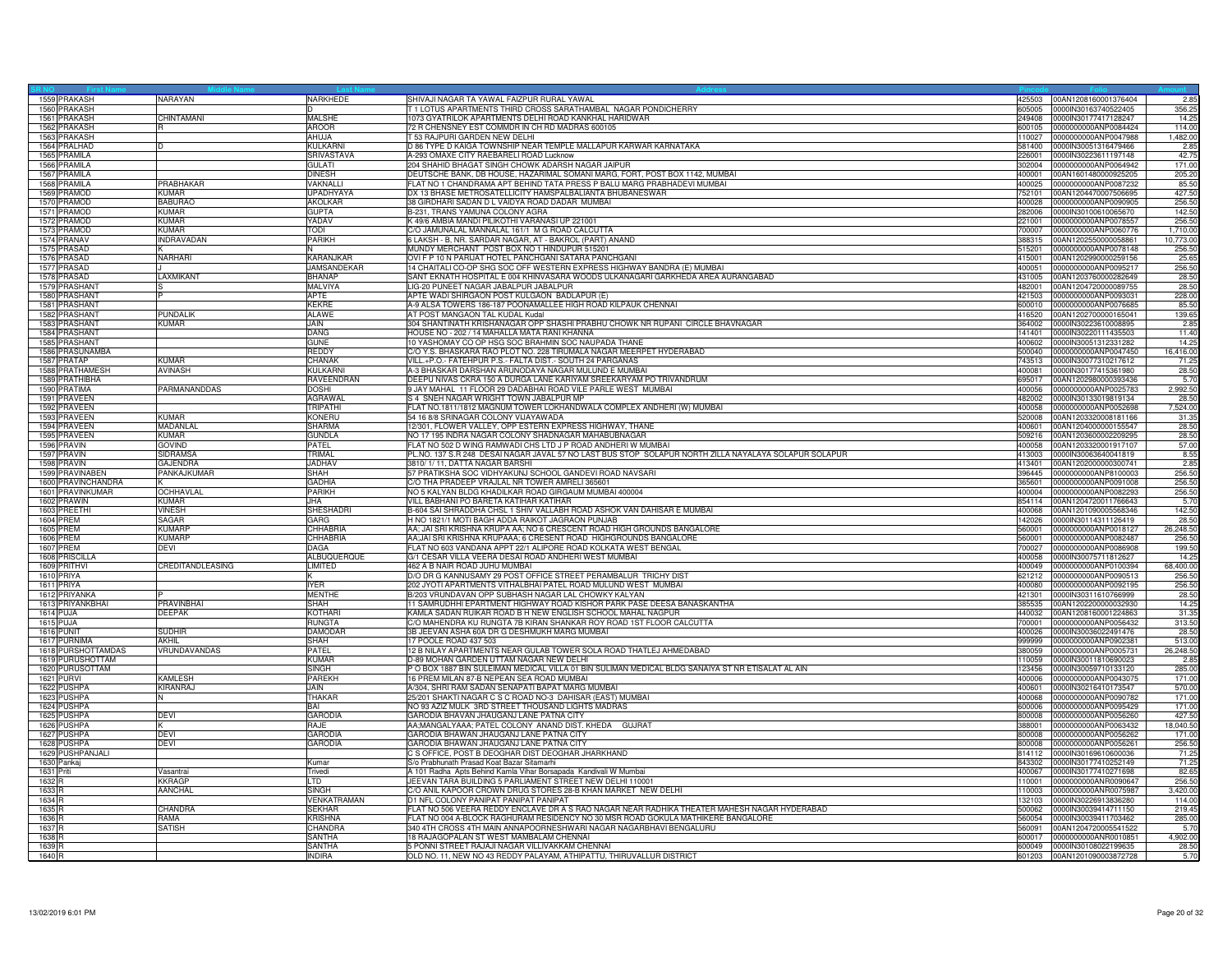| 1559 PRAKASH       | NARAYAN           | NARKHEDE           | SHIVAJI NAGAR TA YAWAL FAIZPUR RURAL YAWAL                                                                      | 425503 00AN1208160001376404 | 2.85      |
|--------------------|-------------------|--------------------|-----------------------------------------------------------------------------------------------------------------|-----------------------------|-----------|
| 1560 PRAKASH       |                   |                    | 1 LOTUS APARTMENTS THIRD CROSS SARATHAMBAL NAGAR PONDICHERRY<br>605005                                          | 0000IN30163740522405        | 356.25    |
| 1561 PRAKASH       | CHINTAMANI        | <b>MALSHE</b>      | 1073 GYATRILOK APARTMENTS DELHI ROAD KANKHAL HARIDWAR<br>249408                                                 | 0000lN30177417128247        | 14.25     |
| 1562 PRAKASH       |                   | <b>AROOR</b>       | 72 R CHENSNEY EST COMMDR IN CH RD MADRAS 600105<br>600105                                                       | 0000000000ANP0084424        | 114.00    |
| 1563 PRAKASH       |                   | AHUJA              | T 53 RAJPURI GARDEN NEW DELHI                                                                                   | 110027 0000000000ANP0047988 | 1,482.00  |
| 1564 PRALHAD       |                   | KULKARNI           | D 86 TYPE D KAIGA TOWNSHIP NEAR TEMPLE MALLAPUR KARWAR KARNATAKA<br>581400                                      | 0000IN30051316479466        | 2.85      |
|                    |                   |                    |                                                                                                                 |                             |           |
| 1565 PRAMILA       |                   | SRIVASTAVA         | A-293 OMAXE CITY RAEBARELI ROAD Lucknow<br>226001                                                               | 0000IN30223611197148        | 42.75     |
| 1566 PRAMILA       |                   | <b>GULATI</b>      | 204 SHAHID BHAGAT SINGH CHOWK ADARSH NAGAR JAIPUR<br>302004                                                     | 0000000000ANP0064942        | 171.00    |
| 1567 PRAMILA       |                   | <b>DINESH</b>      | DEUTSCHE BANK, DB HOUSE, HAZARIMAL SOMANI MARG, FORT, POST BOX 1142, MUMBAI<br>400001                           | 00AN1601480000925205        | 205.20    |
| 1568 PRAMILA       | PRABHAKAR         | VAKNALLI           | FLAT NO 1 CHANDRAMA APT BEHIND TATA PRESS P BALU MARG PRABHADEVI MUMBAI<br>400025                               | 0000000000ANP0087232        | 85.50     |
| 1569 PRAMOD        | KUMAR             | <b>UPADHYAYA</b>   | DX 13 BHASE METROSATELLICITY HAMSPALBALIANTA BHUBANESWAR<br>752101                                              | 00AN1204470007506695        | 427.50    |
| 1570 PRAMOD        | <b>BABURAO</b>    | AKOLKAR            | 38 GIRDHARI SADAN D L VAIDYA ROAD DADAR MUMBAI<br>400028                                                        | 0000000000ANP0090905        | 256.50    |
| 1571 PRAMOD        | <b>KUMAR</b>      | <b>GUPTA</b>       | B-231, TRANS YAMUNA COLONY AGRA<br>282006                                                                       | 0000IN30100610065670        | 142.50    |
| 1572 PRAMOD        | KUMAR             | YADAV              | K 49/6 AMBIA MANDI PILIKOTHI VARANASI UP 221001<br>221001                                                       | 0000000000ANP0078557        | 256.50    |
| 1573 PRAMOD        | KUMAR             | TODI               | C/O JAMUNALAL MANNALAL 161/1 M G ROAD CALCUTTA<br>700007                                                        | 0000000000ANP0060776        | 1,710.00  |
| 1574 PRANAV        | <b>INDRAVADAN</b> | PARIKH             | LAKSH - B, NR. SARDAR NAGAR, AT - BAKROL (PART) ANAND<br>388315                                                 | 00AN1202550000058861        | 10,773.00 |
| 1575 PRASAD        |                   |                    | MUNDY MERCHANT POST BOX NO 1 HINDUPUR 515201<br>515201                                                          | 0000000000ANP0078148        | 256.50    |
| 1576 PRASAD        | NARHARI           | KARANJKAR          | OVI F P 10 N PARIJAT HOTEL PANCHGANI SATARA PANCHGANI<br>415001                                                 | 00AN1202990000259156        | 25.65     |
| 1577 PRASAD        |                   | <b>JAMSANDEKAR</b> | 14 CHAITALI CO-OP SHG SOC OFF WESTERN EXPRESS HIGHWAY BANDRA (E) MUMBAI<br>400051                               | 0000000000ANP0095217        | 256.50    |
|                    | LAXMIKANT         | <b>BHANAP</b>      | SANT EKNATH HOSPITAL E 004 KHINVASARA WOODS ULKANAGARI GARKHEDA AREA AURANGABAD<br>431005                       | 00AN1203760000282649        | 28.50     |
| 1578 PRASAD        |                   |                    |                                                                                                                 |                             |           |
| 1579 PRASHANT      |                   | MALVIYA            | LIG-20 PUNEET NAGAR JABALPUR JABALPUR<br>482001                                                                 | 00AN1204720000089755        | 28.50     |
| 1580 PRASHANT      |                   | APTE               | APTE WADI SHIRGAON POST KULGAON BADLAPUR (E)<br>421503                                                          | 0000000000ANP0093031        | 228.00    |
| 1581 PRASHANT      |                   | <b>KEKRE</b>       | A-9 ALSA TOWERS 186-187 POONAMALLEE HIGH ROAD KILPAUK CHENNAI<br>600010                                         | 0000000000ANP0076685        | 85.50     |
| 1582 PRASHANT      | PUNDALIK          | <b>ALAWE</b>       | AT POST MANGAON TAL KUDAL Kudal                                                                                 | 416520 00AN1202700000165041 | 139.65    |
| 1583 PRASHANT      | KUMAR             | JAIN.              | 304 SHANTINATH KRISHANAGAR OPP SHASHI PRABHU CHOWK NR RUPANI CIRCLE BHAVNAGAR                                   | 364002 0000IN30223610008895 | 2.85      |
| 1584 PRASHANT      |                   | DANG               | HOUSE NO - 202 / 14 MAHALLA MATA RANI KHANNA<br>141401                                                          | 0000IN30220111435503        | 11.40     |
| 1585 PRASHANT      |                   | GUNE               | 10 YASHOMAY CO OP HSG SOC BRAHMIN SOC NAUPADA THANE<br>400602                                                   | 0000IN30051312331282        | 14.25     |
| 1586 PRASUNAMBA    |                   | REDDY              | C/O Y.S. BHASKARA RAO PLOT NO. 228 TIRUMALA NAGAR MEERPET HYDERABAD<br>500040                                   | 0000000000ANP0047450        | 16,416.00 |
| 1587 PRATAP        | KUMAR             | CHANAK             | VILL.+P.O.- FATEHPUR P.S.- FALTA DIST.- SOUTH 24 PARGANAS                                                       | 743513 0000IN30077310217612 | 71.25     |
| 1588 PRATHAMESH    | <b>AVINASH</b>    | KULKARNI           | A-3 BHASKAR DARSHAN ARUNODAYA NAGAR MULUND E MUMBAI<br>400081                                                   | 0000IN30177415361980        | 28.50     |
| 1589 PRATHIBHA     |                   | RAVEENDRAN         | DEEPU NIVAS CKRA 150 A DURGA LANE KARIYAM SREEKARYAM PO TRIVANDRUM<br>695017                                    | 00AN1202980000393436        | 5.70      |
| 1590 PRATIMA       | PARMANANDDAS      | <b>DOSHI</b>       | 9 JAY MAHAL 11 FLOOR 29 DADABHAI ROAD VILE PARLE WEST MUMBAI<br>400056                                          | 0000000000ANP0025783        | 2,992.50  |
| 1591 PRAVEEN       |                   | AGRAWAI            | S 4 SNEH NAGAR WRIGHT TOWN JABALPUR MP<br>482002                                                                | 0000IN30133019819134        | 28.50     |
| 1592 PRAVEEN       |                   | TRIPATHI           | FLAT NO.1811/1812 MAGNUM TOWER LOKHANDWALA COMPLEX ANDHERI (W) MUMBAI<br>400058                                 | 0000000000ANP0052698        | 7,524.00  |
| 1593 PRAVEEN       | KUMAR             | KONERU             | 520008                                                                                                          | 00AN1203320008181166        | 31.35     |
|                    |                   |                    | 54 16 8/8 SRINAGAR COLONY VIJAYAWADA                                                                            |                             |           |
| 1594 PRAVEEN       | MADANLAL          | <b>SHARMA</b>      | 12/301, FLOWER VALLEY, OPP ESTERN EXPRESS HIGHWAY, THANE<br>400601                                              | 00AN1204000000155547        | 28.50     |
| 1595 PRAVEEN       | <b>KUMAR</b>      | <b>GUNDLA</b>      | NO 17 195 INDRA NAGAR COLONY SHADNAGAR MAHABUBNAGAR<br>509216                                                   | 00AN1203600002209295        | 28.50     |
| 1596 PRAVIN        | GOVIND            | PATEL              | FLAT NO 502 D WING RAMWADI CHS LTD J P ROAD ANDHERI W MUMBAI<br>400058                                          | 00AN1203320001917107        | 57.00     |
| 1597 PRAVIN        | <b>SIDRAMSA</b>   | TRIMAI             | PL.NO. 137 S.R 248 DESAI NAGAR JAVAL 57 NO LAST BUS STOP SOLAPUR NORTH ZILLA NAYALAYA SOLAPUR SOLAPUR<br>413003 | 0000IN30063640041819        | 8.55      |
| 1598 PRAVIN        | <b>GAJENDRA</b>   | <b>JADHAV</b>      | 3810/1/11, DATTA NAGAR BARSHI<br>413401                                                                         | 00AN1202000000300741        | 2.85      |
| 1599 PRAVINABEN    | PANKAJKUMAR       | SHAH               | 57 PRATIKSHA SOC VIDHYAKUNJ SCHOOL GANDEVI ROAD NAVSARI<br>396445                                               | 0000000000ANP8100003        | 256.50    |
| 1600 PRAVINCHANDRA |                   | <b>GADHIA</b>      | C/O THA PRADEEP VRAJLAL NR TOWER AMRELI 365601<br>365601                                                        | 0000000000ANP0091008        | 256.50    |
| 1601 PRAVINKUMAR   | <b>OCHHAVLAL</b>  | PARIKH             | NO 5 KALYAN BLDG KHADILKAR ROAD GIRGAUM MUMBAI 400004                                                           | 400004 0000000000ANP0082293 | 256.50    |
| 1602 PRAWIN        | KIMAR             | AHI.               | VILL BABHANI PO BARETA KATIHAR KATIHAR                                                                          | 854114 00AN1204720011766643 | 5.70      |
| 1603 PREETHI       | VINESH            | SHESHADRI          | 3-604 SAI SHRADDHA CHSL 1 SHIV VALLABH ROAD ASHOK VAN DAHISAR E MUMBAI<br>400068                                | 00AN1201090005568346        | 142.50    |
| 1604 PREM          | SAGAR             | GARG               | H NO 1821/1 MOTI BAGH ADDA RAIKOT JAGRAON PUNJAB<br>142026                                                      | 0000IN30114311126419        | 28.50     |
| 1605 PREM          | KUMARF            | CHHABRIA           | AA; JAI SRI KRISHNA KRUPA AA; NO 6 CRESCENT ROAD HIGH GROUNDS BANGALORE<br>560001                               | 0000000000ANP0018127        | 26.248.50 |
| 1606 PREM          | KUMARF            | CHHABRIA           | AA; JAI SRI KRISHNA KRUPAAA; 6 CRESENT ROAD HIGHGROUNDS BANGALORE<br>560001                                     | 0000000000ANP0082487        | 256.50    |
| 1607 PREM          | DEVI              | DAGA               | FLAT NO 603 VANDANA APPT 22/1 ALIPORE ROAD KOLKATA WEST BENGAL<br>700027                                        | 0000000000ANP0086908        | 199.50    |
| 1608 PRISCILLA     |                   | <b>ALBUQUERQUE</b> | G/1 CESAR VILLA VEERA DESAI ROAD ANDHERI WEST MUMBAI<br>400058                                                  | 0000IN30075711812627        | 14.25     |
|                    |                   |                    |                                                                                                                 |                             |           |
| 1609 PRITHVI       | CREDITANDLEASING  | LIMITED            | 462 A B NAIR ROAD JUHU MUMBAI<br>400049                                                                         | 0000000000ANP0100394        | 68,400.00 |
| 1610 PRIYA         |                   |                    | D/O DR G KANNUSAMY 29 POST OFFICE STREET PERAMBALUR TRICHY DIST                                                 | 621212 0000000000ANP0090513 | 256.50    |
| 1611 PRIYA         |                   | <b>IYER</b>        | 202 JYOTI APARTMENTS VITHALBHAI PATEL ROAD MULUND WEST MUMBAI                                                   | 400080 0000000000ANP0092195 | 256.50    |
| 1612 PRIYANKA      |                   | <b>MENTHE</b>      | B/203 VRUNDAVAN OPP SUBHASH NAGAR LAL CHOWKY KALYAN<br>421301                                                   | 0000IN30311610766999        | 28.50     |
| 1613 PRIYANKBHAI   | PRAVINBHAI        | <b>SHAH</b>        | 11 SAMRUDHHI EPARTMENT HIGHWAY ROAD KISHOR PARK PASE DEESA BANASKANTHA<br>385535                                | 00AN1202200000032930        | 14.25     |
| 1614 PUJA          | <b>DEEPAK</b>     | KOTHARI            | KAMLA SADAN RUIKAR ROAD B H NEW ENGLISH SCHOOL MAHAL NAGPUR<br>440032                                           | 00AN1208160001224863        | 31.35     |
| 1615 PUJA          |                   | RUNGTA             | C/O MAHENDRA KU RUNGTA 7B KIRAN SHANKAR ROY ROAD 1ST FLOOR CALCUTTA<br>700001                                   | 0000000000ANP0056432        | 313.50    |
| <b>1616 PUNIT</b>  | <b>SUDHIR</b>     | DAMODAR            | 3B JEEVAN ASHA 60A DR G DESHMUKH MARG MUMBAI<br>400026                                                          | 0000IN30036022491476        | 28.50     |
| 1617 PURNIMA       | AKHIL             | <b>SHAH</b>        | 7 POOLE ROAD 437 503<br>999999                                                                                  | 0000000000ANP0902381        | 513.00    |
| 1618 PURSHOTTAMDAS | VRUNDAVANDAS      | PATEL              | 12 B NILAY APARTMENTS NEAR GULAB TOWER SOLA ROAD THATLEJ AHMEDABAD<br>380059                                    | 0000000000ANP0005731        | 26,248.50 |
| 1619 PURUSHOTTAM   |                   | <b>KUMAR</b>       | D-89 MOHAN GARDEN UTTAM NAGAR NEW DELHI<br>110059                                                               | 0000IN30011810690023        | 2.85      |
| 1620 PURUSOTTAM    |                   | <b>SINGH</b>       | P O BOX 1887 BIN SULEIMAN MEDICAL VILLA 01 BIN SULIMAN MEDICAL BLDG SANAIYA ST NR ETISALAT AL AIN<br>123456     | 0000IN30059710133120        | 285.00    |
| 1621 PURVI         | KAMLESH           | PAREKH             | 16 PREM MILAN 87-B NEPEAN SEA ROAD MUMBAI<br>400006                                                             | 0000000000ANP0043075        | 171.00    |
| 1622 PUSHPA        | <b>KIRANRAJ</b>   | Jain               | V304, SHRI RAM SADAN SENAPATI BAPAT MARG MUMBAI<br>400601                                                       | 0000lN30216410173547        | 570.00    |
| 1623 PUSHPA        |                   | THAKAF             | 25/201 SHAKTI NAGAR C S C ROAD NO-3 DAHISAR (EAST) MUMBAI<br>400068                                             | 0000000000ANP0090782        | 171.00    |
| 1624 PUSHPA        |                   | BAI                | NO 93 AZIZ MULK 3RD STREET THOUSAND LIGHTS MADRAS<br>800008                                                     | 0000000000ANP0095429        | 171.00    |
| 1625 PUSHPA        | DEVI              | <b>GARODIA</b>     | GARODIA BHAVAN JHAUGANJ LANE PATNA CITY<br>800008                                                               | 0000000000ANP0056260        | 427.50    |
|                    |                   | RAJF               | AA;MANGALYAAA; PATEL COLONY ANAND DIST. KHEDA GUJRAT<br>388001                                                  | 0000000000ANP0063432        | 18,040.50 |
| 1626 PUSHPA        | DEVI              | <b>GARODIA</b>     | 800008                                                                                                          | 0000000000ANP0056262        | 171.00    |
| 1627 PUSHPA        |                   |                    | GARODIA BHAWAN JHAUGANJ LANE PATNA CITY                                                                         |                             |           |
| 1628 PUSHPA        | DEVI              | <b>GARODIA</b>     | GARODIA BHAWAN JHAUGANJ LANE PATNA CITY                                                                         | 800008 0000000000ANP0056261 | 256.50    |
| 1629 PUSHPANJALI   |                   |                    | C S OFFICE, POST B DEOGHAR DIST DEOGHAR JHARKHAND                                                               | 814112 0000IN30169610600036 | 71.25     |
| 1630 Pankaj        |                   | Kumar              | S/o Prabhunath Prasad Koat Bazar Sitamarhi                                                                      | 843302 0000IN30177410252149 | 71.25     |
| 1631 Priti         | Vasantrai         | Trivedi            | A 101 Radha Apts Behind Kamla Vihar Borsapada Kandivali W Mumbai<br>400067                                      | 0000lN30177410271698        | 82.65     |
| 1632 R             | <b>KRAGP</b>      | TD.                | JEEVAN TARA BUILDING 5 PARLIAMENT STREET NEW DELHI 110001<br>110001                                             | 0000000000ANR0090647        | 256.50    |
| 1633 R             | AANCHAL           | SINGH              | C/O ANIL KAPOOR CROWN DRUG STORES 28-B KHAN MARKET NEW DELHI<br>110003                                          | 0000000000ANR0075987        | 3,420.00  |
| 1634 R             |                   | VENKATRAMAN        | D1 NFL COLONY PANIPAT PANIPAT PANIPAT<br>132103                                                                 | 0000IN30226913836280        | 114.00    |
| 1635 <sub>R</sub>  | CHANDRA           | <b>SEKHAR</b>      | FLAT NO 506 VEERA REDDY ENCLAVE DR A S RAO NAGAR NEAR RADHIKA THEATER MAHESH NAGAR HYDERABAD<br>500062          | 0000IN30039414711150        | 219.45    |
| 1636 R             | RAMA              | <b>KRISHNA</b>     | FLAT NO 004 A-BLOCK RAGHURAM RESIDENCY NO 30 MSR ROAD GOKULA MATHIKERE BANGALORE<br>560054                      | 0000IN30039411703462        | 285.00    |
| 1637 <sub>F</sub>  | <b>SATISH</b>     | <b>HANDRA</b>      | 340 4TH CROSS 4TH MAIN ANNAPOORNESHWARI NAGAR NAGARBHAVI BENGALURU<br>560091                                    | 00AN1204720005541522        | 5.70      |
| 1638R              |                   | SANTHA             | 18 RAJAGOPALAN ST WEST MAMBALAM CHENNAI<br>600017                                                               | 0000000000ANR0010851        | 4,902.00  |
| 1639 <sub>R</sub>  |                   | <b>SANTHA</b>      | 5 PONNI STREET RAJAJI NAGAR VILLIVAKKAM CHENNAI                                                                 | 600049 0000IN30108022199635 | 28.50     |
| 1640 R             |                   | <b>INDIRA</b>      | OLD NO. 11, NEW NO 43 REDDY PALAYAM, ATHIPATTU, THIRUVALLUR DISTRICT                                            | 601203 00AN1201090003872728 | 5.70      |
|                    |                   |                    |                                                                                                                 |                             |           |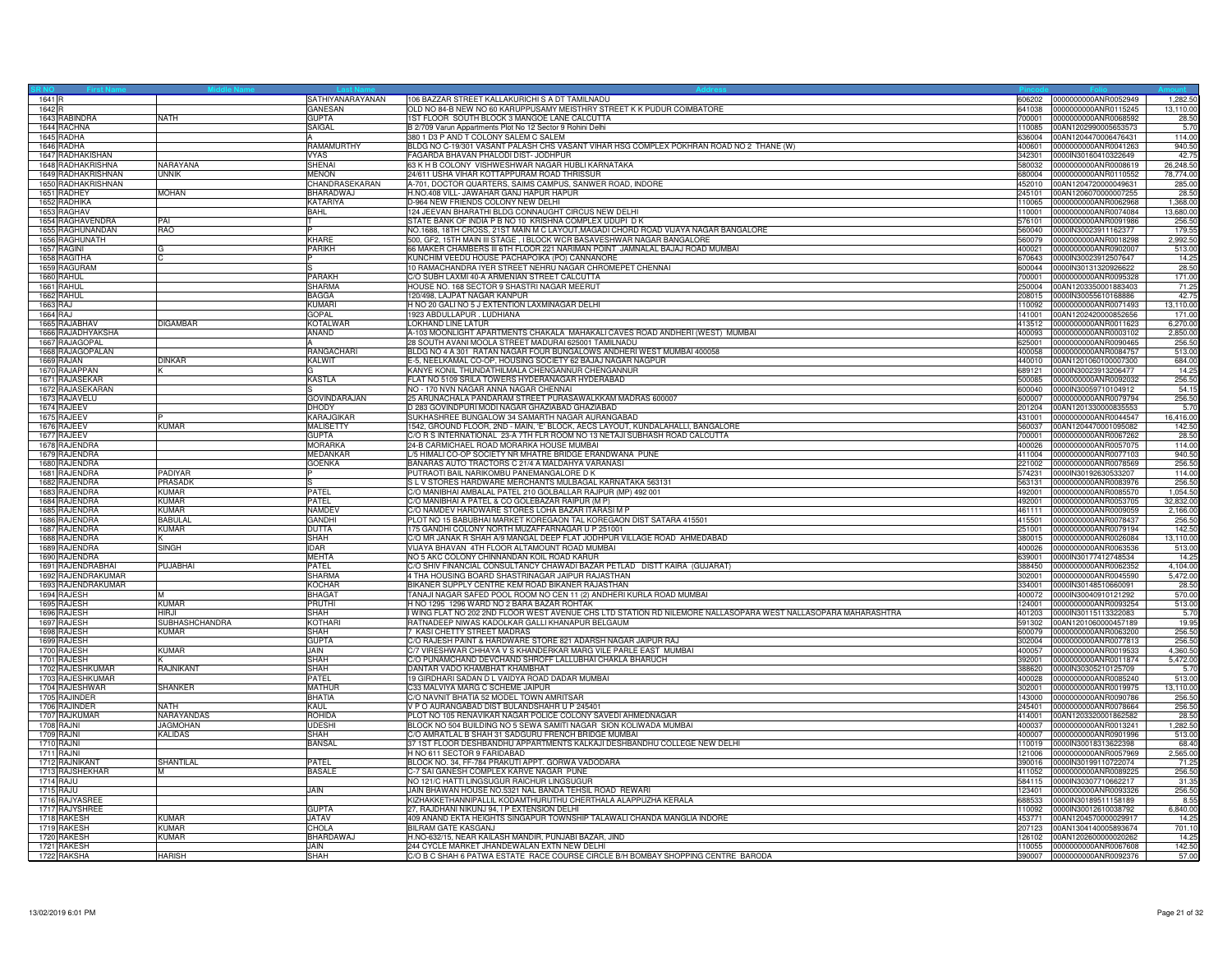| 1641 R             |                       | SATHIYANARAYANAN    | 106 BAZZAR STREET KALLAKURICHI S A DT TAMILNADU                                                               | 606202 | 0000000000ANR0052949                         | 1,282.50  |
|--------------------|-----------------------|---------------------|---------------------------------------------------------------------------------------------------------------|--------|----------------------------------------------|-----------|
| 1642 R             |                       | GANESAN             | OLD NO 84-B NEW NO 60 KARUPPUSAMY MEISTHRY STREET K K PUDUR COIMBATORE                                        | 641038 | 0000000000ANR0115245                         | 13,110.00 |
| 1643 RABINDRA      | <b>NATH</b>           | <b>GUPTA</b>        | 1ST FLOOR SOUTH BLOCK 3 MANGOE LANE CALCUTTA                                                                  | 700001 | 0000000000ANR0068592                         | 28.50     |
| 1644 RACHNA        |                       | SAIGAL              | B 2/709 Varun Appartments Plot No 12 Sector 9 Rohini Delhi                                                    | 110085 | 00AN1202990005653573                         | 5.70      |
| 1645 RADHA         |                       |                     | 380 1 D3 P AND T COLONY SALEM C SALEM                                                                         | 636004 | 00AN1204470006476431                         | 114.00    |
| 1646 RADHA         |                       | RAMAMURTHY          | BLDG NO C-19/301 VASANT PALASH CHS VASANT VIHAR HSG COMPLEX POKHRAN ROAD NO 2 THANE (W)                       | 100601 | 0000000000ANR0041263                         | 940.50    |
| 1647 RADHAKISHAN   |                       | <b>VYAS</b>         |                                                                                                               | 342301 |                                              | 42.75     |
| 1648 RADHAKRISHNA  | NARAYANA              | SHENAI              | FAGARDA BHAVAN PHALODI DIST- JODHPUR                                                                          | 580032 | 0000IN30160410322649<br>0000000000ANR0008619 | 26,248.50 |
|                    |                       |                     | 63 K H B COLONY VISHWESHWAR NAGAR HUBLI KARNATAKA                                                             |        |                                              |           |
| 1649 RADHAKRISHNAN | <b>UNNIK</b>          | <b>MENON</b>        | 24/611 USHA VIHAR KOTTAPPURAM ROAD THRISSUR                                                                   | 680004 | 0000000000ANR0110552                         | 78,774.00 |
| 1650 RADHAKRISHNAN |                       | CHANDRASEKARAN      | A-701, DOCTOR QUARTERS, SAIMS CAMPUS, SANWER ROAD, INDORE                                                     | 452010 | 00AN1204720000049631                         | 285.00    |
| 1651 RADHEY        | <b>MOHAN</b>          | BHARADWAJ           | H.NO.408 VILL- JAWAHAR GANJ HAPUR HAPUR                                                                       | 45101  | 00AN1206070000007255                         | 28.50     |
| 1652 RADHIKA       |                       | <b>KATARIYA</b>     | D-964 NEW FRIENDS COLONY NEW DELHI                                                                            | 110065 | 0000000000ANR0062968                         | 1,368.00  |
| 1653 RAGHAV        |                       | <b>BAHL</b>         | 124 JEEVAN BHARATHI BLDG CONNAUGHT CIRCUS NEW DELHI                                                           | 10001  | 0000000000ANR0074084                         | 13,680.00 |
| 1654 RAGHAVENDRA   | PAI                   |                     | STATE BANK OF INDIA P B NO 10 KRISHNA COMPLEX UDUPI D K                                                       | 576101 | 0000000000ANR0091986                         | 256.50    |
| 1655 RAGHUNANDAN   | RAO                   |                     | NO.1688, 18TH CROSS, 21ST MAIN M C LAYOUT, MAGADI CHORD ROAD VIJAYA NAGAR BANGALORE                           | 560040 | 0000IN30023911162377                         | 179.55    |
| 1656 RAGHUNATH     |                       | KHARE               | 500, GF2, 15TH MAIN III STAGE, I BLOCK WCR BASAVESHWAR NAGAR BANGALORI                                        | 560079 | 0000000000ANR0018298                         | 2,992.50  |
| 1657 RAGINI        |                       | <b>PARIKH</b>       | 66 MAKER CHAMBERS III 6TH FLOOR 221 NARIMAN POINT JAMNALAL BAJAJ ROAD MUMBAI                                  | 400021 | 0000000000ANR0902007                         | 513.00    |
| 1658 RAGITHA       | lc.                   |                     | KUNCHIM VEEDU HOUSE PACHAPOIKA (PO) CANNANORE                                                                 | 670643 | 0000IN30023912507647                         | 14.25     |
| 1659 RAGURAM       |                       |                     | 10 RAMACHANDRA IYER STREET NEHRU NAGAR CHROMEPET CHENNAI                                                      | 600044 | 0000IN30131320926622                         | 28.50     |
| 1660 RAHUL         |                       | <b>PARAKH</b>       | C/O SUBH LAXMI 40-A ARMENIAN STREET CALCUTTA                                                                  | 700001 | 0000000000ANR0095328                         | 171.00    |
| 1661 RAHUL         |                       | SHARMA              | HOUSE NO. 168 SECTOR 9 SHASTRI NAGAR MEERUT                                                                   | 250004 | 00AN1203350001883403                         | 71.25     |
|                    |                       | <b>BAGGA</b>        |                                                                                                               |        |                                              | 42.75     |
| 1662 RAHUL         |                       |                     | 120/498, LAJPAT NAGAR KANPUR                                                                                  | 208015 | 0000IN30055610168886                         |           |
| 1663 RAJ           |                       | KUMARI              | H NO 20 GALI NO 5 J EXTENTION LAXMINAGAR DELHI                                                                | 10092  | 0000000000ANR0071493                         | 13,110.00 |
| 1664 RAJ           |                       | GOPAL               | 1923 ABDULLAPUR . LUDHIANA                                                                                    | 141001 | 00AN1202420000852656                         | 171.00    |
| 1665 RAJABHAV      | <b>DIGAMBAR</b>       | <b>KOTALWAR</b>     | LOKHAND LINE LATUR                                                                                            | 413512 | 0000000000ANR0011623                         | 6,270.00  |
| 1666 RAJADHYAKSHA  |                       | ANAND               | A-103 MOONLIGHT APARTMENTS CHAKALA MAHAKALI CAVES ROAD ANDHERI (WEST) MUMBAI                                  | 400093 | 0000000000ANR0003102                         | 2,850.00  |
| 1667 RAJAGOPAL     |                       |                     | 28 SOUTH AVANI MOOLA STREET MADURAI 625001 TAMILNADU                                                          | 625001 | 0000000000ANR0090465                         | 256.50    |
| 1668 RAJAGOPALAN   |                       | RANGACHARI          | BLDG NO 4 A 301 RATAN NAGAR FOUR BUNGALOWS ANDHERI WEST MUMBAI 400058                                         | 400058 | 0000000000ANR0084757                         | 513.00    |
| 1669 RAJAN         | <b>DINKAR</b>         | KALWIT              | E-5, NEELKAMAL CO-OP, HOUSING SOCIETY 62 BAJAJ NAGAR NAGPUR                                                   | 440010 | 00AN1201060100007300                         | 684.00    |
| 1670 RAJAPPAN      |                       |                     | KANYE KONIL THUNDATHILMALA CHENGANNUR CHENGANNUR                                                              | 689121 | 0000IN30023913206477                         | 14.25     |
| 1671 RAJASEKAF     |                       | <b>KASTLA</b>       | FLAT NO 5109 SRILA TOWERS HYDERANAGAR HYDERABAD                                                               | 500085 | 0000000000ANR0092032                         | 256.50    |
| 1672 RAJASEKARAN   |                       |                     | NO - 170 NVN NAGAR ANNA NAGAR CHENNAI                                                                         | 600040 | 0000IN30059710104912                         | 54.15     |
| 1673 RAJAVELU      |                       | <b>GOVINDARAJAN</b> | 25 ARUNACHALA PANDARAM STREET PURASAWALKKAM MADRAS 600007                                                     | 600007 | 0000000000ANR0079794                         | 256.50    |
| 1674 RAJEEV        |                       | <b>DHODY</b>        | D 283 GOVINDPURI MODI NAGAR GHAZIABAD GHAZIABAD                                                               | 201204 | 00AN1201330000835553                         | 5.70      |
| 1675 RAJEEV        |                       | KARAJGIKAR          | SUKHASHREE BUNGALOW 34 SAMARTH NAGAR AURANGABAD                                                               | 431001 | 0000000000ANR0044547                         | 16,416.00 |
| 1676 RAJEEV        | <b>KUMAR</b>          | <b>MALISETTY</b>    | 1542, GROUND FLOOR, 2ND - MAIN, 'E' BLOCK, AECS LAYOUT, KUNDALAHALLI, BANGALORE                               | 560037 | 00AN1204470001095082                         | 142.50    |
| 1677 RAJEEV        |                       | <b>GUPTA</b>        | C/O R S INTERNATIONAL 23-A 7TH FLR ROOM NO 13 NETAJI SUBHASH ROAD CALCUTTA                                    | 700001 | 0000000000ANR0067262                         | 28.50     |
|                    |                       |                     |                                                                                                               |        |                                              |           |
| 1678 RAJENDRA      |                       | <b>MORARKA</b>      | 24-B CARMICHAEL ROAD MORARKA HOUSE MUMBAI                                                                     | 400026 | 0000000000ANR0057075                         | 114.00    |
| 1679 RAJENDRA      |                       | <b>MEDANKAR</b>     | L/5 HIMALI CO-OP SOCIETY NR MHATRE BRIDGE ERANDWANA PUNE                                                      | 411004 | 0000000000ANR0077103                         | 940.50    |
| 1680 RAJENDRA      |                       | <b>GOENKA</b>       | BANARAS AUTO TRACTORS C 21/4 A MALDAHYA VARANASI                                                              | 221002 | 0000000000ANR0078569                         | 256.50    |
| 1681 RAJENDRA      | <b>PADIYAR</b>        |                     | PUTRAOTI BAIL NARIKOMBU PANEMANGALORE D K                                                                     | 574231 | 0000IN30192630533207                         | 114.00    |
| 1682 RAJENDRA      | <b>PRASADK</b>        |                     | S L V STORES HARDWARE MERCHANTS MULBAGAL KARNATAKA 563131                                                     | 563131 | 0000000000ANR0083976                         | 256.50    |
| 1683 RAJENDRA      | <b>KUMAR</b>          | PATEL               | C/O MANIBHAI AMBALAL PATEL 210 GOLBALLAR RAJPUR (MP) 492 001                                                  | 492001 | 0000000000ANR0085570                         | 1,054.50  |
| 1684 RAJENDRA      | <b>KUMAR</b>          | PATFI               | C/O MANIBHAI A PATEL & CO GOLEBAZAR RAIPUR (M P)                                                              | 492001 | 0000000000ANR0053705                         | 32,832.00 |
| 1685 RAJENDRA      | <b>KUMAR</b>          | <b>NAMDEV</b>       | C/O NAMDEV HARDWARE STORES LOHA BAZAR ITARASI M I                                                             | 461111 | 0000000000ANR0009059                         | 2,166.00  |
| 1686 RAJENDRA      | <b>BABULA</b>         | <b>GANDHI</b>       | PLOT NO 15 BABUBHAI MARKET KOREGAON TAL KOREGAON DIST SATARA 415501                                           | 415501 | 0000000000ANR0078437                         | 256.50    |
| 1687 RAJENDRA      | <b>KUMAR</b>          | <b>DUTTA</b>        | 175 GANDHI COLONY NORTH MUZAFFARNAGAR U P 251001                                                              | 251001 | 0000000000ANR0079194                         | 142.50    |
| 1688 RAJENDRA      |                       | SHAH                | C/O MR JANAK R SHAH A/9 MANGAL DEEP FLAT JODHPUR VILLAGE ROAD AHMEDABAD                                       | 380015 | 0000000000ANR0026084                         | 13,110.00 |
| 1689 RAJENDRA      | <b>SINGH</b>          | <b>IDAR</b>         | VIJAYA BHAVAN 4TH FLOOR ALTAMOUNT ROAD MUMBAI                                                                 | 400026 | 0000000000ANR0063536                         | 513.00    |
| 1690 RAJENDRA      |                       | <b>MEHTA</b>        | NO 5 AKC COLONY CHINNANDAN KOIL ROAD KARUR                                                                    | 339001 | 0000IN30177412748534                         | 14.25     |
| 1691 RAJENDRABHAI  | PUJABHAI              | PATEL               | C/O SHIV FINANCIAL CONSULTANCY CHAWADI BAZAR PETLAD DISTT KAIRA (GUJARAT)                                     | 388450 |                                              | 4,104.00  |
| 1692 RAJENDRAKUMAR |                       |                     | 4 THA HOUSING BOARD SHASTRINAGAR JAIPUR RAJASTHAN                                                             |        | 0000000000ANR0062352                         |           |
|                    |                       | <b>SHARMA</b>       |                                                                                                               | 302001 | 0000000000ANR0045590                         | 5,472.00  |
| 1693 RAJENDRAKUMAR |                       | <b>KOCHAR</b>       | BIKANER SUPPLY CENTRE KEM ROAD BIKANER RAJASTHAN                                                              | 334001 | 0000IN30148510660091                         | 28.50     |
| 1694 RAJESH        |                       | <b>BHAGAT</b>       | TANAJI NAGAR SAFED POOL ROOM NO CEN 11 (2) ANDHERI KURLA ROAD MUMBAI                                          | 400072 | 0000IN30040910121292                         | 570.00    |
| 1695 RAJESH        | <b>KUMAR</b>          | PRUTHI              | H NO 1295 1296 WARD NO 2 BARA BAZAR ROHTAK                                                                    | 124001 | 0000000000ANR0093254                         | 513.00    |
| 1696 RAJESH        | HIR.II                | SHAH                | I WING FLAT NO 202 2ND FLOOR WEST AVENUE CHS LTD STATION RD NILEMORE NALLASOPARA WEST NALLASOPARA MAHARASHTRA | 401203 | 0000IN30115113322083                         | 5.70      |
| 1697 RAJESH        | <b>SUBHASHCHANDRA</b> | <b>KOTHAR</b>       | RATNADEEP NIWAS KADOLKAR GALLI KHANAPUR BELGAUM                                                               | 591302 | 00AN1201060000457189                         | 19.95     |
| 1698 RAJESH        | <b>KUMAR</b>          | SHAH                | 7 KASI CHETTY STREET MADRAS                                                                                   | 600079 | 0000000000ANR0063200                         | 256.50    |
| 1699 RAJESH        |                       | <b>GUPTA</b>        | C/O RAJESH PAINT & HARDWARE STORE 821 ADARSH NAGAR JAIPUR RAJ                                                 | 302004 | 0000000000ANR0077813                         | 256.50    |
| 1700 RAJESH        | <b>KUMAR</b>          | JAIN                | C/7 VIRESHWAR CHHAYA V S KHANDERKAR MARG VILE PARLE EAST MUMBAI                                               | 400057 | 0000000000ANR0019533                         | 4,360.50  |
| 1701 RAJESH        |                       | <b>SHAH</b>         | C/O PUNAMCHAND DEVCHAND SHROFF LALLUBHAI CHAKLA BHARUCH                                                       | 392001 | 0000000000ANR0011874                         | 5,472.00  |
| 1702 RAJESHKUMAR   | RAJNIKANT             | <b>SHAH</b>         | DANTAR VADO KHAMBHAT KHAMBHAT                                                                                 | 388620 | 0000IN30305210125709                         | 5.70      |
| 1703 RAJESHKUMAR   |                       | PATEL               | 19 GIRDHARI SADAN D L VAIDYA ROAD DADAR MUMBAI                                                                | 400028 | 0000000000ANR0085240                         | 513.00    |
| 1704 RAJESHWAR     | <b>SHANKER</b>        | <b>MATHUR</b>       | C33 MALVIYA MARG C SCHEME JAIPUR                                                                              | 302001 | 0000000000ANR0019975                         | 13,110.00 |
| 1705 RAJINDER      |                       | <b>BHATIA</b>       | C/O NAVNIT BHATIA 52 MODEL TOWN AMRITSAR                                                                      | 143000 | 0000000000ANR0090786                         | 256.50    |
| 1706 RAJINDER      | <b>NATH</b>           | <b>KAUL</b>         | V P O AURANGABAD DIST BULANDSHAHR U P 245401                                                                  | 245401 | 0000000000ANR0078664                         | 256.50    |
| 1707 RAJKUMAR      | NARAYANDAS            | ROHIDA              | PLOT NO 105 RENAVIKAR NAGAR POLICE COLONY SAVEDI AHMEDNAGAR                                                   | 414001 | 00AN1203320001862582                         | 28.50     |
| 1708 RAJNI         | <b>JAGMOHAN</b>       | <b>UDESHI</b>       | BLOCK NO 504 BUILDING NO 5 SEWA SAMITI NAGAR SION KOLIWADA MUMBAI                                             | 400037 | 0000000000ANR0013241                         | 1,282.50  |
| 1709 RAJNI         | <b>KALIDAS</b>        | SHAH                | C/O AMRATLAL B SHAH 31 SADGURU FRENCH BRIDGE MUMBAI                                                           | 400007 | 0000000000ANR0901996                         | 513.00    |
|                    |                       |                     |                                                                                                               |        |                                              |           |
| 1710 RAJNI         |                       | <b>BANSAL</b>       | 37 1ST FLOOR DESHBANDHU APPARTMENTS KALKAJI DESHBANDHU COLLEGE NEW DELHI                                      | 110019 | 0000lN30018313622398                         | 68.40     |
| <b>1711 RAJNI</b>  |                       |                     | H NO 611 SECTOR 9 FARIDABAD                                                                                   | 121006 | 0000000000ANR0057969                         | 2.565.00  |
| 1712 RAJNIKANT     | SHANTILAL             | PATEL               | BLOCK NO. 34, FF-784 PRAKUTI APPT. GORWA VADODARA                                                             | 390016 | 0000IN30199110722074                         | 71.25     |
| 1713 RAJSHEKHAR    | M                     | <b>BASALE</b>       | C-7 SAI GANESH COMPLEX KARVE NAGAR PUNE                                                                       | 411052 | 0000000000ANR0089225                         | 256.50    |
| 1714 RAJU          |                       |                     | NO 121/C HATTI LINGSUGUR RAICHUR LINGSUGUR                                                                    | 584115 | 0000IN30307710662217                         | 31.35     |
| 1715 RAJU          |                       | JAIN.               | JAIN BHAWAN HOUSE NO.5321 NAL BANDA TEHSIL ROAD REWARI                                                        | 123401 | 0000000000ANR0093326                         | 256.50    |
| 1716 RAJYASREE     |                       |                     | KIZHAKKETHANNIPALLIL KODAMTHURUTHU CHERTHALA ALAPPUZHA KERALA                                                 | 688533 | 0000IN30189511158189                         | 8.55      |
| 1717 RAJYSHREE     |                       | <b>GUPTA</b>        | 27, RAJDHANI NIKUNJ 94, I P EXTENSION DELHI                                                                   | 110092 | 0000IN30012610038792                         | 6,840.00  |
| 1718 RAKESH        | <b>KUMAR</b>          | <b>JATAV</b>        | 409 ANAND EKTA HEIGHTS SINGAPUR TOWNSHIP TALAWALI CHANDA MANGLIA INDORE                                       | 453771 | 00AN1204570000029917                         | 14.25     |
| 1719 RAKESH        | <b>KUMAR</b>          | CHOLA               | BILRAM GATE KASGANJ                                                                                           | 207123 | 00AN1304140005893674                         | 701.10    |
| 1720 RAKESH        | <b>KUMAR</b>          | <b>BHARDAWAJ</b>    | H.NO-632/15, NEAR KAILASH MANDIR, PUNJABI BAZAR, JIND                                                         | 126102 | 00AN1202600000020262                         | 14.25     |
| 1721 RAKESH        |                       | JAIN                | 244 CYCLE MARKET JHANDEWALAN EXTN NEW DELHI                                                                   | 110055 | 0000000000ANR0067608                         | 142.50    |
| 1722 RAKSHA        | <b>HARISH</b>         | <b>SHAH</b>         | C/O B C SHAH 6 PATWA ESTATE RACE COURSE CIRCLE B/H BOMBAY SHOPPING CENTRE BARODA                              |        | 390007 0000000000ANR0092376                  | 57.00     |
|                    |                       |                     |                                                                                                               |        |                                              |           |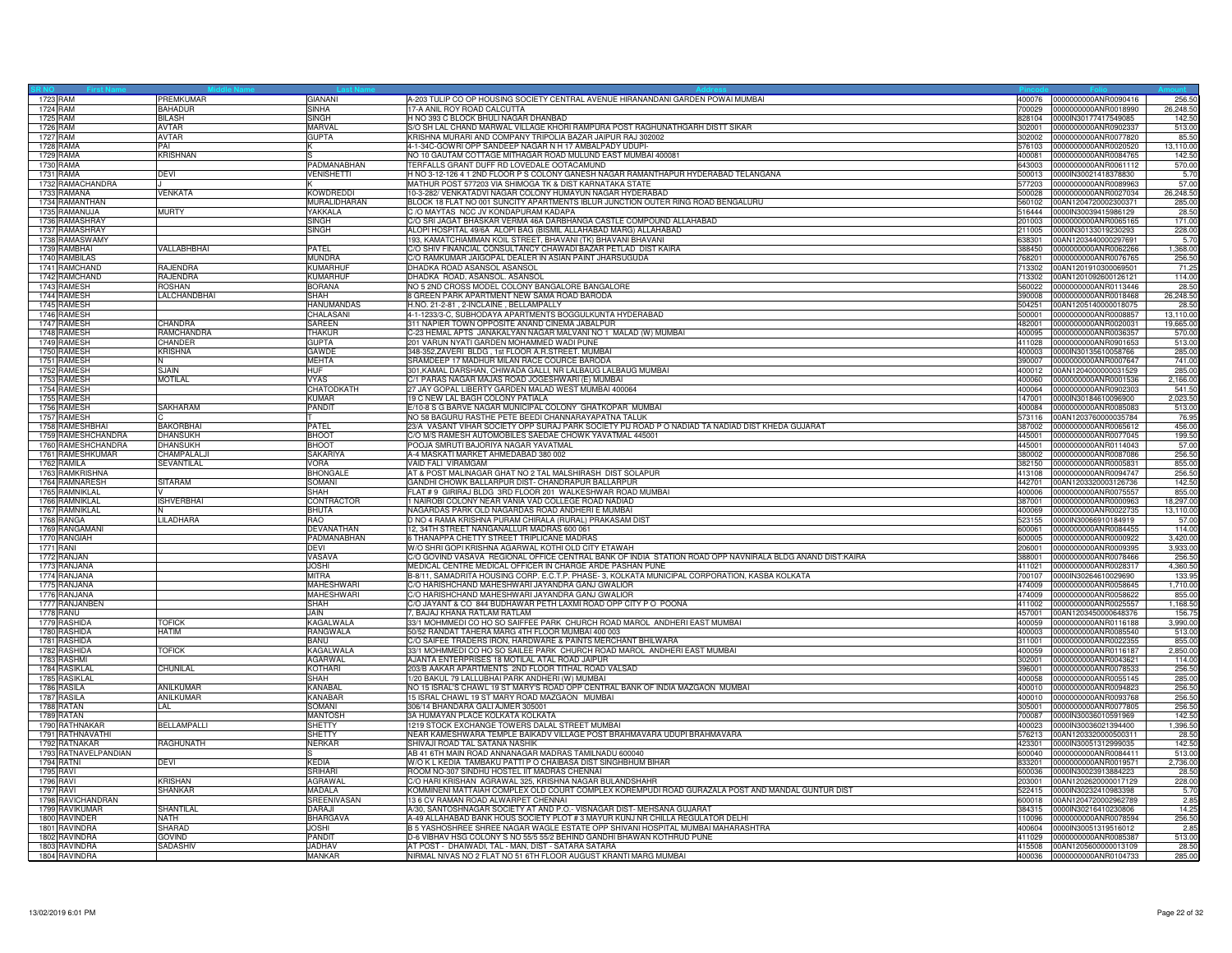| 1723 RAM             | PREMKUMAR         | GIANANI           | A-203 TULIP CO OP HOUSING SOCIETY CENTRAL AVENUE HIRANANDANI GARDEN POWAI MUMBAI                         | 400076 | 0000000000ANR0090416        | 256.5     |
|----------------------|-------------------|-------------------|----------------------------------------------------------------------------------------------------------|--------|-----------------------------|-----------|
| 1724 RAM             | <b>BAHADUR</b>    | <b>SINHA</b>      | 17-A ANIL ROY ROAD CALCUTTA                                                                              | 700029 | 0000000000ANR0018990        | 26,248.50 |
| 1725 RAM             | <b>BILASH</b>     | <b>SINGH</b>      | H NO 393 C BLOCK BHULI NAGAR DHANBAD                                                                     | 828104 | 0000IN30177417549085        | 142.50    |
| 1726 RAM             | AVTAR             | MARVAL            | S/O SH LAL CHAND MARWAL VILLAGE KHORI RAMPURA POST RAGHUNATHGARH DISTT SIKAR                             | 302001 | 0000000000ANR0902337        | 513.00    |
|                      | AVTAR             |                   |                                                                                                          | 302002 | 0000000000ANR0077820        | 85.50     |
| 1727 RAM             |                   | <b>GUPTA</b>      | KRISHNA MURARI AND COMPANY TRIPOLIA BAZAR JAIPUR RAJ 302002                                              |        |                             |           |
| 1728 RAMA            | PAI               |                   | 4-1-34C-GOWRI OPP SANDEEP NAGAR N H 17 AMBALPADY UDUPI-                                                  | 576103 | 0000000000ANR0020520        | 13,110.00 |
| 1729 RAMA            | <b>KRISHNAN</b>   |                   | NO 10 GAUTAM COTTAGE MITHAGAR ROAD MULUND EAST MUMBAI 400081                                             | 400081 | 0000000000ANR0084765        | 142.50    |
| 1730 RAMA            |                   | PADMANABHAN       | TERFALLS GRANT DUFF RD LOVEDALE OOTACAMUND                                                               | 643003 | 0000000000ANR0061112        | 570.00    |
| 1731 RAMA            | DEVI              | <b>VENISHETTI</b> | H NO 3-12-126 4 1 2ND FLOOR P S COLONY GANESH NAGAR RAMANTHAPUR HYDERABAD TELANGANA                      | 500013 | 0000IN30021418378830        | 5.70      |
| 1732 RAMACHANDRA     |                   |                   | MATHUR POST 577203 VIA SHIMOGA TK & DIST KARNATAKA STATE                                                 | 577203 | 0000000000ANR0089963        | 57.00     |
| 1733 RAMANA          | VENKATA           | <b>KOWDREDDI</b>  | 10-3-282/ VENKATADVI NAGAR COLONY HUMAYUN NAGAR HYDERABAD                                                | 500028 | 0000000000ANR0027034        | 26,248.50 |
| 1734 RAMANTHAN       |                   | MURALIDHARAN      | BLOCK 18 FLAT NO 001 SUNCITY APARTMENTS IBLUR JUNCTION OUTER RING ROAD BENGALURU                         | 560102 | 00AN1204720002300371        | 285.00    |
| 1735 RAMANUJA        | <b>MURTY</b>      | YAKKALA           | C /O MAYTAS NCC JV KONDAPURAM KADAPA                                                                     | 516444 |                             | 28.50     |
|                      |                   |                   |                                                                                                          |        | 0000IN30039415986129        |           |
| 1736 RAMASHRAY       |                   | <b>SINGH</b>      | C/O SRI JAGAT BHASKAR VERMA 46A DARBHANGA CASTLE COMPOUND ALLAHABAD                                      | 201003 | 0000000000ANR0065165        | 171.00    |
| 1737 RAMASHRAY       |                   | <b>SINGH</b>      | ALOPI HOSPITAL 49/6A ALOPI BAG (BISMIL ALLAHABAD MARG) ALLAHABAD                                         | 211005 | 0000IN30133019230293        | 228.00    |
| 1738 RAMASWAMY       |                   |                   | 193, KAMATCHIAMMAN KOIL STREET, BHAVANI (TK) BHAVANI BHAVANI                                             | 638301 | 00AN1203440000297691        | 5.70      |
| 1739 RAMBHAI         | VALLABHBHAI       | <b>PATEL</b>      | C/O SHIV FINANCIAL CONSULTANCY CHAWADI BAZAR PETLAD DIST KAIRA                                           | 388450 | 0000000000ANR0062266        | 1.368.00  |
| 1740 RAMBILAS        |                   | <b>MUNDRA</b>     | C/O RAMKUMAR JAIGOPAL DEALER IN ASIAN PAINT JHARSUGUDA                                                   | 768201 | 0000000000ANR0076765        | 256.50    |
| 1741 RAMCHAND        | RAJENDRA          | <b>KUMARHUI</b>   | DHADKA ROAD ASANSOL ASANSOL                                                                              | 713302 | 00AN1201910300069501        | 71.25     |
| 1742 RAMCHAND        | RAJENDRA          | <b>KUMARHUF</b>   | DHADKA ROAD, ASANSOL. ASANSOL                                                                            | 713302 | 00AN1201092600126121        | 114.00    |
|                      |                   |                   |                                                                                                          |        |                             |           |
| 1743 RAMESH          | <b>ROSHAN</b>     | <b>BORANA</b>     | NO 5 2ND CROSS MODEL COLONY BANGALORE BANGALORE                                                          | 560022 | 0000000000ANR0113446        | 28.50     |
| 1744 RAMESH          | LALCHANDBHAI      | <b>SHAH</b>       | 8 GREEN PARK APARTMENT NEW SAMA ROAD BARODA                                                              | 390008 | 0000000000ANR0018468        | 26,248.50 |
| 1745 RAMESH          |                   | HANUMANDAS        | H.NO. 21-2-81, 2-INCLAINE, BELLAMPALLY                                                                   | 504251 | 00AN1205140000018075        | 28.50     |
| 1746 RAMESH          |                   | CHALASANI         | 4-1-1233/3-C, SUBHODAYA APARTMENTS BOGGULKUNTA HYDERABAD                                                 | 500001 | 0000000000ANR0008857        | 13.110.00 |
| 1747 RAMESH          | <b>HANDRA</b>     | SAREEN            | 311 NAPIER TOWN OPPOSITE ANAND CINEMA JABALPUR                                                           | 482001 | 0000000000ANR0020031        | 19,665.00 |
| 1748 RAMESH          | RAMCHANDRA        | <b>THAKUR</b>     | C-23 HEMAL APTS JANAKALYAN NAGAR MALVANI NO 1 MALAD (W) MUMBAI                                           | 400095 | 0000000000ANR0036357        | 570.00    |
| 1749 RAMESH          | CHANDER           | <b>GUPTA</b>      | 201 VARUN NYATI GARDEN MOHAMMED WADI PUNE                                                                | 411028 | 0000000000ANR0901653        | 513.00    |
|                      |                   |                   |                                                                                                          |        |                             |           |
| 1750 RAMESH          | KRISHNA           | GAWDE             | 348-352, ZAVERI BLDG, 1st FLOOR A.R.STREET. MUMBAI                                                       | 400003 | 0000IN30135610058766        | 285.00    |
| 1751 RAMESH          |                   | <b>MEHTA</b>      | SRAMDEEP 17 MADHUR MILAN RACE COURCE BARODA                                                              | 390007 | 0000000000ANR0007647        | 741.00    |
| 1752 RAMESH          | SJAIN             | HUF               | 301, KAMAL DARSHAN, CHIWADA GALLI, NR LALBAUG LALBAUG MUMBAI                                             | 400012 | 00AN1204000000031529        | 285.00    |
| 1753 RAMESH          | <b>MOTILAL</b>    | <b>VYAS</b>       | C/1 PARAS NAGAR MAJAS ROAD JOGESHWARI (E) MUMBAI                                                         | 400060 | 0000000000ANR0001536        | 2,166.00  |
| 1754 RAMESH          |                   | CHATODKATH        | 27 JAY GOPAL LIBERTY GARDEN MALAD WEST MUMBAI 400064                                                     | 400064 | 0000000000ANR0902303        | 541.50    |
| 1755 RAMESH          |                   | KUMAR             | 19 C NEW LAL BAGH COLONY PATIALA                                                                         | 147001 | 0000IN30184610096900        | 2,023.50  |
| 1756 RAMESH          | SAKHARAM          | PANDIT            | E/10-8 S G BARVE NAGAR MUNICIPAL COLONY GHATKOPAR MUMBAI                                                 | 400084 | 0000000000ANR0085083        | 513.00    |
|                      |                   |                   |                                                                                                          |        |                             |           |
| 1757 RAMESH          |                   |                   | NO 58 BAGURU RASTHE PETE BEEDI CHANNARAYAPATNA TALUK                                                     | 573116 | 00AN1203760000035784        | 76.95     |
| 1758 RAMESHBHAI      | <b>BAKORBHAI</b>  | PATFI             | 23/A VASANT VIHAR SOCIETY OPP SURAJ PARK SOCIETY PIJ ROAD P O NADIAD TA NADIAD DIST KHEDA GUJARAT        | 387002 | 0000000000ANR0065612        | 456.00    |
| 1759 RAMESHCHANDRA   | DHANSUKH          | <b>BHOOT</b>      | C/O M/S RAMESH AUTOMOBILES SAEDAE CHOWK YAVATMAL 445001                                                  | 445001 | 0000000000ANR0077045        | 199.50    |
| 1760 RAMESHCHANDRA   | <b>DHANSUKH</b>   | <b>BHOOT</b>      | POOJA SMRUTI BAJORIYA NAGAR YAVATMAL                                                                     | 445001 | 0000000000ANR0114043        | 57.00     |
| 1761 RAMESHKUMAR     | <b>HAMPALALJ</b>  | SAKARIYA          | A-4 MASKATI MARKET AHMEDABAD 380 002                                                                     | 380002 | 0000000000ANR0087086        | 256.50    |
| 1762 RAMILA          | SEVANTILAL        | VORA              | VAID FALI VIRAMGAM                                                                                       | 382150 | 0000000000ANR0005831        | 855.00    |
| 1763 RAMKRISHNA      |                   | <b>BHONGALE</b>   | AT & POST MALINAGAR GHAT NO 2 TAL MALSHIRASH DIST SOLAPUR                                                | 413108 | 0000000000ANR0094747        | 256.50    |
|                      |                   |                   |                                                                                                          |        |                             |           |
| 1764 RAMNARESH       | SITARAM           | SOMANI            | GANDHI CHOWK BALLARPUR DIST- CHANDRAPUR BALLARPUR                                                        | 442701 | 00AN1203320003126736        | 142.50    |
| 1765 RAMNIKLAL       |                   | <b>SHAH</b>       | FLAT # 9 GIRIRAJ BLDG 3RD FLOOR 201 WALKESHWAR ROAD MUMBAI                                               | 400006 | 0000000000ANR0075557        | 855.00    |
| 1766 RAMNIKLAL       | <b>ISHVERBHAI</b> | CONTRACTOR        | NAIROBI COLONY NEAR VANIA VAD COLLEGE ROAD NADIAD                                                        | 387001 | 0000000000ANR0000963        | 18,297.00 |
| 1767 RAMNIKLAL       |                   | BHUTA             | NAGARDAS PARK OLD NAGARDAS ROAD ANDHERI E MUMBAI                                                         | 400069 | 0000000000ANR0022735        | 13,110.00 |
| 1768 RANGA           | <b>ILADHARA</b>   | RAO               | D NO 4 RAMA KRISHNA PURAM CHIRALA (RURAL) PRAKASAM DIST                                                  | 523155 | 0000IN30066910184919        | 57.00     |
| 1769 RANGAMANI       |                   | DEVANATHAN        | 12, 34TH STREET NANGANALLUR MADRAS 600 061                                                               | 600061 | 0000000000ANR0084455        | 114.00    |
| 1770 RANGIAH         |                   | PADMANABHAN       | 6 THANAPPA CHETTY STREET TRIPLICANE MADRAS                                                               | 600005 | 0000000000ANR0000922        | 3,420.00  |
|                      |                   |                   |                                                                                                          |        |                             |           |
| 1771 RANI            |                   | DEVI              | W/O SHRI GOPI KRISHNA AGARWAL KOTHI OLD CITY ETAWAH                                                      | 206001 | 0000000000ANR0009395        | 3,933.00  |
| 1772 RANJAN          |                   | VASAVA            | C/O GOVIND VASAVA REGIONAL OFFICE CENTRAL BANK OF INDIA STATION ROAD OPP NAVNIRALA BLDG ANAND DIST:KAIRA | 388001 | 0000000000ANR0078466        | 256.50    |
| 1773 RANJANA         |                   | <b>JOSHI</b>      | MEDICAL CENTRE MEDICAL OFFICER IN CHARGE ARDE PASHAN PUNE                                                | 411021 | 0000000000ANR0028317        | 4,360.50  |
| 1774 RANJANA         |                   | <b>MITRA</b>      | B-8/11, SAMADRITA HOUSING CORP. E.C.T.P. PHASE- 3, KOLKATA MUNICIPAL CORPORATION, KASBA KOLKATA          | 700107 | 0000IN30264610029690        | 133.95    |
| 1775 RANJANA         |                   | <b>MAHESHWARI</b> | C/O HARISHCHAND MAHESHWARI JAYANDRA GANJ GWALIOR                                                         | 474009 | 0000000000ANR0058645        | 1.710.00  |
| 1776 RANJANA         |                   | MAHESHWARI        | C/O HARISHCHAND MAHESHWARI JAYANDRA GANJ GWALIOR                                                         | 474009 | 0000000000ANR0058622        | 855.00    |
| 1777 RANJANBEN       |                   | <b>SHAH</b>       | C/O JAYANT & CO 844 BUDHAWAR PETH LAXMI ROAD OPP CITY P O POONA                                          | 411002 | 0000000000ANR0025557        | 1,168.50  |
| 1778 RANU            |                   | JAIN              | 7, BAJAJ KHANA RATLAM RATLAM                                                                             | 457001 | 00AN1203450000648376        | 156.75    |
|                      |                   |                   |                                                                                                          |        |                             |           |
| 1779 RASHIDA         | <b>TOFICK</b>     | KAGALWALA         | 33/1 MOHMMEDI CO HO SO SAIFFEE PARK CHURCH ROAD MAROL ANDHERI EAST MUMBAI                                | 400059 | 0000000000ANR0116188        | 3,990.00  |
| 1780 RASHIDA         | HATIM             | RANGWALA          | 50/52 RANDAT TAHERA MARG 4TH FLOOR MUMBAI 400 003                                                        | 400003 | 0000000000ANR0085540        | 513.00    |
| 1781 RASHIDA         |                   | BANU              | C/O SAIFEE TRADERS IRON, HARDWARE & PAINTS MERCHANT BHILWARA                                             | 311001 | 0000000000ANR0022355        | 855.00    |
| 1782 RASHIDA         | <b>TOFICK</b>     | KAGALWALA         | 33/1 MOHMMEDI CO HO SO SAILEE PARK CHURCH ROAD MAROL ANDHERI EAST MUMBAI                                 | 400059 | 0000000000ANR0116187        | 2,850.00  |
| 1783 RASHMI          |                   | <b>AGARWAL</b>    | AJANTA ENTERPRISES 18 MOTILAL ATAL ROAD JAIPUR                                                           | 302001 | 0000000000ANR0043621        | 114.00    |
| 1784 RASIKLAL        | CHUNILAL          | KOTHARI           | 203/B AAKAR APARTMENTS 2ND FLOOR TITHAL ROAD VALSAD                                                      | 396001 | 0000000000ANR0078533        | 256.50    |
| 1785 RASIKLAL        |                   | SHAH              | 1/20 BAKUL 79 LALLUBHAI PARK ANDHERI (W) MUMBAI                                                          | 400058 | 0000000000ANR0055145        | 285.00    |
| 1786 RASILA          | ANILKUMAR         | KANABAL           | NO 15 ISRAL'S CHAWL 19 ST MARY'S ROAD OPP CENTRAL BANK OF INDIA MAZGAON MUMBAI                           | 400010 | 0000000000ANR0094823        | 256.50    |
| 1787 RASILA          | <b>ANILKUMAR</b>  | <b>KANABAR</b>    | 15 ISRAL CHAWL 19 ST MARY ROAD MAZGAON MUMBAI                                                            | 400010 | 0000000000ANR0093768        |           |
|                      |                   |                   |                                                                                                          |        |                             | 256.50    |
| 1788 RATAN           | LAL               | SOMANI            | 306/14 BHANDARA GALI AJMER 305001                                                                        | 305001 | 0000000000ANR0077805        | 256.50    |
| 1789 RATAN           |                   | <b>MANTOSH</b>    | 3A HUMAYAN PLACE KOLKATA KOLKATA                                                                         | 700087 | 0000IN30036010591969        | 142.50    |
| 1790 RATHNAKAR       | BELLAMPALLI       | <b>SHETTY</b>     | 1219 STOCK EXCHANGE TOWERS DALAL STREET MUMBAI                                                           | 400023 | 0000IN30036021394400        | 1,396.5   |
| 1791 RATHNAVATHI     |                   | <b>SHETTY</b>     | NEAR KAMESHWARA TEMPLE BAIKADV VILLAGE POST BRAHMAVARA UDUPI BRAHMAVARA                                  | 576213 | 00AN1203320000500311        | 28.50     |
| 1792 RATNAKAR        | RAGHUNATH         | <b>NERKAR</b>     | SHIVAJI ROAD TAL SATANA NASHIK                                                                           | 423301 | 0000lN30051312999035        | 142.50    |
| 1793 RATNAVELPANDIAN |                   |                   | AB 41 6TH MAIN ROAD ANNANAGAR MADRAS TAMILNADU 600040                                                    | 600040 | 0000000000ANR0084411        | 513.00    |
| 1794 RATNI           |                   | <b>KEDIA</b>      | W/O K L KEDIA TAMBAKU PATTI P O CHAIBASA DIST SINGHBHUM BIHAR                                            | 833201 | 0000000000ANR0019571        | 2,736.00  |
|                      | DEVI              |                   |                                                                                                          |        |                             |           |
| 1795 RAVI            |                   | SRIHARI           | ROOM NO-307 SINDHU HOSTEL IIT MADRAS CHENNAI                                                             | 600036 | 0000lN30023913884223        | 28.5      |
| 1796 RAVI            | <b>KRISHAN</b>    | AGRAWAL           | C/O HARI KRISHAN AGRAWAL 325, KRISHNA NAGAR BULANDSHAHR                                                  | 203001 | 00AN1202620000017129        | 228.00    |
| 1797 RAVI            | <b>SHANKAR</b>    | <b>MADALA</b>     | KOMMINENI MATTAIAH COMPLEX OLD COURT COMPLEX KOREMPUDI ROAD GURAZALA POST AND MANDAL GUNTUR DIST         | 522415 | 0000IN30232410983398        | 5.70      |
| 1798 RAVICHANDRAN    |                   | SREENIVASAN       | 13 6 CV RAMAN ROAD ALWARPET CHENNAI                                                                      | 600018 | 00AN1204720002962789        | 2.85      |
| 1799 RAVIKUMAR       | <b>SHANTILAL</b>  | <b>DARAJI</b>     | A/30, SANTOSHNAGAR SOCIETY AT AND P.O.- VISNAGAR DIST- MEHSANA GUJARAT                                   | 384315 | 0000IN30216410230806        | 14.25     |
| 1800 RAVINDER        | NATH              | <b>BHARGAVA</b>   | A-49 ALLAHABAD BANK HOUS SOCIETY PLOT # 3 MAYUR KUNJ NR CHILLA REGULATOR DELHI                           | 110096 | 0000000000ANR0078594        | 256.50    |
|                      |                   | <b>JOSHI</b>      |                                                                                                          |        |                             |           |
| 1801 RAVINDRA        | SHARAD            |                   | B 5 YASHOSHREE SHREE NAGAR WAGLE ESTATE OPP SHIVANI HOSPITAL MUMBAI MAHARASHTRA                          | 400604 | 0000lN30051319516012        | 2.85      |
| 1802 RAVINDRA        | GOVIND            | PANDIT            | D-6 VIBHAV HSG COLONY S NO 55/5 55/2 BEHIND GANDHI BHAWAN KOTHRUD PUNE                                   | 411029 | 0000000000ANR0085387        | 513.00    |
| 1803 RAVINDRA        | SADASHIV          | <b>JADHA\</b>     | AT POST - DHAIWADI, TAL - MAN, DIST - SATARA SATARA                                                      | 415508 | 00AN1205600000013109        | 28.50     |
| 1804 RAVINDRA        |                   | <b>MANKAR</b>     | NIRMAL NIVAS NO 2 FLAT NO 51 6TH FLOOR AUGUST KRANTI MARG MUMBAI                                         |        | 400036 0000000000ANR0104733 | 285.00    |
|                      |                   |                   |                                                                                                          |        |                             |           |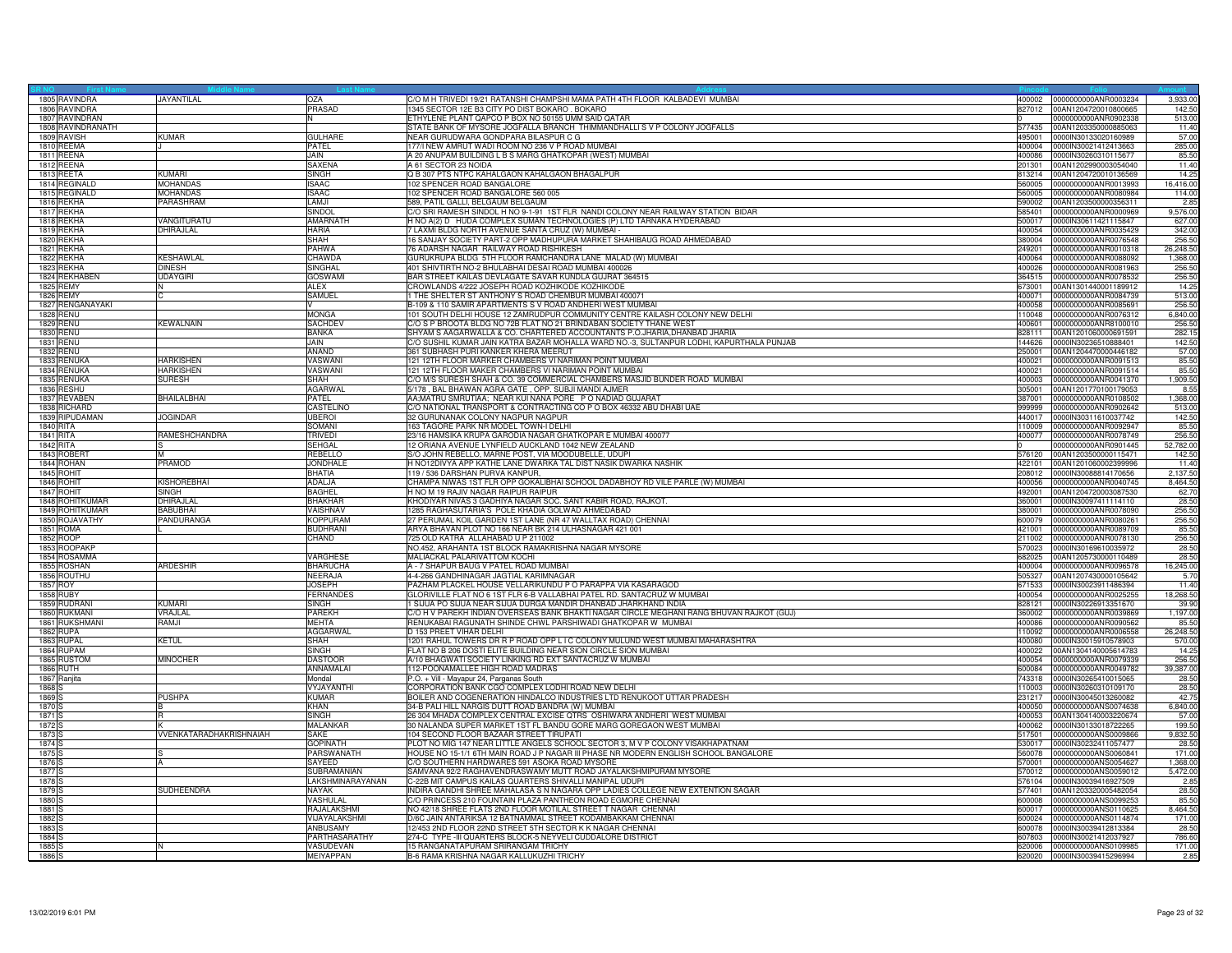|                   | 1805 RAVINDRA     | JAYANTILAL              | OZA             | C/O M H TRIVEDI 19/21 RATANSHI CHAMPSHI MAMA PATH 4TH FLOOR KALBADEVI MUMBAI             | 400002 | 0000000000ANR0003234        | 3,933.00  |
|-------------------|-------------------|-------------------------|-----------------|------------------------------------------------------------------------------------------|--------|-----------------------------|-----------|
|                   | 1806 RAVINDRA     |                         | PRASAD          | 1345 SECTOR 12E B3 CITY PO DIST BOKARO. BOKARO                                           | 827012 | 00AN1204720010800665        | 142.50    |
|                   | 1807 RAVINDRAN    |                         |                 | ETHYLENE PLANT QAPCO P BOX NO 50155 UMM SAID QATAR                                       |        | 0000000000ANR0902338        | 513.00    |
|                   | 1808 RAVINDRANATH |                         |                 |                                                                                          | 577435 | 00AN1203350000885063        | 11.40     |
|                   |                   |                         | <b>GULHARE</b>  | STATE BANK OF MYSORE JOGFALLA BRANCH THIMMANDHALLI S V P COLONY JOGFALLS                 |        |                             |           |
|                   | 1809 RAVISH       | <b>KUMAR</b>            |                 | NEAR GURUDWARA GONDPARA BILASPUR C G                                                     | 495001 | 0000IN30133020160989        | 57.00     |
|                   | 1810 REEMA        |                         | PATEL           | 77/I NEW AMRUT WADI ROOM NO 236 V P ROAD MUMBAI                                          | 400004 | 0000IN30021412413663        | 285.00    |
|                   | 1811 REENA        |                         | <b>JAIN</b>     | A 20 ANUPAM BUILDING L B S MARG GHATKOPAR (WEST) MUMBAI                                  | 400086 | 0000IN30260310115677        | 85.50     |
|                   | 1812 REENA        |                         | <b>SAXENA</b>   | A 61 SECTOR 23 NOIDA                                                                     | 201301 | 00AN1202990003054040        | 11.40     |
|                   | 1813 REETA        | KUMARI                  | SINGH           | Q B 307 PTS NTPC KAHALGAON KAHALGAON BHAGALPUR                                           | 813214 | 00AN1204720010136569        | 14.25     |
|                   | 1814 REGINALD     | <b>MOHANDAS</b>         | <b>ISAAC</b>    | 102 SPENCER ROAD BANGALORE                                                               | 560005 | 0000000000ANR0013993        | 16,416.00 |
|                   | 1815 REGINALD     | <b>MOHANDAS</b>         | SAAC            | 02 SPENCER ROAD BANGALORE 560 005                                                        | 560005 | 0000000000ANR0080984        | 114.00    |
|                   | 1816 REKHA        | PARASHRAM               | LAMJI           |                                                                                          |        |                             |           |
|                   |                   |                         |                 | 589, PATIL GALLI, BELGAUM BELGAUM                                                        | 590002 | 00AN1203500000356311        | 2.85      |
|                   | 1817 REKHA        |                         | SINDOL          | C/O SRI RAMESH SINDOL H NO 9-1-91 1ST FLR NANDI COLONY NEAR RAILWAY STATION BIDAR        | 585401 | 0000000000ANR0000969        | 9,576.00  |
|                   | 1818 REKHA        | VANGITURATU             | AMARNATH        | H NO A(2) D HUDA COMPLEX SUMAN TECHNOLOGIES (P) LTD TARNAKA HYDERABAD                    | 500017 | 0000IN30611421115847        | 627.00    |
|                   | 1819 REKHA        | DHIRAJLAL               | <b>HARIA</b>    | 7 LAXMI BLDG NORTH AVENUE SANTA CRUZ (W) MUMBAI                                          | 400054 | 0000000000ANR0035429        | 342.00    |
|                   | 1820 REKHA        |                         | <b>SHAH</b>     | 6 SANJAY SOCIETY PART-2 OPP MADHUPURA MARKET SHAHIBAUG ROAD AHMEDABAD                    | 380004 | 0000000000ANR0076548        | 256.50    |
|                   | 1821 REKHA        |                         | PAHWA           | 76 ADARSH NAGAR RAILWAY ROAD RISHIKESH                                                   | 249201 | 0000000000ANR0010318        | 26,248.50 |
|                   | 1822 REKHA        | KESHAWLAL               | <b>CHAWDA</b>   | GURUKRUPA BLDG 5TH FLOOR RAMCHANDRA LANE MALAD (W) MUMBAI                                | 400064 | 0000000000ANR0088092        | 1,368.00  |
|                   | 1823 REKHA        | <b>DINESH</b>           | SINGHAL         | 401 SHIVTIRTH NO-2 BHULABHAI DESAI ROAD MUMBAI 400026                                    | 400026 | 0000000000ANR0081963        | 256.50    |
|                   |                   |                         |                 |                                                                                          |        |                             |           |
|                   | 1824 REKHABEN     | <b>UDAYGIR</b>          | <b>GOSWAM</b>   | BAR STREET KAILAS DEVLAGATE SAVAR KUNDLA GUJRAT 364515                                   | 364515 | 0000000000ANR0078532        | 256.50    |
|                   | 1825 REMY         | N                       | ALEX            | CROWLANDS 4/222 JOSEPH ROAD KOZHIKODE KOZHIKODE                                          | 673001 | 00AN1301440001189912        | 14.25     |
|                   | 1826 REMY         | TC.                     | SAMUEL          | 1 THE SHELTER ST ANTHONY S ROAD CHEMBUR MUMBAI 400071                                    | 400071 | 0000000000ANR0084739        | 513.00    |
|                   | 1827 RENGANAYAKI  |                         |                 | B-109 & 110 SAMIR APARTMENTS S V ROAD ANDHERI WEST MUMBAI                                | 400058 | 0000000000ANR0085691        | 256.50    |
|                   | 1828 RENU         |                         | <b>MONGA</b>    | 101 SOUTH DELHI HOUSE 12 ZAMRUDPUR COMMUNITY CENTRE KAILASH COLONY NEW DELHI             | 110048 | 0000000000ANR0076312        | 6,840.00  |
|                   | 1829 RENU         | <b>KEWALNAIN</b>        | <b>SACHDEV</b>  | C/O S P BROOTA BLDG NO 72B FLAT NO 21 BRINDABAN SOCIETY THANE WEST                       | 400601 | 0000000000ANR8100010        | 256.50    |
|                   | 1830 RENU         |                         | <b>BANKA</b>    | SHYAM S AAGARWALLA & CO. CHARTERED ACCOUNTANTS P.O.JHARIA, DHANBAD JHARIA                | 828111 | 00AN1201060000691591        | 282.15    |
|                   | <b>1831 RENU</b>  |                         | JAIN.           | C/O SUSHIL KUMAR JAIN KATRA BAZAR MOHALLA WARD NO.-3, SULTANPUR LODHI, KAPURTHALA PUNJAB |        |                             |           |
|                   |                   |                         |                 |                                                                                          | 144626 | 0000IN30236510888401        | 142.50    |
|                   | 1832 RENU         |                         | ANAND           | 361 SUBHASH PURI KANKER KHERA MEERUT                                                     | 250001 | 00AN1204470000446182        | 57.00     |
|                   | 1833 RENUKA       | <b>HARKISHEN</b>        | VASWANI         | 121 12TH FLOOR MARKER CHAMBERS VI NARIMAN POINT MUMBAI                                   | 400021 | 0000000000ANR0091513        | 85.50     |
|                   | 1834 RENUKA       | <b>HARKISHEN</b>        | VASWANI         | 21 12TH FLOOR MAKER CHAMBERS VI NARIMAN POINT MUMBAI                                     | 400021 | 0000000000ANR0091514        | 85.50     |
|                   | 1835 RENUKA       | <b>SURESH</b>           | SHAH            | C/O M/S SURESH SHAH & CO. 39 COMMERCIAL CHAMBERS MASJID BUNDER ROAD MUMBAI               | 400003 | 0000000000ANR0041370        | 1,909.50  |
|                   | 1836 RESHU        |                         | <b>AGARWAL</b>  | 5/178, BAL BHAWAN AGRA GATE, OPP. SUBJI MANDI AJMER                                      | 305001 | 00AN1201770100179053        | 8.55      |
|                   | 1837 REVABEN      | <b>BHAILALBHAI</b>      | PATEL           | AA;MATRU SMRUTIAA; NEAR KUI NANA PORE PO NADIAD GUJARAT                                  | 387001 | 0000000000ANR0108502        | 1,368.00  |
|                   |                   |                         | CASTELINO       |                                                                                          | 999999 | 0000000000ANR0902642        | 513.00    |
|                   | 1838 RICHARD      |                         |                 | C/O NATIONAL TRANSPORT & CONTRACTING CO P O BOX 46332 ABU DHABI UAE                      |        |                             |           |
|                   | 1839 RIPUDAMAN    | <b>JOGINDAR</b>         | <b>JBEROI</b>   | 32 GURUNANAK COLONY NAGPUR NAGPUR                                                        | 440017 | 0000IN30311610037742        | 142.50    |
|                   | 1840 RITA         |                         | SOMANI          | 163 TAGORE PARK NR MODEL TOWN-I DELHI                                                    | 110009 | 0000000000ANR0092947        | 85.50     |
|                   | 1841 RITA         | RAMESHCHANDRA           | <b>TRIVEDI</b>  | 23/16 HAMSIKA KRUPA GARODIA NAGAR GHATKOPAR E MUMBAI 400077                              | 400077 | 0000000000ANR0078749        | 256.50    |
|                   | 1842 RITA         |                         | SEHGAL          | 12 ORIANA AVENUE LYNFIELD AUCKLAND 1042 NEW ZEALAND                                      |        | 0000000000ANR0901445        | 52,782.00 |
|                   | 1843 ROBERT       | Iм                      | <b>REBELLO</b>  | S/O JOHN REBELLO, MARNE POST, VIA MOODUBELLE, UDUPI                                      | 576120 | 00AN1203500000115471        | 142.50    |
|                   | 1844 ROHAN        | PRAMOD                  | <b>JONDHALE</b> | H NO12DIVYA APP KATHE LANE DWARKA TAL DIST NASIK DWARKA NASHIK                           | 422101 | 00AN1201060002399996        | 11.40     |
|                   | 1845 ROHIT        |                         | <b>BHATIA</b>   | 119 / 536 DARSHAN PURVA KANPUR,                                                          | 208012 | 0000IN30088814170656        | 2,137.50  |
|                   |                   |                         |                 |                                                                                          |        |                             |           |
|                   | 1846 ROHIT        | <b>KISHOREBHAI</b>      | <b>ADALJA</b>   | CHAMPA NIWAS 1ST FLR OPP GOKALIBHAI SCHOOL DADABHOY RD VILE PARLE (W) MUMBAI             | 400056 | 0000000000ANR0040745        | 8,464.50  |
|                   | 1847 ROHIT        | SINGH                   | <b>BAGHEL</b>   | H NO M 19 RAJIV NAGAR RAIPUR RAIPUR                                                      | 492001 | 00AN1204720003087530        | 62.70     |
|                   | 1848 ROHITKUMAR   | DHIRAJI AI              | <b>BHAKHAR</b>  | KHODIYAR NIVAS 3 GADHIYA NAGAR SOC. SANT KABIR ROAD, RAJKOT.                             | 360001 | 0000IN30097411114110        | 28.50     |
|                   | 1849 ROHITKUMAR   | <b>BABUBHAI</b>         | VAISHNAV        | 1285 RAGHASUTARIA'S POLE KHADIA GOLWAD AHMEDABAD                                         | 380001 | 0000000000ANR0078090        | 256.50    |
|                   | 1850 ROJAVATHY    | PANDURANGA              | <b>KOPPURAM</b> | 27 PERUMAL KOIL GARDEN 1ST LANE (NR 47 WALLTAX ROAD) CHENNAI                             | 600079 | 0000000000ANR0080261        | 256.50    |
|                   | 1851 ROMA         |                         | <b>BUDHRANI</b> | ARYA BHAVAN PLOT NO 166 NEAR BK 214 ULHASNAGAR 421 001                                   | 421001 | 0000000000ANR0089709        | 85.50     |
|                   | 1852 ROOP         |                         | CHAND           | 725 OLD KATRA ALLAHABAD U P 211002                                                       | 211002 | 0000000000ANR0078130        | 256.50    |
|                   | 1853 ROOPAKF      |                         |                 | NO.452, ARAHANTA 1ST BLOCK RAMAKRISHNA NAGAR MYSORE                                      | 570023 | 0000IN30169610035972        | 28.50     |
|                   |                   |                         |                 |                                                                                          |        |                             |           |
|                   | 1854 ROSAMMA      |                         | VARGHESE        | MALIACKAL PALARIVATTOM KOCHI                                                             | 682025 | 00AN1205730000110489        | 28.50     |
|                   | 1855 ROSHAN       | <b>ARDESHIR</b>         | <b>BHARUCHA</b> | A - 7 SHAPUR BAUG V PATEL ROAD MUMBAI                                                    | 400004 | 0000000000ANR0096578        | 16,245.00 |
|                   | 1856 ROUTHU       |                         | NEERAJA         | 4-4-266 GANDHINAGAR JAGTIAL KARIMNAGAR                                                   | 505327 | 00AN1207430000105642        | 5.70      |
|                   | 1857 ROY          |                         | <b>JOSEPH</b>   | PAZHAM PLACKEL HOUSE VELLARIKUNDU P O PARAPPA VIA KASARAGOD                              | 671533 | 0000IN30023911486394        | 11.40     |
|                   | 1858 RUBY         |                         | FERNANDES       | 3LORIVILLE FLAT NO 6 1ST FLR 6-B VALLABHAI PATEL RD. SANTACRUZ W MUMBAI                  | 400054 | 0000000000ANR0025255        | 18,268.50 |
|                   | 1859 RUDRANI      | <b>KUMARI</b>           | SINGH           | I SIJUA PO SIJUA NEAR SIJUA DURGA MANDIR DHANBAD JHARKHAND INDIA                         | 828121 | 0000IN30226913351670        | 39.90     |
|                   | 1860 RUKMANI      | VRAJLAI                 | PAREKH          | C/O H V PAREKH INDIAN OVERSEAS BANK BHAKTI NAGAR CIRCLE MEGHANI RANG BHUVAN RAJKOT (GUJ) | 360002 | 0000000000ANR0039869        | 1,197.00  |
|                   | 1861 RUKSHMANI    | RAMJI                   | <b>MEHTA</b>    | RENUKABAI RAGUNATH SHINDE CHWL PARSHIWADI GHATKOPAR W MUMBAI                             | 400086 | 0000000000ANR0090562        | 85.50     |
|                   |                   |                         |                 | D 153 PREET VIHAR DELHI                                                                  | 110092 |                             | 26,248.50 |
|                   | 1862 RUPA         |                         | AGGARWAI        | 201 RAHUL TOWERS DR R P ROAD OPP L I C COLONY MULUND WEST MUMBAI MAHARASHTRA             |        | 0000000000ANR0006558        |           |
|                   | 1863 RUPAL        | KETUL                   | <b>SHAH</b>     |                                                                                          | 400080 | 0000IN30015910578903        | 570.00    |
|                   | 1864 RUPAM        |                         | SINGH           | FLAT NO B 206 DOSTI ELITE BUILDING NEAR SION CIRCLE SION MUMBAI                          | 400022 | 00AN1304140005614783        | 14.25     |
|                   | 1865 RUSTOM       | <b>MINOCHER</b>         | <b>DASTOOR</b>  | A/10 BHAGWATI SOCIETY LINKING RD EXT SANTACRUZ W MUMBAI                                  | 400054 | 0000000000ANR0079339        | 256.50    |
|                   | 1866 RUTH         |                         | ANNAMALA        | 112-POONAMALLEE HIGH ROAD MADRAS                                                         | 600084 | 0000000000ANR0049782        | 39,387.00 |
|                   | 1867 Ranjita      |                         | Mondal          | P.O. + Vill - Mayapur 24, Parganas South                                                 | 743318 | 0000IN30265410015065        | 28.50     |
| 1868              |                   |                         | VYJAYANTHI      | ORPORATION BANK CGO COMPLEX LODHI ROAD NEW DELHI                                         | 10003  | 0000IN30260310109170        | 28.50     |
| 1869              |                   | <b>PUSHPA</b>           | KUMAR           | BOILER AND COGENERATION HINDALCO INDUSTRIES LTD RENUKOOT UTTAR PRADESH                   | 231217 | 0000IN30045013260082        | 42.75     |
| 1870              |                   |                         | <b>KHAN</b>     | 34-B PALI HILL NARGIS DUTT ROAD BANDRA (W) MUMBAI                                        | 400050 | 0000000000ANS0074638        | 6.840.00  |
|                   |                   |                         |                 |                                                                                          |        |                             |           |
| 1871 <sub>S</sub> |                   |                         | SINGH           | 26 304 MHADA COMPLEX CENTRAL EXCISE QTRS OSHIWARA ANDHERI WEST MUMBAI                    | 400053 | 00AN1304140003220674        | 57.00     |
| 1872              |                   |                         | MALANKAR        | 30 NALANDA SUPER MARKET 1ST FL BANDU GORE MARG GOREGAON WEST MUMBAI                      | 400062 | 0000IN30133018722265        | 199.50    |
| 1873              |                   | VVENKATARADHAKRISHNAIAH | SAKE            | 04 SECOND FLOOR BAZAAR STREET TIRUPATI                                                   | 517501 | 0000000000ANS0009866        | 9,832.50  |
| 1874              |                   |                         | <b>GOPINATH</b> | PLOT NO MIG 147 NEAR LITTLE ANGELS SCHOOL SECTOR 3, M V P COLONY VISAKHAPATNAM           | 530017 | 0000lN30232411057477        | 28.50     |
| 1875 <sub>S</sub> |                   | Is                      | PARSWANATH      | HOUSE NO 15-1/1 6TH MAIN ROAD J P NAGAR III PHASE NR MODERN ENGLISH SCHOOL BANGALORE     | 560078 | 0000000000ANS0060841        | 171.00    |
| 1876 <sub>S</sub> |                   |                         | SAYEED          | C/O SOUTHERN HARDWARES 591 ASOKA ROAD MYSORE                                             | 570001 | 0000000000ANS0054627        | 1,368.00  |
| 1877              |                   |                         | SUBRAMANIAN     | SAMVANA 92/2 RAGHAVENDRASWAMY MUTT ROAD JAYALAKSHMIPURAM MYSORE                          | 570012 | 0000000000ANS0059012        | 5,472.00  |
| 1878              |                   |                         | AKSHMINARAYANAN | -22B MIT CAMPUS KAILAS QUARTERS SHIVALLI MANIPAL UDUPI                                   | 576104 | 0000IN30039416927509        | 2.85      |
|                   |                   |                         |                 |                                                                                          |        |                             |           |
| 1879              |                   | SUDHEENDRA              | NAYAK           | INDIRA GANDHI SHREE MAHALASA S N NAGARA OPP LADIES COLLEGE NEW EXTENTION SAGAR           | 577401 | 00AN1203320005482054        | 28.50     |
| 1880              |                   |                         | <b>VASHULA</b>  | C/O PRINCESS 210 FOUNTAIN PLAZA PANTHEON ROAD EGMORE CHENNAI                             | 600008 | 0000000000ANS0099253        | 85.50     |
| 1881 <sub>S</sub> |                   |                         | RAJALAKSHMI     | NO 42/18 SHREE FLATS 2ND FLOOR MOTILAL STREET T NAGAR CHENNAI                            | 600017 | 0000000000ANS0110625        | 8,464.50  |
| 1882              |                   |                         | VIJAYALAKSHMI   | D/6C JAIN ANTARIKSA 12 BATNAMMAL STREET KODAMBAKKAM CHENNAI                              | 600024 | 0000000000ANS0114874        | 171.00    |
| 1883              |                   |                         | <b>ANBUSAM</b>  | 2/453 2ND FLOOR 22ND STREET 5TH SECTOR K K NAGAR CHENNAI                                 | 600078 | 0000lN30039412813384        | 28.50     |
| 1884              |                   |                         | PARTHASARATHY   | 274-C TYPE -III QUARTERS BLOCK-5 NEYVELI CUDDALORE DISTRICT                              | 607803 | 0000lN30021412037927        | 786.60    |
| 1885              |                   | IN                      | VASUDEVAN       | 15 RANGANATAPURAM SRIRANGAM TRICHY                                                       | 620006 | 0000000000ANS0109985        | 171.00    |
|                   |                   |                         |                 |                                                                                          |        |                             |           |
| 1886 <sub>S</sub> |                   |                         | MEIYAPPAN       | B-6 RAMA KRISHNA NAGAR KALLUKUZHI TRICHY                                                 |        | 620020 0000IN30039415296994 | 2.85      |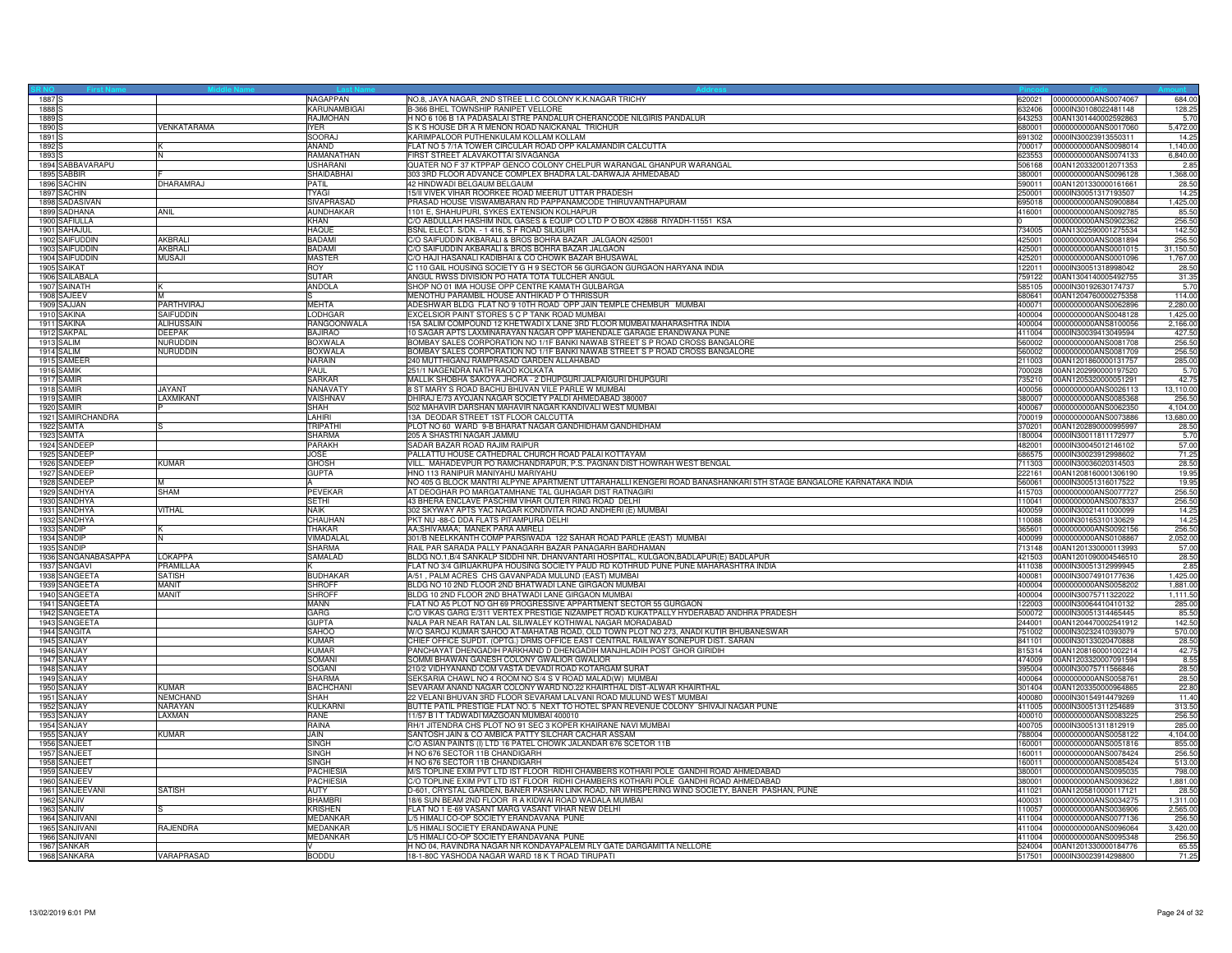| 1887 <sub>S</sub>                     |                   | NAGAPPAN                      | NO.8, JAYA NAGAR, 2ND STREE L.I.C COLONY K.K.NAGAR TRICHY                                                        | 620021 | 0000000000ANS0074067                         | 684.00           |
|---------------------------------------|-------------------|-------------------------------|------------------------------------------------------------------------------------------------------------------|--------|----------------------------------------------|------------------|
| 1888                                  |                   | KARUNAMBIGAI                  | B-366 BHEL TOWNSHIP RANIPET VELLORE                                                                              | 632406 | 0000IN30108022481148                         | 128.25           |
| 1889 <sub>S</sub>                     |                   | <b>RAJMOHAN</b>               | H NO 6 106 B 1A PADASALAI STRE PANDALUR CHERANCODE NILGIRIS PANDALUR                                             | 643253 | 00AN1301440002592863                         | 5.70             |
| 1890 S                                | VENKATARAMA       | <b>IYER</b>                   | S K S HOUSE DR A R MENON ROAD NAICKANAL TRICHUR                                                                  | 680001 | 0000000000ANS0017060                         | 5,472.00         |
| 1891 <sub>S</sub>                     |                   | SOORAJ                        | KARIMPALOOR PUTHENKULAM KOLLAM KOLLAM                                                                            | 691302 | 0000IN30023913550311                         | 14.25            |
| 1892 \$                               |                   | ANAND                         | FLAT NO 5 7/1A TOWER CIRCULAR ROAD OPP KALAMANDIR CALCUTTA                                                       | 700017 | 0000000000ANS0098014                         | 1,140.00         |
|                                       |                   |                               |                                                                                                                  | 623553 |                                              |                  |
| 1893 <sup>S</sup><br>1894 SABBAVARAPU |                   | RAMANATHAN<br><b>USHARANI</b> | FIRST STREET ALAVAKOTTAI SIVAGANGA<br>QUATER NO F 37 KTPPAP GENCO COLONY CHELPUR WARANGAL GHANPUR WARANGAL       | 506168 | 0000000000ANS0074133<br>00AN1203320012071353 | 6,840.00<br>2.85 |
|                                       |                   |                               |                                                                                                                  |        |                                              |                  |
| 1895 SABBIR                           |                   | SHAIDABHAI                    | 303 3RD FLOOR ADVANCE COMPLEX BHADRA LAL-DARWAJA AHMEDABAD                                                       | 380001 | 0000000000ANS0096128                         | 1.368.00         |
| 1896 SACHIN                           | DHARAMRAJ         | PATIL                         | 42 HINDWADI BELGAUM BELGAUM                                                                                      | 590011 | 00AN1201330000161661                         | 28.50            |
| 1897 SACHIN                           |                   | <b>TYAGI</b>                  | 15/II VIVEK VIHAR ROORKEE ROAD MEERUT UTTAR PRADESH                                                              | 250001 | 0000IN30051317193507                         | 14.25            |
| 1898 SADASIVAN                        |                   | SIVAPRASAD                    | PRASAD HOUSE VISWAMBARAN RD PAPPANAMCODE THIRUVANTHAPURAM                                                        | 695018 | 0000000000ANS0900884                         | 1,425.00         |
| 1899 SADHANA                          | <b>ANIL</b>       | AUNDHAKAR                     | 1101 E, SHAHUPURI, SYKES EXTENSION KOLHAPUR                                                                      | 416001 | 0000000000ANS0092785                         | 85.50            |
| 1900 SAFIULLA                         |                   | KHAN                          | C/O ABDULLAH HASHIM INDL GASES & EQUIP CO LTD P O BOX 42868 RIYADH-11551 KSA                                     |        | 0000000000ANS0902362                         | 256.50           |
| 1901 SAHAJUL                          |                   | <b>HAQUE</b>                  | BSNL ELECT. S/DN. - 1 416, S F ROAD SILIGURI                                                                     | 734005 | 00AN1302590001275534                         | 142.50           |
| 1902 SAIFUDDIN                        | AKBRALI           | BADAMI                        | C/O SAIFUDDIN AKBARALI & BROS BOHRA BAZAR JALGAON 425001                                                         | 425001 | 0000000000ANS0081894                         | 256.5            |
| 1903 SAIFUDDIN                        | AKBRALI           | <b>BADAMI</b>                 | C/O SAIFUDDIN AKBARALI & BROS BOHRA BAZAR JALGAON                                                                | 425001 | 0000000000ANS0001015                         | 31,150.50        |
| 1904 SAIFUDDIN                        | <b>MUSAJI</b>     | <b>MASTER</b>                 | C/O HAJI HASANALI KADIBHAI & CO CHOWK BAZAR BHUSAWAI                                                             | 425201 | 0000000000ANS0001096                         | 1,767.00         |
| 1905 SAIKAT                           |                   | ROY                           | C 110 GAIL HOUSING SOCIETY G H 9 SECTOR 56 GURGAON GURGAON HARYANA INDIA                                         | 122011 | 0000IN30051318998042                         | 28.50            |
| 1906 SAILABALA                        |                   | <b>SUTAR</b>                  | ANGUL RWSS DIVISION PO HATA TOTA TULCHER ANGUL                                                                   | 759122 | 00AN1304140005492755                         | 31.35            |
| 1907 SAINATH                          |                   | ANDOLA                        | SHOP NO 01 IMA HOUSE OPP CENTRE KAMATH GULBARGA                                                                  | 585105 | 0000IN30192630174737                         | 5.70             |
|                                       |                   |                               | MENOTHU PARAMBIL HOUSE ANTHIKAD P O THRISSUR                                                                     |        |                                              | 114.00           |
| 1908 SAJEEV                           |                   |                               |                                                                                                                  | 680641 | 00AN1204760000275358                         |                  |
| 1909 SAJJAN                           | PARTHVIRAJ        | <b>MEHTA</b>                  | ADESHWAR BLDG FLAT NO 9 10TH ROAD OPP JAIN TEMPLE CHEMBUR MUMBAI                                                 | 400071 | 0000000000ANS0062896                         | 2,280.00         |
| 1910 SAKINA                           | SAIFUDDIN         | LODHGAR                       | EXCELSIOR PAINT STORES 5 C P TANK ROAD MUMBAI                                                                    | 400004 | 0000000000ANS0048128                         | 1,425.00         |
| 1911 SAKINA                           | <b>ALIHUSSAIN</b> | <b>RANGOONWALA</b>            | 15A SALIM COMPOUND 12 KHETWADI X LANE 3RD FLOOR MUMBAI MAHARASHTRA INDIA                                         | 400004 | 0000000000ANS8100056                         | 2,166.00         |
| 1912 SAKPAL                           | <b>DEEPAK</b>     | <b>BAJIRAO</b>                | 10 SAGAR APTS LAXMINARAYAN NAGAR OPP MAHENDALE GARAGE ERANDWANA PUNE                                             | 411004 | 0000IN30039413049594                         | 427.50           |
| 1913 SALIM                            | NURUDDIN          | <b>BOXWALA</b>                | BOMBAY SALES CORPORATION NO 1/1F BANKI NAWAB STREET S P ROAD CROSS BANGALORE                                     | 560002 | 0000000000ANS0081708                         | 256.5            |
| 1914 SALIM                            | NURUDDIN          | <b>BOXWALA</b>                | BOMBAY SALES CORPORATION NO 1/1F BANKI NAWAB STREET S P ROAD CROSS BANGALORE                                     | 560002 | 0000000000ANS0081709                         | 256.5            |
| 1915 SAMEEF                           |                   | NARAIN                        | 240 MUTTHIGANJ RAMPRASAD GARDEN ALLAHABAD                                                                        | 211003 | 00AN1201860000131757                         | 285.00           |
| 1916 SAMIK                            |                   | PAUL                          | 251/1 NAGENDRA NATH RAOD KOLKATA                                                                                 | 700028 | 00AN1202990000197520                         | 5.70             |
| 1917 SAMIR                            |                   | <b>SARKAR</b>                 | MALLIK SHOBHA SAKOYA JHORA - 2 DHUPGURI JALPAIGURI DHUPGURI                                                      | 735210 | 00AN1205320000051291                         | 42.75            |
| 1918 SAMIR                            | <b>JAYANT</b>     | NANAVATY                      | 8 ST MARY S ROAD BACHU BHUVAN VILE PARLE W MUMBAI                                                                | 400056 | 0000000000ANS0026113                         | 13,110.00        |
| 1919 SAMIR                            | LAXMIKANT         | VAISHNAV                      | DHIRAJ E/73 AYOJAN NAGAR SOCIETY PALDI AHMEDABAD 380007                                                          | 380007 | 0000000000ANS0085368                         | 256.50           |
| 1920 SAMIR                            |                   | SHAH                          | 502 MAHAVIR DARSHAN MAHAVIR NAGAR KANDIVALI WEST MUMBAI                                                          | 400067 | 0000000000ANS0062350                         | 4,104.00         |
| 1921 SAMIRCHANDRA                     |                   | LAHIRI                        | 13A DEODAR STREET 1ST FLOOR CALCUTTA                                                                             | 700019 | 0000000000ANS0073886                         | 13,680.00        |
| 1922 SAMTA                            |                   | <b>TRIPATHI</b>               | PLOT NO 60 WARD 9-B BHARAT NAGAR GANDHIDHAM GANDHIDHAM                                                           | 370201 | 00AN1202890000995997                         | 28.50            |
| 1923 SAMTA                            |                   | SHARMA                        | 205 A SHASTRI NAGAR JAMMU                                                                                        | 180004 |                                              | 5.70             |
|                                       |                   |                               |                                                                                                                  |        | 0000lN30011811172977                         |                  |
| 1924 SANDEEF                          |                   | <b>PARAKH</b>                 | SADAR BAZAR ROAD RAJIM RAIPUR                                                                                    | 482001 | 0000IN30045012146102                         | 57.00            |
| 1925 SANDEEP                          |                   | JOSE                          | PALLATTU HOUSE CATHEDRAL CHURCH ROAD PALAI KOTTAYAM                                                              | 686575 | 0000IN30023912998602                         | 71.25            |
| 1926 SANDEEP                          | KUMAR             | <b>GHOSH</b>                  | VILL. MAHADEVPUR PO RAMCHANDRAPUR, P.S. PAGNAN DIST HOWRAH WEST BENGAL                                           | 711303 | 0000IN30036020314503                         | 28.50            |
| 1927 SANDEEP                          |                   | <b>GUPTA</b>                  | HNO 113 RANIPUR MANIYAHU MARIYAHU                                                                                | 222161 | 00AN1208160001306190                         | 19.95            |
| 1928 SANDEEP                          | M                 |                               | NO 405 G BLOCK MANTRI ALPYNE APARTMENT UTTARAHALLI KENGERI ROAD BANASHANKARI 5TH STAGE BANGALORE KARNATAKA INDIA | 560061 | 0000IN30051316017522                         | 19.95            |
| 1929 SANDHYA                          | SHAM              | PEVEKAR                       | AT DEOGHAR PO MARGATAMHANE TAL GUHAGAR DIST RATNAGIRI                                                            | 415703 | 0000000000ANS0077727                         | 256.50           |
| 1930 SANDHYA                          |                   | SETHI                         | 43 BHERA ENCLAVE PASCHIM VIHAR OUTER RING ROAD DELHI                                                             | 110041 | 0000000000ANS0078337                         | 256.50           |
| 1931 SANDHYA                          | <b>/ITHAL</b>     | <b>NAIK</b>                   | 302 SKYWAY APTS YAC NAGAR KONDIVITA ROAD ANDHERI (E) MUMBAI                                                      | 400059 | 0000IN30021411000099                         | 14.25            |
| 1932 SANDHYA                          |                   | CHAUHAN                       | PKT NU -88-C DDA FLATS PITAMPURA DELHI                                                                           | 110088 | 0000IN30165310130629                         | 14.25            |
| 1933 SANDIP                           |                   | <b>THAKAR</b>                 | AA;SHIVAMAA; MANEK PARA AMRELI                                                                                   | 365601 | 0000000000ANS0092156                         | 256.50           |
| 1934 SANDIP                           |                   | VIMADALAI                     | 301/B NEELKKANTH COMP PARSIWADA 122 SAHAR ROAD PARLE (EAST) MUMBAI                                               | 400099 | 0000000000ANS0108867                         | 2,052.00         |
| 1935 SANDIP                           |                   | SHARMA                        | RAIL PAR SARADA PALLY PANAGARH BAZAR PANAGARH BARDHAMAN                                                          | 713148 | 00AN1201330000113993                         | 57.00            |
| 1936 SANGANABASAPPA                   | <b>OKAPPA</b>     | SAMALAD                       | BLDG NO.1,B/4 SANKALP SIDDHI NR. DHANVANTARI HOSPITAL, KULGAON,BADLAPUR(E) BADLAPUR                              | 421503 | 00AN1201090004546510                         | 28.50            |
| 1937 SANGAVI                          | PRAMILLAA         |                               | FLAT NO 3/4 GIRIJAKRUPA HOUSING SOCIETY PAUD RD KOTHRUD PUNE PUNE MAHARASHTRA INDIA                              | 411038 | 0000IN30051312999945                         | 2.85             |
| 1938 SANGEETA                         | <b>SATISH</b>     | <b>BUDHAKAR</b>               | A/51, PALM ACRES CHS GAVANPADA MULUND (EAST) MUMBAI                                                              | 400081 | 0000IN30074910177636                         | 1,425.00         |
|                                       | MANIT             |                               |                                                                                                                  |        |                                              |                  |
| 1939 SANGEETA                         |                   | <b>SHROFF</b>                 | BLDG NO 10 2ND FLOOR 2ND BHATWADI LANE GIRGAON MUMBAI                                                            | 400004 | 0000000000ANS0058202                         | 1,881.00         |
| 1940 SANGEETA                         | MANIT             | <b>SHROFF</b>                 | BLDG 10 2ND FLOOR 2ND BHATWADI LANE GIRGAON MUMBAI                                                               | 400004 | 0000IN30075711322022                         | 1,111.50         |
| 1941 SANGEETA                         |                   | MANN                          | FLAT NO A5 PLOT NO GH 69 PROGRESSIVE APPARTMENT SECTOR 55 GURGAON                                                | 122003 | 0000IN30064410410132                         | 285.00           |
| 1942 SANGEETA                         |                   | GARG                          | C/O VIKAS GARG E/311 VERTEX PRESTIGE NIZAMPET ROAD KUKATPALLY HYDERABAD ANDHRA PRADESH                           | 500072 | 0000IN30051314465445                         | 85.50            |
| 1943 SANGEETA                         |                   | <b>GUPTA</b>                  | NALA PAR NEAR RATAN LAL SILIWALEY KOTHIWAL NAGAR MORADABAD                                                       | 244001 | 00AN1204470002541912                         | 142.50           |
| 1944 SANGITA                          |                   | <b>SAHOO</b>                  | W/O SAROJ KUMAR SAHOO AT-MAHATAB ROAD, OLD TOWN PLOT NO 273, ANADI KUTIR BHUBANESWAR                             | 751002 | 0000IN30232410393079                         | 570.00           |
| 1945 SANJAY                           |                   | <b>KUMAR</b>                  | CHIEF OFFICE SUPDT. (OPTG.) DRMS OFFICE EAST CENTRAL RAILWAY SONEPUR DIST. SARAN                                 | 841101 | 0000IN30133020470888                         | 28.50            |
| 1946 SANJAY                           |                   | <b>KUMAR</b>                  | PANCHAYAT DHENGADIH PARKHAND D DHENGADIH MANJHLADIH POST GHOR GIRIDIH                                            | 815314 | 00AN1208160001002214                         | 42.75            |
| 1947 SANJAY                           |                   | SOMANI                        | SOMMI BHAWAN GANESH COLONY GWALIOR GWALIOR                                                                       | 474009 | 00AN1203320007091594                         | 8.55             |
| 1948 SANJAY                           |                   | SOGANI                        | 210/2 VIDHYANAND COM VASTA DEVADI ROAD KOTARGAM SURAT                                                            | 395004 | 0000IN30075711566846                         | 28.50            |
| 1949 SANJAY                           |                   | SHARMA                        | SEKSARIA CHAWL NO 4 ROOM NO S/4 S V ROAD MALAD(W) MUMBAI                                                         | 400064 | 0000000000ANS0058761                         | 28.50            |
| 1950 SANJAY                           | KIIMAR            | <b>BACHCHANI</b>              | SEVARAM ANAND NAGAR COLONY WARD NO.22 KHAIRTHAL DIST-ALWAR KHAIRTHAL                                             | 301404 | 00AN1203350000964865                         | 22.80            |
| 1951 SANJAY                           | <b>JEMCHAND</b>   | <b>SHAH</b>                   | 22 VELANI BHUVAN 3RD FLOOR SEVARAM LALVANI ROAD MULUND WEST MUMBAI                                               | 400080 | 0000IN30154914479269                         | 11.40            |
| 1952 SANJAY                           | NARAYAN           | KULKARNI                      | BUTTE PATIL PRESTIGE FLAT NO. 5 NEXT TO HOTEL SPAN REVENUE COLONY SHIVAJI NAGAR PUNE                             | 411005 | 0000lN30051311254689                         | 313.50           |
| 1953 SANJAY                           | LAXMAN            | RANE                          | 11/57 B I T TADWADI MAZGOAN MUMBAI 400010                                                                        | 400010 | 0000000000ANS0083225                         | 256.50           |
| 1954 SANJAY                           |                   | RAINA                         | RH/1 JITENDRA CHS PLOT NO 91 SEC 3 KOPER KHAIRANE NAVI MUMBAI                                                    | 400705 | 0000IN30051311812919                         | 285.00           |
| 1955 SANJAY                           | <b>KUMAR</b>      | JAIN                          | SANTOSH JAIN & CO AMBICA PATTY SILCHAR CACHAR ASSAM                                                              | 788004 | 0000000000ANS0058122                         | 4,104.00         |
| 1956 SANJEET                          |                   | SINGH                         | C/O ASIAN PAINTS (I) LTD 16 PATEL CHOWK JALANDAR 676 SCETOR 11B                                                  | 160001 | 0000000000ANS0051816                         | 855.00           |
|                                       |                   |                               |                                                                                                                  |        |                                              |                  |
| 1957 SANJEET                          |                   | <b>SINGH</b>                  | H NO 676 SECTOR 11B CHANDIGARH                                                                                   | 160011 | 0000000000ANS0078424                         | 256.50           |
| 1958 SANJEET                          |                   | <b>SINGH</b>                  | H NO 676 SECTOR 11B CHANDIGARH                                                                                   | 160011 | 0000000000ANS0085424                         | 513.00           |
| 1959 SANJEEV                          |                   | <b>PACHIESIA</b>              | M/S TOPLINE EXIM PVT LTD IST FLOOR RIDHI CHAMBERS KOTHARI POLE GANDHI ROAD AHMEDABAD                             | 380001 | 0000000000ANS0095035                         | 798.00           |
| 1960 SANJEEV                          |                   | <b>PACHIESIA</b>              | C/O TOPLINE EXIM PVT LTD IST FLOOR RIDHI CHAMBERS KOTHARI POLE GANDHI ROAD AHMEDABAD                             | 380001 | 0000000000ANS0093622                         | 1,881.00         |
| 1961 SANJEEVANI                       | SATISH            | AUTY                          | D-601, CRYSTAL GARDEN, BANER PASHAN LINK ROAD, NR WHISPERING WIND SOCIETY, BANER PASHAN, PUNE                    | 411021 | 00AN1205810000117121                         | 28.50            |
| 1962 SANJIV                           |                   | <b>BHAMBR</b>                 | 18/6 SUN BEAM 2ND FLOOR R A KIDWAI ROAD WADALA MUMBAI                                                            | 400031 | 0000000000ANS0034275                         | 1,311.00         |
| 1963 SANJIV                           |                   | <b>KRISHEN</b>                | FLAT NO 1 E-69 VASANT MARG VASANT VIHAR NEW DELHI                                                                | 110057 | 0000000000ANS0036906                         | 2,565.00         |
| 1964 SANJIVAN                         |                   | MEDANKAR                      | L/5 HIMALI CO-OP SOCIETY ERANDAVANA PUNE                                                                         | 411004 | 0000000000ANS0077136                         | 256.50           |
| 1965 SANJIVANI                        | RAJENDRA          | MEDANKAR                      | L/5 HIMALI SOCIETY ERANDAWANA PUNE                                                                               | 411004 | 0000000000ANS0096064                         | 3,420.00         |
| 1966 SANJIVANI                        |                   | MEDANKAR                      | 5 HIMALI CO-OP SOCIETY ERANDAVANA PUNE                                                                           | 411004 | 0000000000ANS0095348                         | 256.5            |
| 1967 SANKAR                           |                   |                               | H NO 04, RAVINDRA NAGAR NR KONDAYAPALEM RLY GATE DARGAMITTA NELLORE                                              | 524004 | 00AN1201330000184776                         | 65.55            |
| 1968 SANKARA                          | VARAPRASAD        | <b>BODDU</b>                  | 18-1-80C YASHODA NAGAR WARD 18 K T ROAD TIRUPATI                                                                 |        | 517501 0000IN30023914298800                  | 71.25            |
|                                       |                   |                               |                                                                                                                  |        |                                              |                  |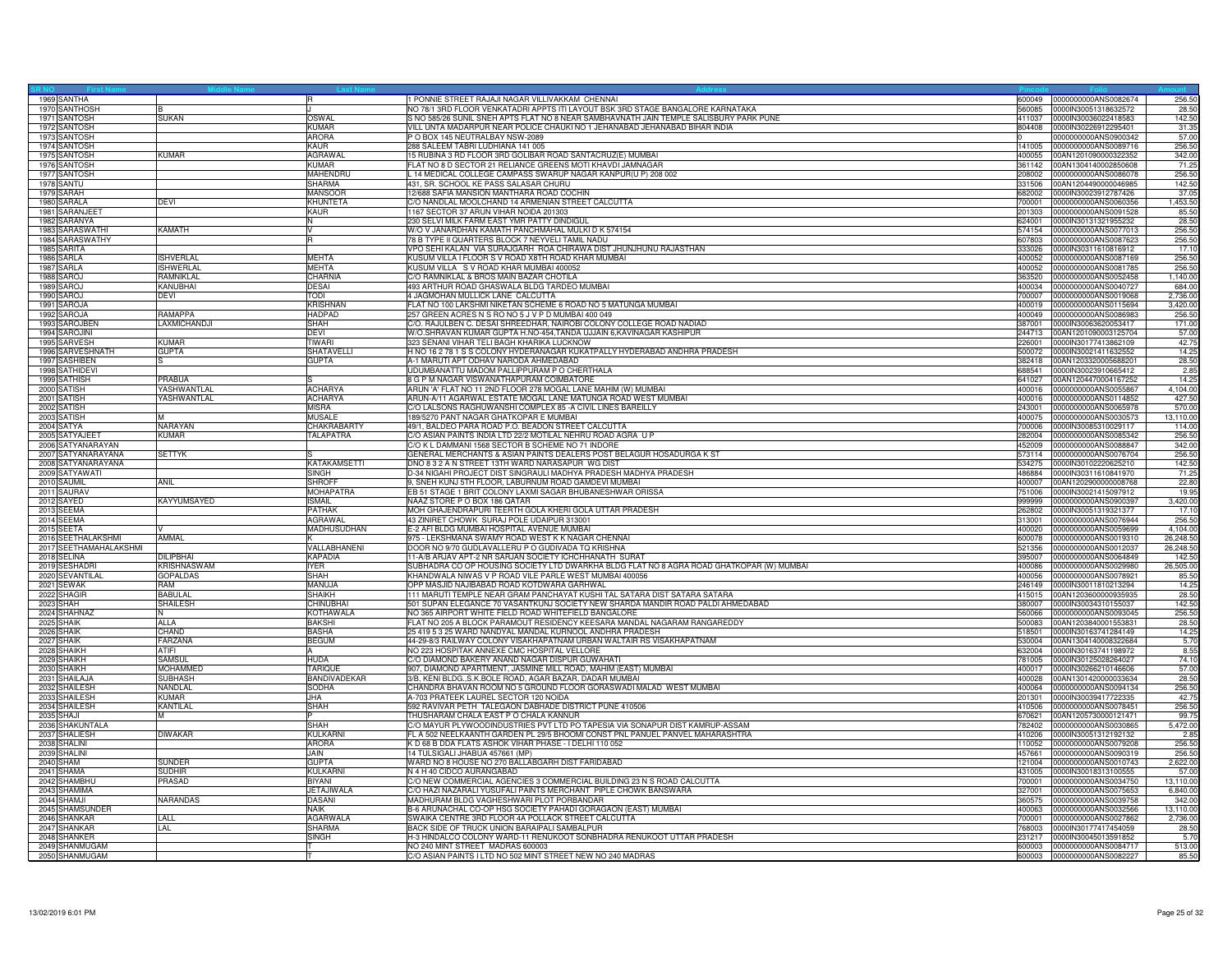| 1969 SANTHA                   |                     |                        | 1 PONNIE STREET RAJAJI NAGAR VILLIVAKKAM CHENNAI                                                                         | 600049           | 0000000000ANS0082674        | 256.50         |
|-------------------------------|---------------------|------------------------|--------------------------------------------------------------------------------------------------------------------------|------------------|-----------------------------|----------------|
| 1970 SANTHOSH                 |                     |                        | NO 78/1 3RD FLOOR VENKATADRI APPTS ITI LAYOUT BSK 3RD STAGE BANGALORE KARNATAKA                                          | 560085           | 0000IN30051318632572        | 28.50          |
| 1971 SANTOSH                  | <b>SUKAN</b>        | OSWAL                  | S NO 585/26 SUNIL SNEH APTS FLAT NO 8 NEAR SAMBHAVNATH JAIN TEMPLE SALISBURY PARK PUNE                                   | 411037           | 0000IN30036022418583        | 142.50         |
| 1972 SANTOSH                  |                     | KUMAR                  | VILL UNTA MADARPUR NEAR POLICE CHAUKI NO 1 JEHANABAD JEHANABAD BIHAR INDIA                                               | 804408           | 0000IN30226912295401        | 31.35          |
| 1973 SANTOSH                  |                     | <b>ARORA</b>           | P O BOX 145 NEUTRALBAY NSW-2089                                                                                          |                  | 0000000000ANS0900342        | 57.00          |
| 1974 SANTOSH                  |                     | <b>KAUR</b>            | 288 SALEEM TABRI LUDHIANA 141 005                                                                                        | 141005           | 0000000000ANS0089716        | 256.50         |
| 1975 SANTOSH                  | KUMAR               | AGRAWAL                | 15 RUBINA 3 RD FLOOR 3RD GOLIBAR ROAD SANTACRUZ(E) MUMBAI                                                                | 400055           | 00AN1201090000322352        | 342.00         |
| 1976 SANTOSH                  |                     | <b>KUMAR</b>           | FLAT NO 8 D SECTOR 21 RELIANCE GREENS MOTI KHAVDI JAMNAGAR                                                               | 361142           | 00AN1304140002850608        | 71.25          |
| 1977 SANTOSH                  |                     | MAHENDRL               | L 14 MEDICAL COLLEGE CAMPASS SWARUP NAGAR KANPUR(U P) 208 002                                                            | 208002           | 0000000000ANS0086078        | 256.50         |
| 1978 SANTU                    |                     | SHARMA                 | 431, SR. SCHOOL KE PASS SALASAR CHURU                                                                                    | 331506           | 00AN1204490000046985        | 142.50         |
| 1979 SARAH                    |                     | <b>MANSOOF</b>         | 2/688 SAFIA MANSION MANTHARA ROAD COCHIN                                                                                 | 682002           | 0000IN30023912787426        | 37.05          |
| 1980 SARALA                   | DEVI                | <b>KHUNTETA</b>        | C/O NANDLAL MOOLCHAND 14 ARMENIAN STREET CALCUTTA                                                                        | 700001           | 0000000000ANS0060356        | 1,453.50       |
| 1981 SARANJEE                 |                     | <b>KAUR</b>            | 1167 SECTOR 37 ARUN VIHAR NOIDA 201303                                                                                   | 201303           | 0000000000ANS0091528        | 85.50          |
| 1982 SARANYA                  |                     |                        | 230 SELVI MILK FARM EAST YMR PATTY DINDIGUL                                                                              | 624001           | 0000IN30131321955232        | 28.50          |
| 1983 SARASWATHI               | <b>KAMATH</b>       |                        | W/O V JANARDHAN KAMATH PANCHMAHAL MULKI D K 574154                                                                       | 574154           | 0000000000ANS0077013        | 256.50         |
| 1984 SARASWATHY               |                     |                        | 8 B TYPE II QUARTERS BLOCK 7 NEYVELI TAMIL NADU                                                                          | 607803           | 0000000000ANS0087623        | 256.50         |
| 1985 SARITA                   |                     |                        | VPO SEHI KALAN VIA SURAJGARH ROA CHIRAWA DIST JHUNJHUNU RAJASTHAN                                                        | 333026           | 0000IN30311610816912        | 17.10          |
| 1986 SARLA                    | <b>ISHVERLAL</b>    | <b>MEHTA</b>           | KUSUM VILLA I FLOOR S V ROAD X8TH ROAD KHAR MUMBAI                                                                       | 400052           | 0000000000ANS0087169        | 256.50         |
| 1987 SARLA                    | <b>ISHWERLAL</b>    | <b>MEHTA</b>           | KUSUM VILLA S V ROAD KHAR MUMBAI 400052                                                                                  | 400052           | 0000000000ANS0081785        | 256.50         |
| 1988 SAROJ                    | <b>RAMNIKI AI</b>   | CHARNIA                | C/O RAMNIKLAL & BROS MAIN BAZAR CHOTILA                                                                                  | 363520           | 0000000000ANS0052458        | 1,140.00       |
| 1989 SAROJ                    | KANUBHAI            | DESAI                  | 493 ARTHUR ROAD GHASWALA BLDG TARDEO MUMBAI                                                                              | 400034           | 0000000000ANS0040727        | 684.00         |
| 1990 SAROJ                    | DEVI                | TODI                   | 4 JAGMOHAN MULLICK LANE CALCUTTA                                                                                         | 700007           | 0000000000ANS0019068        | 2,736.00       |
| 1991 SAROJA                   |                     | <b>KRISHNAN</b>        | FLAT NO 100 LAKSHMI NIKETAN SCHEME 6 ROAD NO 5 MATUNGA MUMBAI                                                            | 400019           | 0000000000ANS0115694        | 3,420.00       |
| 1992 SAROJA                   | RAMAPPA             | HADPAD                 | 257 GREEN ACRES N S RO NO 5 J V P D MUMBAI 400 049                                                                       | 400049           | 0000000000ANS0086983        | 256.50         |
| 1993 SAROJBEN                 | <b>LAXMICHANDJI</b> | <b>SHAH</b>            | C/O. RAJULBEN C. DESAI SHREEDHAR, NAIROBI COLONY COLLEGE ROAD NADIAD                                                     | 387001           | 0000IN30063620053417        | 171.00         |
| 1994 SAROJINI                 |                     | DEVI                   | W/O.SHRAVAN KUMAR GUPTA H.NO-454,TANDA UJJAIN 6,KAVINAGAR KASHIPUR                                                       | 44713            | 00AN1201090003125704        | 57.00          |
| 1995 SARVESH                  | <b>KIIMAR</b>       | TIWARI                 | 323 SENANI VIHAR TELI BAGH KHARIKA LUCKNOW                                                                               | 226001           | 0000IN30177413862109        | 42.75          |
| 1996 SARVESHNATH              | <b>GUPTA</b>        | SHATAVELL              | H NO 16 2 78 1 S S COLONY HYDERANAGAR KUKATPALLY HYDERABAD ANDHRA PRADESH                                                | 500072           | 0000IN30021411632552        | 14.25          |
| 1997 SASHIBEN                 |                     | GUPTA                  | A-1 MARUTI APT ODHAV NARODA AHMEDABAD                                                                                    | 382418           | 00AN1203320005688201        | 28.50          |
| 1998 SATHIDEV                 |                     |                        | UDUMBANATTU MADOM PALLIPPURAM P O CHERTHALA                                                                              | 688541           | 0000IN30023910665412        | 2.85           |
| 1999 SATHISH                  | PRABUA              |                        | 8 G P M NAGAR VISWANATHAPURAM COIMBATORE                                                                                 | 641027           | 00AN1204470004167252        | 14.25          |
| 2000 SATISH                   | YASHWANTI AI        | <b>ACHARYA</b>         | ARUN 'A' FLAT NO 11 2ND FLOOR 278 MOGAL LANE MAHIM (W) MUMBAI                                                            | 400016           | 0000000000ANS0055867        | 4,104.00       |
| 2001 SATISH                   | YASHWANTLAL         | <b>ACHARYA</b>         | ARUN-A/11 AGARWAL ESTATE MOGAL LANE MATUNGA ROAD WEST MUMBAI                                                             | 400016           | 0000000000ANS0114852        | 427.50         |
| 2002 SATISH                   |                     | <b>MISRA</b>           | C/O LALSONS RAGHUWANSHI COMPLEX 85 -A CIVIL LINES BAREILLY                                                               | 243001           | 0000000000ANS0065978        | 570.00         |
| 2003 SATISH                   |                     | <b>MUSALE</b>          | 89/5270 PANT NAGAR GHATKOPAR E MUMBAI                                                                                    | 400075           | 0000000000ANS0030573        | 13,110.00      |
| 2004 SATYA                    | NARAYAN             | CHAKRABARTY            | 49/1, BALDEO PARA ROAD P.O. BEADON STREET CALCUTTA                                                                       | 700006           | 0000IN30085310029117        | 114.00         |
| 2005 SATYAJEET                | <b>KUMAR</b>        | <b>TALAPATRA</b>       | C/O ASIAN PAINTS INDIA LTD 22/2 MOTILAL NEHRU ROAD AGRA U P                                                              | 282004           | 0000000000ANS0085342        | 256.50         |
| 2006 SATYANARAYAN             |                     |                        |                                                                                                                          | 452009           | 0000000000ANS0088847        | 342.00         |
|                               |                     |                        | C/O K L DAMMANI 1568 SECTOR B SCHEME NO 71 INDORE                                                                        | 573114           |                             | 256.50         |
| 2007 SATYANARAYANA            | <b>SETTYK</b>       | KATAKAMSETTI           | GENERAL MERCHANTS & ASIAN PAINTS DEALERS POST BELAGUR HOSADURGA K ST<br>DNO 8 3 2 A N STREET 13TH WARD NARASAPUR WG DIST |                  | 0000000000ANS0076704        |                |
| 2008 SATYANARAYANA            |                     |                        |                                                                                                                          | 34275            | 0000IN30102220625210        | 142.50         |
| 2009 SATYAWATI<br>2010 SAUMIL | <b>ANIL</b>         | SINGH<br><b>SHROFF</b> | D-34 NIGAHI PROJECT DIST SINGRAULI MADHYA PRADESH MADHYA PRADESH<br>9, SNEH KUNJ 5TH FLOOR, LABURNUM ROAD GAMDEVI MUMBAI | 486884<br>400007 | 0000IN30311610841970        | 71.25<br>22.80 |
|                               |                     |                        |                                                                                                                          |                  | 00AN1202900000008768        |                |
| 2011 SAURAV                   |                     | <b>MOHAPATRA</b>       | EB 51 STAGE 1 BRIT COLONY LAXMI SAGAR BHUBANESHWAR ORISSA                                                                | 751006           | 0000IN30021415097912        | 19.95          |
| 2012 SAYED                    | <b>KAYYUMSAYED</b>  | <b>ISMAIL</b>          | NAAZ STORE P O BOX 186 QATAR                                                                                             | 999999           | 0000000000ANS0900397        | 3,420.00       |
| 2013 SEEMA                    |                     | PATHAK                 | MOH GHAJENDRAPURI TEERTH GOLA KHERI GOLA UTTAR PRADESH                                                                   | 262802           | 0000lN30051319321377        | 17.10          |
| 2014 SEEMA                    |                     | AGRAWAL                | 43 ZINIRET CHOWK SURAJ POLE UDAIPUR 313001                                                                               | 313001           | 0000000000ANS0076944        | 256.50         |
| 2015 SEETA                    |                     | <b>MADHUSUDHAN</b>     | E-2 AFI BLDG MUMBAI HOSPITAL AVENUE MUMBAI                                                                               | 400020           | 0000000000ANS0059699        | 4,104.00       |
| 2016 SEETHALAKSHMI            | AMMAL               |                        | 975 - LEKSHMANA SWAMY ROAD WEST K K NAGAR CHENNAI                                                                        | 600078           | 0000000000ANS0019310        | 26,248.50      |
| 2017 SEETHAMAHALAKSHMI        |                     | VALLABHANENI           | DOOR NO 9/70 GUDLAVALLERU P O GUDIVADA TO KRISHNA                                                                        | 521356           | 0000000000ANS0012037        | 26,248.50      |
| 2018 SELINA                   | DILIPBHAI           | <b>KAPADIA</b>         | 11-A/B ARJAV APT-2 NR SARJAN SOCIETY ICHCHHANATH SURAT                                                                   | 395007           | 0000000000ANS0064849        | 142.5          |
| 2019 SESHADRI                 | <b>KRISHNASWAM</b>  | <b>IYER</b>            | SUBHADRA CO OP HOUSING SOCIETY LTD DWARKHA BLDG FLAT NO 8 AGRA ROAD GHATKOPAR (W) MUMBAI                                 | 400086           | 0000000000ANS0029980        | 26,505.00      |
| 2020 SEVANTILAL               | <b>GOPALDAS</b>     | SHAH                   | KHANDWALA NIWAS V P ROAD VILE PARLE WEST MUMBAI 400056                                                                   | 400056           | 0000000000ANS0078921        | 85.50          |
| 2021 SEWAK                    | RAM                 | MANUJA                 | OPP MASJID NAJIBABAD ROAD KOTDWARA GARHWAL                                                                               | 246149           | 0000IN30011810213294        | 14.25          |
| 2022 SHAGIR                   | <b>BABULAL</b>      | SHAIKH                 | 11 MARUTI TEMPLE NEAR GRAM PANCHAYAT KUSHI TAL SATARA DIST SATARA SATARA                                                 | 415015           | 00AN1203600000935935        | 28.50          |
| 2023 SHAH                     | SHAILESH            | CHINUBHA               | 501 SUPAN ELEGANCE 70 VASANTKUNJ SOCIETY NEW SHARDA MANDIR ROAD PALDI AHMEDABAD                                          | 380007           | 0000IN30034310155037        | 142.50         |
| 2024 SHAHNAZ                  | IN.                 | <b>KOTHAWALA</b>       | NO 365 AIRPORT WHITE FIELD ROAD WHITEFIELD BANGALORE                                                                     | 560066           | 0000000000ANS0093045        | 256.50         |
| 2025 SHAIK                    | <b>ALLA</b>         | <b>BAKSHI</b>          | FLAT NO 205 A BLOCK PARAMOUT RESIDENCY KEESARA MANDAL NAGARAM RANGAREDDY                                                 | 500083           | 00AN1203840001553831        | 28.50          |
| 2026 SHAIK                    | CHAND               | <b>BASHA</b>           | 25 419 5 3 25 WARD NANDYAL MANDAL KURNOOL ANDHRA PRADESH                                                                 | 518501           | 0000IN30163741284149        | 14.25          |
| 2027 SHAIK                    | <b>FARZANA</b>      | <b>BEGUM</b>           | 44-29-8/3 RAILWAY COLONY VISAKHAPATNAM URBAN WALTAIR RS VISAKHAPATNAM                                                    | 530004           | 00AN1304140008322684        | 5.70           |
| 2028 SHAIKH                   | <b>ATIFI</b>        |                        | NO 223 HOSPITAK ANNEXE CMC HOSPITAL VELLORE                                                                              | 632004           | 0000IN30163741198972        | 8.55           |
| 2029 SHAIKH                   | <b>SAMSUL</b>       | <b>HUDA</b>            | C/O DIAMOND BAKERY ANAND NAGAR DISPUR GUWAHATI                                                                           | 781005           | 0000IN30125028264027        | 74.10          |
| 2030 SHAIKH                   | <b>MOHAMMED</b>     | <b>TARIQUE</b>         | 907, DIAMOND APARTMENT, JASMINE MILL ROAD, MAHIM (EAST) MUMBAI                                                           | 400017           | 0000IN30266210146606        | 57.00          |
| 2031 SHAILAJA                 | <b>SUBHASH</b>      | <b>BANDIVADEKAR</b>    | 3/B, KENI BLDG., S.K. BOLE ROAD, AGAR BAZAR, DADAR MUMBAI                                                                | 400028           | 00AN1301420000033634        | 28.50          |
| 2032 SHAILESH                 | NANDLAL             | SODHA                  | HANDRA BHAVAN ROOM NO 5 GROUND FLOOR GORASWADI MALAD WEST MUMBAI                                                         | 400064           | 0000000000ANS0094134        | 256.50         |
| 2033 SHAILESH                 | <b>KUMAR</b>        | <b>JHA</b>             | A-703 PRATEEK LAUREL SECTOR 120 NOIDA                                                                                    | 201301           | 0000IN30039417722335        | 42.75          |
| 2034 SHAILESH                 | <b>KANTILAL</b>     | <b>SHAH</b>            | 592 RAVIVAR PETH TALEGAON DABHADE DISTRICT PUNE 410506                                                                   | 410506           | 0000000000ANS0078451        | 256.50         |
| 2035 SHAJI                    | M                   |                        | THUSHARAM CHALA EAST P O CHALA KANNUR                                                                                    | 670621           | 00AN1205730000121471        | 99.75          |
| 2036 SHAKUNTALA               |                     | <b>SHAH</b>            | C/O MAYUR PLYWOODINDUSTRIES PVT LTD PO TAPESIA VIA SONAPUR DIST KAMRUP-ASSAM                                             | 782402           | 0000000000ANS0030865        | 5,472.00       |
| 2037 SHALIESH                 | <b>DIWAKAR</b>      | KULKARNI               | FL A 502 NEELKAANTH GARDEN PL 29/5 BHOOMI CONST PNL PANUEL PANVEL MAHARASHTRA                                            | 410206           | 0000lN30051312192132        | 2.85           |
| 2038 SHALINI                  |                     | <b>ARORA</b>           | K D 68 B DDA FLATS ASHOK VIHAR PHASE - I DELHI 110 052                                                                   | 110052           | 0000000000ANS0079208        | 256.50         |
| 2039 SHALIN                   |                     | JAIN                   | 14 TULSIGALI JHABUA 457661 (MP)                                                                                          | 457661           | 0000000000ANS0090319        | 256.50         |
| 2040 SHAM                     | <b>SUNDER</b>       | <b>GUPTA</b>           | WARD NO 8 HOUSE NO 270 BALLABGARH DIST FARIDABAD                                                                         | 121004           | 0000000000ANS0010743        | 2,622.00       |
| 2041 SHAMA                    | <b>SUDHIR</b>       | KULKARN                | <b>4 H 40 CIDCO AURANGABAD</b>                                                                                           | 431005           | 0000IN30018313100555        | 57.00          |
| 2042 SHAMBHU                  | PRASAD              | BIYANI                 | %O NEW COMMERCIAL AGENCIES 3 COMMERCIAL BUILDING 23 N S ROAD CALCUTTA                                                    | 700001           | 0000000000ANS0034750        | 13,110.00      |
| 2043 SHAMIMA                  |                     | <b>JETAJIWALA</b>      | C/O HAZI NAZARALI YUSUFALI PAINTS MERCHANT PIPLE CHOWK BANSWARA                                                          | 327001           | 0000000000ANS0075653        | 6,840.00       |
| 2044 SHAMJI                   | NARANDAS            | DASANI                 | MADHURAM BLDG VAGHESHWARI PLOT PORBANDAR                                                                                 | 360575           | 0000000000ANS0039758        | 342.00         |
| 2045 SHAMSUNDER               |                     | NAIK                   | B-6 ARUNACHAL CO-OP HSG SOCIETY PAHADI GORAGAON (EAST) MUMBAI                                                            | 400063           | 0000000000ANS0032566        | 13,110.00      |
| 2046 SHANKAR                  | LALL                | <b>AGARWALA</b>        | SWAIKA CENTRE 3RD FLOOR 4A POLLACK STREET CALCUTTA                                                                       | 700001           | 0000000000ANS0027862        | 2.736.00       |
| 2047 SHANKAR                  | LAL                 | SHARMA                 | BACK SIDE OF TRUCK UNION BARAIPALI SAMBALPUR                                                                             | 768003           | 0000IN30177417454059        | 28.50          |
| 2048 SHANKER                  |                     | <b>SINGH</b>           | H-3 HINDALCO COLONY WARD-11 RENUKOOT SONBHADRA RENUKOOT UTTAR PRADESH                                                    | 231217           | 0000lN30045013591852        | 5.70           |
| 2049 SHANMUGAM                |                     |                        | NO 240 MINT STREET MADRAS 600003                                                                                         | 600003           | 0000000000ANS0084717        | 513.00         |
| 2050 SHANMUGAM                |                     |                        | C/O ASIAN PAINTS I LTD NO 502 MINT STREET NEW NO 240 MADRAS                                                              |                  | 600003 0000000000ANS0082227 | 85.50          |
|                               |                     |                        |                                                                                                                          |                  |                             |                |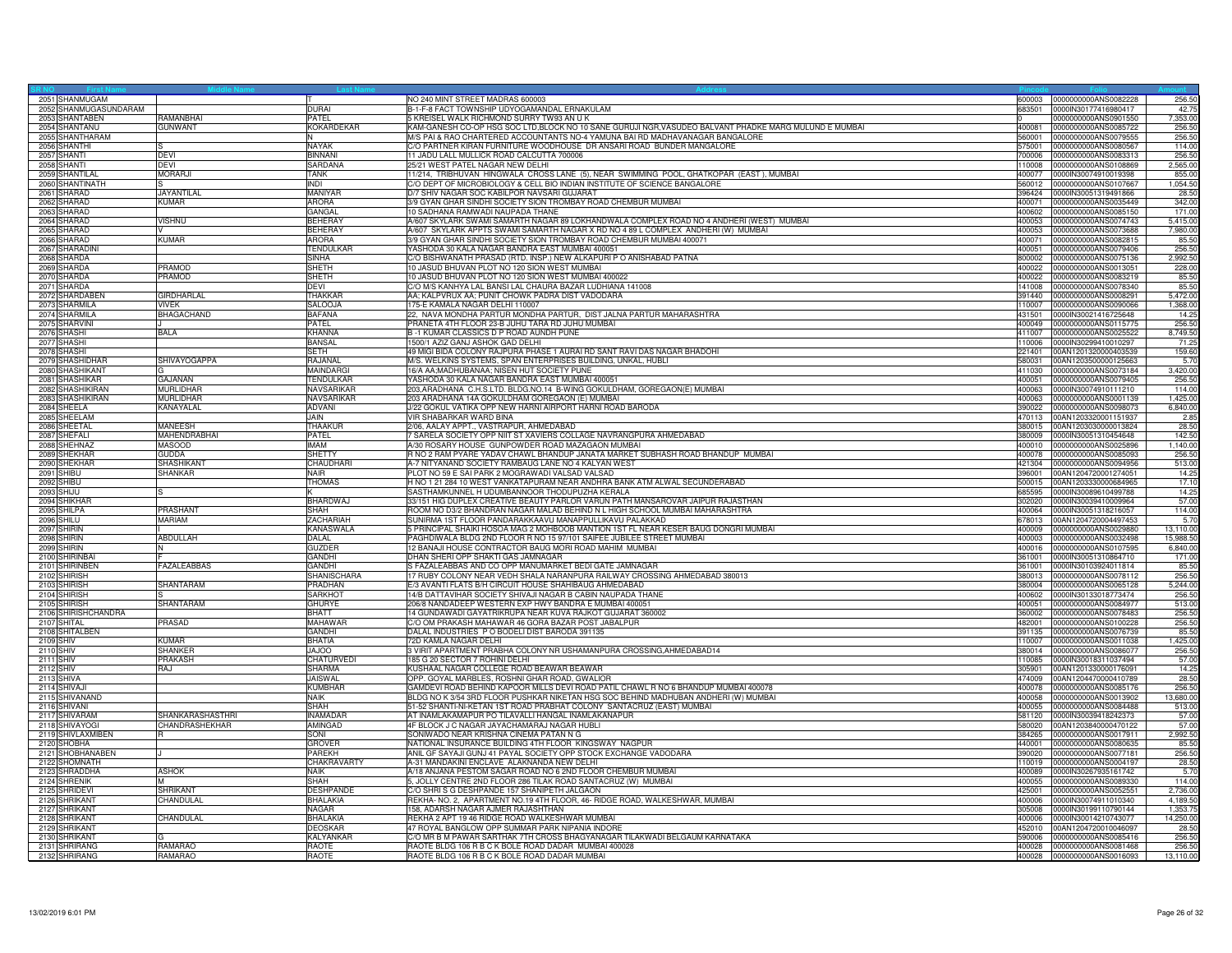| 2051 SHANMUGAM                 |                     |                                     | NO 240 MINT STREET MADRAS 600003                                                                                                     | 600003           | 0000000000ANS0082228                         | 256.50         |
|--------------------------------|---------------------|-------------------------------------|--------------------------------------------------------------------------------------------------------------------------------------|------------------|----------------------------------------------|----------------|
| 2052 SHANMUGASUNDARAM          |                     | <b>DURAI</b>                        | B-1-F-8 FACT TOWNSHIP UDYOGAMANDAL ERNAKULAM                                                                                         | 683501           | 0000IN30177416980417                         | 42.75          |
| 2053 SHANTABEN                 | RAMANBHAI           | PATEL                               | 5 KREISEL WALK RICHMOND SURRY TW93 AN U K                                                                                            |                  | 0000000000ANS0901550                         | 7.353.00       |
| 2054 SHANTANU                  | <b>GUNWANT</b>      | KOKARDEKAR                          | KAM-GANESH CO-OP HSG SOC LTD,BLOCK NO 10 SANE GURUJI NGR,VASUDEO BALVANT PHADKE MARG MULUND E MUMBAI                                 | 400081           | 0000000000ANS0085722                         | 256.50         |
| 2055 SHANTHARAM                |                     | N.                                  | M/S PAI & RAO CHARTERED ACCOUNTANTS NO-4 YAMUNA BAI RD MADHAVANAGAR BANGALORE                                                        | 560001           | 0000000000ANS0079555                         | 256.50         |
| 2056 SHANTHI                   |                     | NAYAK                               | C/O PARTNER KIRAN FURNITURE WOODHOUSE DR ANSARI ROAD BUNDER MANGALORE                                                                | 75001            | 0000000000ANS0080567                         | 114.00         |
| 2057 SHANTI                    | <b>DEVI</b>         | <b>BINNAN</b>                       | 11 JADU LALL MULLICK ROAD CALCUTTA 700006                                                                                            | 700006           | 0000000000ANS0083313                         | 256.50         |
| 2058 SHANTI                    | <b>DEVI</b>         | SARDANA                             | 25/21 WEST PATEL NAGAR NEW DELHI                                                                                                     | 110008           | 0000000000ANS0108869                         | 2.565.00       |
| 2059 SHANTILAL                 | <b>MORARJI</b>      | <b>TANK</b>                         | 11/214, TRIBHUVAN HINGWALA CROSS LANE (5), NEAR SWIMMING POOL, GHATKOPAR (EAST), MUMBAI                                              | 400077           | 0000IN30074910019398                         | 855.00         |
|                                |                     |                                     |                                                                                                                                      |                  |                                              |                |
| 2060 SHANTINATH                |                     | <b>INDI</b>                         | C/O DEPT OF MICROBIOLOGY & CELL BIO INDIAN INSTITUTE OF SCIENCE BANGALORE                                                            | 560012           | 0000000000ANS0107667                         | 1,054.50       |
| 2061 SHARAD                    | <b>JAYANTILAL</b>   | <b>MANIYAR</b>                      | D/7 SHIV NAGAR SOC KABILPOR NAVSARI GUJARAT                                                                                          | 396424           | 0000IN30051319491866                         | 28.5           |
| 2062 SHARAD                    | <b>KUMAR</b>        | <b>ARORA</b>                        | 3/9 GYAN GHAR SINDHI SOCIETY SION TROMBAY ROAD CHEMBUR MUMBAI                                                                        | 400071           | 0000000000ANS0035449                         | 342.00         |
| 2063 SHARAD                    |                     | GANGAL                              | 10 SADHANA RAMWADI NAUPADA THANE                                                                                                     | 400602           | 0000000000ANS0085150                         | 171.00         |
| 2064 SHARAD                    | <b>VISHNU</b>       | <b>BEHERAY</b>                      | A/607 SKYLARK SWAMI SAMARTH NAGAR 89 LOKHANDWALA COMPLEX ROAD NO 4 ANDHERI (WEST) MUMBAI                                             | 400053           | 0000000000ANS0074743                         | 5,415.00       |
| 2065 SHARAD                    |                     | <b>BEHERAY</b>                      | A/607 SKYLARK APPTS SWAMI SAMARTH NAGAR X RD NO 4 89 L COMPLEX ANDHERI (W) MUMBAI                                                    | 400053           | 0000000000ANS0073688                         | 7,980.00       |
| 2066 SHARAD                    | <b>KUMAR</b>        | <b>ARORA</b>                        | 3/9 GYAN GHAR SINDHI SOCIETY SION TROMBAY ROAD CHEMBUR MUMBAI 400071                                                                 | 400071           | 0000000000ANS0082815                         | 85.50          |
| 2067 SHARADINI                 |                     | <b>TENDULKAF</b>                    | YASHODA 30 KALA NAGAR BANDRA EAST MUMBAI 400051                                                                                      | 400051           | 0000000000ANS0079406                         | 256.5          |
| 2068 SHARDA                    |                     | SINHA                               | C/O BISHWANATH PRASAD (RTD. INSP.) NEW ALKAPURI P O ANISHABAD PATNA                                                                  | 800002           | 0000000000ANS0075136                         | 2,992.50       |
| 2069 SHARDA                    | <b>PRAMOD</b>       | <b>SHETH</b>                        | 10 JASUD BHUVAN PLOT NO 120 SION WEST MUMBAI                                                                                         | 400022           | 0000000000ANS0013051                         | 228.00         |
| 2070 SHARDA                    | PRAMOD              | <b>SHETH</b>                        | 10 JASUD BHUVAN PLOT NO 120 SION WEST MUMBAI 400022                                                                                  | 400022           | 0000000000ANS0083219                         | 85.50          |
| 2071 SHARDA                    |                     | DEVI                                | C/O M/S KANHYA LAL BANSI LAL CHAURA BAZAR LUDHIANA 141008                                                                            | 141008           | 0000000000ANS0078340                         | 85.50          |
| 2072 SHARDABEN                 | <b>GIRDHARLAL</b>   | THAKKAR                             | AA; KALPVRUX AA; PUNIT CHOWK PADRA DIST VADODARA                                                                                     | 391440           | 0000000000ANS0008291                         | 5,472.00       |
| 2073 SHARMILA                  | <b>VIVEK</b>        | <b>SALOOJA</b>                      | 175-E KAMALA NAGAR DELHI 110007                                                                                                      | 10007            | 0000000000ANS0090066                         | 1,368.00       |
| 2074 SHARMILA                  | BHAGACHAND          | <b>BAFANA</b>                       | 22, NAVA MONDHA PARTUR MONDHA PARTUR, DIST JALNA PARTUR MAHARASHTRA                                                                  | 431501           | 0000IN30021416725648                         | 14.25          |
| 2075 SHARVINI                  |                     | <b>PATEL</b>                        | PRANETA 4TH FLOOR 23-B JUHU TARA RD JUHU MUMBAI                                                                                      | 400049           | 0000000000ANS0115775                         | 256.50         |
| 2076 SHASHI                    | <b>BALA</b>         | <b>KHANNA</b>                       | B-1 KUMAR CLASSICS D P ROAD AUNDH PUNE                                                                                               | 411007           | 0000000000ANS0025522                         | 8,749.50       |
| 2077 SHASHI                    |                     | <b>BANSAL</b>                       | 1500/1 AZIZ GANJ ASHOK GAD DELHI                                                                                                     | 110006           | 0000IN30299410010297                         | 71.25          |
| 2078 SHASHI                    |                     | <b>SETH</b>                         | 49 MIGI BIDA COLONY RAJPURA PHASE 1 AURAI RD SANT RAVI DAS NAGAR BHADOHI                                                             | 221401           | 00AN1201320000403539                         | 159.60         |
| 2079 SHASHIDHAR                | <b>SHIVAYOGAPPA</b> | RAJANAL                             | M/S. WELKINS SYSTEMS, SPAN ENTERPRISES BUILDING, UNKAL, HUBLI                                                                        | 580031           | 00AN1203500000125663                         | 5.70           |
| 2080 SHASHIKANT                |                     | <b>MAINDARG</b>                     | 16/A AA:MADHUBANAA: NISEN HUT SOCIETY PUNE                                                                                           | 411030           | 0000000000ANS0073184                         | 3.420.00       |
| 2081 SHASHIKAR                 | GAJANAN             | TENDULKAR                           | YASHODA 30 KALA NAGAR BANDRA EAST MUMBAI 400051                                                                                      | 400051           | 0000000000ANS0079405                         | 256.50         |
| 2082 SHASHIKIRAN               | <b>MURLIDHAR</b>    | <b>NAVSARIKAR</b>                   |                                                                                                                                      |                  | 0000lN30074910111210                         | 114.00         |
|                                |                     |                                     | 203, ARADHANA C.H.S.LTD. BLDG.NO.14 B-WING GOKULDHAM, GOREGAON(E) MUMBAI                                                             | 400063           |                                              |                |
| 2083 SHASHIKIRAN               | MURLIDHAR           | NAVSARIKAR                          | 203 ARADHANA 14A GOKULDHAM GOREGAON (E) MUMBAI                                                                                       | 400063           | 0000000000ANS0001139                         | 1,425.00       |
| 2084 SHEELA                    | KANAYALAL           | ADVANI                              | J/22 GOKUL VATIKA OPP NEW HARNI AIRPORT HARNI ROAD BARODA                                                                            | 390022           | 0000000000ANS0098073                         | 6,840.00       |
| 2085 SHEELAM                   |                     | <b>JAIN</b>                         | VIR SHABARKAR WARD BINA                                                                                                              | 470113           | 00AN1203320001151937                         | 2.85           |
| 2086 SHEETAL                   | MANEESH             | THAAKUR                             | 2/06, AALAY APPT., VASTRAPUR, AHMEDABAD                                                                                              | 380015           | 00AN1203030000013824                         | 28.50          |
| 2087 SHEFALI                   | <b>MAHENDRABHAI</b> | PATEL                               | 7 SARELA SOCIETY OPP NIIT ST XAVIERS COLLAGE NAVRANGPURA AHMEDABAD                                                                   | 380009           | 0000IN30051310454648                         | 142.50         |
| 2088 SHEHNAZ                   | <b>MASOOD</b>       | <b>IMAM</b>                         | A/30 ROSARY HOUSE GUNPOWDER ROAD MAZAGAON MUMBAI                                                                                     | 400010           | 0000000000ANS0025896                         | 1,140.00       |
| 2089 SHEKHAR                   | <b>GUDDA</b>        | <b>SHETTY</b>                       | R NO 2 RAM PYARE YADAV CHAWL BHANDUP JANATA MARKET SUBHASH ROAD BHANDUP MUMBAI                                                       | 400078           | 0000000000ANS0085093                         | 256.50         |
| 2090 SHEKHAR                   | SHASHIKANT          | CHAUDHARI                           | A-7 NITYANAND SOCIETY RAMBAUG LANE NO 4 KALYAN WEST                                                                                  | 421304           | 0000000000ANS0094956                         | 513.00         |
| 2091 SHIBU                     | SHANKAR             | <b>NAIR</b>                         | PLOT NO 59 E SAI PARK 2 MOGRAWADI VALSAD VALSAD                                                                                      | 396001           | 00AN1204720001274051                         | 14.25          |
| 2092 SHIBU                     |                     | <b>THOMAS</b>                       | H NO 1 21 284 10 WEST VANKATAPURAM NEAR ANDHRA BANK ATM ALWAL SECUNDERABAD                                                           | 500015           | 00AN1203330000684965                         | 17.10          |
| 2093 SHIJU                     |                     |                                     | SASTHAMKUNNEL H UDUMBANNOOR THODUPUZHA KERALA                                                                                        | 685595           | 0000IN30089610499788                         | 14.25          |
| 2094 SHIKHAR                   |                     | <b>BHARDWAJ</b>                     | 33/151 HIG DUPLEX CREATIVE BEAUTY PARLOR VARUN PATH MANSAROVAR JAIPUR RAJASTHAN                                                      | 302020           | 0000IN30039410009964                         | 57.00          |
| 2095 SHILPA                    | PRASHANT            | SHAH                                | ROOM NO D3/2 BHANDRAN NAGAR MALAD BEHIND N L HIGH SCHOOL MUMBAI MAHARASHTRA                                                          | 400064           | 0000IN30051318216057                         | 114.00         |
| 2096 SHILU                     | <b>MARIAM</b>       | ZACHARIAH                           | SUNIRMA 1ST FLOOR PANDARAKKAAVU MANAPPULLIKAVU PALAKKAD                                                                              | 678013           | 00AN1204720004497453                         | 5.70           |
| 2097 SHIRIN                    |                     | <b>KANASWALA</b>                    | 5 PRINCIPAL SHAIKI HOSOA MAG 2 MOHBOOB MANTION 1ST FL NEAR KESER BAUG DONGRI MUMBAI                                                  | 400009           | 0000000000ANS0029880                         | 13.110.00      |
| 2098 SHIRIN                    | ABDULLAH            | DALAL                               | PAGHDIWALA BLDG 2ND FLOOR R NO 15 97/101 SAIFEE JUBILEE STREET MUMBAI                                                                | 400003           | 0000000000ANS0032498                         | 15,988.50      |
| 2099 SHIRIN                    |                     | <b>GUZDER</b>                       | 2 BANAJI HOUSE CONTRACTOR BAUG MORI ROAD MAHIM MUMBAI                                                                                | 400016           | 0000000000ANS0107595                         | 6,840.00       |
| 2100 SHIRINBA                  |                     | GANDHI                              | DHAN SHERI OPP SHAKTI GAS JAMNAGAR                                                                                                   | 361001           | 0000IN30051310864710                         | 171.00         |
|                                |                     |                                     |                                                                                                                                      |                  |                                              |                |
| 2101 SHIRINBEN<br>2102 SHIRISH | FAZALEABBAS         | <b>GANDHI</b><br><b>SHANISCHARA</b> | S FAZALEABBAS AND CO OPP MANUMARKET BEDI GATE JAMNAGAR<br>17 RUBY COLONY NEAR VEDH SHALA NARANPURA RAILWAY CROSSING AHMEDABAD 380013 | 361001<br>380013 | 0000IN30103924011814<br>0000000000ANS0078112 | 85.5<br>256.50 |
|                                |                     |                                     |                                                                                                                                      |                  |                                              |                |
| 2103 SHIRISH                   | SHANTARAM           | PRADHAN                             | E/3 AVANTI FLATS B/H CIRCUIT HOUSE SHAHIBAUG AHMEDABAD                                                                               | 380004           | 0000000000ANS0065128                         | 5,244.00       |
| 2104 SHIRISH                   |                     | <b>SARKHOT</b>                      | 14/B DATTAVIHAR SOCIETY SHIVAJI NAGAR B CABIN NAUPADA THANE                                                                          | 400602           | 0000IN30133018773474                         | 256.50         |
| 2105 SHIRISH                   | SHANTARAM           | <b>GHURYE</b>                       | 206/8 NANDADEEP WESTERN EXP HWY BANDRA E MUMBAI 400051                                                                               | 400051           | 0000000000ANS0084977                         | 513.0          |
| 2106 SHIRISHCHANDRA            |                     | <b>BHATT</b>                        | 14 GUNDAWADI GAYATRIKRUPA NEAR KUVA RAJKOT GUJARAT 360002                                                                            | 360002           | 0000000000ANS0078483                         | 256.5          |
| 2107 SHITAL                    | <b>PRASAD</b>       | <b>MAHAWAR</b>                      | C/O OM PRAKASH MAHAWAR 46 GORA BAZAR POST JABALPUR                                                                                   | 482001           | 0000000000ANS0100228                         | 256.50         |
| 2108 SHITALBEN                 |                     | <b>GANDHI</b>                       | DALAL INDUSTRIES P O BODELI DIST BARODA 391135                                                                                       | 391135           | 0000000000ANS0076739                         | 85.50          |
| 2109 SHIV                      | <b>KUMAR</b>        | <b>BHATIA</b>                       | 72D KAMLA NAGAR DELHI                                                                                                                | 110007           | 0000000000ANS0011038                         | 1,425.00       |
| 2110 SHIV                      | <b>SHANKER</b>      | <b>JAJOO</b>                        | 3 VIRIT APARTMENT PRABHA COLONY NR USHAMANPURA CROSSING, AHMEDABAD14                                                                 | 380014           | 0000000000ANS0086077                         | 256.50         |
| 2111 SHIV                      | <b>PRAKASH</b>      | CHATURVEDI                          | 185 G 20 SECTOR 7 ROHINI DELHI                                                                                                       | 110085           | 0000IN30018311037494                         | 57.00          |
| 2112 SHIV                      | RAJ                 | <b>SHARMA</b>                       | KUSHAAL NAGAR COLLEGE ROAD BEAWAR BEAWAR                                                                                             | 305901           | 00AN1201330000176091                         | 14.25          |
| 2113 SHIVA                     |                     | JAISWAL                             | OPP. GOYAL MARBLES, ROSHNI GHAR ROAD, GWALIOR                                                                                        | 474009           | 00AN1204470000410789                         | 28.50          |
| 2114 SHIVAJI                   |                     | <b>KUMBHAF</b>                      | GAMDEVI ROAD BEHIND KAPOOR MILLS DEVI ROAD PATIL CHAWL R NO 6 BHANDUP MUMBAI 400078                                                  | 400078           | 0000000000ANS0085176                         | 256.50         |
| 2115 SHIVANAND                 |                     | <b>NAIK</b>                         | BLDG NO K 3/54 3RD FLOOR PUSHKAR NIKETAN HSG SOC BEHIND MADHUBAN ANDHERI (W) MUMBAI                                                  | 400058           | 0000000000ANS0013902                         | 13,680.00      |
| 2116 SHIVANI                   |                     | SHAH                                | 51-52 SHANTI-NI-KETAN 1ST ROAD PRABHAT COLONY SANTACRUZ (EAST) MUMBAI                                                                | 400055           | 0000000000ANS0084488                         | 513.00         |
| 2117 SHIVARAM                  | SHANKARASHASTHRI    | <b>INAMADAR</b>                     | AT INAMLAKAMAPUR PO TILAVALLI HANGAL INAMLAKANAPUR                                                                                   | 581120           | 0000IN30039418242373                         | 57.00          |
| 2118 SHIVAYOGI                 | CHANDRASHEKHAR      | AMINGAD                             | 4F BLOCK J C NAGAR JAYACHAMARAJ NAGAR HUBLI                                                                                          | 580020           | 00AN1203840000470122                         | 57.00          |
| 2119 SHIVLAXMIBEN              |                     | SONI                                | SONIWADO NEAR KRISHNA CINEMA PATAN N G                                                                                               | 384265           | 0000000000ANS0017911                         | 2.992.50       |
| 2120 SHOBHA                    |                     | <b>GROVER</b>                       | NATIONAL INSURANCE BUILDING 4TH FLOOR KINGSWAY NAGPUR                                                                                | 440001           | 0000000000ANS0080635                         | 85.50          |
| 2121 SHOBHANABEN               |                     | <b>PARFKH</b>                       | ANIL GF SAYAJI GUNJ 41 PAYAL SOCIETY OPP STOCK EXCHANGE VADODARA                                                                     | 390020           | 0000000000ANS0077181                         | 256.50         |
| 2122 SHOMNATH                  |                     | CHAKRAVARTY                         | A-31 MANDAKINI ENCLAVE ALAKNANDA NEW DELHI                                                                                           | 110019           | 0000000000ANS0004197                         | 28.50          |
| 2123 SHRADDHA                  | <b>ASHOK</b>        | <b>NAIK</b>                         | A/18 ANJANA PESTOM SAGAR ROAD NO 6 2ND FLOOR CHEMBUR MUMBAI                                                                          | 400089           | 0000IN30267935161742                         | 5.70           |
| 2124 SHRENIK                   |                     | <b>SHAH</b>                         | , JOLLY CENTRE 2ND FLOOR 286 TILAK ROAD SANTACRUZ (W) MUMBAI                                                                         | 400055           | 0000000000ANS0089330                         | 114.00         |
| 2125 SHRIDEVI                  | <b>SHRIKANT</b>     | <b>DESHPANDE</b>                    | C/O SHRI S G DESHPANDE 157 SHANIPETH JALGAON                                                                                         | 425001           | 0000000000ANS0052551                         | 2,736.00       |
| 2126 SHRIKANT                  | CHANDULAL           | <b>BHALAKIA</b>                     | REKHA- NO. 2, APARTMENT NO.19 4TH FLOOR, 46- RIDGE ROAD, WALKESHWAR, MUMBAI                                                          | 400006           | 0000IN30074911010340                         | 4,189.50       |
| 2127 SHRIKANT                  |                     | <b>NAGAR</b>                        | 158, ADARSH NAGAR AJMER RAJASHTHAN                                                                                                   | 305008           | 0000lN30199110790144                         | 1,353.75       |
|                                | CHANDULAL           | <b>BHALAKIA</b>                     | REKHA 2 APT 19 46 RIDGE ROAD WALKESHWAR MUMBAI                                                                                       | 400006           |                                              |                |
| 2128 SHRIKANT                  |                     |                                     |                                                                                                                                      |                  | 0000lN30014210743077                         | 14,250.00      |
| 2129 SHRIKANT                  |                     | <b>DEOSKAR</b>                      | 17 ROYAL BANGLOW OPP SUMMAR PARK NIPANIA INDORE                                                                                      | 452010           | 00AN1204720010046097                         | 28.50          |
| 2130 SHRIKANT                  | G                   | KALYANKAF                           | C/O MR B M PAWAR SARTHAK 7TH CROSS BHAGYANAGAR TILAKWADI BELGAUM KARNATAKA                                                           | 590006           | 0000000000ANS0085416                         | 256.50         |
| 2131 SHRIRANG                  | RAMARAC             | <b>RAOTE</b>                        | RAOTE BLDG 106 R B C K BOLE ROAD DADAR MUMBAI 400028                                                                                 | 400028           | 0000000000ANS0081468                         | 256.50         |
| 2132 SHRIRANG                  | RAMARAO             | <b>RAOTE</b>                        | RAOTE BLDG 106 R B C K BOLE ROAD DADAR MUMBAI                                                                                        | 400028           | 0000000000ANS0016093                         | 13,110.00      |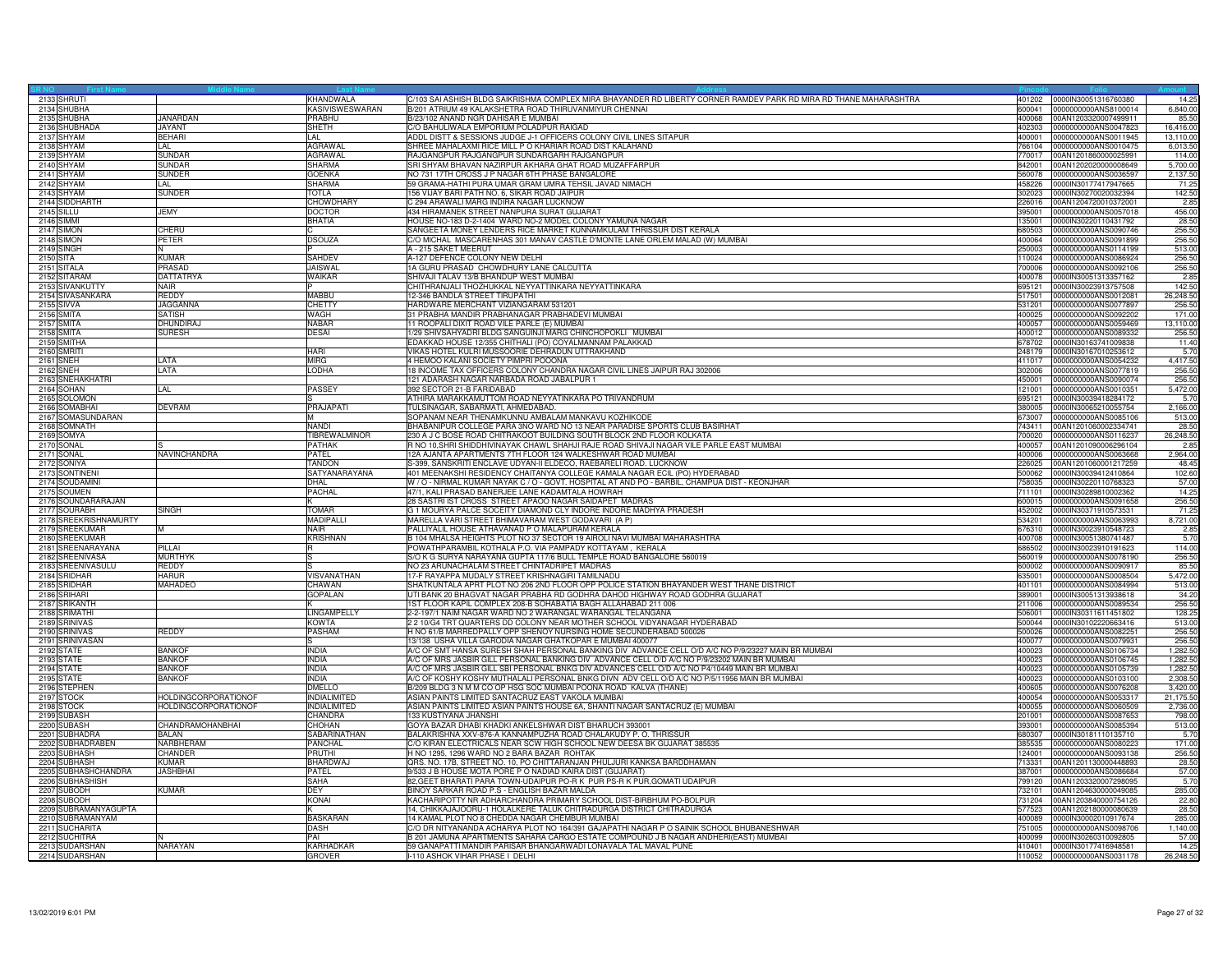|           | 2133 SHRUTI           |                             | KHANDWALA              | C/103 SAI ASHISH BLDG SAIKRISHMA COMPLEX MIRA BHAYANDER RD LIBERTY CORNER RAMDEV PARK RD MIRA RD THANE MAHARASHTRA | 401202 | 0000IN30051316760380        | 14.25     |
|-----------|-----------------------|-----------------------------|------------------------|--------------------------------------------------------------------------------------------------------------------|--------|-----------------------------|-----------|
|           | 2134 SHUBHA           |                             | <b>KASIVISWESWARAN</b> | B/201 ATRIUM 49 KALAKSHETRA ROAD THIRUVANMIYUR CHENNAI                                                             | 600041 | 0000000000ANS8100014        | 6,840.00  |
|           | 2135 SHUBHA           | <b>JANARDAN</b>             | PRABHU                 | B/23/102 ANAND NGR DAHISAR E MUMBAI                                                                                | 400068 | 00AN1203320007499911        | 85.50     |
|           | 2136 SHUBHADA         | <b>JAYANT</b>               | SHETH                  | C/O BAHULIWALA EMPORIUM POLADPUR RAIGAD                                                                            | 402303 | 0000000000ANS0047823        | 16,416.00 |
|           | 2137 SHYAM            | <b>BEHARI</b>               | IL AL                  | ADDL DISTT & SESSIONS JUDGE J-1 OFFICERS COLONY CIVIL LINES SITAPUR                                                | 400001 | 0000000000ANS0011945        | 13,110.00 |
|           | 2138 SHYAM            | LAL.                        | <b>AGRAWAI</b>         | SHREE MAHALAXMI RICE MILL P O KHARIAR ROAD DIST KALAHAND                                                           | 66104  | 0000000000ANS0010475        | 6,013.50  |
|           | 2139 SHYAM            | <b>SUNDAR</b>               | <b>AGRAWAL</b>         | RAJGANGPUR RAJGANGPUR SUNDARGARH RAJGANGPUR                                                                        | 770017 | 00AN1201860000025991        | 114.00    |
|           | 2140 SHYAM            | <b>SUNDAR</b>               | <b>SHARMA</b>          | SRI SHYAM BHAVAN NAZIRPUR AKHARA GHAT ROAD MUZAFFARPUR                                                             | 842001 | 00AN1202020000008649        | 5,700.00  |
|           | 2141 SHYAM            | <b>SUNDER</b>               | <b>GOENKA</b>          | NO 731 17TH CROSS J P NAGAR 6TH PHASE BANGALORE                                                                    | 560078 | 0000000000ANS0036597        | 2,137.50  |
|           | 2142 SHYAM            | LAL.                        | <b>SHARMA</b>          | 59 GRAMA-HATHI PURA UMAR GRAM UMRA TEHSIL JAVAD NIMACH                                                             | 458226 | 0000IN30177417947665        | 71.25     |
|           | 2143 SHYAM            | SUNDER                      | <b>TOTLA</b>           | 156 VIJAY BARI PATH NO. 6, SIKAR ROAD JAIPUR                                                                       | 302023 | 0000lN30270020032394        | 142.50    |
|           | 2144 SIDDHARTH        |                             | <b>CHOWDHARY</b>       | C 294 ARAWALI MARG INDIRA NAGAR LUCKNOW                                                                            | 226016 | 00AN1204720010372001        | 2.85      |
|           | 2145 SILLU            | JEMY                        | <b>DOCTOR</b>          | 434 HIRAMANEK STREET NANPURA SURAT GUJARAT                                                                         | 395001 | 0000000000ANS0057018        | 456.00    |
|           | 2146 SIMMI            |                             | <b>BHATIA</b>          | HOUSE NO-183 D-2-1404 WARD NO-2 MODEL COLONY YAMUNA NAGAR                                                          | 135001 | 0000IN30220110431792        | 28.50     |
|           | 2147 SIMON            | CHERU                       |                        | SANGEETA MONEY LENDERS RICE MARKET KUNNAMKULAM THRISSUR DIST KERALA                                                | 680503 | 0000000000ANS0090746        | 256.50    |
|           | 2148 SIMON            | PETER                       | <b>DSOUZA</b>          | C/O MICHAL MASCARENHAS 301 MANAV CASTLE D'MONTE LANE ORLEM MALAD (W) MUMBAI                                        | 400064 | 0000000000ANS0091899        | 256.50    |
|           | 2149 SINGH            |                             |                        | A - 215 SAKET MEERUT                                                                                               | 250003 | 0000000000ANS0114199        | 513.00    |
| 2150 SITA |                       | <b>KUMAR</b>                | SAHDEV                 | A-127 DEFENCE COLONY NEW DELHI                                                                                     | 10024  | 0000000000ANS0086924        | 256.50    |
|           | 2151 SITALA           | <b>PRASAD</b>               | <b>JAISWAL</b>         | 1A GURU PRASAD CHOWDHURY LANE CALCUTTA                                                                             | 700006 | 0000000000ANS0092106        | 256.50    |
|           | 2152 SITARAM          | <b>DATTATRYA</b>            | <b>WAIKAR</b>          | SHIVAJI TALAV 13/B BHANDUP WEST MUMBAI                                                                             | 400078 | 0000IN30051313357162        | 2.85      |
|           |                       |                             |                        |                                                                                                                    |        |                             |           |
|           | 2153 SIVANKUTTY       | NAIR                        |                        | CHITHRANJALI THOZHUKKAL NEYYATTINKARA NEYYATTINKARA                                                                | 695121 | 0000IN30023913757508        | 142.50    |
|           | 2154 SIVASANKARA      | <b>REDDY</b>                | MABBU                  | 12-346 BANDLA STREET TIRUPATHI                                                                                     | 517501 | 0000000000ANS0012081        | 26,248.50 |
|           | 2155 SIVVA            | JAGGANNA                    | <b>CHETTY</b>          | HARDWARE MERCHANT VIZIANGARAM 531201                                                                               | 531201 | 0000000000ANS0077897        | 256.50    |
|           | 2156 SMITA            | <b>SATISH</b>               | <b>WAGH</b>            | 31 PRABHA MANDIR PRABHANAGAR PRABHADEVI MUMBAI                                                                     | 400025 | 0000000000ANS0092202        | 171.00    |
|           | 2157 SMITA            | DHUNDIRA.                   | <b>NABAR</b>           | 11 ROOPALI DIXIT ROAD VILE PARLE (E) MUMBAI                                                                        | 400057 | 0000000000ANS0059469        | 13,110.00 |
|           | 2158 SMITA            | <b>SURESH</b>               | <b>DESAI</b>           | 1/29 SHIVSAHYADRI BLDG SANGUINJI MARG CHINCHOPOKLI MUMBAI                                                          | 400012 | 0000000000ANS0089332        | 256.50    |
|           | 2159 SMITHA           |                             |                        | EDAKKAD HOUSE 12/355 CHITHALI (PO) COYALMANNAM PALAKKAD                                                            | 678702 | 0000IN30163741009838        | 11.40     |
|           | 2160 SMRITI           |                             | <b>HARI</b>            | VIKAS HOTEL KULRI MUSSOORIE DEHRADUN UTTRAKHAND                                                                    | 248179 | 0000IN30167010253612        | 5.70      |
| 2161 SNEH |                       | LATA                        | <b>MIRG</b>            | 4 HEMOO KALANI SOCIETY PIMPRI POOONA                                                                               | 411017 | 0000000000ANS0054232        | 4,417.50  |
|           | 2162 SNEH             | LATA                        | LODHA                  | 18 INCOME TAX OFFICERS COLONY CHANDRA NAGAR CIVIL LINES JAIPUR RAJ 302006                                          | 302006 | 0000000000ANS0077819        | 256.50    |
|           | 2163 SNEHAKHATRI      |                             |                        | 121 ADARASH NAGAR NARBADA ROAD JABALPUR 1                                                                          | 450001 | 0000000000ANS0090074        | 256.50    |
|           | 2164 SOHAN            | LAL.                        | <b>PASSEY</b>          | 392 SECTOR 21-B FARIDABAD                                                                                          | 121001 | 0000000000ANS0010351        | 5,472.00  |
|           | 2165 SOLOMON          |                             |                        | ATHIRA MARAKKAMUTTOM ROAD NEYYATINKARA PO TRIVANDRUM                                                               | 695121 | 0000IN30039418284172        | 5.70      |
|           | 2166 SOMABHAI         | <b>DEVRAM</b>               | PRAJAPATI              | TULSINAGAR, SABARMATI, AHMEDABAD.                                                                                  | 380005 | 0000IN30065210055754        | 2,166.00  |
|           | 2167 SOMASUNDARAN     |                             |                        | SOPANAM NEAR THENAMKUNNU AMBALAM MANKAVU KOZHIKODE                                                                 | 373007 | 0000000000ANS0085106        | 513.00    |
|           | 2168 SOMNATH          |                             | <b>NANDI</b>           | BHABANIPUR COLLEGE PARA 3NO WARD NO 13 NEAR PARADISE SPORTS CLUB BASIRHAT                                          | 743411 | 00AN1201060002334741        | 28.50     |
|           | 2169 SOMYA            |                             | <b>TIBREWALMINOR</b>   | 230 A J C BOSE ROAD CHITRAKOOT BUILDING SOUTH BLOCK 2ND FLOOR KOLKATA                                              | 700020 | 0000000000ANS0116237        | 26,248.50 |
|           | 2170 SONAL            |                             | <b>PATHAK</b>          | R NO 10, SHRI SHIDDHIVINAYAK CHAWL SHAHJI RAJE ROAD SHIVAJI NAGAR VILE PARLE EAST MUMBAI                           | 400057 | 00AN1201090006296104        | 2.85      |
|           | 2171 SONAL            | NAVINCHANDRA                | PATFI                  | 12A AJANTA APARTMENTS 7TH FLOOR 124 WALKESHWAR ROAD MUMBAI                                                         | 400006 | 0000000000ANS0063668        | 2,964.00  |
|           | 2172 SONIYA           |                             | <b>TANDON</b>          | S-399, SANSKRITI ENCLAVE UDYAN-II ELDECO, RAEBARELI ROAD. LUCKNOW                                                  | 226025 | 00AN1201060001217259        | 48.45     |
|           | 2173 SONTINEN         |                             | SATYANARAYANA          | 401 MEENAKSHI RESIDENCY CHAITANYA COLLEGE KAMALA NAGAR ECIL (PO) HYDERABAD                                         | 500062 | 0000IN30039412410864        | 102.60    |
|           | 2174 SOUDAMINI        |                             | <b>DHAL</b>            | W / O - NIRMAL KUMAR NAYAK C / O - GOVT. HOSPITAL AT AND PO - BARBIL, CHAMPUA DIST - KEONJHAR                      | 758035 | 0000IN30220110768323        | 57.00     |
|           | 2175 SOUMEN           |                             | <b>PACHAL</b>          | 47/1, KALI PRASAD BANERJEE LANE KADAMTALA HOWRAH                                                                   | 711101 | 0000IN30289810002362        | 14.25     |
|           |                       |                             | ΙK                     | 28 SASTRI IST CROSS STREET APAOO NAGAR SAIDAPET MADRAS                                                             | 600015 | 0000000000ANS0091658        | 256.50    |
|           | 2176 SOUNDARARAJAN    |                             | <b>TOMAR</b>           |                                                                                                                    | 152002 |                             |           |
|           | 2177 SOURABH          | SINGH                       |                        | G 1 MOURYA PALCE SOCEITY DIAMOND CLY INDORE INDORE MADHYA PRADESH                                                  |        | 0000IN30371910573531        | 71.25     |
|           | 2178 SREEKRISHNAMURTY |                             | MADIPALL               | MARELLA VARI STREET BHIMAVARAM WEST GODAVARI (A P)                                                                 | 534201 | 0000000000ANS0063993        | 8,721.00  |
|           | 2179 SREEKUMAR        | M                           | <b>NAIR</b>            | PALLIYALIL HOUSE ATHAVANAD P O MALAPURAM KERALA                                                                    | 676310 | 0000IN30023910548723        | 2.85      |
|           | 2180 SREEKUMAR        |                             | <b>KRISHNAN</b>        | B 104 MHALSA HEIGHTS PLOT NO 37 SECTOR 19 AIROLI NAVI MUMBAI MAHARASHTRA                                           | 400708 | 0000lN30051380741487        | 5.70      |
|           | 2181 SREENARAYANA     | PILLAI                      | IR.                    | POWATHPARAMBIL KOTHALA P.O. VIA PAMPADY KOTTAYAM, KERALA                                                           | 686502 | 0000IN30023910191623        | 114.00    |
|           | 2182 SREENIVASA       | <b>MURTHYK</b>              |                        | S/O K G SURYA NARAYANA GUPTA 117/6 BULL TEMPLE ROAD BANGALORE 560019                                               | 560019 | 0000000000ANS0078190        | 256.50    |
|           | 2183 SREENIVASULU     | <b>REDDY</b>                |                        | NO 23 ARUNACHALAM STREET CHINTADRIPET MADRAS                                                                       | 600002 | 0000000000ANS0090917        | 85.50     |
|           | 2184 SRIDHAR          | HARUR                       | <b>VISVANATHAN</b>     | 17-F RAYAPPA MUDALY STREET KRISHNAGIRI TAMILNADU                                                                   | 635001 | 0000000000ANS0008504        | 5,472.00  |
|           | 2185 SRIDHAR          | MAHADEO                     | CHAWAN                 | SHATKUNTALA APRT PLOT NO 206 2ND FLOOR OPP POLICE STATION BHAYANDER WEST THANE DISTRICT                            | 401101 | 0000000000ANS0084994        | 513.00    |
|           | 2186 SRIHARI          |                             | <b>GOPALAN</b>         | JTI BANK 20 BHAGVAT NAGAR PRABHA RD GODHRA DAHOD HIGHWAY ROAD GODHRA GUJARAT                                       | 389001 | 0000IN30051313938618        | 34.20     |
|           | 2187 SRIKANTH         |                             |                        | 1ST FLOOR KAPIL COMPLEX 208-B SOHABATIA BAGH ALLAHABAD 211 006                                                     | 211006 | 0000000000ANS0089534        | 256.50    |
|           | 2188 SRIMATHI         |                             | <b>LINGAMPELLY</b>     | 2-2-197/1 NAIM NAGAR WARD NO 2 WARANGAL WARANGAL TELANGANA                                                         | 506001 | 0000IN30311611451802        | 128.25    |
|           | 2189 SRINIVAS         |                             | <b>KOWTA</b>           | 2 2 10/G4 TRT QUARTERS DD COLONY NEAR MOTHER SCHOOL VIDYANAGAR HYDERABAD                                           | 500044 | 0000IN30102220663416        | 513.00    |
|           | 2190 SRINIVAS         | REDDY                       | <b>PASHAM</b>          | H NO 61/B MARREDPALLY OPP SHENOY NURSING HOME SECUNDERABAD 500026                                                  | 500026 | 0000000000ANS0082251        | 256.50    |
|           | 2191 SRINIVASAN       |                             |                        | 13/138 USHA VILLA GARODIA NAGAR GHATKOPAR E MUMBAI 400077                                                          | 400077 | 0000000000ANS0079931        | 256.50    |
|           | 2192 STATE            | <b>BANKOF</b>               | <b>INDIA</b>           | A/C OF SMT HANSA SURESH SHAH PERSONAL BANKING DIV ADVANCE CELL O/D A/C NO P/9/23227 MAIN BR MUMBAI                 | 400023 | 0000000000ANS0106734        | 1,282.50  |
|           | 2193 STATE            | <b>BANKOF</b>               | <b>INDIA</b>           | A/C OF MRS JASBIR GILL PERSONAL BANKING DIV ADVANCE CELL O/D A/C NO P/9/23202 MAIN BR MUMBAI                       | 400023 | 0000000000ANS0106745        | 1.282.50  |
|           | 2194 STATE            | <b>BANKOF</b>               | <b>INDIA</b>           | A/C OF MRS JASBIR GILL SBI PERSONAL BNKG DIV ADVANCES CELL O/D A/C NO P4/10449 MAIN BR MUMBAI                      | 400023 | 0000000000ANS0105739        | 1,282.50  |
|           | 2195 STATE            | <b>BANKOF</b>               | <b>INDIA</b>           | A/C OF KOSHY KOSHY MUTHALALI PERSONAL BNKG DIVN ADV CELL O/D A/C NO P/5/11956 MAIN BR MUMBAI                       | 400023 | 0000000000ANS0103100        | 2,308.50  |
|           | 2196 STEPHEN          |                             | <b>DMELLO</b>          | B/209 BLDG 3 N M M CO OP HSG SOC MUMBAI POONA ROAD KALVA (THANE)                                                   | 400605 | 0000000000ANS0076208        | 3,420.00  |
|           | 2197 STOCK            | HOLDINGCORPORATIONOF        | <b>INDIALIMITED</b>    | ASIAN PAINTS LIMITED SANTACRUZ EAST VAKOLA MUMBAI                                                                  | 400054 | 0000000000ANS0053317        | 21,175.50 |
|           | 2198 STOCK            | <b>HOLDINGCORPORATIONOR</b> | <b>INDIALIMITED</b>    | ASIAN PAINTS LIMITED ASIAN PAINTS HOUSE 6A, SHANTI NAGAR SANTACRUZ (E) MUMBAI                                      | 400055 | 0000000000ANS0060509        | 2.736.00  |
|           | 2199 SUBASH           |                             | CHANDRA                | <b>133 KUSTIYANA JHANSHI</b>                                                                                       | 201001 | 0000000000ANS0087653        | 798.00    |
|           | 2200 SUBASH           | CHANDRAMOHANBHAI            | <b>CHOHAN</b>          | GOYA BAZAR DHABI KHADKI ANKELSHWAR DIST BHARUCH 393001                                                             | 393001 | 0000000000ANS0085394        | 513.00    |
|           | 2201 SUBHADRA         | BALAN                       | SABARINATHAN           | BALAKRISHNA XXV-876-A KANNAMPUZHA ROAD CHALAKUDY P. O. THRISSUR                                                    | 680307 | 0000IN30181110135710        | 5.70      |
|           | 2202 SUBHADRABEN      | NARBHERAM                   | PANCHAL                | C/O KIRAN ELECTRICALS NEAR SCW HIGH SCHOOL NEW DEESA BK GUJARAT 385535                                             | 385535 | 0000000000ANS0080223        | 171.00    |
|           | 2203 SUBHASH          | CHANDER                     | PRUTHI                 | H NO 1295, 1296 WARD NO 2 BARA BAZAR ROHTAK                                                                        | 124001 | 0000000000ANS0093138        | 256.50    |
|           | 2204 SUBHASH          | KUMAR                       | <b>BHARDWAJ</b>        | QRS. NO. 17B, STREET NO. 10, PO CHITTARANJAN PHULJURI KANKSA BARDDHAMAN                                            | 713331 | 00AN1201130000448893        | 28.50     |
|           | 2205 SUBHASHCHANDRA   | <b>JASHBHAI</b>             | PATEL                  | 9/533 J B HOUSE MOTA PORE P O NADIAD KAIRA DIST (GUJARAT)                                                          | 387001 | 0000000000ANS0086684        | 57.00     |
|           | 2206 SUBHASHISH       |                             | <b>SAHA</b>            | 82, GEET BHARATI PARA TOWN-UDAIPUR PO-R K PUR PS-R K PUR, GOMATI UDAIPUR                                           | '99120 | 00AN1203320007298095        | 5.70      |
|           | 2207 SUBODH           | <b>KUMAR</b>                | <b>DEY</b>             | BINOY SARKAR ROAD P.S - ENGLISH BAZAR MALDA                                                                        | 732101 | 00AN1204630000049085        | 285.00    |
|           | 2208 SUBODH           |                             | <b>KONAI</b>           | KACHARIPOTTY NR ADHARCHANDRA PRIMARY SCHOOL DIST-BIRBHUM PO-BOLPUR                                                 | 731204 | 00AN1203840000754126        | 22.80     |
|           | 2209 SUBRAMANYAGUPTA  |                             |                        | 14, CHIKKAJAJOORU-1 HOLALKERE TALUK CHITRADURGA DISTRICT CHITRADURGA                                               | 577523 | 00AN1202180000080639        | 28.50     |
|           | 2210 SUBRAMANYAM      |                             | <b>BASKARAN</b>        | 14 KAMAL PLOT NO 8 CHEDDA NAGAR CHEMBUR MUMBAI                                                                     | 400089 | 0000IN30002010917674        | 285.00    |
|           | 2211 SUCHARITA        |                             |                        | C/O DR NITYANANDA ACHARYA PLOT NO 164/391 GAJAPATHI NAGAR P O SAINIK SCHOOL BHUBANESHWAR                           | 751005 |                             | 1,140.00  |
|           |                       |                             | <b>DASH</b><br>PAL     |                                                                                                                    |        | 0000000000ANS0098706        |           |
|           | 2212 SUCHITRA         |                             |                        | B 201 JAMUNA APARTMENTS SAHARA CARGO ESTATE COMPOUND J B NAGAR ANDHERI(EAST) MUMBAI                                | 400099 | 0000IN30260310092805        | 57.00     |
|           | 2213 SUDARSHAN        | <b>NARAYAN</b>              | KARHADKAR              | 59 GANAPATTI MANDIR PARISAR BHANGARWADI LONAVALA TAL MAVAL PUNE                                                    | 410401 | 0000lN30177416948581        | 14.25     |
|           | 2214 SUDARSHAN        |                             | <b>GROVER</b>          | I-110 ASHOK VIHAR PHASE I DELHI                                                                                    |        | 110052 0000000000ANS0031178 | 26,248.50 |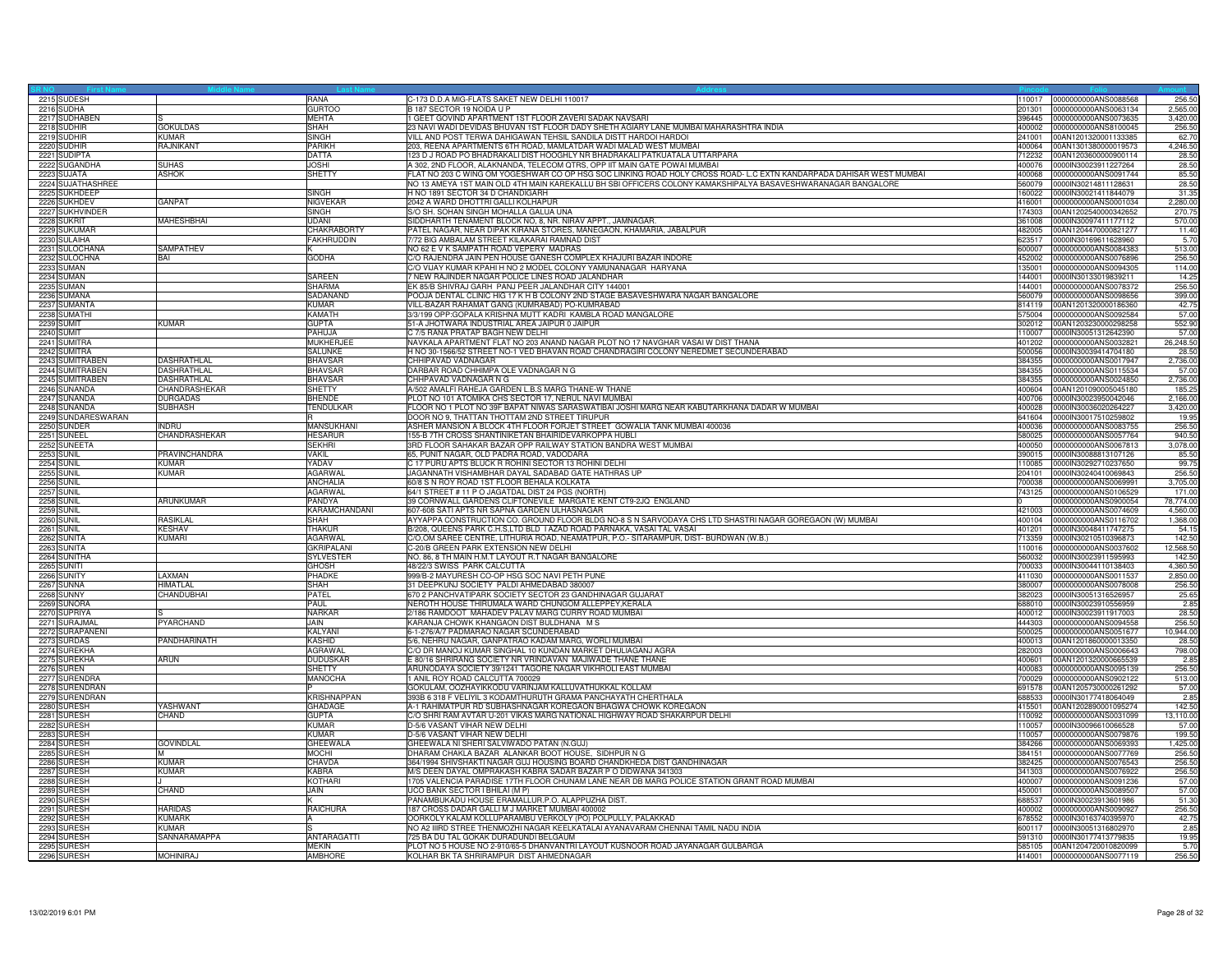| 2215 SUDESH                      |                    | RANA               | C-173 D.D.A MIG-FLATS SAKET NEW DELHI 110017                                                                                                                                                                                        | 110017 | 0000000000ANS0088568                         | 256.5          |
|----------------------------------|--------------------|--------------------|-------------------------------------------------------------------------------------------------------------------------------------------------------------------------------------------------------------------------------------|--------|----------------------------------------------|----------------|
| 2216 SUDHA                       |                    | <b>GURTOO</b>      | B 187 SECTOR 19 NOIDA U P                                                                                                                                                                                                           | 201301 | 0000000000ANS0063134                         | 2,565.00       |
| 2217 SUDHABEN                    |                    | <b>MEHTA</b>       | 1 GEET GOVIND APARTMENT 1ST FLOOR ZAVERI SADAK NAVSARI                                                                                                                                                                              | 396445 | 0000000000ANS0073635                         | 3,420.00       |
| 2218 SUDHIR                      | <b>GOKULDAS</b>    | <b>SHAH</b>        | 23 NAVI WADI DEVIDAS BHUVAN 1ST FLOOR DADY SHETH AGIARY LANE MUMBAI MAHARASHTRA INDIA                                                                                                                                               | 400002 | 0000000000ANS8100045                         | 256.50         |
| 2219 SUDHIR                      | KUMAR              | SINGH              | VILL AND POST TERWA DAHIGAWAN TEHSIL SANDILA DISTT HARDOI HARDOI                                                                                                                                                                    | 241001 | 00AN1201320001133385                         | 62.70          |
| 2220 SUDHIR                      | RAJNIKANT          | <b>PARIKH</b>      | 203, REENA APARTMENTS 6TH ROAD, MAMLATDAR WADI MALAD WEST MUMBAI                                                                                                                                                                    | 400064 | 00AN1301380000019573                         | 4,246.50       |
| 2221 SUDIPTA                     |                    | <b>DATTA</b>       | 123 D J ROAD PO BHADRAKALI DIST HOOGHLY NR BHADRAKALI PATKUATALA UTTARPARA                                                                                                                                                          | 712232 | 00AN1203600000900114                         | 28.50          |
| 2222 SUGANDHA                    | <b>SUHAS</b>       | <b>JOSHI</b>       | A 302, 2ND FLOOR, ALAKNANDA, TELECOM QTRS, OPP IIT MAIN GATE POWAI MUMBAI                                                                                                                                                           | 400076 | 0000IN30023911227264                         | 28.50          |
|                                  |                    |                    |                                                                                                                                                                                                                                     | 400068 |                                              |                |
| 2223 SUJATA<br>2224 SUJATHASHREE | <b>ASHOK</b>       | <b>SHETTY</b>      | FLAT NO 203 C WING OM YOGESHWAR CO OP HSG SOC LINKING ROAD HOLY CROSS ROAD- L.C EXTN KANDARPADA DAHISAR WEST MUMBAI<br>NO 13 AMEYA 1ST MAIN OLD 4TH MAIN KAREKALLU BH SBI OFFICERS COLONY KAMAKSHIPALYA BASAVESHWARANAGAR BANGALORE | 560079 | 0000000000ANS0091744<br>0000IN30214811128631 | 85.50<br>28.50 |
|                                  |                    |                    |                                                                                                                                                                                                                                     |        |                                              |                |
| 2225 SUKHDEEP                    |                    | <b>SINGH</b>       | H NO 1891 SECTOR 34 D CHANDIGARH                                                                                                                                                                                                    | 160022 | 0000IN30021411844079                         | 31.35          |
| 2226 SUKHDEV                     | <b>GANPAT</b>      | <b>NIGVEKAF</b>    | 2042 A WARD DHOTTRI GALLI KOLHAPUR                                                                                                                                                                                                  | 416001 | 0000000000ANS0001034                         | 2,280.00       |
| 2227 SUKHVINDER                  |                    | <b>SINGH</b>       | S/O SH. SOHAN SINGH MOHALLA GALUA UNA                                                                                                                                                                                               | 174303 | 00AN1202540000342652                         | 270.75         |
| 2228 SUKRIT                      | MAHESHBHAI         | UDANI              | SIDDHARTH TENAMENT BLOCK NO, 8, NR. NIRAV APPT., JAMNAGAR.                                                                                                                                                                          | 361008 | 0000IN30097411177112                         | 570.00         |
| 2229 SUKUMAR                     |                    | CHAKRABORTY        | PATEL NAGAR, NEAR DIPAK KIRANA STORES, MANEGAON, KHAMARIA, JABALPUR                                                                                                                                                                 | 482005 | 00AN1204470000821277                         | 11.40          |
| 2230 SULAIHA                     |                    | <b>FAKHRUDDIN</b>  | 7/72 BIG AMBALAM STREET KILAKARAI RAMNAD DIST                                                                                                                                                                                       | 623517 | 0000IN30169611628960                         | 5.70           |
| 2231 SULOCHANA                   | <b>SAMPATHEV</b>   |                    | NO 62 E V K SAMPATH ROAD VEPERY MADRAS                                                                                                                                                                                              | 600007 | 0000000000ANS0084383                         | 513.00         |
| 2232 SULOCHNA                    | BAI                | <b>GODHA</b>       | C/O RAJENDRA JAIN PEN HOUSE GANESH COMPLEX KHAJURI BAZAR INDORE                                                                                                                                                                     | 452002 | 0000000000ANS0076896                         | 256.50         |
| 2233 SUMAN                       |                    |                    | C/O VIJAY KUMAR KPAHI H NO 2 MODEL COLONY YAMUNANAGAR HARYANA                                                                                                                                                                       | 135001 | 0000000000ANS0094305                         | 114.00         |
| 2234 SUMAN                       |                    | SAREEN             | 7 NEW RAJINDER NAGAR POLICE LINES ROAD JALANDHAR                                                                                                                                                                                    | 44001  | 0000IN30133019839211                         | 14.25          |
| 2235 SUMAN                       |                    | <b>SHARMA</b>      | EK 85/B SHIVRAJ GARH PANJ PEER JALANDHAR CITY 144001                                                                                                                                                                                | 144001 | 0000000000ANS0078372                         | 256.50         |
| 2236 SUMANA                      |                    | <b>SADANAND</b>    | POOJA DENTAL CLINIC HIG 17 K H B COLONY 2ND STAGE BASAVESHWARA NAGAR BANGALORE                                                                                                                                                      | 560079 | 0000000000ANS0098656                         | 399.00         |
| 2237 SUMANTA                     |                    | <b>KUMAR</b>       | VILL-BAZAR RAHAMAT GANG (KUMRABAD) PO-KUMRABAD                                                                                                                                                                                      | 814119 | 00AN1201320000186360                         | 42.75          |
|                                  |                    | KAMATH             | 3/3/199 OPP:GOPALA KRISHNA MUTT KADRI KAMBLA ROAD MANGALORE                                                                                                                                                                         | 575004 |                                              | 57.00          |
| 2238 SUMATHI                     | KUMAR              |                    |                                                                                                                                                                                                                                     |        | 0000000000ANS0092584                         |                |
| <b>2239 SUMIT</b>                |                    | <b>GUPTA</b>       | 51-A JHOTWARA INDUSTRIAL AREA JAIPUR 0 JAIPUR                                                                                                                                                                                       | 02012  | 00AN1203230000298258                         | 552.90         |
| 2240 SUMIT                       |                    | PAHUJA             | C 7/5 RANA PRATAP BAGH NEW DELHI                                                                                                                                                                                                    | 10007  | 0000IN30051312642390                         | 57.00          |
| 2241 SUMITRA                     |                    | <b>MUKHERJEE</b>   | NAVKALA APARTMENT FLAT NO 203 ANAND NAGAR PLOT NO 17 NAVGHAR VASAI W DIST THANA                                                                                                                                                     | 401202 | 0000000000ANS0032821                         | 26,248.50      |
| 2242 SUMITRA                     |                    | SALUNKE            | H NO 30-1566/52 STREET NO-1 VED BHAVAN ROAD CHANDRAGIRI COLONY NEREDMET SECUNDERABAD                                                                                                                                                | 500056 | 0000IN30039414704180                         | 28.50          |
| 2243 SUMITRABEN                  | <b>DASHRATHLAL</b> | BHAVSAR            | CHHIPAVAD VADNAGAR                                                                                                                                                                                                                  | 384355 | 0000000000ANS0017947                         | 2,736.00       |
| 2244 SUMITRABEN                  | DASHRATHLAL        | <b>BHAVSAR</b>     | DARBAR ROAD CHHIMPA OLE VADNAGAR N G                                                                                                                                                                                                | 384355 | 0000000000ANS0115534                         | 57.00          |
| 2245 SUMITRABEN                  | DASHRATHLAL        | <b>BHAVSAR</b>     | CHHPAVAD VADNAGAR N G                                                                                                                                                                                                               | 384355 | 0000000000ANS0024850                         | 2,736.00       |
| 2246 SUNANDA                     | CHANDRASHEKAR      | <b>SHETTY</b>      | A/502 AMALFI RAHEJA GARDEN L.B.S MARG THANE-W THANE                                                                                                                                                                                 | 400604 | 00AN1201090005045180                         | 185.25         |
| 2247 SUNANDA                     | <b>DURGADAS</b>    | <b>BHENDE</b>      | PLOT NO 101 ATOMIKA CHS SECTOR 17, NERUL NAVI MUMBAI                                                                                                                                                                                | 400706 | 0000IN30023950042046                         | 2,166.00       |
| 2248 SUNANDA                     | SUBHASH            | TENDULKAR          | FLOOR NO 1 PLOT NO 39F BAPAT NIWAS SARASWATIBAI JOSHI MARG NEAR KABUTARKHANA DADAR W MUMBAI                                                                                                                                         | 400028 | 0000IN30036020264227                         | 3,420.00       |
| 2249 SUNDARESWARAN               |                    |                    | DOOR NO 9, THATTAN THOTTAM 2ND STREET TIRUPUR                                                                                                                                                                                       | 641604 | 0000IN30017510259802                         | 19.95          |
| 2250 SUNDER                      | <b>INDRU</b>       | <b>MANSUKHANI</b>  | ASHER MANSION A BLOCK 4TH FLOOR FORJET STREET GOWALIA TANK MUMBAI 400036                                                                                                                                                            | 400036 | 0000000000ANS0083755                         | 256.50         |
| 2251 SUNEEL                      | CHANDRASHEKAR      | <b>HESARUR</b>     | 155-B 7TH CROSS SHANTINIKETAN BHAIRIDEVARKOPPA HUBLI                                                                                                                                                                                | 580025 | 0000000000ANS0057764                         | 940.50         |
| 2252 SUNEETA                     |                    | <b>SEKHRI</b>      | 3RD FLOOR SAHAKAR BAZAR OPP RAILWAY STATION BANDRA WEST MUMBAI                                                                                                                                                                      | 400050 | 0000000000ANS0067813                         | 3,078.00       |
| <b>2253 SUNIL</b>                | PRAVINCHANDRA      | <b>VAKII</b>       | 65, PUNIT NAGAR, OLD PADRA ROAD, VADODARA                                                                                                                                                                                           | 390015 | 0000IN30088813107126                         | 85.50          |
| <b>2254 SUNIL</b>                | <b>KUMAR</b>       | YADAV              | C 17 PURU APTS BLUCK R ROHINI SECTOR 13 ROHINI DELHI                                                                                                                                                                                | 10085  | 0000IN30292710237650                         | 99.75          |
|                                  | <b>KUMAR</b>       |                    |                                                                                                                                                                                                                                     | 204101 |                                              |                |
| <b>2255 SUNIL</b>                |                    | <b>AGARWAL</b>     | JAGANNATH VISHAMBHAR DAYAL SADABAD GATE HATHRAS UP                                                                                                                                                                                  |        | 0000IN30240410069843                         | 256.50         |
| <b>2256 SUNIL</b>                |                    | <b>ANCHALIA</b>    | 60/8 S N ROY ROAD 1ST FLOOR BEHALA KOLKATA                                                                                                                                                                                          | 700038 | 0000000000ANS0069991                         | 3,705.00       |
| <b>2257 SUNIL</b>                |                    | <b>AGARWAL</b>     | 64/1 STREET # 11 P O JAGATDAL DIST 24 PGS (NORTH                                                                                                                                                                                    | 743125 | 0000000000ANS0106529                         | 171.00         |
| 2258 SUNIL                       | <b>ARUNKUMAR</b>   | PANDYA             | 39 CORNWALL GARDENS CLIFTONEVILE MARGATE KENT CT9-2JQ ENGLAND                                                                                                                                                                       |        | 0000000000ANS0900054                         | 78,774.00      |
| <b>2259 SUNIL</b>                |                    | KARAMCHANDANI      | 607-608 SATI APTS NR SAPNA GARDEN ULHASNAGAR                                                                                                                                                                                        | 421003 | 0000000000ANS0074609                         | 4,560.00       |
| <b>2260 SUNIL</b>                | <b>RASIKLAL</b>    | SHAH               | AYYAPPA CONSTRUCTION CO. GROUND FLOOR BLDG NO-8 S N SARVODAYA CHS LTD SHASTRI NAGAR GOREGAON (W) MUMBAI                                                                                                                             | 400104 | 0000000000ANS0116702                         | 1,368.00       |
| <b>2261 SUNIL</b>                | <b>KESHAV</b>      | <b>THAKUR</b>      | B/208, QUEENS PARK C.H.S,LTD BLD I AZAD ROAD PARNAKA, VASAI TAL VASAI                                                                                                                                                               | 401201 | 0000IN30048411747275                         | 54.15          |
| 2262 SUNITA                      | KUMARI             | <b>AGARWAL</b>     | C/O,OM SAREE CENTRE, LITHURIA ROAD, NEAMATPUR, P.O.- SITARAMPUR, DIST- BURDWAN (W.B.)                                                                                                                                               | 713359 | 0000IN30210510396873                         | 142.50         |
| 2263 SUNITA                      |                    | <b>GKRIPALANI</b>  | C-20/B GREEN PARK EXTENSION NEW DELHI                                                                                                                                                                                               | 110016 | 0000000000ANS0037602                         | 12,568.50      |
| 2264 SUNITHA                     |                    | <b>SYLVESTER</b>   | NO. 86, 8 TH MAIN H.M.T LAYOUT R.T NAGAR BANGALORE                                                                                                                                                                                  | 560032 | 0000IN30023911595993                         | 142.5          |
| 2265 SUNITI                      |                    | <b>GHOSH</b>       | 48/22/3 SWISS PARK CALCUTTA                                                                                                                                                                                                         | 700033 | 0000IN30044110138403                         | 4,360.50       |
| 2266 SUNITY                      | LAXMAN             | PHADKE             | 999/B-2 MAYURESH CO-OP HSG SOC NAVI PETH PUNE                                                                                                                                                                                       | 411030 | 0000000000ANS0011537                         | 2,850.00       |
| 2267 SUNNA                       | <b>HIMATLAL</b>    | SHAH               | 31 DEEPKUNJ SOCIETY PALDI AHMEDABAD 380007                                                                                                                                                                                          | 380007 | 0000000000ANS0078008                         | 256.50         |
| 2268 SUNNY                       | CHANDUBHAI         | PATEL              | 670 2 PANCHVATIPARK SOCIETY SECTOR 23 GANDHINAGAR GUJARAT                                                                                                                                                                           | 382023 | 0000IN30051316526957                         | 25.65          |
| 2269 SUNORA                      |                    | PAUL               | NEROTH HOUSE THIRUMALA WARD CHUNGOM ALLEPPEY, KERALA                                                                                                                                                                                | 688010 | 0000IN30023910556959                         | 2.85           |
| 2270 SUPRIYA                     |                    | <b>NARKAR</b>      | 2/186 RAMDOOT MAHADEV PALAV MARG CURRY ROAD MUMBAI                                                                                                                                                                                  | 400012 | 0000IN30023911917003                         | 28.50          |
| 2271 SURAJMAI                    | PYARCHAND          | JAIN               | KARANJA CHOWK KHANGAON DIST BULDHANA MS                                                                                                                                                                                             | 444303 | 0000000000ANS0094558                         | 256.50         |
| 2272 SURAPANEN                   |                    | KALYANI            | 6-1-276/A/7 PADMARAO NAGAR SCUNDERABAD                                                                                                                                                                                              | 500025 | 0000000000ANS0051677                         | 10,944.00      |
|                                  | PANDHARINATH       | <b>KASHID</b>      | 5/6, NEHRU NAGAR, GANPATRAO KADAM MARG, WORLI MUMBAI                                                                                                                                                                                | 400013 |                                              | 28.50          |
| 2273 SURDAS                      |                    |                    |                                                                                                                                                                                                                                     |        | 00AN1201860000013350                         |                |
| 2274 SUREKHA                     |                    | <b>AGRAWAL</b>     | C/O DR MANOJ KUMAR SINGHAL 10 KUNDAN MARKET DHULIAGANJ AGRA                                                                                                                                                                         | 282003 | 0000000000ANS0006643                         | 798.00         |
| 2275 SUREKHA                     | <b>ARUN</b>        | <b>DUDUSKAR</b>    | E 80/16 SHRIRANG SOCIETY NR VRINDAVAN MAJIWADE THANE THANE                                                                                                                                                                          | 400601 | 00AN1201320000665539                         | 2.85           |
| 2276 SUREN                       |                    | <b>SHETTY</b>      | ARUNODAYA SOCIETY 39/1241 TAGORE NAGAR VIKHROLI EAST MUMBAI                                                                                                                                                                         | 400083 | 0000000000ANS0095139                         | 256.50         |
| 2277 SURENDRA                    |                    | MANOCHA            | 1 ANIL ROY ROAD CALCUTTA 700029                                                                                                                                                                                                     | 700029 | 0000000000ANS0902122                         | 513.00         |
| 2278 SURENDRAN                   |                    |                    | GOKULAM, OOZHAYIKKODU VARINJAM KALLUVATHUKKAL KOLLAM                                                                                                                                                                                | 691578 | 00AN1205730000261292                         | 57.00          |
| 2279 SURENDRAN                   |                    | <b>KRISHNAPPAN</b> | 393B 6 318 F VELIYIL 3 KODAMTHURUTH GRAMA PANCHAYATH CHERTHALA                                                                                                                                                                      | 88533  | 0000IN30177418064049                         | 2.85           |
| 2280 SURESH                      | YASHWANT           | <b>GHADAGE</b>     | A-1 RAHIMATPUR RD SUBHASHNAGAR KOREGAON BHAGWA CHOWK KOREGAON                                                                                                                                                                       | 415501 | 00AN1202890001095274                         | 142.50         |
| 2281 SURESH                      | CHAND              | <b>GUPTA</b>       | C/O SHRI RAM AVTAR U-201 VIKAS MARG NATIONAL HIGHWAY ROAD SHAKARPUR DELHI                                                                                                                                                           | 110092 | 0000000000ANS0031099                         | 13,110.00      |
| 2282 SURESH                      |                    | KUMAR              | D-5/6 VASANT VIHAR NEW DELHI                                                                                                                                                                                                        | 110057 | 0000IN30096610066528                         | 57.00          |
| 2283 SURESH                      |                    | KUMAR              | D-5/6 VASANT VIHAR NEW DELHI                                                                                                                                                                                                        | 10057  | 0000000000ANS0079876                         | 199.50         |
| 2284 SURESH                      | <b>GOVINDLAL</b>   | GHEEWALA           | GHEEWALA NI SHERI SALVIWADO PATAN (N.GUJ)                                                                                                                                                                                           | 384266 | 0000000000ANS0069393                         | 1,425.00       |
| 2285 SURESH                      | M                  | <b>MOCHI</b>       | DHARAM CHAKLA BAZAR ALANKAR BOOT HOUSE, SIDHPUR N G                                                                                                                                                                                 | 384151 | 0000000000ANS0077769                         | 256.50         |
| 2286 SURESH                      | <b>KUMAR</b>       | CHAVDA             | 364/1994 SHIVSHAKTI NAGAR GUJ HOUSING BOARD CHANDKHEDA DIST GANDHINAGAR                                                                                                                                                             | 382425 | 0000000000ANS0076543                         | 256.50         |
| 2287 SURESH                      | KUMAR              | KABRA              | M/S DEEN DAYAL OMPRAKASH KABRA SADAR BAZAR P O DIDWANA 341303                                                                                                                                                                       | 341303 | 0000000000ANS0076922                         | 256.50         |
| 2288 SURESH                      |                    | KOTHARI            | 1705 VALENCIA PARADISE 17TH FLOOR CHUNAM LANE NEAR DB MARG POLICE STATION GRANT ROAD MUMBAI                                                                                                                                         | 400007 | 0000000000ANS0091236                         | 57.00          |
| 2289 SURESH                      | CHAND              | JAIN               | UCO BANK SECTOR I BHILAI (M P)                                                                                                                                                                                                      | 450001 | 0000000000ANS0089507                         | 57.00          |
| 2290 SURESH                      |                    |                    | PANAMBUKADU HOUSE ERAMALLUR.P.O. ALAPPUZHA DIST.                                                                                                                                                                                    | 688537 | 0000lN30023913601986                         | 51.30          |
| 2291 SURESH                      | <b>HARIDAS</b>     | <b>RAICHURA</b>    | 187 CROSS DADAR GALLI M J MARKET MUMBAI 400002                                                                                                                                                                                      | 400002 | 0000000000ANS0090927                         | 256.50         |
|                                  |                    |                    |                                                                                                                                                                                                                                     |        |                                              |                |
| 2292 SURESH                      | <b>KUMARK</b>      |                    | OORKOLY KALAM KOLLUPARAMBU VERKOLY (PO) POLPULLY, PALAKKAD                                                                                                                                                                          | 678552 | 0000IN30163740395970                         | 42.75          |
| 2293 SURESH                      | <b>KUMAR</b>       |                    | NO A2 IIIRD STREE THENMOZHI NAGAR KEELKATALAI AYANAVARAM CHENNAI TAMIL NADU INDIA                                                                                                                                                   | 600117 | 0000lN30051316802970                         | 2.85           |
| 2294 SURESH                      | SANNARAMAPPA       | ANTARAGATTI        | 725 BA DU TAL GOKAK DURADUNDI BELGAUM                                                                                                                                                                                               | 591310 | 0000lN30177413779835                         | 19.95          |
| 2295 SURESH                      |                    | <b>MFKIN</b>       | PLOT NO 5 HOUSE NO 2-910/65-5 DHANVANTRI LAYOUT KUSNOOR ROAD JAYANAGAR GULBARGA                                                                                                                                                     | 585105 | 00AN1204720010820099                         | 5.70           |
| 2296 SURESH                      | <b>MOHINIRAJ</b>   | <b>AMBHOR</b>      | KOLHAR BK TA SHRIRAMPUR DIST AHMEDNAGAR                                                                                                                                                                                             |        | 414001 0000000000ANS0077119                  | 256.50         |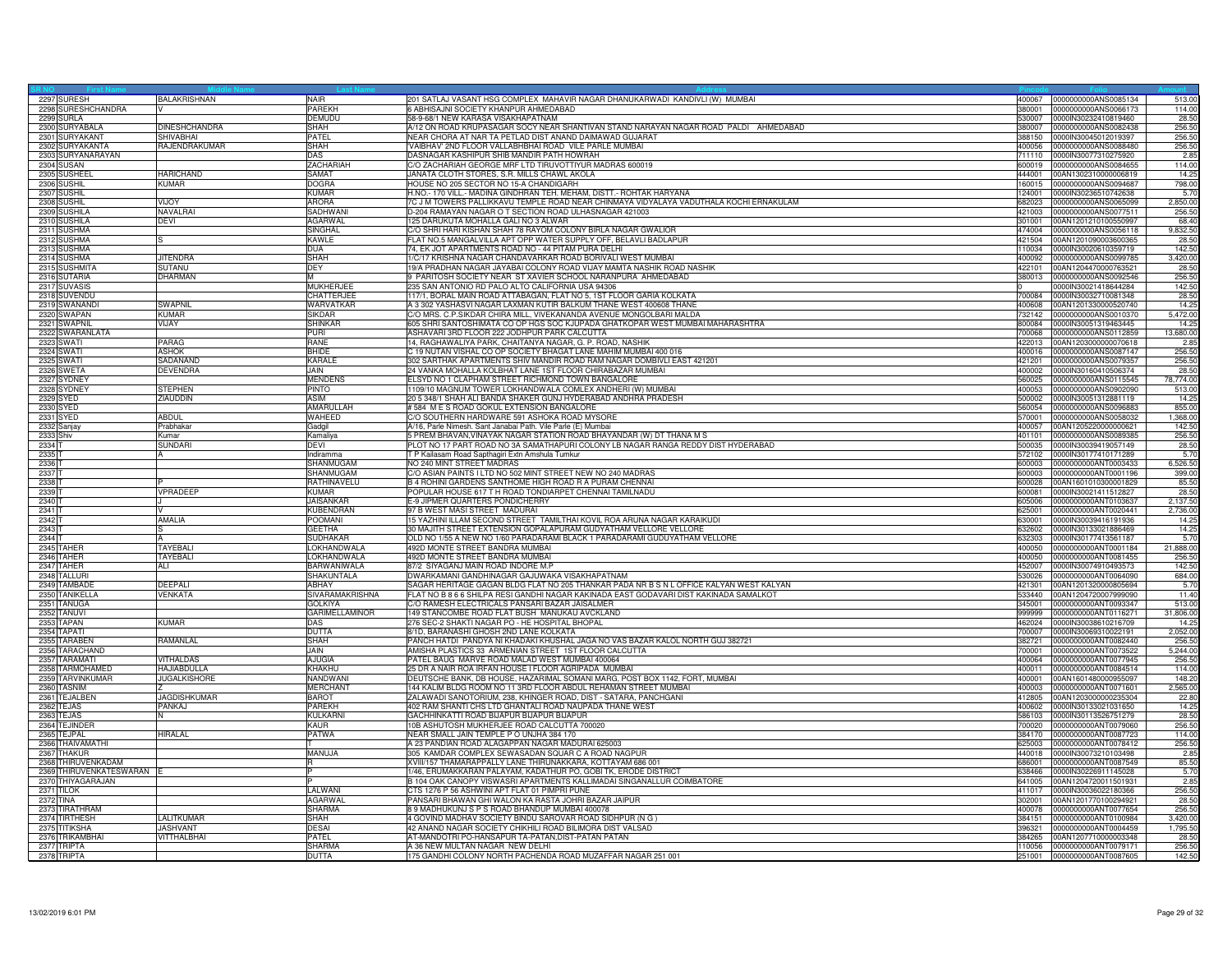| 2297 SURESH               | <b>BALAKRISHNAN</b>  | NAIR                  | 201 SATLAJ VASANT HSG COMPLEX MAHAVIR NAGAR DHANUKARWADI KANDIVLI (W) MUMBAI            | 400067           | 0000000000ANS0085134                         | 513.00        |
|---------------------------|----------------------|-----------------------|-----------------------------------------------------------------------------------------|------------------|----------------------------------------------|---------------|
| 2298 SURESHCHANDRA        |                      | <b>PAREKH</b>         | 6 ABHISAJNI SOCIETY KHANPUR AHMEDABAD                                                   | 380001           | 0000000000ANS0066173                         | 114.00        |
| 2299 SURLA                |                      | <b>DEMUDU</b>         | 58-9-68/1 NEW KARASA VISAKHAPATNAM                                                      | 530007           | 0000IN30232410819460                         | 28.50         |
| 2300 SURYABALA            | <b>DINESHCHANDRA</b> | SHAH                  | A/12 ON ROAD KRUPASAGAR SOCY NEAR SHANTIVAN STAND NARAYAN NAGAR ROAD PALDI AHMEDABAD    | 380007           | 0000000000ANS0082438                         | 256.50        |
| 2301 SURYAKANT            | SHIVABHAI            | PATFI                 | NEAR CHORA AT NAR TA PETLAD DIST ANAND DAIMAWAD GUJARAT                                 | 388150           | 0000lN30045012019397                         | 256.50        |
| 2302 SURYAKANTA           | RAJENDRAKUMAR        | SHAH                  | VAIBHAV' 2ND FLOOR VALLABHBHAI ROAD VILE PARLE MUMBAI                                   | 100056           | 0000000000ANS0088480                         | 256.5         |
| 2303 SURYANARAYAN         |                      | DAS                   | DASNAGAR KASHIPUR SHIB MANDIR PATH HOWRAH                                               | 711110           | 0000IN30077310275920                         | 2.85          |
| 2304 SUSAN                |                      | ZACHARIAH             | C/O ZACHARIAH GEORGE MRF LTD TIRUVOTTIYUR MADRAS 600019                                 | 600019           | 0000000000ANS0084655                         | 114.00        |
| 2305 SUSHEE               | <b>HARICHAND</b>     | SAMAT                 | JANATA CLOTH STORES, S.R. MILLS CHAWL AKOLA                                             | 444001           | 00AN1302310000006819                         | 14.25         |
| 2306 SUSHIL               | <b>KUMAR</b>         | DOGRA                 | HOUSE NO 205 SECTOR NO 15-A CHANDIGARH                                                  | 160015           | 0000000000ANS0094687                         | 798.00        |
| 2307 SUSHIL               |                      | KUMAR                 | H.NO.- 170 VILL.- MADINA GINDHRAN TEH. MEHAM, DISTT.- ROHTAK HARYANA                    | 124001           | 0000IN30236510742638                         | 5.70          |
| 2308 SUSHIL               | <b>VIJOY</b>         | <b>ARORA</b>          | 7C J M TOWERS PALLIKKAVU TEMPLE ROAD NEAR CHINMAYA VIDYALAYA VADUTHALA KOCHI ERNAKULAM  | 682023           | 0000000000ANS0065099                         | 2,850.00      |
| 2309 SUSHILA              | <b>NAVALRA</b>       | SADHWAN               | D-204 RAMAYAN NAGAR O T SECTION ROAD ULHASNAGAR 421003                                  | 421003           | 0000000000ANS0077511                         | 256.50        |
| 2310 SUSHILA              | <b>DEVI</b>          | <b>AGARWAL</b>        | 125 DARUKUTA MOHALLA GALI NO 3 ALWAR                                                    | 301001           | 00AN1201210100550997                         | 68.40         |
| 2311 SUSHMA               |                      | SINGHAI               | C/O SHRI HARI KISHAN SHAH 78 RAYOM COLONY BIRLA NAGAR GWALIOR                           | 474004           | 0000000000ANS0056118                         | 9,832.50      |
| 2312 SUSHMA               |                      | KAWLE                 | FLAT NO.5 MANGALVILLA APT OPP WATER SUPPLY OFF, BELAVLI BADLAPUR                        | 421504           | 00AN1201090003600365                         | 28.50         |
| 2313 SUSHMA               |                      | <b>DUA</b>            | 74, EK JOT APARTMENTS ROAD NO - 44 PITAM PURA DELHI                                     | 110034           | 0000IN30020610359719                         | 142.50        |
| 2314 SUSHMA               | <b>JITENDRA</b>      | <b>SHAH</b>           | 1/C/17 KRISHNA NAGAR CHANDAVARKAR ROAD BORIVALI WEST MUMBAI                             | 400092           | 0000000000ANS0099785                         | 3,420.00      |
| 2315 SUSHMITA             | <b>SUTANU</b>        | DEY                   | 19/A PRADHAN NAGAR JAYABAI COLONY ROAD VIJAY MAMTA NASHIK ROAD NASHIK                   | 422101           | 00AN1204470000763521                         | 28.50         |
| 2316 SUTARIA              | <b>DHARMAN</b>       | M                     | 9 PARITOSH SOCIETY NEAR ST XAVIER SCHOOL NARANPURA AHMEDABAD                            | 380013           | 0000000000ANS0092546                         | 256.50        |
| 2317 SUVASIS              |                      | <b>MUKHERJEE</b>      | 235 SAN ANTONIO RD PALO ALTO CALIFORNIA USA 94306                                       |                  | 0000IN30021418644284                         | 142.50        |
| 2318 SUVENDU              |                      | CHATTERJEE            | 117/1, BORAL MAIN ROAD ATTABAGAN, FLAT NO 5, 1ST FLOOR GARIA KOLKATA                    | 700084           | 0000IN30032710081348                         | 28.50         |
| 2319 SWANANDI             | SWAPNIL              | WARVATKAR             | A 3 302 YASHASVI NAGAR LAXMAN KUTIR BALKUM THANE WEST 400608 THANE                      | 400608           | 00AN1201330000520740                         | 14.25         |
| 2320 SWAPAN               | <b>KUMAR</b>         | SIKDAR                | C/O MRS. C.P.SIKDAR CHIRA MILL, VIVEKANANDA AVENUE MONGOLBARI MALDA                     | 732142           | 0000000000ANS0010370                         | 5,472.00      |
| 2321 SWAPNIL              | VIJAY                | <b>SHINKAR</b>        | 605 SHRI SANTOSHIMATA CO OP HGS SOC KJUPADA GHATKOPAR WEST MUMBAI MAHARASHTRA           | 800084           | 0000IN30051319463445                         | 14.25         |
| 2322 SWARANLATA           |                      | <b>PURI</b>           | ASHAVARI 3RD FLOOR 222 JODHPUR PARK CALCUTTA                                            | 700068           | 0000000000ANS0112859                         | 13,680.00     |
| 2323 SWATI                | PARAG                | <b>RANE</b>           | 14, RAGHAWALIYA PARK, CHAITANYA NAGAR, G. P. ROAD, NASHIK                               | 422013           | 00AN1203000000070618                         | 2.85          |
| 2324 SWATI                | <b>ASHOK</b>         | <b>BHIDE</b>          | C 19 NUTAN VISHAL CO OP SOCIETY BHAGAT LANE MAHIM MUMBAI 400 016                        | 400016           | 0000000000ANS0087147                         | 256.50        |
| 2325 SWATI                | SADANAND             | KARALE                | 302 SARTHAK APARTMENTS SHIV MANDIR ROAD RAM NAGAR DOMBIVLI EAST 421201                  | 421201           | 0000000000ANS0079357                         | 256.50        |
| 2326 SWETA                | <b>DEVENDRA</b>      | JAIN.                 | 24 VANKA MOHALLA KOLBHAT LANE 1ST FLOOR CHIRABAZAR MUMBAI                               | 400002           | 0000IN30160410506374                         | 28.50         |
| 2327 SYDNEY               |                      | <b>MENDENS</b>        | ELSYD NO 1 CLAPHAM STREET RICHMOND TOWN BANGALORE                                       | 560025           | 0000000000ANS0115545                         | 78,774.00     |
| 2328 SYDNEY               | <b>STEPHEN</b>       | <b>PINTO</b>          | 1109/10 MAGNUM TOWER LOKHANDWALA COMLEX ANDHERI (W) MUMBAI                              | 400053           | 0000000000ANS0902090                         | 513.00        |
| 2329 SYED                 | <b>ZIAUDDIN</b>      | ASIM                  | 20 5 348/1 SHAH ALI BANDA SHAKER GUNJ HYDERABAD ANDHRA PRADESH                          | 500002           | 0000IN30051312881119                         | 14.25         |
| 2330 SYED                 |                      | AMARULLAH             | #584 M E S ROAD GOKUL EXTENSION BANGALORE                                               | 560054           | 0000000000ANS0096883                         | 855.00        |
| 2331 SYED                 | <b>ABDUL</b>         | WAHEED                | C/O SOUTHERN HARDWARE 591 ASHOKA ROAD MYSORE                                            | 570001           | 0000000000ANS0058032                         | 1,368.00      |
| 2332 Sanjay               | Prabhaka             | Gadgil                | A/16, Parle Nimesh. Sant Janabai Path. Vile Parle (E) Mumbai                            | 400057           | 00AN1205220000000621                         | 142.50        |
| 2333 Shiv                 | Kumar                | Kamaliya              | 5 PREM BHAVAN, VINAYAK NAGAR STATION ROAD BHAYANDAR (W) DT THANA M S                    | 401101           | 0000000000ANS0089385                         | 256.50        |
| 2334 T                    | SUNDARI              | <b>DFVI</b>           | PLOT NO 17 PART ROAD NO 3A SAMATHAPURI COLONY LB NAGAR RANGA REDDY DIST HYDERABAD       | 500035           | 0000IN30039419057149                         | 28.50         |
| 2335 T                    | A                    | Indiramma             | T P Kailasam Road Sapthagiri Extn Amshula Tumkur                                        | 572102           | 0000IN30177410171289                         | 5.70          |
| 2336                      |                      | SHANMUGAM             | NO 240 MINT STREET MADRAS                                                               | 600003           | 0000000000ANT0003433                         | 6,526.50      |
| 2337                      |                      | SHANMUGAM             | C/O ASIAN PAINTS I LTD NO 502 MINT STREET NEW NO 240 MADRAS                             | 600003           | 0000000000ANT0001196                         | 399.00        |
| 2338                      |                      | RATHINAVELU           | B 4 ROHINI GARDENS SANTHOME HIGH ROAD R A PURAM CHENNAI                                 | 600028           | 00AN1601010300001829                         | 85.50         |
| 2339                      | VPRADEEP             | <b>KUMAR</b>          | POPULAR HOUSE 617 T H ROAD TONDIARPET CHENNAI TAMILNADU                                 | 600081           | 0000lN30021411512827                         | 28.50         |
| 2340                      |                      | <b>JAISANKAR</b>      | E-9 JIPMER QUARTERS PONDICHERRY                                                         | 605006           | 0000000000ANT0103637                         | 2,137.50      |
| 2341                      |                      | <b>UBENDRAN</b>       | 97 B WEST MASI STREET MADURAI                                                           | 625001           | 0000000000ANT0020441                         | 2,736.00      |
| 2342                      | <b>AMALIA</b>        | <b>POOMANI</b>        | 15 YAZHINI ILLAM SECOND STREET TAMILTHAI KOVIL ROA ARUNA NAGAR KARAIKUDI                | 630001           | 0000IN30039416191936                         | 14.25         |
| 23431                     | $\mathbf{S}$         | <b>GEETHA</b>         | 30 MAJITH STREET EXTENSION GOPALAPURAM GUDYATHAM VELLORE VELLORE                        | 632602           | 0000IN30133021886469                         | 14.25         |
| 2344 T                    |                      | SUDHAKAR              | OLD NO 1/55 A NEW NO 1/60 PARADARAMI BLACK 1 PARADARAMI GUDUYATHAM VELLORE              | 632303           | 0000lN30177413561187                         | 5.70          |
| 2345 TAHER                | <b>TAYEBAL</b>       | LOKHANDWALA           | 492D MONTE STREET BANDRA MUMBAI                                                         | 400050           | 0000000000ANT0001184                         | 21,888.00     |
| 2346 TAHER                | TAYEBAL              | OKHANDWALA            | 492D MONTE STREET BANDRA MUMBAI                                                         | 400050           | 0000000000ANT0081455                         | 256.50        |
| 2347 TAHER                | ALI.                 | <b>BARWANIWALA</b>    | 87/2 SIYAGANJ MAIN ROAD INDORE M.P                                                      |                  | 0000IN30074910493573                         | 142.50        |
| 2348 TALLURI              |                      | <b>SHAKUNTALA</b>     | DWARKAMANI GANDHINAGAR GAJUWAKA VISAKHAPATNAM                                           | 452007<br>530026 | 0000000000ANT0064090                         | 684.00        |
|                           |                      |                       | SAGAR HERITAGE GAGAN BLDG FLAT NO 205 THANKAR PADA NR B S N L OFFICE KALYAN WEST KALYAN |                  |                                              |               |
| 2349 TAMBADE              | DEEPALI              | ABHAY                 | FLAT NO B 8 6 6 SHILPA RESI GANDHI NAGAR KAKINADA EAST GODAVARI DIST KAKINADA SAMALKOT  | 421301           | 00AN1201320000805694                         | 5.70<br>11.40 |
| 2350 TANIKELLA            | <b>VENKATA</b>       | SIVARAMAKRISHNA       |                                                                                         | 533440           | 00AN1204720007999090                         |               |
| 2351 TANUGA               |                      | <b>GOLKIYA</b>        | C/O RAMESH ELECTRICALS PANSARI BAZAR JAISALMER                                          | 345001           | 0000000000ANT0093347                         | 513.00        |
| 2352 TANUVI               |                      | <b>GARIMELLAMINOR</b> | 149 STANCOMBE ROAD FLAT BUSH MANUKAU AVCKLAND                                           | 999999           | 0000000000ANT0116271                         | 31,806.00     |
| 2353 TAPAN                | <b>KUMAR</b>         | <b>DAS</b>            | 276 SEC-2 SHAKTI NAGAR PO - HE HOSPITAL BHOPAL                                          | 462024           | 0000IN30038610216709                         | 14.25         |
| 2354 TAPATI               |                      | <b>DUTTA</b><br>SHAH  | 8/1D, BARANASHI GHOSH 2ND LANE KOLKATA                                                  | 700007           | 0000IN30069310022191<br>0000000000ANT0082440 | 2,052.00      |
| 2355 TARABEN              | RAMANLAL             |                       | PANCH HATDI PANDYA NI KHADAKI KHUSHAL JAGA NO VAS BAZAR KALOL NORTH GUJ 382721          | 382721           |                                              | 256.50        |
| 2356 TARACHAND            |                      | JAIN                  | AMISHA PLASTICS 33 ARMENIAN STREET 1ST FLOOR CALCUTTA                                   | 700001           | 0000000000ANT0073522                         | 5,244.00      |
| 2357 TARAMATI             | <b>VITHALDAS</b>     | AJUGIA                | PATEL BAUG MARVE ROAD MALAD WEST MUMBAI 400064                                          | 400064           | 0000000000ANT0077945                         | 256.50        |
| 2358 TARMOHAMED           | <b>HAJIABDULLA</b>   | KHAKHU                | 25 DR A NAIR ROA IRFAN HOUSE I FLOOR AGRIPADA MUMBAI                                    | 400011           | 0000000000ANT0084514                         | 114.00        |
| 2359 TARVINKUMAR          | <b>JUGALKISHORE</b>  | NANDWANI              | DEUTSCHE BANK, DB HOUSE, HAZARIMAL SOMANI MARG, POST BOX 1142, FORT, MUMBAI             | 400001           | 00AN1601480000955097                         | 148.20        |
| 2360 TASNIM               |                      | <b>MERCHANT</b>       | 144 KALIM BLDG ROOM NO 11 3RD FLOOR ABDUL REHAMAN STREET MUMBAI                         | 400003           | 0000000000ANT0071601                         | 2.565.00      |
| 2361 TEJALBEN             | <b>JAGDISHKUMAR</b>  | BARO <sub>1</sub>     | ZALAWADI SANOTORIUM, 238, KHINGER ROAD, DIST - SATARA, PANCHGANI                        | 412805           | 00AN1203000000235304                         | 22.80         |
| 2362 TEJAS                | <b>PANKAJ</b>        | <b>PARFKH</b>         | 402 RAM SHANTI CHS LTD GHANTALI ROAD NAUPADA THANE WEST                                 | 400602           | 0000IN30133021031650                         | 14.25         |
| 2363 TEJAS                |                      | <b>KULKARN</b>        | GACHHINKATTI ROAD BIJAPUR BIJAPUR BIJAPUR                                               | 586103           | 0000IN30113526751279                         | 28.50         |
| 2364 TEJINDER             |                      | <b>KAUR</b>           | 10B ASHUTOSH MUKHERJEE ROAD CALCUTTA 700020                                             | 700020           | 0000000000ANT0079060                         | 256.50        |
| 2365 TEJPAL               | <b>HIRALAL</b>       | <b>PATWA</b>          | NEAR SMALL JAIN TEMPLE P O UNJHA 384 170                                                | 384170           | 0000000000ANT0087723                         | 114.00        |
| 2366 THAIVAMATHI          |                      |                       | A 23 PANDIAN ROAD ALAGAPPAN NAGAR MADURAI 625003                                        | 625003           | 0000000000ANT0078412                         | 256.50        |
| 2367 THAKUR               |                      | MANUJA                | 305 KAMDAR COMPLEX SEWASADAN SQUAR C A ROAD NAGPUR                                      | 440018           | 0000IN30073210103498                         | 2.85          |
| 2368 THIRUVENKADAM        |                      |                       | XVIII/157 THAMARAPPALLY LANE THIRUNAKKARA, KOTTAYAM 686 001                             | 686001           | 0000000000ANT0087549                         | 85.50         |
| 2369 THIRUVENKATESWARAN E |                      |                       | 1/46, ERUMAKKARAN PALAYAM, KADATHUR PO, GOBI TK, ERODE DISTRICT                         | 638466           | 0000IN30226911145028                         | 5.70          |
| 2370 THIYAGARAJAN         |                      |                       | B 104 OAK CANOPY VISWASRI APARTMENTS KALLIMADAI SINGANALLUR COIMBATORE                  | 641005           | 00AN1204720011501931                         | 2.85          |
| 2371 TILOK                |                      | LALWANI               | CTS 1276 P 56 ASHWINI APT FLAT 01 PIMPRI PUNE                                           | 411017           | 0000IN30036022180366                         | 256.50        |
| 2372 TINA                 |                      | <b>AGARWAL</b>        | PANSARI BHAWAN GHI WALON KA RASTA JOHRI BAZAR JAIPUR                                    | 302001           | 00AN1201770100294921                         | 28.50         |
| 2373 TIRATHRAM            |                      | <b>SHARMA</b>         | 8 9 MADHUKUNJ S P S ROAD BHANDUP MUMBAI 400078                                          | 400078           | 0000000000ANT0077654                         | 256.50        |
| 2374 TIRTHESH             | LALITKUMAR           | SHAH                  | 4 GOVIND MADHAV SOCIETY BINDU SAROVAR ROAD SIDHPUR (N G )                               | 384151           | 0000000000ANT0100984                         | 3,420.00      |
| 2375 TITIKSHA             | <b>JASHVANT</b>      | <b>DESAI</b>          | 42 ANAND NAGAR SOCIETY CHIKHILI ROAD BILIMORA DIST VALSAD                               | 396321           | 0000000000ANT0004459                         | 1,795.50      |
| 2376 TRIKAMBHAI           | VITTHALBHAI          | PATEL                 | AT-MANDOTRI PO-HANSAPUR TA-PATAN, DIST-PATAN PATAN                                      | 384265           | 00AN1207710000003348                         | 28.50         |
| 2377 TRIPTA               |                      | <b>SHARMA</b>         | A 36 NEW MULTAN NAGAR NEW DELHI                                                         | 110056           | 0000000000ANT0079171                         | 256.50        |
| 2378 TRIPTA               |                      | <b>DUTTA</b>          | 175 GANDHI COLONY NORTH PACHENDA ROAD MUZAFFAR NAGAR 251 001                            | 251001           | 0000000000ANT0087605                         | 142.50        |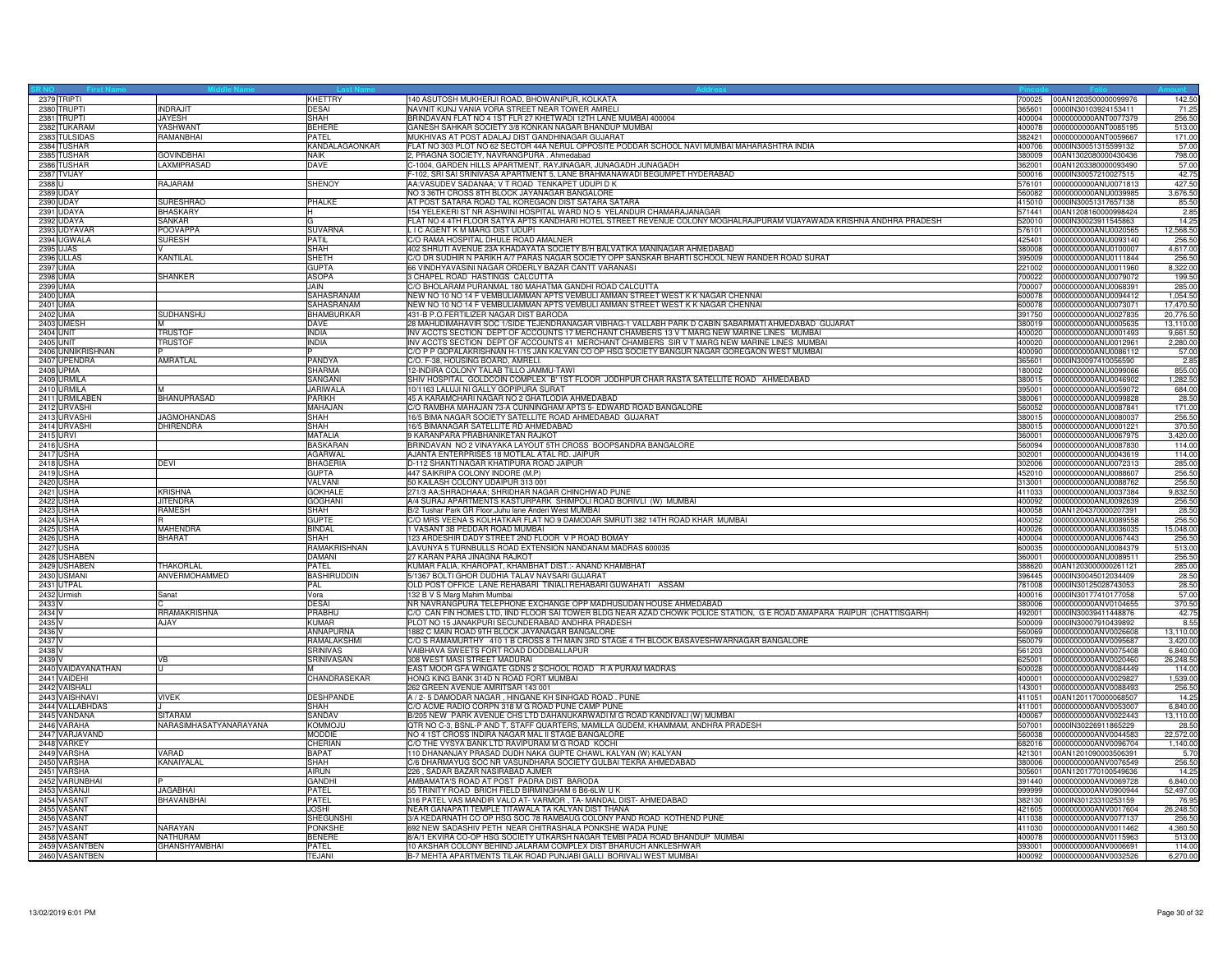| 2379 TRIPTI        |                        | <b>KHETTRY</b>     | 140 ASUTOSH MUKHERJI ROAD, BHOWANIPUR, KOLKATA                                                                         | 700025          | 00AN1203500000099976 | 142.50    |
|--------------------|------------------------|--------------------|------------------------------------------------------------------------------------------------------------------------|-----------------|----------------------|-----------|
| 2380 TRUPTI        | <b>INDRAJIT</b>        | <b>DESAI</b>       | NAVNIT KUNJ VANIA VORA STREET NEAR TOWER AMRELI                                                                        | 365601          | 0000lN30103924153411 | 71.25     |
| 2381 TRUPTI        | <b>JAYESH</b>          | SHAH               | BRINDAVAN FLAT NO 4 1ST FLR 27 KHETWADI 12TH LANE MUMBAI 400004                                                        | 400004          | 0000000000ANT0077379 | 256.50    |
| 2382 TUKARAM       | <b>YASHWANT</b>        | <b>BEHERE</b>      | GANESH SAHKAR SOCIETY 3/8 KONKAN NAGAR BHANDUP MUMBAI                                                                  | 400078          | 0000000000ANT0085195 | 513.00    |
| 2383 TULSIDAS      | RAMANBHAI              | PATEL              | MUKHIVAS AT POST ADALAJ DIST GANDHINAGAR GUJARAT                                                                       | 382421          | 0000000000ANT0059667 | 171.00    |
| 2384 TUSHAR        |                        | KANDALAGAONKAR     | FLAT NO 303 PLOT NO 62 SECTOR 44A NERUL OPPOSITE PODDAR SCHOOL NAVI MUMBAI MAHARASHTRA INDIA                           | 400706          | 0000IN30051315599132 | 57.00     |
| 2385 TUSHAR        | <b>GOVINDBHAI</b>      | <b>NAIK</b>        | 2, PRAGNA SOCIETY, NAVRANGPURA. Ahmedabad                                                                              | 380009          | 00AN1302080000430436 | 798.00    |
| 2386 TUSHAR        | LAXMIPRASAD            | <b>DAVE</b>        | C-1004, GARDEN HILLS APARTMENT, RAYJINAGAR, JUNAGADH JUNAGADH                                                          | 362001          | 00AN1203380000093490 | 57.00     |
| 2387 TVIJAY        |                        |                    | F-102, SRI SAI SRINIVASA APARTMENT 5, LANE BRAHMANAWADI BEGUMPET HYDERABAD                                             | 500016          | 0000IN30057210027515 | 42.75     |
| 2388 U             | RAJARAM                | <b>SHENOY</b>      | AA;VASUDEV SADANAA; V T ROAD TENKAPET UDUPI D K                                                                        | 576101          | 0000000000ANU0071813 | 427.50    |
| 2389 UDAY          |                        |                    | NO 3 36TH CROSS 8TH BLOCK JAYANAGAR BANGALORE                                                                          | 560082          | 0000000000ANU0039985 | 3,676.50  |
| 2390 UDAY          | <b>SURESHRAO</b>       | PHALKE             | AT POST SATARA ROAD TAL KOREGAON DIST SATARA SATARA                                                                    | 415010          | 0000IN30051317657138 | 85.50     |
| 2391 UDAYA         | <b>BHASKARY</b>        | н                  | 154 YELEKERI ST NR ASHWINI HOSPITAL WARD NO 5 YELANDUR CHAMARAJANAGAR                                                  | 571441          | 00AN1208160000998424 | 2.85      |
|                    |                        |                    |                                                                                                                        |                 |                      |           |
| 2392 UDAYA         | <b>SANKAR</b>          |                    | FLAT NO 4 4TH FLOOR SATYA APTS KANDHARI HOTEL STREET REVENUE COLONY MOGHALRAJPURAM VIJAYAWADA KRISHNA ANDHRA PRADESH   | 520010          | 0000IN30023911545863 | 14.25     |
| 2393 UDYAVAR       | <b>POOVAPPA</b>        | <b>SUVARNA</b>     | I C AGENT K M MARG DIST UDUPI                                                                                          | 576101          | 0000000000ANU0020565 | 12,568.50 |
| 2394 UGWALA        | <b>SURESH</b>          | PATIL              | C/O RAMA HOSPITAL DHULE ROAD AMALNER                                                                                   | 125401          | 0000000000ANU0093140 | 256.50    |
| 2395 UJAS          |                        | SHAH               | 402 SHRUTI AVENUE 23A KHADAYATA SOCIETY B/H BALVATIKA MANINAGAR AHMEDABAD                                              | 380008          | 0000000000ANU0100007 | 4,617.00  |
| 2396 ULLAS         | <b>KANTILAL</b>        | SHETH              | C/O DR SUDHIR N PARIKH A/7 PARAS NAGAR SOCIETY OPP SANSKAR BHARTI SCHOOL NEW RANDER ROAD SURAT                         | 395009          | 0000000000ANU0111844 | 256.50    |
| 2397 UMA           |                        | <b>GUPTA</b>       | 66 VINDHYAVASINI NAGAR ORDERLY BAZAR CANTT VARANASI                                                                    | 221002          | 0000000000ANU0011960 | 8,322.00  |
| 2398 UMA           | <b>SHANKER</b>         | <b>ASOPA</b>       | 3 CHAPEL ROAD HASTINGS CALCUTTA                                                                                        | 700022          | 0000000000ANU0079072 | 199.50    |
| 2399 UMA           |                        | JAIN.              | C/O BHOLARAM PURANMAL 180 MAHATMA GANDHI ROAD CALCUTTA                                                                 | 700007          | 0000000000ANU0068391 | 285.00    |
| 2400 UMA           |                        | SAHASRANAM         | NEW NO 10 NO 14 F VEMBULIAMMAN APTS VEMBULI AMMAN STREET WEST K K NAGAR CHENNAI                                        | 600078          | 0000000000ANU0094412 | 1,054.50  |
| 2401 UMA           |                        | SAHASRANAM         | NEW NO 10 NO 14 F VEMBULIAMMAN APTS VEMBULI AMMAN STREET WEST K K NAGAR CHENNAI                                        | 600078          | 0000000000ANU0073071 | 17,470.50 |
| 2402 UMA           | SUDHANSHU              | BHAMBURKAR         | 431-B P.O.FERTILIZER NAGAR DIST BARODA                                                                                 | 391750          | 0000000000ANU0027835 | 20,776.50 |
| 2403 UMESH         |                        | DAVE               | 28 MAHUDIMAHAVIR SOC 1/SIDE TEJENDRANAGAR VIBHAG-1 VALLABH PARK D CABIN SABARMATI AHMEDABAD GUJARAT                    | 380019          | 0000000000ANU0005635 | 13,110.00 |
| <b>2404 UNIT</b>   | <b>TRUSTOF</b>         | <b>INDIA</b>       | INV ACCTS SECTION DEPT OF ACCOUNTS 17 MERCHANT CHAMBERS 13 V T MARG NEW MARINE LINES MUMBAI                            | 400020          | 0000000000ANU0001493 | 9.661.50  |
| 2405 UNIT          | <b>TRUSTOF</b>         | <b>INDIA</b>       | INV ACCTS SECTION DEPT OF ACCOUNTS 41 MERCHANT CHAMBERS SIR V T MARG NEW MARINE LINES MUMBAI                           | 400020          | 0000000000ANU0012961 | 2,280.00  |
| 2406 UNNIKRISHNAN  |                        |                    | C/O P P GOPALAKRISHNAN H-1/15 JAN KALYAN CO OP HSG SOCIETY BANGUR NAGAR GOREGAON WEST MUMBAI                           | 400090          | 0000000000ANU0086112 | 57.00     |
|                    |                        |                    |                                                                                                                        |                 |                      |           |
| 2407 UPENDRA       | AMRATLAL               | PANDYA             | C/O. F-38, HOUSING BOARD, AMRELI.                                                                                      | 365601<br>80002 | 0000IN30097410056590 | 2.85      |
| 2408 UPMA          |                        | <b>SHARMA</b>      | 12-INDIRA COLONY TALAB TILLO JAMMU-TAWI                                                                                |                 | 0000000000ANU0099066 | 855.00    |
| 2409 URMILA        |                        | SANGANI            | SHIV HOSPITAL GOLDCOIN COMPLEX 'B' 1ST FLOOR JODHPUR CHAR RASTA SATELLITE ROAD AHMEDABAD                               | 380015          | 0000000000ANU0046902 | 1,282.50  |
| 2410 URMILA        | M                      | <b>JARIWALA</b>    | 10/1163 LALUJI NI GALLY GOPIPURA SURAT                                                                                 | 395001          | 0000000000ANU0059072 | 684.00    |
| 2411 URMILABEN     | <b>BHANUPRASAD</b>     | <b>PARIKH</b>      | 45 A KARAMCHARI NAGAR NO 2 GHATLODIA AHMEDABAD                                                                         | 380061          | 0000000000ANU0099828 | 28.50     |
| 2412 URVASHI       |                        | MAHAJAN            | C/O RAMBHA MAHAJAN 73-A CUNNINGHAM APTS 5- EDWARD ROAD BANGALORE                                                       | 560052          | 0000000000ANU0087841 | 171.00    |
| 2413 URVASHI       | <b>JAGMOHANDAS</b>     | SHAH               | 16/5 BIMA NAGAR SOCIETY SATELLITE ROAD AHMEDABAD GUJARAT                                                               | 380015          | 0000000000ANU0080037 | 256.50    |
| 2414 URVASHI       | <b>DHIRENDRA</b>       | SHAH               | 16/5 BIMANAGAR SATELLITE RD AHMEDABAD                                                                                  | 380015          | 0000000000ANU0001221 | 370.50    |
| 2415 URVI          |                        | <b>MATALIA</b>     | 9 KARANPARA PRABHANIKETAN RAJKOT                                                                                       | 360001          | 0000000000ANU0067975 | 3.420.00  |
| 2416 USHA          |                        | <b>BASKARAN</b>    | BRINDAVAN NO 2 VINAYAKA LAYOUT 5TH CROSS BOOPSANDRA BANGALORE                                                          | 560094          | 0000000000ANU0087830 | 114.00    |
| 2417 USHA          |                        | <b>AGARWAL</b>     | AJANTA ENTERPRISES 18 MOTILAL ATAL RD. JAIPUR                                                                          | 302001          | 0000000000ANU0043619 | 114.00    |
| 2418 USHA          | DEVI                   | <b>BHAGERIA</b>    | D-112 SHANTI NAGAR KHATIPURA ROAD JAIPUR                                                                               | 302006          | 0000000000ANU0072313 | 285.00    |
| 2419 USHA          |                        | <b>GUPTA</b>       | 447 SAIKRIPA COLONY INDORE (M.P)                                                                                       | 452010          | 0000000000ANU0088607 | 256.50    |
| 2420 USHA          |                        | VALVANI            | 50 KAILASH COLONY UDAIPUR 313 001                                                                                      | 313001          | 0000000000ANU0088762 | 256.50    |
| 2421 USHA          | <b>KRISHNA</b>         | <b>GOKHALE</b>     | 271/3 AA;SHRADHAAA; SHRIDHAR NAGAR CHINCHWAD PUNE                                                                      | 411033          | 0000000000ANU0037384 | 9,832.50  |
| 2422 USHA          | <b>JITENDRA</b>        | <b>GOGHANI</b>     | A/4 SURAJ APARTMENTS KASTURPARK SHIMPOLI ROAD BORIVLI (W) MUMBAI                                                       | 400092          | 0000000000ANU0092639 | 256.50    |
|                    | <b>RAMESH</b>          | SHAH               |                                                                                                                        | 400058          |                      |           |
| 2423 USHA          |                        |                    | B/2 Tushar Park GR Floor, Juhu lane Anderi West MUMBAI                                                                 |                 | 00AN1204370000207391 | 28.50     |
| 2424 USHA          |                        | GUPTE              | C/O MRS VEENA S KOLHATKAR FLAT NO 9 DAMODAR SMRUTI 382 14TH ROAD KHAR MUMBAI                                           | 400052          | 0000000000ANU0089558 | 256.50    |
| 2425 USHA          | <b>MAHENDRA</b>        | <b>BINDAL</b>      | 1 VASANT 3B PEDDAR ROAD MUMBAI                                                                                         | 400026          | 0000000000ANU0036035 | 15,048.00 |
| 2426 USHA          | <b>BHARAT</b>          | <b>SHAH</b>        | 123 ARDESHIR DADY STREET 2ND FLOOR V P ROAD BOMAY                                                                      | 400004          | 0000000000ANU0067443 | 256.50    |
| 2427 USHA          |                        | RAMAKRISHNAN       | LAVUNYA 5 TURNBULLS ROAD EXTENSION NANDANAM MADRAS 600035                                                              | 600035          | 0000000000ANU0084379 | 513.00    |
| 2428 USHABEN       |                        | <b>DAMANI</b>      | 27 KARAN PARA JINAGNA RAJKOT                                                                                           | 360001          | 0000000000ANU0089511 | 256.50    |
| 2429 USHABEN       | <b>THAKORLAL</b>       | <b>PATEL</b>       | KUMAR FALIA, KHAROPAT, KHAMBHAT DIST.: ANAND KHAMBHAT                                                                  | 388620          | 00AN1203000000261121 | 285.00    |
| 2430 USMANI        | ANVERMOHAMMED          | <b>BASHIRUDDIN</b> | 5/1367 BOLTI GHOR DUDHIA TALAV NAVSARI GUJARAT                                                                         | 396445          | 0000IN30045012034409 | 28.50     |
| 2431 UTPAL         |                        | PAL                | OLD POST OFFICE LANE REHABARI TINIALI REHABARI GUWAHATI ASSAM                                                          | 781008          | 0000IN30125028743053 | 28.50     |
| 2432 Urmish        | Sanat                  | Vora               | 132 B V S Marg Mahim Mumbai                                                                                            | 400016          | 0000lN30177410177058 | 57.00     |
| 2433 V             |                        | <b>DESAI</b>       | NR NAVRANGPURA TELEPHONE EXCHANGE OPP MADHUSUDAN HOUSE AHMEDABAD                                                       | 380006          | 0000000000ANV0104655 | 370.50    |
| 2434 V             | RRAMAKRISHNA           | PRABHI             | C/O CAN FIN HOMES LTD, IIND FLOOR SAI TOWER BLDG NEAR AZAD CHOWK POLICE STATION, G E ROAD AMAPARA RAIPUR (CHATTISGARH) | 492001          | 0000IN30039411448876 | 42.75     |
| 2435 <sub>V</sub>  | AJAY                   | <b>KUMAR</b>       | PLOT NO 15 JANAKPURI SECUNDERABAD ANDHRA PRADESH                                                                       | 500009          | 0000IN30007910439892 | 8.55      |
| 2436 V             |                        | ANNAPURNA          | 1882 C MAIN ROAD 9TH BLOCK JAYANAGAR BANGALORE                                                                         | 560069          | 0000000000ANV0026608 | 13,110.00 |
| 2437 V             |                        | RAMALAKSHMI        | C/O S RAMAMURTHY 410 1 B CROSS 8 TH MAIN 3RD STAGE 4 TH BLOCK BASAVESHWARNAGAR BANGALORE                               | 560079          | 0000000000ANV0095687 | 3,420.00  |
|                    |                        |                    | VAIBHAVA SWEETS FORT ROAD DODDBALLAPUR                                                                                 |                 |                      |           |
| 2438 V             |                        | <b>SRINIVAS</b>    |                                                                                                                        | 561203          | 0000000000ANV0075408 | 6,840.00  |
| 2439 V             | <b>VB</b>              | SRINIVASAN         | 308 WEST MASI STREET MADURAL                                                                                           | 625001          | 0000000000ANV0020460 | 26,248.50 |
| 2440 VAIDAYANATHAN | lu                     | <b>M</b>           | EAST MOOR GFA WINGATE GDNS 2 SCHOOL ROAD R A PURAM MADRAS                                                              | 600028          | 0000000000ANV0084449 | 114.00    |
| 2441 VAIDEHI       |                        | CHANDRASEKAR       | HONG KING BANK 314D N ROAD FORT MUMBAI                                                                                 | 400001          | 0000000000ANV0029827 | 1,539.00  |
| 2442 VAISHAL       |                        |                    | 262 GREEN AVENUE AMRITSAR 143 001                                                                                      | 43001           | 0000000000ANV0088493 | 256.50    |
| 2443 VAISHNAVI     | <b>VIVEK</b>           | <b>DESHPANDE</b>   | A / 2- 5 DAMODAR NAGAR, HINGANE KH SINHGAD ROAD. PUNE                                                                  | 411051          | 00AN1201170000068507 | 14.25     |
| 2444 VALLABHDAS    |                        | <b>SHAH</b>        | C/O ACME RADIO CORPN 318 M G ROAD PUNE CAMP PUNE                                                                       | 411001          | 0000000000ANV0053007 | 6,840.00  |
| 2445 VANDANA       | <b>SITARAM</b>         | SANDAV             | B/205 NEW PARK AVENUE CHS LTD DAHANUKARWADI M G ROAD KANDIVALI (W) MUMBAI                                              | 400067          | 0000000000ANV0022443 | 13,110.00 |
| 2446 VARAHA        | NARASIMHASATYANARAYANA | <b>KOMMOJU</b>     | QTR NO C-3, BSNL-P AND T, STAFF QUARTERS, MAMILLA GUDEM, KHAMMAM, ANDHRA PRADESH                                       | 507001          | 0000IN30226911865229 | 28.50     |
| 2447 VARJAVAND     |                        | <b>MODDIE</b>      | NO 4 1ST CROSS INDIRA NAGAR MAL II STAGE BANGALORE                                                                     | 560038          | 0000000000ANV0044583 | 22,572.00 |
| 2448 VARKEY        |                        | CHERIAN            | C/O THE VYSYA BANK LTD RAVIPURAM M G ROAD KOCHI                                                                        | 682016          | 0000000000ANV0096704 | 1,140.00  |
| 2449 VARSHA        | VARAD                  | <b>BAPAT</b>       | 110 DHANANJAY PRASAD DUDH NAKA GUPTE CHAWL KALYAN (W) KALYAN                                                           | 421301          | 00AN1201090003506391 | 5.70      |
| 2450 VARSHA        | KANAIYALAL             | SHAH               | C/6 DHARMAYUG SOC NR VASUNDHARA SOCIETY GULBAI TEKRA AHMEDABAD                                                         | 380006          | 0000000000ANV0076549 | 256.50    |
| 2451 VARSHA        |                        | AIRUN              | 226, SADAR BAZAR NASIRABAD AJMER                                                                                       | 305601          | 00AN1201770100549636 | 14.25     |
| 2452 VARUNBHAI     |                        | GANDHI             | AMBAMATA'S ROAD AT POST PADRA DIST BARODA                                                                              | 391440          | 0000000000ANV0069728 | 6,840.00  |
| 2453 VASANJI       | <b>JAGABHAI</b>        | PATFI              | 55 TRINITY ROAD BRICH FIELD BIRMINGHAM 6 B6-6LW U K                                                                    | 999999          | 0000000000ANV0900944 | 52,497.00 |
| 2454 VASANT        |                        | PATFI              | 316 PATEL VAS MANDIR VALO AT-VARMOR, TA-MANDAL DIST-AHMEDABAD                                                          |                 |                      |           |
|                    | BHAVANBHAI             |                    |                                                                                                                        | 382130          | 0000IN30123310253159 | 76.95     |
| 2455 VASANT        |                        | <b>JOSHI</b>       | NEAR GANAPATI TEMPLE TITAWALA TA KALYAN DIST THANA                                                                     | 421605          | 0000000000ANV0017604 | 26,248.50 |
| 2456 VASANT        |                        | SHEGUNSHI          | 3/A KEDARNATH CO OP HSG SOC 78 RAMBAUG COLONY PAND ROAD KOTHEND PUNE                                                   | 411038          | 0000000000ANV0077137 | 256.50    |
| 2457 VASANT        | NARAYAN                | <b>PONKSHE</b>     | 692 NEW SADASHIV PETH NEAR CHITRASHALA PONKSHE WADA PUNE                                                               | 411030          | 0000000000ANV0011462 | 4,360.50  |
| 2458 VASANT        | <b>NATHURAM</b>        | <b>BENERE</b>      | 8/A/1 EKVIRA CO-OP HSG SOCIETY UTKARSH NAGAR TEMBI PADA ROAD BHANDUP MUMBAI                                            | 400078          | 0000000000ANV0115963 | 513.00    |
| 2459 VASANTBEN     | <b>GHANSHYAMBHAI</b>   | PATEL              | 10 AKSHAR COLONY BEHIND JALARAM COMPLEX DIST BHARUCH ANKLESHWAR                                                        | 393001          | 0000000000ANV0006691 | 114.00    |
| 2460 VASANTBEN     |                        | TF.IANI            | B-7 MEHTA APARTMENTS TILAK ROAD PUNJABI GALLI BORIVALI WEST MUMBAI                                                     | 400092          | 0000000000ANV0032526 | 6,270.00  |
|                    |                        |                    |                                                                                                                        |                 |                      |           |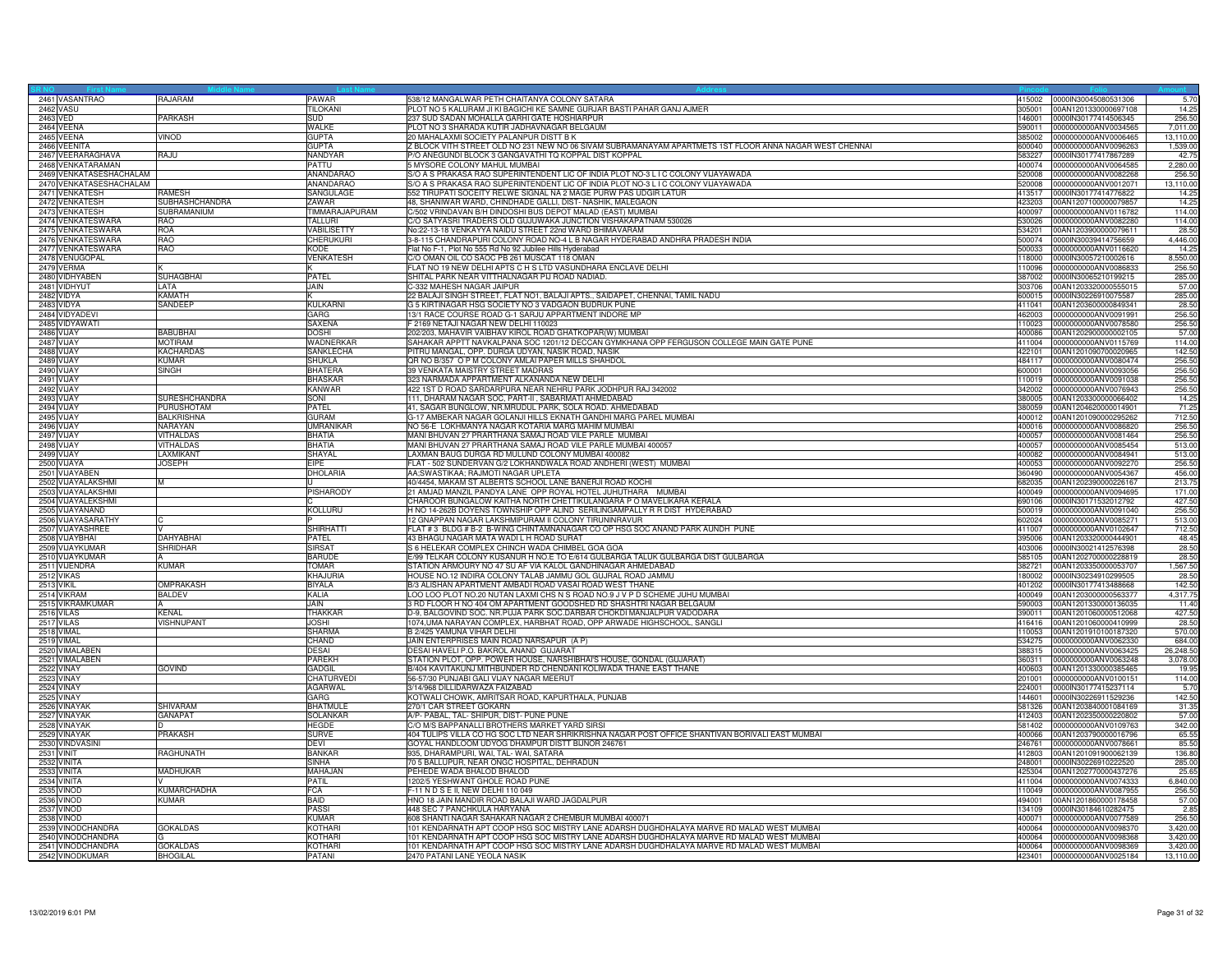| 2461 VASANTRAO          | RAJARAM               | PAWAR             | 538/12 MANGALWAR PETH CHAITANYA COLONY SATARA                                                           | 415002 | 0000IN30045080531306 | 5.70      |
|-------------------------|-----------------------|-------------------|---------------------------------------------------------------------------------------------------------|--------|----------------------|-----------|
| 2462 VASU               |                       | <b>TILOKANI</b>   | PLOT NO 5 KALURAM JI KI BAGICHI KE SAMNE GURJAR BASTI PAHAR GANJ AJMER                                  | 305001 | 00AN1201330000697108 | 14.25     |
| 2463 VED                | PARKASH               | SUD               | 237 SUD SADAN MOHALLA GARHI GATE HOSHIARPUR                                                             | 146001 | 0000IN30177414506345 | 256.50    |
| 2464 VEENA              |                       | WALKE             | PLOT NO 3 SHARADA KUTIR JADHAVNAGAR BELGAUM                                                             | 590011 | 0000000000ANV0034565 | 7,011.00  |
|                         |                       | <b>GUPTA</b>      |                                                                                                         | 385002 | 0000000000ANV0006465 | 13.110.00 |
| 2465 VEENA              | VINOD                 |                   | 20 MAHALAXMI SOCIETY PALANPUR DISTT B K                                                                 |        |                      |           |
| 2466 VEENITA            |                       | <b>GUPTA</b>      | Z BLOCK VITH STREET OLD NO 231 NEW NO 06 SIVAM SUBRAMANAYAM APARTMETS 1ST FLOOR ANNA NAGAR WEST CHENNAI | 600040 | 0000000000ANV0096263 | 1,539.00  |
| 2467 VEERARAGHAVA       | RAJU                  | NANDYAF           | P/O ANEGUNDI BLOCK 3 GANGAVATHI TO KOPPAL DIST KOPPAL                                                   | 583227 | 0000IN30177417867289 | 42.75     |
| 2468 VENKATARAMAN       |                       | PATTU             | 5 MYSORE COLONY MAHUL MUMBAI                                                                            | 400074 | 0000000000ANV0064585 | 2,280.00  |
| 2469 VENKATASESHACHALAM |                       | <b>ANANDARAO</b>  | S/O A S PRAKASA RAO SUPERINTENDENT LIC OF INDIA PLOT NO-3 L I C COLONY VIJAYAWADA                       | 520008 | 0000000000ANV0082268 | 256.50    |
| 2470 VENKATASESHACHALAM |                       | ANANDARAO         | S/O A S PRAKASA RAO SUPERINTENDENT LIC OF INDIA PLOT NO-3 L I C COLONY VIJAYAWADA                       | 520008 | 0000000000ANV0012071 | 13,110.00 |
| 2471 VENKATESH          | <b>RAMESH</b>         | SANGULAGE         | 552 TIRUPATI SOCEITY RELWE SIGNAL NA 2 MAGE PURW PAS UDGIR LATUR                                        | 413517 | 0000lN30177414776822 | 14.25     |
| 2472 VENKATESH          | <b>SUBHASHCHANDRA</b> | ZAWAR             | 48, SHANIWAR WARD, CHINDHADE GALLI, DIST- NASHIK, MALEGAON                                              | 423203 | 00AN1207100000079857 | 14.25     |
| 2473 VENKATESH          | SUBRAMANIUM           | TIMMARAJAPURAM    | C/502 VRINDAVAN B/H DINDOSHI BUS DEPOT MALAD (EAST) MUMBAI                                              | 400097 | 0000000000ANV0116782 | 114.00    |
| 2474 VENKATESWARA       | RAO                   | TALLURI           |                                                                                                         | 530026 | 0000000000ANV0082280 | 114.00    |
|                         |                       |                   | C/O SATYASRI TRADERS OLD GUJUWAKA JUNCTION VISHAKAPATNAM 530026                                         |        |                      |           |
| 2475 VENKATESWARA       | <b>ROA</b>            | <b>ABILISETTY</b> | No:22-13-18 VENKAYYA NAIDU STREET 22nd WARD BHIMAVARAM                                                  | 34201  | 00AN1203900000079611 | 28.50     |
| 2476 VENKATESWARA       | <b>RAO</b>            | CHERUKURI         | 3-8-115 CHANDRAPURI COLONY ROAD NO-4 L B NAGAR HYDERABAD ANDHRA PRADESH INDIA                           | 500074 | 0000IN30039414756659 | 4,446.00  |
| 2477 VENKATESWARA       | <b>RAO</b>            | KODE              | Flat No F-1, Plot No 555 Rd No 92 Jubilee Hills Hyderabad                                               | 500033 | 0000000000ANV0116620 | 14.25     |
| 2478 VENUGOPAL          |                       | <b>VENKATESH</b>  | C/O OMAN OIL CO SAOC PB 261 MUSCAT 118 OMAN                                                             | 118000 | 0000IN30057210002616 | 8,550.00  |
| 2479 VERMA              |                       |                   | FLAT NO 19 NEW DELHI APTS C H S LTD VASUNDHARA ENCLAVE DELHI                                            | 110096 | 000000000ANV0086833  | 256.50    |
| 2480 VIDHYABEN          | <b>SUHAGBHAI</b>      | PATEL             | SHITAL PARK NEAR VITTHALNAGAR PIJ ROAD NADIAD                                                           | 387002 | 0000IN30065210199215 | 285.0     |
| 2481 VIDHYUT            | <b>LATA</b>           | JAIN              | C-332 MAHESH NAGAR JAIPUR                                                                               | 303706 | 00AN1203320000555015 | 57.00     |
| 2482 VIDYA              | <b>KAMATH</b>         |                   | 22 BALAJI SINGH STREET, FLAT NO1, BALAJI APTS., SAIDAPET, CHENNAI, TAMIL NADU                           | 600015 | 0000IN30226910075587 | 285.00    |
| 2483 VIDYA              | SANDEEP               | <b>KULKARNI</b>   | G 5 KIRTINAGAR HSG SOCIETY NO 3 VADGAON BUDRUK PUNE                                                     | 411041 | 00AN1203600000849341 | 28.50     |
|                         |                       |                   |                                                                                                         |        |                      |           |
| 2484 VIDYADEVI          |                       | GARG              | 13/1 RACE COURSE ROAD G-1 SARJU APPARTMENT INDORE MP                                                    | 462003 | 0000000000ANV0091991 | 256.50    |
| 2485 VIDYAWATI          |                       | SAXENA            | F 2169 NETAJI NAGAR NEW DELHI 110023                                                                    | 110023 | 0000000000ANV0078580 | 256.50    |
| 2486 VIJAY              | <b>BABUBHAI</b>       | <b>DOSHI</b>      | 202/203, MAHAVIR VAIBHAV KIROL ROAD GHATKOPAR(W) MUMBAI                                                 | 400086 | 00AN1202900000002105 | 57.00     |
| 2487 VIJAY              | <b>MOTIRAM</b>        | WADNERKAR         | SAHAKAR APPTT NAVKALPANA SOC 1201/12 DECCAN GYMKHANA OPP FERGUSON COLLEGE MAIN GATE PUNE                | 411004 | 0000000000ANV0115769 | 114.00    |
| 2488 VIJAY              | <b>KACHARDAS</b>      | SANKLECHA         | PITRU MANGAL, OPP. DURGA UDYAN, NASIK ROAD, NASIK                                                       | 422101 | 00AN1201090700020965 | 142.50    |
| 2489 VIJAY              | <b>KUMAR</b>          | <b>SHUKLA</b>     | QR NO B/357 O P M COLONY AMLAI PAPER MILLS SHAHDOL                                                      | 484117 | 0000000000ANV0080474 | 256.50    |
| 2490 VIJAY              | <b>SINGH</b>          | <b>BHATERA</b>    | 39 VENKATA MAISTRY STREET MADRAS                                                                        | 600001 | 0000000000ANV0093056 | 256.50    |
| 2491 VIJAY              |                       | <b>BHASKAR</b>    | 323 NARMADA APPARTMENT ALKANANDA NEW DELHI                                                              | 110019 | 0000000000ANV0091038 | 256.50    |
| 2492 VIJAY              |                       | <b>KANWAR</b>     | 422 1ST D ROAD SARDARPURA NEAR NEHRU PARK JODHPUR RAJ 342002                                            | 342002 | 0000000000ANV0076943 | 256.50    |
|                         |                       |                   |                                                                                                         |        |                      |           |
| 2493 VIJAY              | <b>SURESHCHANDRA</b>  | SONI              | 111, DHARAM NAGAR SOC, PART-II, SABARMATI AHMEDABAD                                                     | 380005 | 00AN1203300000066402 | 14.25     |
| 2494 VIJAY              | PURUSHOTAM            | <b>PATEL</b>      | 41, SAGAR BUNGLOW, NR.MRUDUL PARK, SOLA ROAD. AHMEDABAD                                                 | 380059 | 00AN1204620000014901 | 71.25     |
| 2495 VIJAY              | <b>BALKRISHNA</b>     | <b>GURAM</b>      | G-17 AMBEKAR NAGAR GOLANJI HILLS EKNATH GANDHI MARG PAREL MUMBAI                                        | 400012 | 00AN1201090000295262 | 712.50    |
| 2496 VIJAY              | <b>NARAYAN</b>        | <b>UMRANIKAR</b>  | NO 56-E LOKHMANYA NAGAR KOTARIA MARG MAHIM MUMBAI                                                       | 400016 | 0000000000ANV0086820 | 256.50    |
| 2497 VIJAY              | VITHALDAS             | <b>BHATIA</b>     | MANI BHUVAN 27 PRARTHANA SAMAJ ROAD VILE PARLE MUMBAI                                                   | 400057 | 0000000000ANV0081464 | 256.50    |
| 2498 VIJAY              | <b>VITHALDAS</b>      | RHATIA            | MANI BHUVAN 27 PRARTHANA SAMAJ ROAD VILE PARLE MUMBAI 400057                                            | 400057 | 0000000000ANV0085454 | 513.00    |
| 2499 VIJAY              | LAXMIKANT             | SHAYAL            | LAXMAN BAUG DURGA RD MULUND COLONY MUMBAI 400082                                                        | 400082 | 0000000000ANV0084941 | 513.00    |
| 2500 VIJAYA             | <b>JOSEPH</b>         | <b>EIPE</b>       | FLAT - 502 SUNDERVAN G/2 LOKHANDWALA ROAD ANDHERI (WEST) MUMBAI                                         | 400053 | 0000000000ANV0092270 | 256.50    |
| 2501 VIJAYABEN          |                       | <b>DHOLARIA</b>   | AA;SWASTIKAA; RAJMOTI NAGAR UPLETA                                                                      | 360490 | 0000000000ANV0054367 | 456.00    |
|                         |                       |                   |                                                                                                         | 682035 |                      |           |
| 2502 VIJAYALAKSHMI      | M                     |                   | 40/4454, MAKAM ST ALBERTS SCHOOL LANE BANERJI ROAD KOCHI                                                |        | 00AN1202390000226167 | 213.75    |
| 2503 VIJAYALAKSHMI      |                       | <b>PISHARODY</b>  | 21 AMJAD MANZIL PANDYA LANE OPP ROYAL HOTEL JUHUTHARA MUMBAI                                            | 400049 | 0000000000ANV0094695 | 171.00    |
| 2504 VIJAYALEKSHMI      |                       |                   | CHAROOR BUNGALOW KAITHA NORTH CHETTIKULANGARA P O MAVELIKARA KERALA                                     | 690106 | 0000IN30171532012792 | 427.50    |
| 2505 VIJAYANAND         |                       | <b>KOLLURU</b>    | H NO 14-262B DOYENS TOWNSHIP OPP ALIND SERILINGAMPALLY R R DIST HYDERABAD                               | 500019 | 0000000000ANV0091040 | 256.50    |
| 2506 VIJAYASARATHY      |                       |                   | 12 GNAPPAN NAGAR LAKSHMIPURAM II COLONY TIRUNINRAVUR                                                    | 602024 | 0000000000ANV0085271 | 513.00    |
| 2507 VIJAYASHREE        |                       | SHIRHATTI         | FLAT # 3 BLDG # B-2 B-WING CHINTAMNANAGAR CO OP HSG SOC ANAND PARK AUNDH PUNE                           | 411007 | 0000000000ANV0102647 | 712.50    |
| 2508 VIJAYBHAI          | <b>DAHYABHAI</b>      | <b>PATFL</b>      | 43 BHAGU NAGAR MATA WADI L H ROAD SURAT                                                                 | 395006 | 00AN1203320000444901 | 48.45     |
| 2509 VIJAYKUMAF         | <b>SHRIDHAR</b>       | <b>SIRSAT</b>     | S 6 HELEKAR COMPLEX CHINCH WADA CHIMBEL GOA GOA                                                         | 403006 | 0000IN30021412576398 | 28.50     |
| 2510 VIJAYKUMAR         |                       | <b>BARUDE</b>     | E/99 TELKAR COLONY KUSANUR H NO.E TO E/614 GULBARGA TALUK GULBARGA DIST GULBARGA                        | 585105 | 00AN1202700000228819 | 28.50     |
| 2511 VIJENDRA           | <b>KUMAR</b>          | <b>TOMAR</b>      | STATION ARMOURY NO 47 SU AF VIA KALOL GANDHINAGAR AHMEDABAD                                             |        | 00AN1203350000053707 | 1,567.50  |
|                         |                       |                   |                                                                                                         | 382721 |                      |           |
| 2512 VIKAS              |                       | <b>KHAJURIA</b>   | HOUSE NO.12 INDIRA COLONY TALAB JAMMU GOL GUJRAL ROAD JAMMU                                             | 180002 | 0000IN30234910299505 | 28.50     |
| <b>2513 VIKIL</b>       | OMPRAKASH             | BIYALA            | B/3 ALISHAN APARTMENT AMBADI ROAD VASAI ROAD WEST THANE                                                 | 401202 | 0000IN30177413488668 | 142.50    |
| 2514 VIKRAM             | <b>BALDEV</b>         | KALIA             | LOO LOO PLOT NO.20 NUTAN LAXMI CHS N S ROAD NO.9 J V P D SCHEME JUHU MUMBAI                             | 400049 | 00AN1203000000563377 | 4,317.75  |
| 2515 VIKRAMKUMAR        |                       | <b>JAIN</b>       | 3 RD FLOOR H NO 404 OM APARTMENT GOODSHED RD SHASHTRI NAGAR BELGAUM                                     | 590003 | 00AN1201330000136035 | 11.40     |
| 2516 VILAS              | <b>KENAI</b>          | THAKKAF           | D-9, BALGOVIND SOC. NR.PUJA PARK SOC.DARBAR CHOKDI MANJALPUR VADODARA                                   | 390011 | 00AN1201060000512068 | 427.50    |
| 2517 VILAS              | <b>VISHNUPANT</b>     | <b>JOSHI</b>      | 1074, UMA NARAYAN COMPLEX, HARBHAT ROAD, OPP ARWADE HIGHSCHOOL, SANGLI                                  | 416416 | 00AN1201060000410999 | 28.50     |
| 2518 VIMAL              |                       | <b>SHARMA</b>     | B 2/425 YAMUNA VIHAR DELHI                                                                              | 110053 | 00AN1201910100187320 | 570.00    |
| 2519 VIMAL              |                       | CHAND             | JAIN ENTERPRISES MAIN ROAD NARSAPUR (A P)                                                               | 534275 | 0000000000ANV0062330 | 684.00    |
| 2520 VIMALABEN          |                       | <b>DESAI</b>      | DESAI HAVELI P.O. BAKROL ANAND GUJARAT                                                                  | 388315 | 0000000000ANV0063425 | 26,248.50 |
|                         |                       |                   |                                                                                                         |        |                      |           |
| 2521 VIMALABEN          |                       | PAREKH            | STATION PLOT, OPP. POWER HOUSE, NARSHIBHAI'S HOUSE, GONDAL (GUJARAT)                                    | 360311 | 0000000000ANV0063248 | 3,078.00  |
| 2522 VINAY              | <b>GOVIND</b>         | GADGIL            | B/404 KAVITAKUNJ MITHBUNDER RD CHENDANI KOLIWADA THANE EAST THANE                                       | 400603 | 00AN1201330000385465 | 19.95     |
| 2523 VINAY              |                       | <b>CHATURVEDI</b> | 56-57/30 PUNJABI GALI VIJAY NAGAR MEERUT                                                                | 201001 | 0000000000ANV0100151 | 114.00    |
| 2524 VINAY              |                       | AGARWAL           | 3/14/968 DILLIDARWAZA FAIZABAD                                                                          | 224001 | 0000IN30177415237114 | 5.7(      |
| 2525 VINAY              |                       | GARG              | KOTWALI CHOWK, AMRITSAR ROAD, KAPURTHALA, PUNJAB                                                        | 144601 | 0000IN30226911529236 | 142.50    |
| 2526 VINAYAK            | SHIVARAM              | <b>BHATMULE</b>   | 270/1 CAR STREET GOKARN                                                                                 | 581326 | 00AN1203840001084169 | 31.35     |
| 2527 VINAYAK            | <b>GANAPAT</b>        | <b>SOLANKAR</b>   | A/P- PABAL, TAL- SHIPUR, DIST- PUNE PUNE                                                                | 412403 | 00AN1202350000220802 | 57.00     |
| 2528 VINAYAK            |                       | HEGDE             | C/O M/S BAPPANALLI BROTHERS MARKET YARD SIRSI                                                           | 581402 | 0000000000ANV0109763 | 342.00    |
| 2529 VINAYAK            | <b>PRAKASH</b>        | <b>SURVE</b>      | 404 TULIPS VILLA CO HG SOC LTD NEAR SHRIKRISHNA NAGAR POST OFFICE SHANTIVAN BORIVALI EAST MUMBAI        | 400066 | 00AN1203790000016796 | 65.55     |
|                         |                       |                   | GOYAL HANDLOOM UDYOG DHAMPUR DISTT BIJNOR 246761                                                        |        |                      |           |
| 2530 VINDVASINI         |                       | DEVI              |                                                                                                         | 246761 | 0000000000ANV0078661 | 85.50     |
| <b>2531 VINIT</b>       | RAGHUNATH             | <b>BANKAR</b>     | 935, DHARAMPURI, WAI, TAL-WAI, SATARA                                                                   | 412803 | 00AN1201091900062139 | 136.80    |
| 2532 VINITA             |                       | <b>SINHA</b>      | 70 5 BALLUPUR, NEAR ONGC HOSPITAL, DEHRADUN                                                             | 248001 | 0000IN30226910222520 | 285.00    |
| 2533 VINITA             | MADHUKAR              | MAHAJAN           | PEHEDE WADA BHALOD BHALOD                                                                               | 425304 | 00AN1202770000437276 | 25.65     |
| 2534 VINITA             |                       | <b>PATIL</b>      | 1202/5 YESHWANT GHOLE ROAD PUNE                                                                         | 411004 | 0000000000ANV0074333 | 6.840.00  |
| 2535 VINOD              | KUMARCHADHA           | <b>FCA</b>        | F-11 N D S E II, NEW DELHI 110 049                                                                      | 110049 | 0000000000ANV0087955 | 256.50    |
| 2536 VINOD              | <b>KUMAR</b>          | <b>BAID</b>       | HNO 18 JAIN MANDIR ROAD BALAJI WARD JAGDALPUR                                                           | 494001 | 00AN1201860000178458 | 57.00     |
| 2537 VINOD              |                       | PASSI             | 448 SEC 7 PANCHKULA HARYANA                                                                             | 134109 | 0000IN30184610282475 | 2.85      |
| 2538 VINOD              |                       | <b>KUMAR</b>      | 608 SHANTI NAGAR SAHAKAR NAGAR 2 CHEMBUR MUMBAI 400071                                                  | 400071 | 0000000000ANV0077589 | 256.50    |
|                         |                       | <b>KOTHAR</b>     | 101 KENDARNATH APT COOP HSG SOC MISTRY LANE ADARSH DUGHDHALAYA MARVE RD MALAD WEST MUMBAI               | 400064 |                      | 3.420.00  |
| 2539 VINODCHANDRA       | <b>GOKALDAS</b>       |                   |                                                                                                         |        | 0000000000ANV0098370 |           |
| 2540 VINODCHANDRA       |                       | <b>KOTHARI</b>    | 101 KENDARNATH APT COOP HSG SOC MISTRY LANE ADARSH DUGHDHALAYA MARVE RD MALAD WEST MUMBAI               | 400064 | 0000000000ANV0098368 | 3,420.00  |
| 2541 VINODCHANDRA       | <b>GOKALDAS</b>       | <b>KOTHARI</b>    | 101 KENDARNATH APT COOP HSG SOC MISTRY LANE ADARSH DUGHDHALAYA MARVE RD MALAD WEST MUMBAI               | 400064 | 0000000000ANV0098369 | 3,420.00  |
| 2542 VINODKUMAR         | <b>BHOGILAL</b>       | PATANI            | 2470 PATANI LANE YEOLA NASIK                                                                            | 423401 | 0000000000ANV0025184 | 13,110.00 |
|                         |                       |                   |                                                                                                         |        |                      |           |